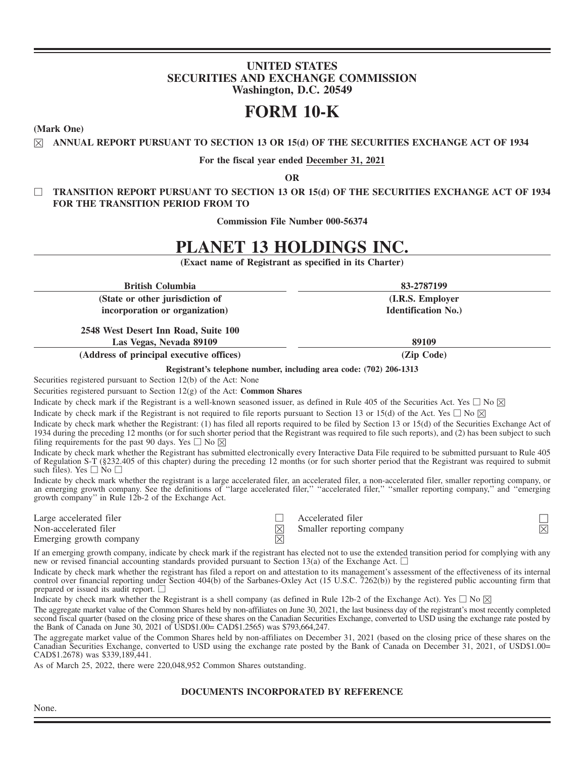# **UNITED STATES SECURITIES AND EXCHANGE COMMISSION Washington, D.C. 20549**

# **FORM 10-K**

**(Mark One)**

☒ **ANNUAL REPORT PURSUANT TO SECTION 13 OR 15(d) OF THE SECURITIES EXCHANGE ACT OF 1934**

**For the fiscal year ended December 31, 2021**

**OR**

□ **TRANSITION REPORT PURSUANT TO SECTION 13 OR 15(d) OF THE SECURITIES EXCHANGE ACT OF 1934 FOR THE TRANSITION PERIOD FROM TO**

**Commission File Number 000-56374**

# **PLANET 13 HOLDINGS INC.**

| (Exact name of Registrant as specified in its Charter)                                                                                                                                                                                                                                                                                                                                  |                            |
|-----------------------------------------------------------------------------------------------------------------------------------------------------------------------------------------------------------------------------------------------------------------------------------------------------------------------------------------------------------------------------------------|----------------------------|
| <b>British Columbia</b>                                                                                                                                                                                                                                                                                                                                                                 | 83-2787199                 |
| (State or other jurisdiction of                                                                                                                                                                                                                                                                                                                                                         | (I.R.S. Employer           |
| incorporation or organization)                                                                                                                                                                                                                                                                                                                                                          | <b>Identification No.)</b> |
| 2548 West Desert Inn Road, Suite 100                                                                                                                                                                                                                                                                                                                                                    |                            |
| Las Vegas, Nevada 89109                                                                                                                                                                                                                                                                                                                                                                 | 89109                      |
| (Address of principal executive offices)                                                                                                                                                                                                                                                                                                                                                | (Zip Code)                 |
| Registrant's telephone number, including area code: (702) 206-1313                                                                                                                                                                                                                                                                                                                      |                            |
| Securities registered pursuant to Section 12(b) of the Act: None                                                                                                                                                                                                                                                                                                                        |                            |
| Securities registered pursuant to Section $12(g)$ of the Act: <b>Common Shares</b>                                                                                                                                                                                                                                                                                                      |                            |
| Indicate by check mark if the Registrant is a well-known seasoned issuer, as defined in Rule 405 of the Securities Act. Yes $\Box$ No $\boxtimes$                                                                                                                                                                                                                                       |                            |
| Indicate by check mark if the Registrant is not required to file reports pursuant to Section 13 or 15(d) of the Act. Yes $\Box$ No $\boxtimes$                                                                                                                                                                                                                                          |                            |
| Indicate by check mark whether the Registrant: (1) has filed all reports required to be filed by Section 13 or 15(d) of the Securities Exchange Act of<br>1934 during the preceding 12 months (or for such shorter period that the Registrant was required to file such reports), and (2) has been subject to such<br>filing requirements for the past 90 days. Yes $\square$ No $\neg$ |                            |

Indicate by check mark whether the Registrant has submitted electronically every Interactive Data File required to be submitted pursuant to Rule 405 of Regulation S-T (§232.405 of this chapter) during the preceding 12 months (or for such shorter period that the Registrant was required to submit such files). Yes  $\Box$  No  $\Box$ 

Indicate by check mark whether the registrant is a large accelerated filer, an accelerated filer, a non-accelerated filer, smaller reporting company, or an emerging growth company. See the definitions of "large accelerated filer," "accelerated filer," "smaller reporting company," and "emerging growth company'' in Rule 12b-2 of the Exchange Act.

Emerging growth company

Large accelerated filer  $\Box$  Accelerated filer  $\Box$  Accelerated filer  $\Box$  Accelerated filer  $\Box$ Non-accelerated filer  $\boxtimes$  Smaller reporting company

If an emerging growth company, indicate by check mark if the registrant has elected not to use the extended transition period for complying with any new or revised financial accounting standards provided pursuant to Section 13(a) of the Exchange Act.  $\square$ 

Indicate by check mark whether the registrant has filed a report on and attestation to its management's assessment of the effectiveness of its internal control over financial reporting under Section 404(b) of the Sarbanes-Oxley Act (15 U.S.C. 7262(b)) by the registered public accounting firm that prepared or issued its audit report.  $\square$ 

Indicate by check mark whether the Registrant is a shell company (as defined in Rule 12b-2 of the Exchange Act). Yes  $\square$  No  $\boxtimes$ 

The aggregate market value of the Common Shares held by non-affiliates on June 30, 2021, the last business day of the registrant's most recently completed second fiscal quarter (based on the closing price of these shares on the Canadian Securities Exchange, converted to USD using the exchange rate posted by the Bank of Canada on June 30, 2021 of USD\$1.00= CAD\$1.2565) was \$793,664,247.

The aggregate market value of the Common Shares held by non-affiliates on December 31, 2021 (based on the closing price of these shares on the Canadian Securities Exchange, converted to USD using the exchange rate posted by the Bank of Canada on December 31, 2021, of USD\$1.00= CAD\$1.2678) was \$339,189,441.

As of March 25, 2022, there were 220,048,952 Common Shares outstanding.

# **DOCUMENTS INCORPORATED BY REFERENCE**

None.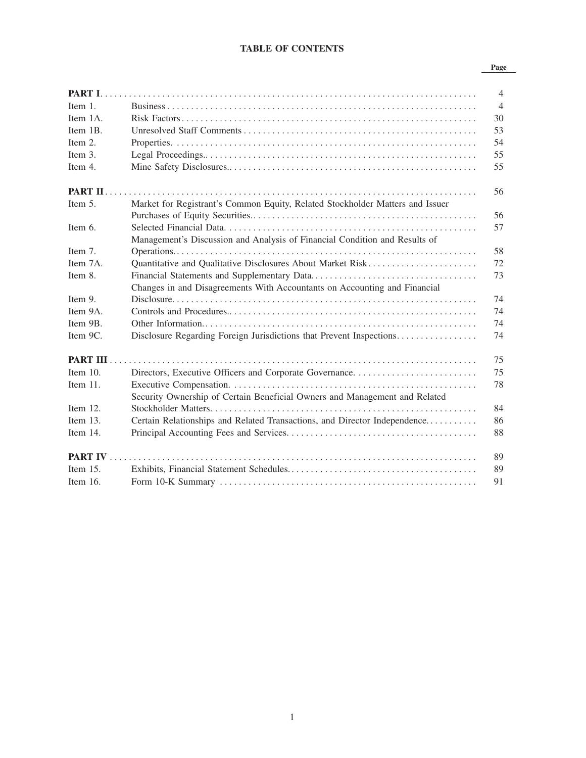# **TABLE OF CONTENTS**

#### **Page**

|             |                                                                               | $\overline{4}$ |
|-------------|-------------------------------------------------------------------------------|----------------|
| Item $1$ .  |                                                                               | $\overline{4}$ |
| Item 1A.    |                                                                               | 30             |
| Item 1B.    |                                                                               | 53             |
| Item $2$ .  |                                                                               | 54             |
| Item 3.     |                                                                               | 55             |
| Item 4.     |                                                                               | 55             |
|             |                                                                               | 56             |
| Item 5.     | Market for Registrant's Common Equity, Related Stockholder Matters and Issuer |                |
|             |                                                                               | 56             |
| Item 6.     |                                                                               | 57             |
|             | Management's Discussion and Analysis of Financial Condition and Results of    |                |
| Item 7.     |                                                                               | 58             |
| Item 7A.    | Quantitative and Qualitative Disclosures About Market Risk                    | 72             |
| Item 8.     |                                                                               | 73             |
|             | Changes in and Disagreements With Accountants on Accounting and Financial     |                |
| Item 9.     |                                                                               | 74             |
| Item 9A.    |                                                                               | 74             |
| Item 9B.    |                                                                               | 74             |
| Item 9C.    | Disclosure Regarding Foreign Jurisdictions that Prevent Inspections           | 74             |
|             |                                                                               | 75             |
| Item $10$ . |                                                                               | 75             |
| Item 11.    |                                                                               | 78             |
|             | Security Ownership of Certain Beneficial Owners and Management and Related    |                |
| Item 12.    |                                                                               | 84             |
| Item 13.    | Certain Relationships and Related Transactions, and Director Independence     | 86             |
| Item 14.    |                                                                               | 88             |
|             |                                                                               | 89             |
| Item $15$ . |                                                                               | 89             |
| Item $16$ . |                                                                               | 91             |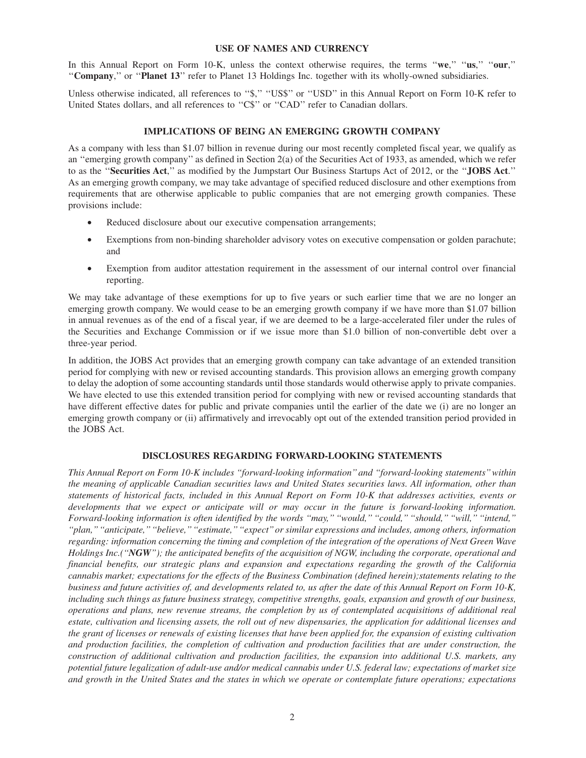#### **USE OF NAMES AND CURRENCY**

In this Annual Report on Form 10-K, unless the context otherwise requires, the terms ''**we**,'' ''**us**,'' ''**our**,'' ''**Company**,'' or ''**Planet 13**'' refer to Planet 13 Holdings Inc. together with its wholly-owned subsidiaries.

Unless otherwise indicated, all references to "\$," "US\$" or "USD" in this Annual Report on Form 10-K refer to United States dollars, and all references to "C\$" or "CAD" refer to Canadian dollars.

#### **IMPLICATIONS OF BEING AN EMERGING GROWTH COMPANY**

As a company with less than \$1.07 billion in revenue during our most recently completed fiscal year, we qualify as an ''emerging growth company'' as defined in Section 2(a) of the Securities Act of 1933, as amended, which we refer to as the ''**Securities Act**,'' as modified by the Jumpstart Our Business Startups Act of 2012, or the ''**JOBS Act**.'' As an emerging growth company, we may take advantage of specified reduced disclosure and other exemptions from requirements that are otherwise applicable to public companies that are not emerging growth companies. These provisions include:

- Reduced disclosure about our executive compensation arrangements;
- Exemptions from non-binding shareholder advisory votes on executive compensation or golden parachute; and
- Exemption from auditor attestation requirement in the assessment of our internal control over financial reporting.

We may take advantage of these exemptions for up to five years or such earlier time that we are no longer an emerging growth company. We would cease to be an emerging growth company if we have more than \$1.07 billion in annual revenues as of the end of a fiscal year, if we are deemed to be a large-accelerated filer under the rules of the Securities and Exchange Commission or if we issue more than \$1.0 billion of non-convertible debt over a three-year period.

In addition, the JOBS Act provides that an emerging growth company can take advantage of an extended transition period for complying with new or revised accounting standards. This provision allows an emerging growth company to delay the adoption of some accounting standards until those standards would otherwise apply to private companies. We have elected to use this extended transition period for complying with new or revised accounting standards that have different effective dates for public and private companies until the earlier of the date we (i) are no longer an emerging growth company or (ii) affirmatively and irrevocably opt out of the extended transition period provided in the JOBS Act.

# **DISCLOSURES REGARDING FORWARD-LOOKING STATEMENTS**

*This Annual Report on Form 10-K includes ''forward-looking information'' and ''forward-looking statements'' within the meaning of applicable Canadian securities laws and United States securities laws. All information, other than statements of historical facts, included in this Annual Report on Form 10-K that addresses activities, events or developments that we expect or anticipate will or may occur in the future is forward-looking information. Forward-looking information is often identified by the words ''may,'' ''would,'' ''could,'' ''should,'' ''will,'' ''intend,'' ''plan,''''anticipate,''''believe,''''estimate,''''expect''or similar expressions and includes, among others, information regarding: information concerning the timing and completion of the integration of the operations of Next Green Wave Holdings Inc.(''NGW''); the anticipated benefits of the acquisition of NGW, including the corporate, operational and financial benefits, our strategic plans and expansion and expectations regarding the growth of the California cannabis market; expectations for the effects of the Business Combination (defined herein);statements relating to the business and future activities of, and developments related to, us after the date of this Annual Report on Form 10-K, including such things as future business strategy, competitive strengths, goals, expansion and growth of our business, operations and plans, new revenue streams, the completion by us of contemplated acquisitions of additional real estate, cultivation and licensing assets, the roll out of new dispensaries, the application for additional licenses and the grant of licenses or renewals of existing licenses that have been applied for, the expansion of existing cultivation and production facilities, the completion of cultivation and production facilities that are under construction, the construction of additional cultivation and production facilities, the expansion into additional U.S. markets, any potential future legalization of adult-use and/or medical cannabis under U.S. federal law; expectations of market size and growth in the United States and the states in which we operate or contemplate future operations; expectations*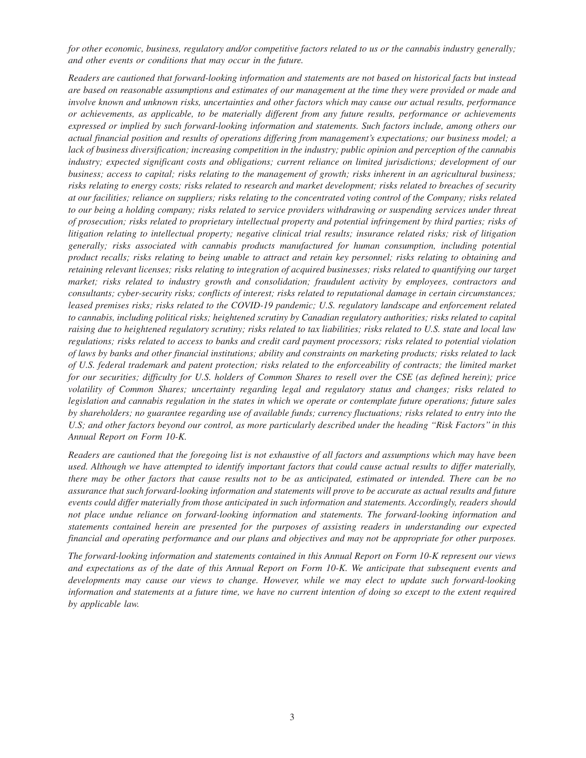*for other economic, business, regulatory and/or competitive factors related to us or the cannabis industry generally; and other events or conditions that may occur in the future.*

*Readers are cautioned that forward-looking information and statements are not based on historical facts but instead are based on reasonable assumptions and estimates of our management at the time they were provided or made and involve known and unknown risks, uncertainties and other factors which may cause our actual results, performance or achievements, as applicable, to be materially different from any future results, performance or achievements expressed or implied by such forward-looking information and statements. Such factors include, among others our actual financial position and results of operations differing from management's expectations; our business model; a lack of business diversification; increasing competition in the industry; public opinion and perception of the cannabis industry; expected significant costs and obligations; current reliance on limited jurisdictions; development of our business; access to capital; risks relating to the management of growth; risks inherent in an agricultural business; risks relating to energy costs; risks related to research and market development; risks related to breaches of security at our facilities; reliance on suppliers; risks relating to the concentrated voting control of the Company; risks related to our being a holding company; risks related to service providers withdrawing or suspending services under threat of prosecution; risks related to proprietary intellectual property and potential infringement by third parties; risks of litigation relating to intellectual property; negative clinical trial results; insurance related risks; risk of litigation generally; risks associated with cannabis products manufactured for human consumption, including potential product recalls; risks relating to being unable to attract and retain key personnel; risks relating to obtaining and retaining relevant licenses; risks relating to integration of acquired businesses; risks related to quantifying our target market; risks related to industry growth and consolidation; fraudulent activity by employees, contractors and consultants; cyber-security risks; conflicts of interest; risks related to reputational damage in certain circumstances; leased premises risks; risks related to the COVID-19 pandemic; U.S. regulatory landscape and enforcement related to cannabis, including political risks; heightened scrutiny by Canadian regulatory authorities; risks related to capital raising due to heightened regulatory scrutiny; risks related to tax liabilities; risks related to U.S. state and local law regulations; risks related to access to banks and credit card payment processors; risks related to potential violation of laws by banks and other financial institutions; ability and constraints on marketing products; risks related to lack of U.S. federal trademark and patent protection; risks related to the enforceability of contracts; the limited market for our securities; difficulty for U.S. holders of Common Shares to resell over the CSE (as defined herein); price volatility of Common Shares; uncertainty regarding legal and regulatory status and changes; risks related to legislation and cannabis regulation in the states in which we operate or contemplate future operations; future sales by shareholders; no guarantee regarding use of available funds; currency fluctuations; risks related to entry into the U.S; and other factors beyond our control, as more particularly described under the heading ''Risk Factors'' in this Annual Report on Form 10-K.*

*Readers are cautioned that the foregoing list is not exhaustive of all factors and assumptions which may have been used. Although we have attempted to identify important factors that could cause actual results to differ materially, there may be other factors that cause results not to be as anticipated, estimated or intended. There can be no assurance that such forward-looking information and statements will prove to be accurate as actual results and future events could differ materially from those anticipated in such information and statements. Accordingly, readers should not place undue reliance on forward-looking information and statements. The forward-looking information and statements contained herein are presented for the purposes of assisting readers in understanding our expected financial and operating performance and our plans and objectives and may not be appropriate for other purposes.*

*The forward-looking information and statements contained in this Annual Report on Form 10-K represent our views and expectations as of the date of this Annual Report on Form 10-K. We anticipate that subsequent events and developments may cause our views to change. However, while we may elect to update such forward-looking information and statements at a future time, we have no current intention of doing so except to the extent required by applicable law.*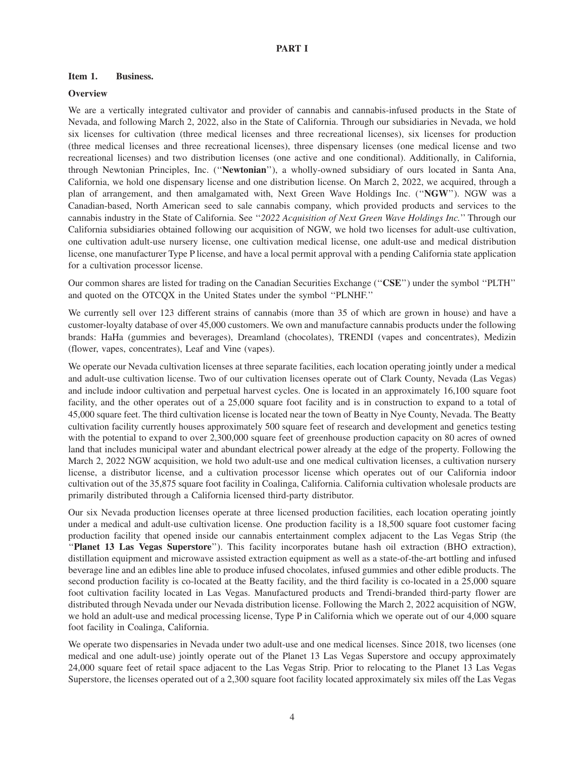#### **PART I**

#### **Item 1. Business.**

#### **Overview**

We are a vertically integrated cultivator and provider of cannabis and cannabis-infused products in the State of Nevada, and following March 2, 2022, also in the State of California. Through our subsidiaries in Nevada, we hold six licenses for cultivation (three medical licenses and three recreational licenses), six licenses for production (three medical licenses and three recreational licenses), three dispensary licenses (one medical license and two recreational licenses) and two distribution licenses (one active and one conditional). Additionally, in California, through Newtonian Principles, Inc. (''**Newtonian**''), a wholly-owned subsidiary of ours located in Santa Ana, California, we hold one dispensary license and one distribution license. On March 2, 2022, we acquired, through a plan of arrangement, and then amalgamated with, Next Green Wave Holdings Inc. (''**NGW**''). NGW was a Canadian-based, North American seed to sale cannabis company, which provided products and services to the cannabis industry in the State of California. See ''*2022 Acquisition of Next Green Wave Holdings Inc.*'' Through our California subsidiaries obtained following our acquisition of NGW, we hold two licenses for adult-use cultivation, one cultivation adult-use nursery license, one cultivation medical license, one adult-use and medical distribution license, one manufacturer Type P license, and have a local permit approval with a pending California state application for a cultivation processor license.

Our common shares are listed for trading on the Canadian Securities Exchange (''**CSE**'') under the symbol ''PLTH'' and quoted on the OTCQX in the United States under the symbol ''PLNHF.''

We currently sell over 123 different strains of cannabis (more than 35 of which are grown in house) and have a customer-loyalty database of over 45,000 customers. We own and manufacture cannabis products under the following brands: HaHa (gummies and beverages), Dreamland (chocolates), TRENDI (vapes and concentrates), Medizin (flower, vapes, concentrates), Leaf and Vine (vapes).

We operate our Nevada cultivation licenses at three separate facilities, each location operating jointly under a medical and adult-use cultivation license. Two of our cultivation licenses operate out of Clark County, Nevada (Las Vegas) and include indoor cultivation and perpetual harvest cycles. One is located in an approximately 16,100 square foot facility, and the other operates out of a 25,000 square foot facility and is in construction to expand to a total of 45,000 square feet. The third cultivation license is located near the town of Beatty in Nye County, Nevada. The Beatty cultivation facility currently houses approximately 500 square feet of research and development and genetics testing with the potential to expand to over 2,300,000 square feet of greenhouse production capacity on 80 acres of owned land that includes municipal water and abundant electrical power already at the edge of the property. Following the March 2, 2022 NGW acquisition, we hold two adult-use and one medical cultivation licenses, a cultivation nursery license, a distributor license, and a cultivation processor license which operates out of our California indoor cultivation out of the 35,875 square foot facility in Coalinga, California. California cultivation wholesale products are primarily distributed through a California licensed third-party distributor.

Our six Nevada production licenses operate at three licensed production facilities, each location operating jointly under a medical and adult-use cultivation license. One production facility is a 18,500 square foot customer facing production facility that opened inside our cannabis entertainment complex adjacent to the Las Vegas Strip (the ''**Planet 13 Las Vegas Superstore**''). This facility incorporates butane hash oil extraction (BHO extraction), distillation equipment and microwave assisted extraction equipment as well as a state-of-the-art bottling and infused beverage line and an edibles line able to produce infused chocolates, infused gummies and other edible products. The second production facility is co-located at the Beatty facility, and the third facility is co-located in a 25,000 square foot cultivation facility located in Las Vegas. Manufactured products and Trendi-branded third-party flower are distributed through Nevada under our Nevada distribution license. Following the March 2, 2022 acquisition of NGW, we hold an adult-use and medical processing license, Type P in California which we operate out of our 4,000 square foot facility in Coalinga, California.

We operate two dispensaries in Nevada under two adult-use and one medical licenses. Since 2018, two licenses (one medical and one adult-use) jointly operate out of the Planet 13 Las Vegas Superstore and occupy approximately 24,000 square feet of retail space adjacent to the Las Vegas Strip. Prior to relocating to the Planet 13 Las Vegas Superstore, the licenses operated out of a 2,300 square foot facility located approximately six miles off the Las Vegas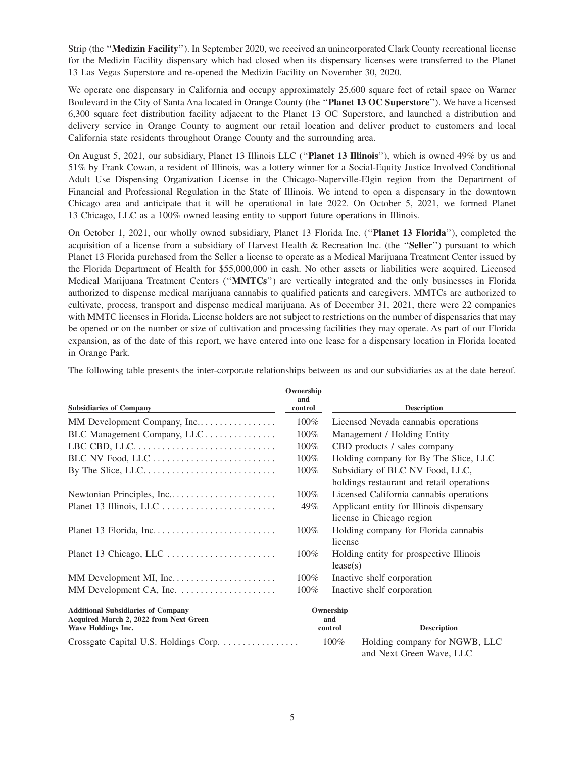Strip (the ''**Medizin Facility**''). In September 2020, we received an unincorporated Clark County recreational license for the Medizin Facility dispensary which had closed when its dispensary licenses were transferred to the Planet 13 Las Vegas Superstore and re-opened the Medizin Facility on November 30, 2020.

We operate one dispensary in California and occupy approximately 25,600 square feet of retail space on Warner Boulevard in the City of Santa Ana located in Orange County (the ''**Planet 13 OC Superstore**''). We have a licensed 6,300 square feet distribution facility adjacent to the Planet 13 OC Superstore, and launched a distribution and delivery service in Orange County to augment our retail location and deliver product to customers and local California state residents throughout Orange County and the surrounding area.

On August 5, 2021, our subsidiary, Planet 13 Illinois LLC (''**Planet 13 Illinois**''), which is owned 49% by us and 51% by Frank Cowan, a resident of Illinois, was a lottery winner for a Social-Equity Justice Involved Conditional Adult Use Dispensing Organization License in the Chicago-Naperville-Elgin region from the Department of Financial and Professional Regulation in the State of Illinois. We intend to open a dispensary in the downtown Chicago area and anticipate that it will be operational in late 2022. On October 5, 2021, we formed Planet 13 Chicago, LLC as a 100% owned leasing entity to support future operations in Illinois.

On October 1, 2021, our wholly owned subsidiary, Planet 13 Florida Inc. (''**Planet 13 Florida**''), completed the acquisition of a license from a subsidiary of Harvest Health & Recreation Inc. (the ''**Seller**'') pursuant to which Planet 13 Florida purchased from the Seller a license to operate as a Medical Marijuana Treatment Center issued by the Florida Department of Health for \$55,000,000 in cash. No other assets or liabilities were acquired. Licensed Medical Marijuana Treatment Centers (''**MMTCs**'') are vertically integrated and the only businesses in Florida authorized to dispense medical marijuana cannabis to qualified patients and caregivers. MMTCs are authorized to cultivate, process, transport and dispense medical marijuana. As of December 31, 2021, there were 22 companies with MMTC licenses in Florida**.** License holders are not subject to restrictions on the number of dispensaries that may be opened or on the number or size of cultivation and processing facilities they may operate. As part of our Florida expansion, as of the date of this report, we have entered into one lease for a dispensary location in Florida located in Orange Park.

The following table presents the inter-corporate relationships between us and our subsidiaries as at the date hereof.

| <b>Subsidiaries of Company</b>                                                                            | Ownership<br>and<br>control |                                                                              | <b>Description</b>            |  |
|-----------------------------------------------------------------------------------------------------------|-----------------------------|------------------------------------------------------------------------------|-------------------------------|--|
| MM Development Company, Inc                                                                               | 100%                        | Licensed Nevada cannabis operations                                          |                               |  |
| BLC Management Company, LLC                                                                               | 100%                        | Management / Holding Entity                                                  |                               |  |
| LBC CBD, LLC                                                                                              | 100%                        | CBD products / sales company                                                 |                               |  |
|                                                                                                           | $100\%$                     | Holding company for By The Slice, LLC                                        |                               |  |
| By The Slice, LLC. $\dots \dots \dots \dots \dots \dots \dots \dots \dots$                                | 100%                        | Subsidiary of BLC NV Food, LLC,<br>holdings restaurant and retail operations |                               |  |
|                                                                                                           | $100\%$                     | Licensed California cannabis operations                                      |                               |  |
|                                                                                                           | 49%                         | Applicant entity for Illinois dispensary<br>license in Chicago region        |                               |  |
|                                                                                                           | $100\%$                     | Holding company for Florida cannabis<br>license                              |                               |  |
| Planet 13 Chicago, LLC                                                                                    | $100\%$                     | Holding entity for prospective Illinois<br>lease(s)                          |                               |  |
|                                                                                                           | $100\%$                     | Inactive shelf corporation                                                   |                               |  |
|                                                                                                           | 100%                        | Inactive shelf corporation                                                   |                               |  |
| <b>Additional Subsidiaries of Company</b><br>Acquired March 2, 2022 from Next Green<br>Wave Holdings Inc. |                             | Ownership<br>and<br>control                                                  | <b>Description</b>            |  |
| Crossgate Capital U.S. Holdings Corp.                                                                     |                             | $100\%$                                                                      | Holding company for NGWB, LLC |  |

and Next Green Wave, LLC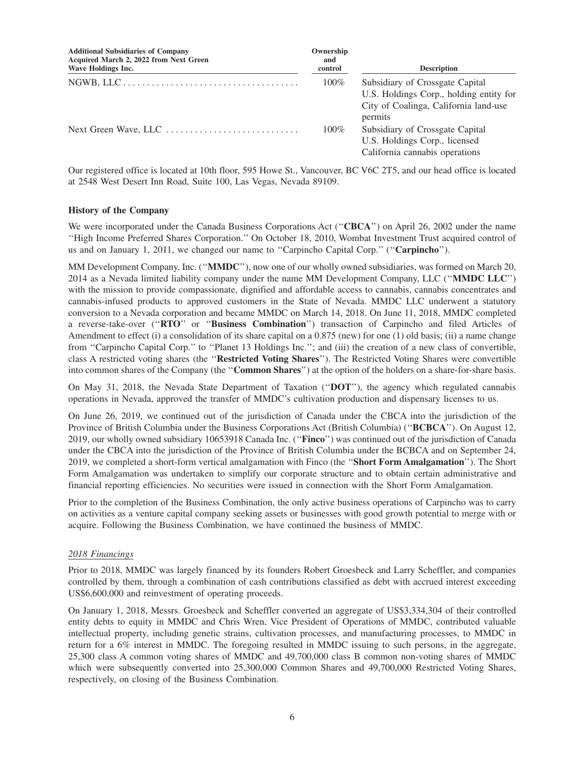| <b>Additional Subsidiaries of Company</b><br>Acquired March 2, 2022 from Next Green<br>Wave Holdings Inc. | Ownership<br>and<br>control | <b>Description</b>                                                                                                             |
|-----------------------------------------------------------------------------------------------------------|-----------------------------|--------------------------------------------------------------------------------------------------------------------------------|
|                                                                                                           | $100\%$                     | Subsidiary of Crossgate Capital<br>U.S. Holdings Corp., holding entity for<br>City of Coalinga, California land-use<br>permits |
| Next Green Wave, LLC                                                                                      | $100\%$                     | Subsidiary of Crossgate Capital<br>U.S. Holdings Corp., licensed<br>California cannabis operations                             |

Our registered office is located at 10th floor, 595 Howe St., Vancouver, BC V6C 2T5, and our head office is located at 2548 West Desert Inn Road, Suite 100, Las Vegas, Nevada 89109.

#### **History of the Company**

We were incorporated under the Canada Business Corporations Act (''**CBCA**'') on April 26, 2002 under the name ''High Income Preferred Shares Corporation.'' On October 18, 2010, Wombat Investment Trust acquired control of us and on January 1, 2011, we changed our name to ''Carpincho Capital Corp.'' (''**Carpincho**'').

MM Development Company, Inc. (''**MMDC**''), now one of our wholly owned subsidiaries, was formed on March 20, 2014 as a Nevada limited liability company under the name MM Development Company, LLC (''**MMDC LLC**'') with the mission to provide compassionate, dignified and affordable access to cannabis, cannabis concentrates and cannabis-infused products to approved customers in the State of Nevada. MMDC LLC underwent a statutory conversion to a Nevada corporation and became MMDC on March 14, 2018. On June 11, 2018, MMDC completed a reverse-take-over (''**RTO**'' or ''**Business Combination**'') transaction of Carpincho and filed Articles of Amendment to effect (i) a consolidation of its share capital on a 0.875 (new) for one (1) old basis; (ii) a name change from "Carpincho Capital Corp." to "Planet 13 Holdings Inc."; and (iii) the creation of a new class of convertible, class A restricted voting shares (the ''**Restricted Voting Shares**''). The Restricted Voting Shares were convertible into common shares of the Company (the ''**Common Shares**'') at the option of the holders on a share-for-share basis.

On May 31, 2018, the Nevada State Department of Taxation (''**DOT**''), the agency which regulated cannabis operations in Nevada, approved the transfer of MMDC's cultivation production and dispensary licenses to us.

On June 26, 2019, we continued out of the jurisdiction of Canada under the CBCA into the jurisdiction of the Province of British Columbia under the Business Corporations Act (British Columbia) (''**BCBCA**''). On August 12, 2019, our wholly owned subsidiary 10653918 Canada Inc. (''**Finco**'') was continued out of the jurisdiction of Canada under the CBCA into the jurisdiction of the Province of British Columbia under the BCBCA and on September 24, 2019, we completed a short-form vertical amalgamation with Finco (the ''**Short Form Amalgamation**''). The Short Form Amalgamation was undertaken to simplify our corporate structure and to obtain certain administrative and financial reporting efficiencies. No securities were issued in connection with the Short Form Amalgamation.

Prior to the completion of the Business Combination, the only active business operations of Carpincho was to carry on activities as a venture capital company seeking assets or businesses with good growth potential to merge with or acquire. Following the Business Combination, we have continued the business of MMDC.

#### *2018 Financings*

Prior to 2018, MMDC was largely financed by its founders Robert Groesbeck and Larry Scheffler, and companies controlled by them, through a combination of cash contributions classified as debt with accrued interest exceeding US\$6,600,000 and reinvestment of operating proceeds.

On January 1, 2018, Messrs. Groesbeck and Scheffler converted an aggregate of US\$3,334,304 of their controlled entity debts to equity in MMDC and Chris Wren, Vice President of Operations of MMDC, contributed valuable intellectual property, including genetic strains, cultivation processes, and manufacturing processes, to MMDC in return for a 6% interest in MMDC. The foregoing resulted in MMDC issuing to such persons, in the aggregate, 25,300 class A common voting shares of MMDC and 49,700,000 class B common non-voting shares of MMDC which were subsequently converted into 25,300,000 Common Shares and 49,700,000 Restricted Voting Shares, respectively, on closing of the Business Combination.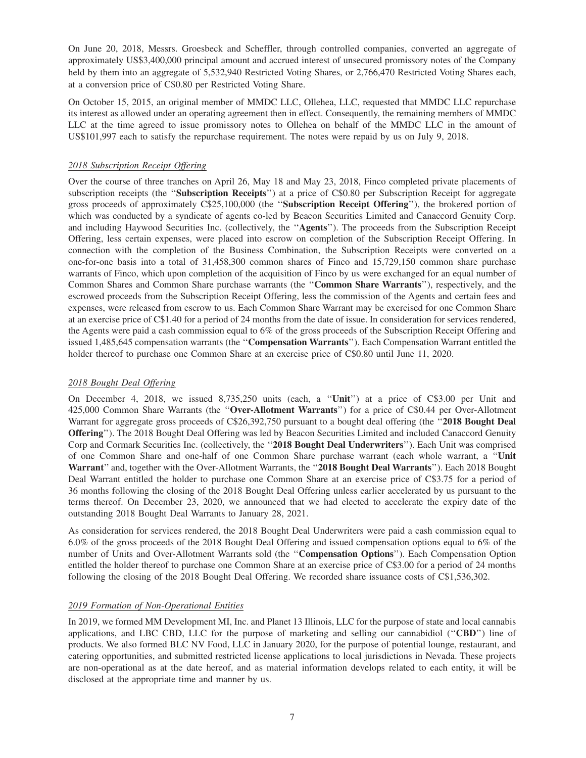On June 20, 2018, Messrs. Groesbeck and Scheffler, through controlled companies, converted an aggregate of approximately US\$3,400,000 principal amount and accrued interest of unsecured promissory notes of the Company held by them into an aggregate of 5,532,940 Restricted Voting Shares, or 2,766,470 Restricted Voting Shares each, at a conversion price of C\$0.80 per Restricted Voting Share.

On October 15, 2015, an original member of MMDC LLC, Ollehea, LLC, requested that MMDC LLC repurchase its interest as allowed under an operating agreement then in effect. Consequently, the remaining members of MMDC LLC at the time agreed to issue promissory notes to Ollehea on behalf of the MMDC LLC in the amount of US\$101,997 each to satisfy the repurchase requirement. The notes were repaid by us on July 9, 2018.

# *2018 Subscription Receipt Offering*

Over the course of three tranches on April 26, May 18 and May 23, 2018, Finco completed private placements of subscription receipts (the "**Subscription Receipts**") at a price of C\$0.80 per Subscription Receipt for aggregate gross proceeds of approximately C\$25,100,000 (the ''**Subscription Receipt Offering**''), the brokered portion of which was conducted by a syndicate of agents co-led by Beacon Securities Limited and Canaccord Genuity Corp. and including Haywood Securities Inc. (collectively, the ''**Agents**''). The proceeds from the Subscription Receipt Offering, less certain expenses, were placed into escrow on completion of the Subscription Receipt Offering. In connection with the completion of the Business Combination, the Subscription Receipts were converted on a one-for-one basis into a total of 31,458,300 common shares of Finco and 15,729,150 common share purchase warrants of Finco, which upon completion of the acquisition of Finco by us were exchanged for an equal number of Common Shares and Common Share purchase warrants (the ''**Common Share Warrants**''), respectively, and the escrowed proceeds from the Subscription Receipt Offering, less the commission of the Agents and certain fees and expenses, were released from escrow to us. Each Common Share Warrant may be exercised for one Common Share at an exercise price of C\$1.40 for a period of 24 months from the date of issue. In consideration for services rendered, the Agents were paid a cash commission equal to 6% of the gross proceeds of the Subscription Receipt Offering and issued 1,485,645 compensation warrants (the ''**Compensation Warrants**''). Each Compensation Warrant entitled the holder thereof to purchase one Common Share at an exercise price of C\$0.80 until June 11, 2020.

# *2018 Bought Deal Offering*

On December 4, 2018, we issued 8,735,250 units (each, a ''**Unit**'') at a price of C\$3.00 per Unit and 425,000 Common Share Warrants (the ''**Over-Allotment Warrants**'') for a price of C\$0.44 per Over-Allotment Warrant for aggregate gross proceeds of C\$26,392,750 pursuant to a bought deal offering (the ''**2018 Bought Deal Offering**''). The 2018 Bought Deal Offering was led by Beacon Securities Limited and included Canaccord Genuity Corp and Cormark Securities Inc. (collectively, the ''**2018 Bought Deal Underwriters**''). Each Unit was comprised of one Common Share and one-half of one Common Share purchase warrant (each whole warrant, a ''**Unit Warrant**'' and, together with the Over-Allotment Warrants, the ''**2018 Bought Deal Warrants**''). Each 2018 Bought Deal Warrant entitled the holder to purchase one Common Share at an exercise price of C\$3.75 for a period of 36 months following the closing of the 2018 Bought Deal Offering unless earlier accelerated by us pursuant to the terms thereof. On December 23, 2020, we announced that we had elected to accelerate the expiry date of the outstanding 2018 Bought Deal Warrants to January 28, 2021.

As consideration for services rendered, the 2018 Bought Deal Underwriters were paid a cash commission equal to 6.0% of the gross proceeds of the 2018 Bought Deal Offering and issued compensation options equal to 6% of the number of Units and Over-Allotment Warrants sold (the ''**Compensation Options**''). Each Compensation Option entitled the holder thereof to purchase one Common Share at an exercise price of C\$3.00 for a period of 24 months following the closing of the 2018 Bought Deal Offering. We recorded share issuance costs of C\$1,536,302.

# *2019 Formation of Non-Operational Entities*

In 2019, we formed MM Development MI, Inc. and Planet 13 Illinois, LLC for the purpose of state and local cannabis applications, and LBC CBD, LLC for the purpose of marketing and selling our cannabidiol (''**CBD**'') line of products. We also formed BLC NV Food, LLC in January 2020, for the purpose of potential lounge, restaurant, and catering opportunities, and submitted restricted license applications to local jurisdictions in Nevada. These projects are non-operational as at the date hereof, and as material information develops related to each entity, it will be disclosed at the appropriate time and manner by us.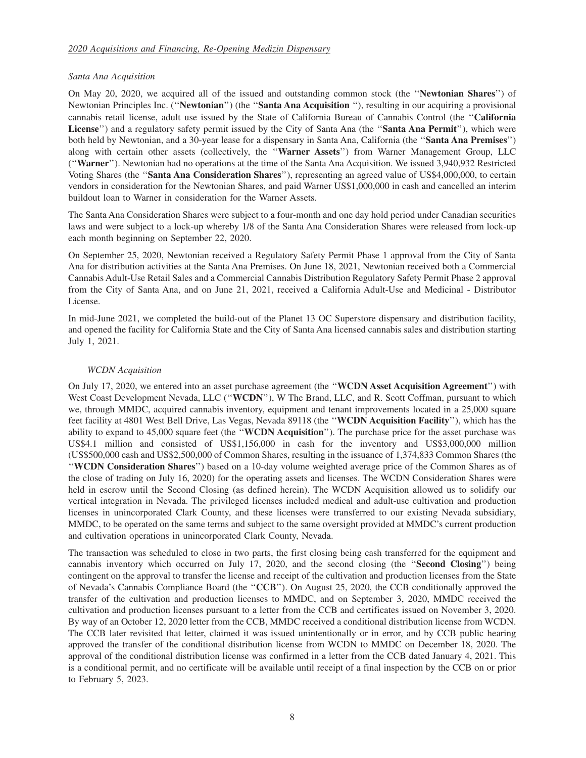#### *Santa Ana Acquisition*

On May 20, 2020, we acquired all of the issued and outstanding common stock (the ''**Newtonian Shares**'') of Newtonian Principles Inc. (''**Newtonian**'') (the ''**Santa Ana Acquisition** ''), resulting in our acquiring a provisional cannabis retail license, adult use issued by the State of California Bureau of Cannabis Control (the ''**California License**'') and a regulatory safety permit issued by the City of Santa Ana (the ''**Santa Ana Permit**''), which were both held by Newtonian, and a 30-year lease for a dispensary in Santa Ana, California (the ''**Santa Ana Premises**'') along with certain other assets (collectively, the ''**Warner Assets**'') from Warner Management Group, LLC (''**Warner**''). Newtonian had no operations at the time of the Santa Ana Acquisition. We issued 3,940,932 Restricted Voting Shares (the ''**Santa Ana Consideration Shares**''), representing an agreed value of US\$4,000,000, to certain vendors in consideration for the Newtonian Shares, and paid Warner US\$1,000,000 in cash and cancelled an interim buildout loan to Warner in consideration for the Warner Assets.

The Santa Ana Consideration Shares were subject to a four-month and one day hold period under Canadian securities laws and were subject to a lock-up whereby 1/8 of the Santa Ana Consideration Shares were released from lock-up each month beginning on September 22, 2020.

On September 25, 2020, Newtonian received a Regulatory Safety Permit Phase 1 approval from the City of Santa Ana for distribution activities at the Santa Ana Premises. On June 18, 2021, Newtonian received both a Commercial Cannabis Adult-Use Retail Sales and a Commercial Cannabis Distribution Regulatory Safety Permit Phase 2 approval from the City of Santa Ana, and on June 21, 2021, received a California Adult-Use and Medicinal - Distributor License.

In mid-June 2021, we completed the build-out of the Planet 13 OC Superstore dispensary and distribution facility, and opened the facility for California State and the City of Santa Ana licensed cannabis sales and distribution starting July 1, 2021.

#### *WCDN Acquisition*

On July 17, 2020, we entered into an asset purchase agreement (the ''**WCDN Asset Acquisition Agreement**'') with West Coast Development Nevada, LLC (''**WCDN**''), W The Brand, LLC, and R. Scott Coffman, pursuant to which we, through MMDC, acquired cannabis inventory, equipment and tenant improvements located in a 25,000 square feet facility at 4801 West Bell Drive, Las Vegas, Nevada 89118 (the ''**WCDN Acquisition Facility**''), which has the ability to expand to 45,000 square feet (the ''**WCDN Acquisition**''). The purchase price for the asset purchase was US\$4.1 million and consisted of US\$1,156,000 in cash for the inventory and US\$3,000,000 million (US\$500,000 cash and US\$2,500,000 of Common Shares, resulting in the issuance of 1,374,833 Common Shares (the ''**WCDN Consideration Shares**'') based on a 10-day volume weighted average price of the Common Shares as of the close of trading on July 16, 2020) for the operating assets and licenses. The WCDN Consideration Shares were held in escrow until the Second Closing (as defined herein). The WCDN Acquisition allowed us to solidify our vertical integration in Nevada. The privileged licenses included medical and adult-use cultivation and production licenses in unincorporated Clark County, and these licenses were transferred to our existing Nevada subsidiary, MMDC, to be operated on the same terms and subject to the same oversight provided at MMDC's current production and cultivation operations in unincorporated Clark County, Nevada.

The transaction was scheduled to close in two parts, the first closing being cash transferred for the equipment and cannabis inventory which occurred on July 17, 2020, and the second closing (the ''**Second Closing**'') being contingent on the approval to transfer the license and receipt of the cultivation and production licenses from the State of Nevada's Cannabis Compliance Board (the ''**CCB**''). On August 25, 2020, the CCB conditionally approved the transfer of the cultivation and production licenses to MMDC, and on September 3, 2020, MMDC received the cultivation and production licenses pursuant to a letter from the CCB and certificates issued on November 3, 2020. By way of an October 12, 2020 letter from the CCB, MMDC received a conditional distribution license from WCDN. The CCB later revisited that letter, claimed it was issued unintentionally or in error, and by CCB public hearing approved the transfer of the conditional distribution license from WCDN to MMDC on December 18, 2020. The approval of the conditional distribution license was confirmed in a letter from the CCB dated January 4, 2021. This is a conditional permit, and no certificate will be available until receipt of a final inspection by the CCB on or prior to February 5, 2023.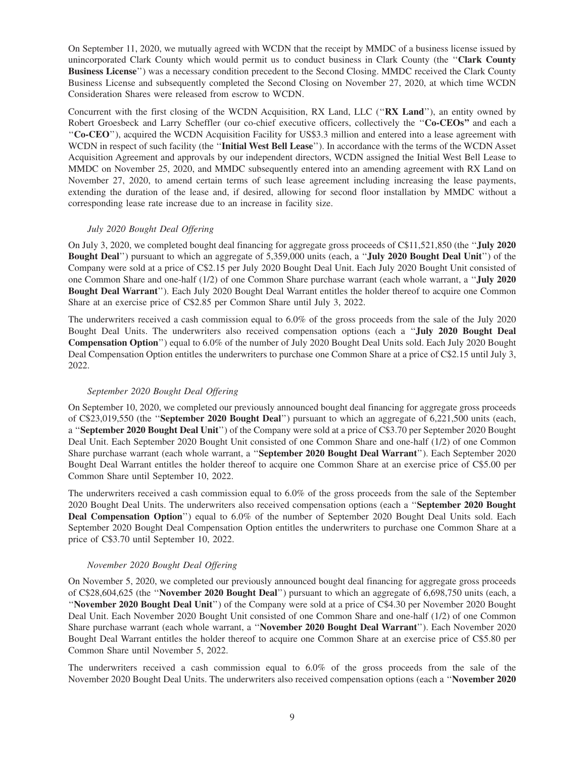On September 11, 2020, we mutually agreed with WCDN that the receipt by MMDC of a business license issued by unincorporated Clark County which would permit us to conduct business in Clark County (the ''**Clark County Business License**'') was a necessary condition precedent to the Second Closing. MMDC received the Clark County Business License and subsequently completed the Second Closing on November 27, 2020, at which time WCDN Consideration Shares were released from escrow to WCDN.

Concurrent with the first closing of the WCDN Acquisition, RX Land, LLC (''**RX Land**''), an entity owned by Robert Groesbeck and Larry Scheffler (our co-chief executive officers, collectively the ''**Co-CEOs''** and each a ''**Co-CEO**''), acquired the WCDN Acquisition Facility for US\$3.3 million and entered into a lease agreement with WCDN in respect of such facility (the ''**Initial West Bell Lease**''). In accordance with the terms of the WCDN Asset Acquisition Agreement and approvals by our independent directors, WCDN assigned the Initial West Bell Lease to MMDC on November 25, 2020, and MMDC subsequently entered into an amending agreement with RX Land on November 27, 2020, to amend certain terms of such lease agreement including increasing the lease payments, extending the duration of the lease and, if desired, allowing for second floor installation by MMDC without a corresponding lease rate increase due to an increase in facility size.

#### *July 2020 Bought Deal Offering*

On July 3, 2020, we completed bought deal financing for aggregate gross proceeds of C\$11,521,850 (the ''**July 2020 Bought Deal**'') pursuant to which an aggregate of 5,359,000 units (each, a ''**July 2020 Bought Deal Unit**'') of the Company were sold at a price of C\$2.15 per July 2020 Bought Deal Unit. Each July 2020 Bought Unit consisted of one Common Share and one-half (1/2) of one Common Share purchase warrant (each whole warrant, a ''**July 2020 Bought Deal Warrant**''). Each July 2020 Bought Deal Warrant entitles the holder thereof to acquire one Common Share at an exercise price of C\$2.85 per Common Share until July 3, 2022.

The underwriters received a cash commission equal to 6.0% of the gross proceeds from the sale of the July 2020 Bought Deal Units. The underwriters also received compensation options (each a ''**July 2020 Bought Deal Compensation Option**'') equal to 6.0% of the number of July 2020 Bought Deal Units sold. Each July 2020 Bought Deal Compensation Option entitles the underwriters to purchase one Common Share at a price of C\$2.15 until July 3, 2022.

# *September 2020 Bought Deal Offering*

On September 10, 2020, we completed our previously announced bought deal financing for aggregate gross proceeds of C\$23,019,550 (the ''**September 2020 Bought Deal**'') pursuant to which an aggregate of 6,221,500 units (each, a ''**September 2020 Bought Deal Unit**'') of the Company were sold at a price of C\$3.70 per September 2020 Bought Deal Unit. Each September 2020 Bought Unit consisted of one Common Share and one-half (1/2) of one Common Share purchase warrant (each whole warrant, a ''**September 2020 Bought Deal Warrant**''). Each September 2020 Bought Deal Warrant entitles the holder thereof to acquire one Common Share at an exercise price of C\$5.00 per Common Share until September 10, 2022.

The underwriters received a cash commission equal to 6.0% of the gross proceeds from the sale of the September 2020 Bought Deal Units. The underwriters also received compensation options (each a ''**September 2020 Bought Deal Compensation Option**'') equal to 6.0% of the number of September 2020 Bought Deal Units sold. Each September 2020 Bought Deal Compensation Option entitles the underwriters to purchase one Common Share at a price of C\$3.70 until September 10, 2022.

#### *November 2020 Bought Deal Offering*

On November 5, 2020, we completed our previously announced bought deal financing for aggregate gross proceeds of C\$28,604,625 (the ''**November 2020 Bought Deal**'') pursuant to which an aggregate of 6,698,750 units (each, a ''**November 2020 Bought Deal Unit**'') of the Company were sold at a price of C\$4.30 per November 2020 Bought Deal Unit. Each November 2020 Bought Unit consisted of one Common Share and one-half (1/2) of one Common Share purchase warrant (each whole warrant, a ''**November 2020 Bought Deal Warrant**''). Each November 2020 Bought Deal Warrant entitles the holder thereof to acquire one Common Share at an exercise price of C\$5.80 per Common Share until November 5, 2022.

The underwriters received a cash commission equal to 6.0% of the gross proceeds from the sale of the November 2020 Bought Deal Units. The underwriters also received compensation options (each a ''**November 2020**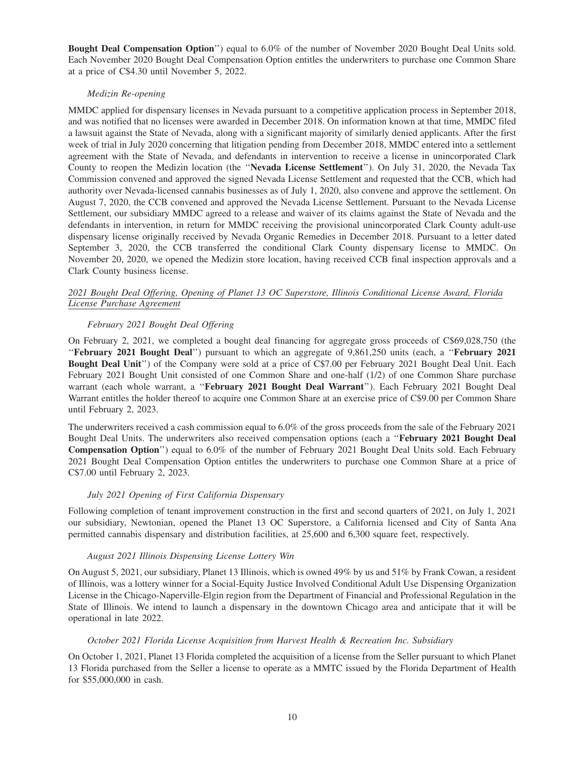**Bought Deal Compensation Option**'') equal to 6.0% of the number of November 2020 Bought Deal Units sold. Each November 2020 Bought Deal Compensation Option entitles the underwriters to purchase one Common Share at a price of C\$4.30 until November 5, 2022.

#### *Medizin Re-opening*

MMDC applied for dispensary licenses in Nevada pursuant to a competitive application process in September 2018, and was notified that no licenses were awarded in December 2018. On information known at that time, MMDC filed a lawsuit against the State of Nevada, along with a significant majority of similarly denied applicants. After the first week of trial in July 2020 concerning that litigation pending from December 2018, MMDC entered into a settlement agreement with the State of Nevada, and defendants in intervention to receive a license in unincorporated Clark County to reopen the Medizin location (the ''**Nevada License Settlement**''). On July 31, 2020, the Nevada Tax Commission convened and approved the signed Nevada License Settlement and requested that the CCB, which had authority over Nevada-licensed cannabis businesses as of July 1, 2020, also convene and approve the settlement. On August 7, 2020, the CCB convened and approved the Nevada License Settlement. Pursuant to the Nevada License Settlement, our subsidiary MMDC agreed to a release and waiver of its claims against the State of Nevada and the defendants in intervention, in return for MMDC receiving the provisional unincorporated Clark County adult-use dispensary license originally received by Nevada Organic Remedies in December 2018. Pursuant to a letter dated September 3, 2020, the CCB transferred the conditional Clark County dispensary license to MMDC. On November 20, 2020, we opened the Medizin store location, having received CCB final inspection approvals and a Clark County business license.

#### *2021 Bought Deal Offering, Opening of Planet 13 OC Superstore, Illinois Conditional License Award, Florida License Purchase Agreement*

# *February 2021 Bought Deal Offering*

On February 2, 2021, we completed a bought deal financing for aggregate gross proceeds of C\$69,028,750 (the ''**February 2021 Bought Deal**'') pursuant to which an aggregate of 9,861,250 units (each, a ''**February 2021 Bought Deal Unit**'') of the Company were sold at a price of C\$7.00 per February 2021 Bought Deal Unit. Each February 2021 Bought Unit consisted of one Common Share and one-half (1/2) of one Common Share purchase warrant (each whole warrant, a ''**February 2021 Bought Deal Warrant**''). Each February 2021 Bought Deal Warrant entitles the holder thereof to acquire one Common Share at an exercise price of C\$9.00 per Common Share until February 2, 2023.

The underwriters received a cash commission equal to 6.0% of the gross proceeds from the sale of the February 2021 Bought Deal Units. The underwriters also received compensation options (each a ''**February 2021 Bought Deal Compensation Option**'') equal to 6.0% of the number of February 2021 Bought Deal Units sold. Each February 2021 Bought Deal Compensation Option entitles the underwriters to purchase one Common Share at a price of C\$7.00 until February 2, 2023.

# *July 2021 Opening of First California Dispensary*

Following completion of tenant improvement construction in the first and second quarters of 2021, on July 1, 2021 our subsidiary, Newtonian, opened the Planet 13 OC Superstore, a California licensed and City of Santa Ana permitted cannabis dispensary and distribution facilities, at 25,600 and 6,300 square feet, respectively.

#### *August 2021 Illinois Dispensing License Lottery Win*

On August 5, 2021, our subsidiary, Planet 13 Illinois, which is owned 49% by us and 51% by Frank Cowan, a resident of Illinois, was a lottery winner for a Social-Equity Justice Involved Conditional Adult Use Dispensing Organization License in the Chicago-Naperville-Elgin region from the Department of Financial and Professional Regulation in the State of Illinois. We intend to launch a dispensary in the downtown Chicago area and anticipate that it will be operational in late 2022.

#### *October 2021 Florida License Acquisition from Harvest Health & Recreation Inc. Subsidiary*

On October 1, 2021, Planet 13 Florida completed the acquisition of a license from the Seller pursuant to which Planet 13 Florida purchased from the Seller a license to operate as a MMTC issued by the Florida Department of Health for \$55,000,000 in cash.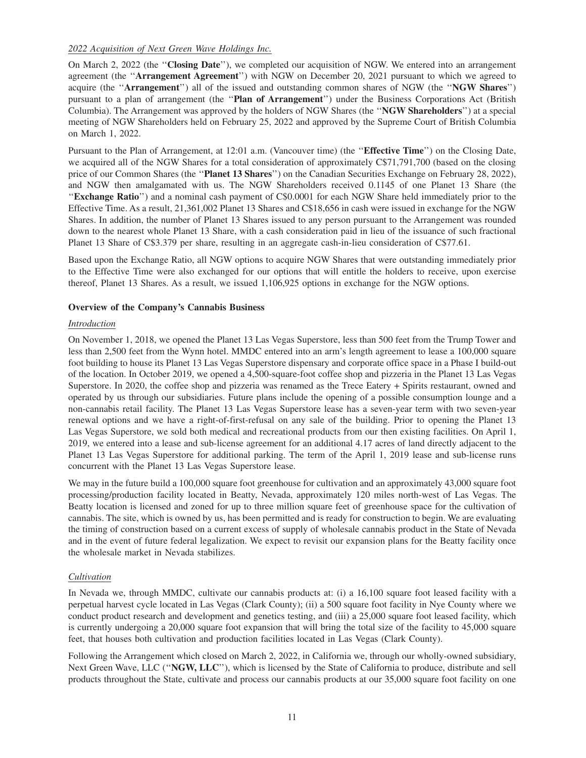# *2022 Acquisition of Next Green Wave Holdings Inc.*

On March 2, 2022 (the ''**Closing Date**''), we completed our acquisition of NGW. We entered into an arrangement agreement (the ''**Arrangement Agreement**'') with NGW on December 20, 2021 pursuant to which we agreed to acquire (the ''**Arrangement**'') all of the issued and outstanding common shares of NGW (the ''**NGW Shares**'') pursuant to a plan of arrangement (the ''**Plan of Arrangement**'') under the Business Corporations Act (British Columbia). The Arrangement was approved by the holders of NGW Shares (the ''**NGW Shareholders**'') at a special meeting of NGW Shareholders held on February 25, 2022 and approved by the Supreme Court of British Columbia on March 1, 2022.

Pursuant to the Plan of Arrangement, at 12:01 a.m. (Vancouver time) (the ''**Effective Time**'') on the Closing Date, we acquired all of the NGW Shares for a total consideration of approximately C\$71,791,700 (based on the closing price of our Common Shares (the ''**Planet 13 Shares**'') on the Canadian Securities Exchange on February 28, 2022), and NGW then amalgamated with us. The NGW Shareholders received 0.1145 of one Planet 13 Share (the ''**Exchange Ratio**'') and a nominal cash payment of C\$0.0001 for each NGW Share held immediately prior to the Effective Time. As a result, 21,361,002 Planet 13 Shares and C\$18,656 in cash were issued in exchange for the NGW Shares. In addition, the number of Planet 13 Shares issued to any person pursuant to the Arrangement was rounded down to the nearest whole Planet 13 Share, with a cash consideration paid in lieu of the issuance of such fractional Planet 13 Share of C\$3.379 per share, resulting in an aggregate cash-in-lieu consideration of C\$77.61.

Based upon the Exchange Ratio, all NGW options to acquire NGW Shares that were outstanding immediately prior to the Effective Time were also exchanged for our options that will entitle the holders to receive, upon exercise thereof, Planet 13 Shares. As a result, we issued 1,106,925 options in exchange for the NGW options.

# **Overview of the Company's Cannabis Business**

# *Introduction*

On November 1, 2018, we opened the Planet 13 Las Vegas Superstore, less than 500 feet from the Trump Tower and less than 2,500 feet from the Wynn hotel. MMDC entered into an arm's length agreement to lease a 100,000 square foot building to house its Planet 13 Las Vegas Superstore dispensary and corporate office space in a Phase I build-out of the location. In October 2019, we opened a 4,500-square-foot coffee shop and pizzeria in the Planet 13 Las Vegas Superstore. In 2020, the coffee shop and pizzeria was renamed as the Trece Eatery + Spirits restaurant, owned and operated by us through our subsidiaries. Future plans include the opening of a possible consumption lounge and a non-cannabis retail facility. The Planet 13 Las Vegas Superstore lease has a seven-year term with two seven-year renewal options and we have a right-of-first-refusal on any sale of the building. Prior to opening the Planet 13 Las Vegas Superstore, we sold both medical and recreational products from our then existing facilities. On April 1, 2019, we entered into a lease and sub-license agreement for an additional 4.17 acres of land directly adjacent to the Planet 13 Las Vegas Superstore for additional parking. The term of the April 1, 2019 lease and sub-license runs concurrent with the Planet 13 Las Vegas Superstore lease.

We may in the future build a 100,000 square foot greenhouse for cultivation and an approximately 43,000 square foot processing/production facility located in Beatty, Nevada, approximately 120 miles north-west of Las Vegas. The Beatty location is licensed and zoned for up to three million square feet of greenhouse space for the cultivation of cannabis. The site, which is owned by us, has been permitted and is ready for construction to begin. We are evaluating the timing of construction based on a current excess of supply of wholesale cannabis product in the State of Nevada and in the event of future federal legalization. We expect to revisit our expansion plans for the Beatty facility once the wholesale market in Nevada stabilizes.

# *Cultivation*

In Nevada we, through MMDC, cultivate our cannabis products at: (i) a 16,100 square foot leased facility with a perpetual harvest cycle located in Las Vegas (Clark County); (ii) a 500 square foot facility in Nye County where we conduct product research and development and genetics testing, and (iii) a 25,000 square foot leased facility, which is currently undergoing a 20,000 square foot expansion that will bring the total size of the facility to 45,000 square feet, that houses both cultivation and production facilities located in Las Vegas (Clark County).

Following the Arrangement which closed on March 2, 2022, in California we, through our wholly-owned subsidiary, Next Green Wave, LLC (''**NGW, LLC**''), which is licensed by the State of California to produce, distribute and sell products throughout the State, cultivate and process our cannabis products at our 35,000 square foot facility on one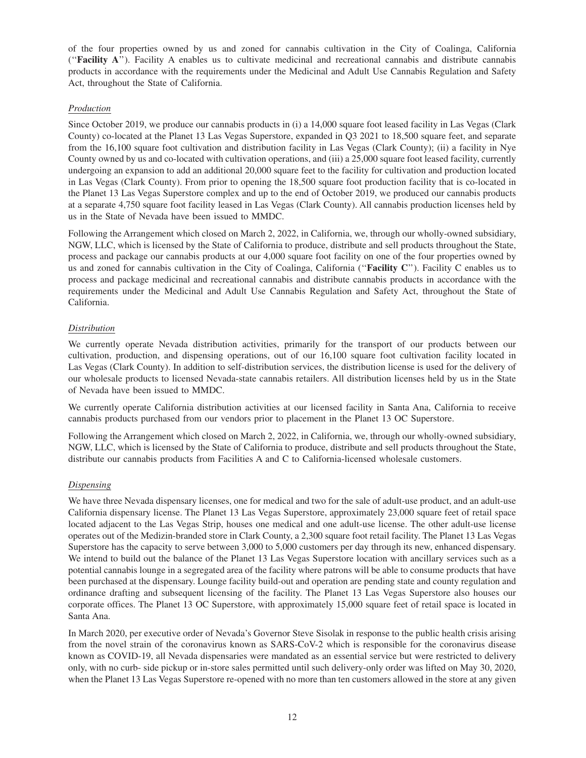of the four properties owned by us and zoned for cannabis cultivation in the City of Coalinga, California (''**Facility A**''). Facility A enables us to cultivate medicinal and recreational cannabis and distribute cannabis products in accordance with the requirements under the Medicinal and Adult Use Cannabis Regulation and Safety Act, throughout the State of California.

# *Production*

Since October 2019, we produce our cannabis products in (i) a 14,000 square foot leased facility in Las Vegas (Clark County) co-located at the Planet 13 Las Vegas Superstore, expanded in Q3 2021 to 18,500 square feet, and separate from the 16,100 square foot cultivation and distribution facility in Las Vegas (Clark County); (ii) a facility in Nye County owned by us and co-located with cultivation operations, and (iii) a 25,000 square foot leased facility, currently undergoing an expansion to add an additional 20,000 square feet to the facility for cultivation and production located in Las Vegas (Clark County). From prior to opening the 18,500 square foot production facility that is co-located in the Planet 13 Las Vegas Superstore complex and up to the end of October 2019, we produced our cannabis products at a separate 4,750 square foot facility leased in Las Vegas (Clark County). All cannabis production licenses held by us in the State of Nevada have been issued to MMDC.

Following the Arrangement which closed on March 2, 2022, in California, we, through our wholly-owned subsidiary, NGW, LLC, which is licensed by the State of California to produce, distribute and sell products throughout the State, process and package our cannabis products at our 4,000 square foot facility on one of the four properties owned by us and zoned for cannabis cultivation in the City of Coalinga, California (''**Facility C**''). Facility C enables us to process and package medicinal and recreational cannabis and distribute cannabis products in accordance with the requirements under the Medicinal and Adult Use Cannabis Regulation and Safety Act, throughout the State of California.

# *Distribution*

We currently operate Nevada distribution activities, primarily for the transport of our products between our cultivation, production, and dispensing operations, out of our 16,100 square foot cultivation facility located in Las Vegas (Clark County). In addition to self-distribution services, the distribution license is used for the delivery of our wholesale products to licensed Nevada-state cannabis retailers. All distribution licenses held by us in the State of Nevada have been issued to MMDC.

We currently operate California distribution activities at our licensed facility in Santa Ana, California to receive cannabis products purchased from our vendors prior to placement in the Planet 13 OC Superstore.

Following the Arrangement which closed on March 2, 2022, in California, we, through our wholly-owned subsidiary, NGW, LLC, which is licensed by the State of California to produce, distribute and sell products throughout the State, distribute our cannabis products from Facilities A and C to California-licensed wholesale customers.

# *Dispensing*

We have three Nevada dispensary licenses, one for medical and two for the sale of adult-use product, and an adult-use California dispensary license. The Planet 13 Las Vegas Superstore, approximately 23,000 square feet of retail space located adjacent to the Las Vegas Strip, houses one medical and one adult-use license. The other adult-use license operates out of the Medizin-branded store in Clark County, a 2,300 square foot retail facility. The Planet 13 Las Vegas Superstore has the capacity to serve between 3,000 to 5,000 customers per day through its new, enhanced dispensary. We intend to build out the balance of the Planet 13 Las Vegas Superstore location with ancillary services such as a potential cannabis lounge in a segregated area of the facility where patrons will be able to consume products that have been purchased at the dispensary. Lounge facility build-out and operation are pending state and county regulation and ordinance drafting and subsequent licensing of the facility. The Planet 13 Las Vegas Superstore also houses our corporate offices. The Planet 13 OC Superstore, with approximately 15,000 square feet of retail space is located in Santa Ana.

In March 2020, per executive order of Nevada's Governor Steve Sisolak in response to the public health crisis arising from the novel strain of the coronavirus known as SARS-CoV-2 which is responsible for the coronavirus disease known as COVID-19, all Nevada dispensaries were mandated as an essential service but were restricted to delivery only, with no curb- side pickup or in-store sales permitted until such delivery-only order was lifted on May 30, 2020, when the Planet 13 Las Vegas Superstore re-opened with no more than ten customers allowed in the store at any given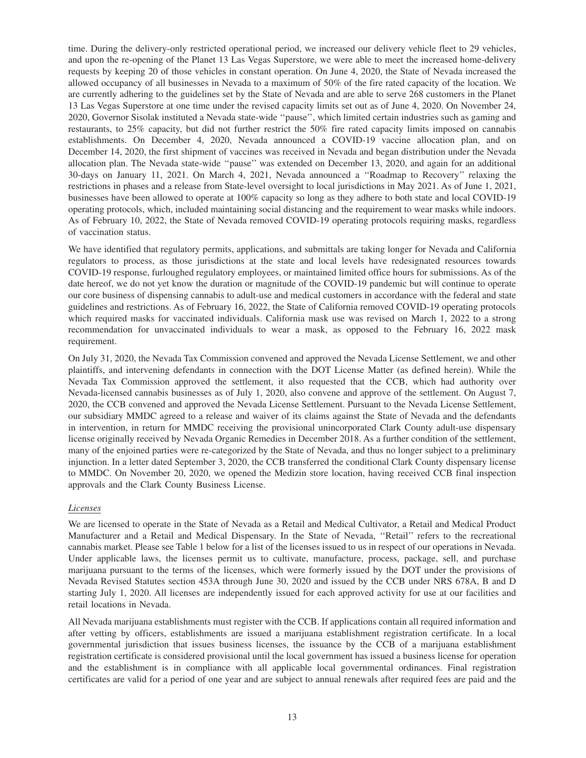time. During the delivery-only restricted operational period, we increased our delivery vehicle fleet to 29 vehicles, and upon the re-opening of the Planet 13 Las Vegas Superstore, we were able to meet the increased home-delivery requests by keeping 20 of those vehicles in constant operation. On June 4, 2020, the State of Nevada increased the allowed occupancy of all businesses in Nevada to a maximum of 50% of the fire rated capacity of the location. We are currently adhering to the guidelines set by the State of Nevada and are able to serve 268 customers in the Planet 13 Las Vegas Superstore at one time under the revised capacity limits set out as of June 4, 2020. On November 24, 2020, Governor Sisolak instituted a Nevada state-wide ''pause'', which limited certain industries such as gaming and restaurants, to 25% capacity, but did not further restrict the 50% fire rated capacity limits imposed on cannabis establishments. On December 4, 2020, Nevada announced a COVID-19 vaccine allocation plan, and on December 14, 2020, the first shipment of vaccines was received in Nevada and began distribution under the Nevada allocation plan. The Nevada state-wide ''pause'' was extended on December 13, 2020, and again for an additional 30-days on January 11, 2021. On March 4, 2021, Nevada announced a ''Roadmap to Recovery'' relaxing the restrictions in phases and a release from State-level oversight to local jurisdictions in May 2021. As of June 1, 2021, businesses have been allowed to operate at 100% capacity so long as they adhere to both state and local COVID-19 operating protocols, which, included maintaining social distancing and the requirement to wear masks while indoors. As of February 10, 2022, the State of Nevada removed COVID-19 operating protocols requiring masks, regardless of vaccination status.

We have identified that regulatory permits, applications, and submittals are taking longer for Nevada and California regulators to process, as those jurisdictions at the state and local levels have redesignated resources towards COVID-19 response, furloughed regulatory employees, or maintained limited office hours for submissions. As of the date hereof, we do not yet know the duration or magnitude of the COVID-19 pandemic but will continue to operate our core business of dispensing cannabis to adult-use and medical customers in accordance with the federal and state guidelines and restrictions. As of February 16, 2022, the State of California removed COVID-19 operating protocols which required masks for vaccinated individuals. California mask use was revised on March 1, 2022 to a strong recommendation for unvaccinated individuals to wear a mask, as opposed to the February 16, 2022 mask requirement.

On July 31, 2020, the Nevada Tax Commission convened and approved the Nevada License Settlement, we and other plaintiffs, and intervening defendants in connection with the DOT License Matter (as defined herein). While the Nevada Tax Commission approved the settlement, it also requested that the CCB, which had authority over Nevada-licensed cannabis businesses as of July 1, 2020, also convene and approve of the settlement. On August 7, 2020, the CCB convened and approved the Nevada License Settlement. Pursuant to the Nevada License Settlement, our subsidiary MMDC agreed to a release and waiver of its claims against the State of Nevada and the defendants in intervention, in return for MMDC receiving the provisional unincorporated Clark County adult-use dispensary license originally received by Nevada Organic Remedies in December 2018. As a further condition of the settlement, many of the enjoined parties were re-categorized by the State of Nevada, and thus no longer subject to a preliminary injunction. In a letter dated September 3, 2020, the CCB transferred the conditional Clark County dispensary license to MMDC. On November 20, 2020, we opened the Medizin store location, having received CCB final inspection approvals and the Clark County Business License.

# *Licenses*

We are licensed to operate in the State of Nevada as a Retail and Medical Cultivator, a Retail and Medical Product Manufacturer and a Retail and Medical Dispensary. In the State of Nevada, ''Retail'' refers to the recreational cannabis market. Please see Table 1 below for a list of the licenses issued to us in respect of our operations in Nevada. Under applicable laws, the licenses permit us to cultivate, manufacture, process, package, sell, and purchase marijuana pursuant to the terms of the licenses, which were formerly issued by the DOT under the provisions of Nevada Revised Statutes section 453A through June 30, 2020 and issued by the CCB under NRS 678A, B and D starting July 1, 2020. All licenses are independently issued for each approved activity for use at our facilities and retail locations in Nevada.

All Nevada marijuana establishments must register with the CCB. If applications contain all required information and after vetting by officers, establishments are issued a marijuana establishment registration certificate. In a local governmental jurisdiction that issues business licenses, the issuance by the CCB of a marijuana establishment registration certificate is considered provisional until the local government has issued a business license for operation and the establishment is in compliance with all applicable local governmental ordinances. Final registration certificates are valid for a period of one year and are subject to annual renewals after required fees are paid and the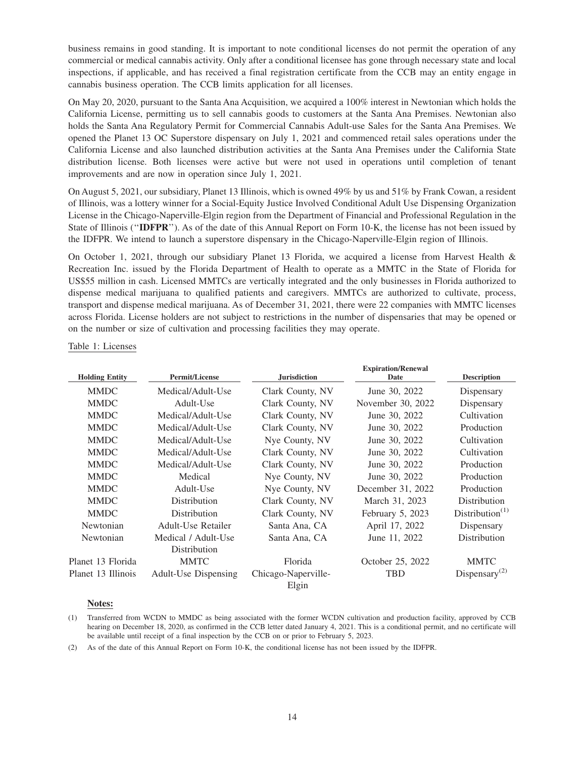business remains in good standing. It is important to note conditional licenses do not permit the operation of any commercial or medical cannabis activity. Only after a conditional licensee has gone through necessary state and local inspections, if applicable, and has received a final registration certificate from the CCB may an entity engage in cannabis business operation. The CCB limits application for all licenses.

On May 20, 2020, pursuant to the Santa Ana Acquisition, we acquired a 100% interest in Newtonian which holds the California License, permitting us to sell cannabis goods to customers at the Santa Ana Premises. Newtonian also holds the Santa Ana Regulatory Permit for Commercial Cannabis Adult-use Sales for the Santa Ana Premises. We opened the Planet 13 OC Superstore dispensary on July 1, 2021 and commenced retail sales operations under the California License and also launched distribution activities at the Santa Ana Premises under the California State distribution license. Both licenses were active but were not used in operations until completion of tenant improvements and are now in operation since July 1, 2021.

On August 5, 2021, our subsidiary, Planet 13 Illinois, which is owned 49% by us and 51% by Frank Cowan, a resident of Illinois, was a lottery winner for a Social-Equity Justice Involved Conditional Adult Use Dispensing Organization License in the Chicago-Naperville-Elgin region from the Department of Financial and Professional Regulation in the State of Illinois (''**IDFPR**''). As of the date of this Annual Report on Form 10-K, the license has not been issued by the IDFPR. We intend to launch a superstore dispensary in the Chicago-Naperville-Elgin region of Illinois.

On October 1, 2021, through our subsidiary Planet 13 Florida, we acquired a license from Harvest Health & Recreation Inc. issued by the Florida Department of Health to operate as a MMTC in the State of Florida for US\$55 million in cash. Licensed MMTCs are vertically integrated and the only businesses in Florida authorized to dispense medical marijuana to qualified patients and caregivers. MMTCs are authorized to cultivate, process, transport and dispense medical marijuana. As of December 31, 2021, there were 22 companies with MMTC licenses across Florida. License holders are not subject to restrictions in the number of dispensaries that may be opened or on the number or size of cultivation and processing facilities they may operate.

|  |  | Table 1: Licenses |
|--|--|-------------------|
|--|--|-------------------|

| <b>Holding Entity</b> | <b>Permit/License</b>       | <b>Jurisdiction</b> | <b>Expiration/Renewal</b><br>Date | <b>Description</b>          |
|-----------------------|-----------------------------|---------------------|-----------------------------------|-----------------------------|
| <b>MMDC</b>           | Medical/Adult-Use           | Clark County, NV    | June 30, 2022                     | Dispensary                  |
| <b>MMDC</b>           | Adult-Use                   | Clark County, NV    | November 30, 2022                 | Dispensary                  |
| <b>MMDC</b>           | Medical/Adult-Use           | Clark County, NV    | June 30, 2022                     | Cultivation                 |
| <b>MMDC</b>           | Medical/Adult-Use           | Clark County, NV    | June 30, 2022                     | Production                  |
| <b>MMDC</b>           | Medical/Adult-Use           | Nye County, NV      | June 30, 2022                     | Cultivation                 |
| <b>MMDC</b>           | Medical/Adult-Use           | Clark County, NV    | June 30, 2022                     | Cultivation                 |
| <b>MMDC</b>           | Medical/Adult-Use           | Clark County, NV    | June 30, 2022                     | Production                  |
| <b>MMDC</b>           | Medical                     | Nye County, NV      | June 30, 2022                     | Production                  |
| <b>MMDC</b>           | Adult-Use                   | Nye County, NV      | December 31, 2022                 | Production                  |
| <b>MMDC</b>           | Distribution                | Clark County, NV    | March 31, 2023                    | Distribution                |
| <b>MMDC</b>           | Distribution                | Clark County, NV    | February 5, 2023                  | Distribution <sup>(1)</sup> |
| Newtonian             | Adult-Use Retailer          | Santa Ana, CA       | April 17, 2022                    | Dispensary                  |
| Newtonian             | Medical / Adult-Use         | Santa Ana, CA       | June 11, 2022                     | Distribution                |
|                       | Distribution                |                     |                                   |                             |
| Planet 13 Florida     | <b>MMTC</b>                 | Florida             | October 25, 2022                  | <b>MMTC</b>                 |
| Planet 13 Illinois    | <b>Adult-Use Dispensing</b> | Chicago-Naperville- | <b>TBD</b>                        | Dispensary <sup>(2)</sup>   |
|                       |                             | Elgin               |                                   |                             |

#### **Notes:**

<sup>(1)</sup> Transferred from WCDN to MMDC as being associated with the former WCDN cultivation and production facility, approved by CCB hearing on December 18, 2020, as confirmed in the CCB letter dated January 4, 2021. This is a conditional permit, and no certificate will be available until receipt of a final inspection by the CCB on or prior to February 5, 2023.

<sup>(2)</sup> As of the date of this Annual Report on Form 10-K, the conditional license has not been issued by the IDFPR.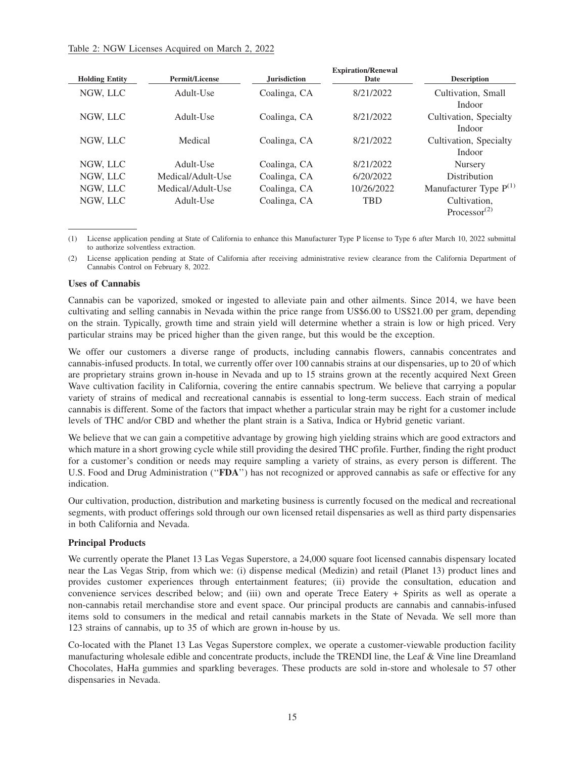#### Table 2: NGW Licenses Acquired on March 2, 2022

| <b>Holding Entity</b> | <b>Permit/License</b> | <b>Jurisdiction</b> | <b>Expiration/Renewal</b><br>Date | <b>Description</b>                                    |
|-----------------------|-----------------------|---------------------|-----------------------------------|-------------------------------------------------------|
| NGW, LLC              | Adult-Use             | Coalinga, CA        | 8/21/2022                         | Cultivation, Small<br>Indoor                          |
| NGW, LLC              | Adult-Use             | Coalinga, CA        | 8/21/2022                         | Cultivation, Specialty<br>Indoor                      |
| NGW, LLC              | Medical               | Coalinga, CA        | 8/21/2022                         | Cultivation, Specialty<br>Indoor                      |
| NGW, LLC              | Adult-Use             | Coalinga, CA        | 8/21/2022                         | Nursery                                               |
| NGW. LLC              | Medical/Adult-Use     | Coalinga, CA        | 6/20/2022                         | Distribution                                          |
| NGW, LLC              | Medical/Adult-Use     | Coalinga, CA        | 10/26/2022                        | Manufacturer Type P <sup>(1)</sup>                    |
| NGW, LLC              | Adult-Use             | Coalinga, CA        | <b>TBD</b>                        | Cultivation,<br>Processor <sup><math>(2)</math></sup> |

(1) License application pending at State of California to enhance this Manufacturer Type P license to Type 6 after March 10, 2022 submittal to authorize solventless extraction.

(2) License application pending at State of California after receiving administrative review clearance from the California Department of Cannabis Control on February 8, 2022.

#### **Uses of Cannabis**

Cannabis can be vaporized, smoked or ingested to alleviate pain and other ailments. Since 2014, we have been cultivating and selling cannabis in Nevada within the price range from US\$6.00 to US\$21.00 per gram, depending on the strain. Typically, growth time and strain yield will determine whether a strain is low or high priced. Very particular strains may be priced higher than the given range, but this would be the exception.

We offer our customers a diverse range of products, including cannabis flowers, cannabis concentrates and cannabis-infused products. In total, we currently offer over 100 cannabis strains at our dispensaries, up to 20 of which are proprietary strains grown in-house in Nevada and up to 15 strains grown at the recently acquired Next Green Wave cultivation facility in California, covering the entire cannabis spectrum. We believe that carrying a popular variety of strains of medical and recreational cannabis is essential to long-term success. Each strain of medical cannabis is different. Some of the factors that impact whether a particular strain may be right for a customer include levels of THC and/or CBD and whether the plant strain is a Sativa, Indica or Hybrid genetic variant.

We believe that we can gain a competitive advantage by growing high yielding strains which are good extractors and which mature in a short growing cycle while still providing the desired THC profile. Further, finding the right product for a customer's condition or needs may require sampling a variety of strains, as every person is different. The U.S. Food and Drug Administration (''**FDA**'') has not recognized or approved cannabis as safe or effective for any indication.

Our cultivation, production, distribution and marketing business is currently focused on the medical and recreational segments, with product offerings sold through our own licensed retail dispensaries as well as third party dispensaries in both California and Nevada.

#### **Principal Products**

We currently operate the Planet 13 Las Vegas Superstore, a 24,000 square foot licensed cannabis dispensary located near the Las Vegas Strip, from which we: (i) dispense medical (Medizin) and retail (Planet 13) product lines and provides customer experiences through entertainment features; (ii) provide the consultation, education and convenience services described below; and (iii) own and operate Trece Eatery + Spirits as well as operate a non-cannabis retail merchandise store and event space. Our principal products are cannabis and cannabis-infused items sold to consumers in the medical and retail cannabis markets in the State of Nevada. We sell more than 123 strains of cannabis, up to 35 of which are grown in-house by us.

Co-located with the Planet 13 Las Vegas Superstore complex, we operate a customer-viewable production facility manufacturing wholesale edible and concentrate products, include the TRENDI line, the Leaf & Vine line Dreamland Chocolates, HaHa gummies and sparkling beverages. These products are sold in-store and wholesale to 57 other dispensaries in Nevada.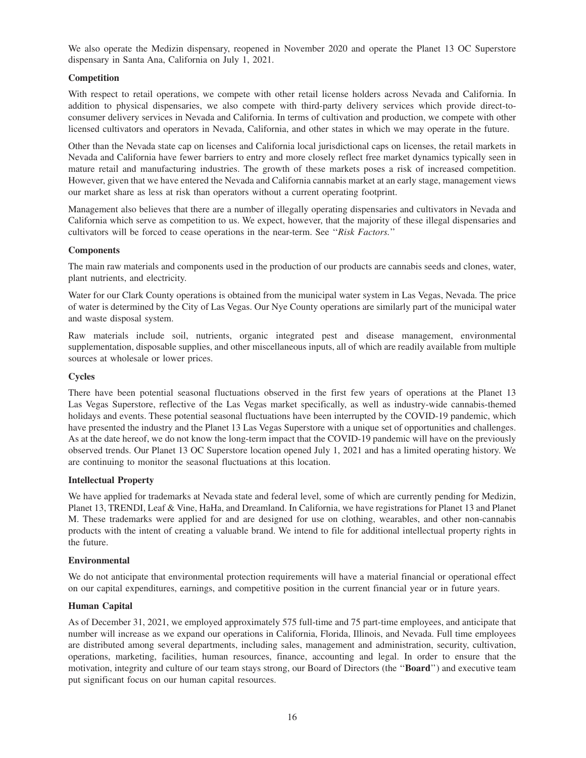We also operate the Medizin dispensary, reopened in November 2020 and operate the Planet 13 OC Superstore dispensary in Santa Ana, California on July 1, 2021.

#### **Competition**

With respect to retail operations, we compete with other retail license holders across Nevada and California. In addition to physical dispensaries, we also compete with third-party delivery services which provide direct-toconsumer delivery services in Nevada and California. In terms of cultivation and production, we compete with other licensed cultivators and operators in Nevada, California, and other states in which we may operate in the future.

Other than the Nevada state cap on licenses and California local jurisdictional caps on licenses, the retail markets in Nevada and California have fewer barriers to entry and more closely reflect free market dynamics typically seen in mature retail and manufacturing industries. The growth of these markets poses a risk of increased competition. However, given that we have entered the Nevada and California cannabis market at an early stage, management views our market share as less at risk than operators without a current operating footprint.

Management also believes that there are a number of illegally operating dispensaries and cultivators in Nevada and California which serve as competition to us. We expect, however, that the majority of these illegal dispensaries and cultivators will be forced to cease operations in the near-term. See ''*Risk Factors.*''

#### **Components**

The main raw materials and components used in the production of our products are cannabis seeds and clones, water, plant nutrients, and electricity.

Water for our Clark County operations is obtained from the municipal water system in Las Vegas, Nevada. The price of water is determined by the City of Las Vegas. Our Nye County operations are similarly part of the municipal water and waste disposal system.

Raw materials include soil, nutrients, organic integrated pest and disease management, environmental supplementation, disposable supplies, and other miscellaneous inputs, all of which are readily available from multiple sources at wholesale or lower prices.

#### **Cycles**

There have been potential seasonal fluctuations observed in the first few years of operations at the Planet 13 Las Vegas Superstore, reflective of the Las Vegas market specifically, as well as industry-wide cannabis-themed holidays and events. These potential seasonal fluctuations have been interrupted by the COVID-19 pandemic, which have presented the industry and the Planet 13 Las Vegas Superstore with a unique set of opportunities and challenges. As at the date hereof, we do not know the long-term impact that the COVID-19 pandemic will have on the previously observed trends. Our Planet 13 OC Superstore location opened July 1, 2021 and has a limited operating history. We are continuing to monitor the seasonal fluctuations at this location.

#### **Intellectual Property**

We have applied for trademarks at Nevada state and federal level, some of which are currently pending for Medizin, Planet 13, TRENDI, Leaf & Vine, HaHa, and Dreamland. In California, we have registrations for Planet 13 and Planet M. These trademarks were applied for and are designed for use on clothing, wearables, and other non-cannabis products with the intent of creating a valuable brand. We intend to file for additional intellectual property rights in the future.

#### **Environmental**

We do not anticipate that environmental protection requirements will have a material financial or operational effect on our capital expenditures, earnings, and competitive position in the current financial year or in future years.

#### **Human Capital**

As of December 31, 2021, we employed approximately 575 full-time and 75 part-time employees, and anticipate that number will increase as we expand our operations in California, Florida, Illinois, and Nevada. Full time employees are distributed among several departments, including sales, management and administration, security, cultivation, operations, marketing, facilities, human resources, finance, accounting and legal. In order to ensure that the motivation, integrity and culture of our team stays strong, our Board of Directors (the ''**Board**'') and executive team put significant focus on our human capital resources.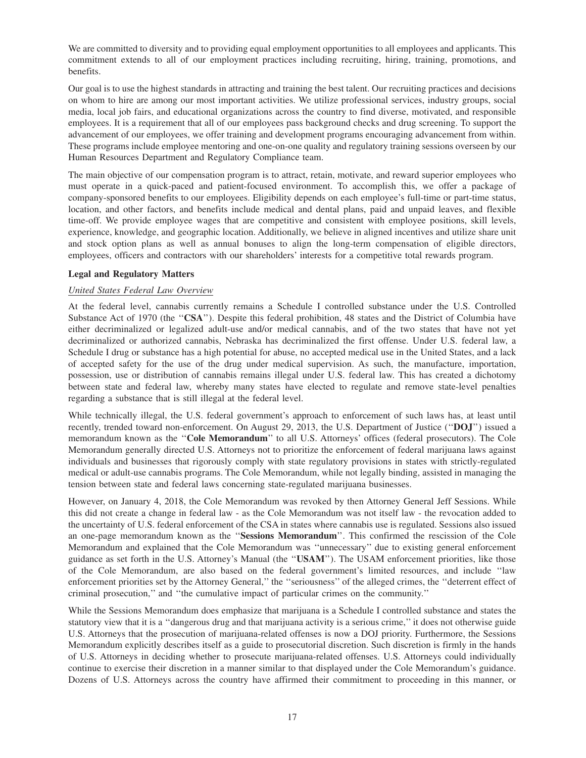We are committed to diversity and to providing equal employment opportunities to all employees and applicants. This commitment extends to all of our employment practices including recruiting, hiring, training, promotions, and benefits.

Our goal is to use the highest standards in attracting and training the best talent. Our recruiting practices and decisions on whom to hire are among our most important activities. We utilize professional services, industry groups, social media, local job fairs, and educational organizations across the country to find diverse, motivated, and responsible employees. It is a requirement that all of our employees pass background checks and drug screening. To support the advancement of our employees, we offer training and development programs encouraging advancement from within. These programs include employee mentoring and one-on-one quality and regulatory training sessions overseen by our Human Resources Department and Regulatory Compliance team.

The main objective of our compensation program is to attract, retain, motivate, and reward superior employees who must operate in a quick-paced and patient-focused environment. To accomplish this, we offer a package of company-sponsored benefits to our employees. Eligibility depends on each employee's full-time or part-time status, location, and other factors, and benefits include medical and dental plans, paid and unpaid leaves, and flexible time-off. We provide employee wages that are competitive and consistent with employee positions, skill levels, experience, knowledge, and geographic location. Additionally, we believe in aligned incentives and utilize share unit and stock option plans as well as annual bonuses to align the long-term compensation of eligible directors, employees, officers and contractors with our shareholders' interests for a competitive total rewards program.

# **Legal and Regulatory Matters**

#### *United States Federal Law Overview*

At the federal level, cannabis currently remains a Schedule I controlled substance under the U.S. Controlled Substance Act of 1970 (the ''**CSA**''). Despite this federal prohibition, 48 states and the District of Columbia have either decriminalized or legalized adult-use and/or medical cannabis, and of the two states that have not yet decriminalized or authorized cannabis, Nebraska has decriminalized the first offense. Under U.S. federal law, a Schedule I drug or substance has a high potential for abuse, no accepted medical use in the United States, and a lack of accepted safety for the use of the drug under medical supervision. As such, the manufacture, importation, possession, use or distribution of cannabis remains illegal under U.S. federal law. This has created a dichotomy between state and federal law, whereby many states have elected to regulate and remove state-level penalties regarding a substance that is still illegal at the federal level.

While technically illegal, the U.S. federal government's approach to enforcement of such laws has, at least until recently, trended toward non-enforcement. On August 29, 2013, the U.S. Department of Justice (''**DOJ**'') issued a memorandum known as the ''**Cole Memorandum**'' to all U.S. Attorneys' offices (federal prosecutors). The Cole Memorandum generally directed U.S. Attorneys not to prioritize the enforcement of federal marijuana laws against individuals and businesses that rigorously comply with state regulatory provisions in states with strictly-regulated medical or adult-use cannabis programs. The Cole Memorandum, while not legally binding, assisted in managing the tension between state and federal laws concerning state-regulated marijuana businesses.

However, on January 4, 2018, the Cole Memorandum was revoked by then Attorney General Jeff Sessions. While this did not create a change in federal law - as the Cole Memorandum was not itself law - the revocation added to the uncertainty of U.S. federal enforcement of the CSA in states where cannabis use is regulated. Sessions also issued an one-page memorandum known as the ''**Sessions Memorandum**''. This confirmed the rescission of the Cole Memorandum and explained that the Cole Memorandum was ''unnecessary'' due to existing general enforcement guidance as set forth in the U.S. Attorney's Manual (the ''**USAM**''). The USAM enforcement priorities, like those of the Cole Memorandum, are also based on the federal government's limited resources, and include ''law enforcement priorities set by the Attorney General,'' the ''seriousness'' of the alleged crimes, the ''deterrent effect of criminal prosecution,'' and ''the cumulative impact of particular crimes on the community.''

While the Sessions Memorandum does emphasize that marijuana is a Schedule I controlled substance and states the statutory view that it is a ''dangerous drug and that marijuana activity is a serious crime,'' it does not otherwise guide U.S. Attorneys that the prosecution of marijuana-related offenses is now a DOJ priority. Furthermore, the Sessions Memorandum explicitly describes itself as a guide to prosecutorial discretion. Such discretion is firmly in the hands of U.S. Attorneys in deciding whether to prosecute marijuana-related offenses. U.S. Attorneys could individually continue to exercise their discretion in a manner similar to that displayed under the Cole Memorandum's guidance. Dozens of U.S. Attorneys across the country have affirmed their commitment to proceeding in this manner, or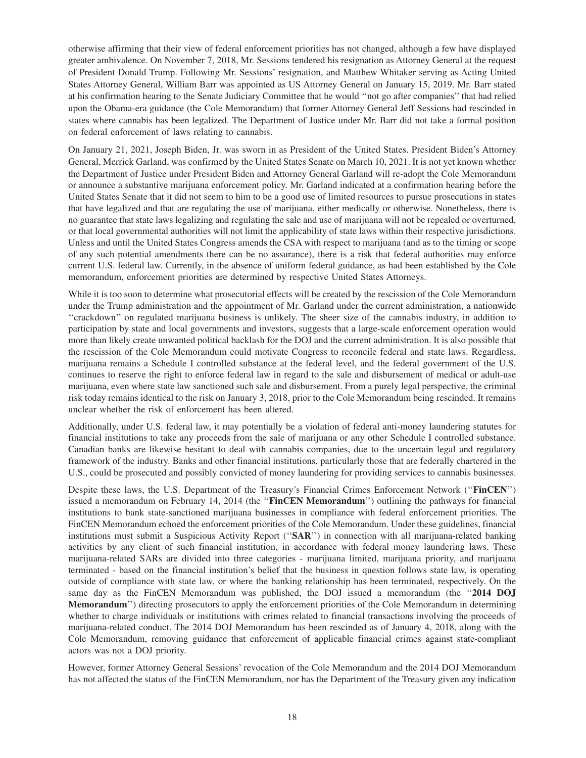otherwise affirming that their view of federal enforcement priorities has not changed, although a few have displayed greater ambivalence. On November 7, 2018, Mr. Sessions tendered his resignation as Attorney General at the request of President Donald Trump. Following Mr. Sessions' resignation, and Matthew Whitaker serving as Acting United States Attorney General, William Barr was appointed as US Attorney General on January 15, 2019. Mr. Barr stated at his confirmation hearing to the Senate Judiciary Committee that he would ''not go after companies'' that had relied upon the Obama-era guidance (the Cole Memorandum) that former Attorney General Jeff Sessions had rescinded in states where cannabis has been legalized. The Department of Justice under Mr. Barr did not take a formal position on federal enforcement of laws relating to cannabis.

On January 21, 2021, Joseph Biden, Jr. was sworn in as President of the United States. President Biden's Attorney General, Merrick Garland, was confirmed by the United States Senate on March 10, 2021. It is not yet known whether the Department of Justice under President Biden and Attorney General Garland will re-adopt the Cole Memorandum or announce a substantive marijuana enforcement policy. Mr. Garland indicated at a confirmation hearing before the United States Senate that it did not seem to him to be a good use of limited resources to pursue prosecutions in states that have legalized and that are regulating the use of marijuana, either medically or otherwise. Nonetheless, there is no guarantee that state laws legalizing and regulating the sale and use of marijuana will not be repealed or overturned, or that local governmental authorities will not limit the applicability of state laws within their respective jurisdictions. Unless and until the United States Congress amends the CSA with respect to marijuana (and as to the timing or scope of any such potential amendments there can be no assurance), there is a risk that federal authorities may enforce current U.S. federal law. Currently, in the absence of uniform federal guidance, as had been established by the Cole memorandum, enforcement priorities are determined by respective United States Attorneys.

While it is too soon to determine what prosecutorial effects will be created by the rescission of the Cole Memorandum under the Trump administration and the appointment of Mr. Garland under the current administration, a nationwide ''crackdown'' on regulated marijuana business is unlikely. The sheer size of the cannabis industry, in addition to participation by state and local governments and investors, suggests that a large-scale enforcement operation would more than likely create unwanted political backlash for the DOJ and the current administration. It is also possible that the rescission of the Cole Memorandum could motivate Congress to reconcile federal and state laws. Regardless, marijuana remains a Schedule I controlled substance at the federal level, and the federal government of the U.S. continues to reserve the right to enforce federal law in regard to the sale and disbursement of medical or adult-use marijuana, even where state law sanctioned such sale and disbursement. From a purely legal perspective, the criminal risk today remains identical to the risk on January 3, 2018, prior to the Cole Memorandum being rescinded. It remains unclear whether the risk of enforcement has been altered.

Additionally, under U.S. federal law, it may potentially be a violation of federal anti-money laundering statutes for financial institutions to take any proceeds from the sale of marijuana or any other Schedule I controlled substance. Canadian banks are likewise hesitant to deal with cannabis companies, due to the uncertain legal and regulatory framework of the industry. Banks and other financial institutions, particularly those that are federally chartered in the U.S., could be prosecuted and possibly convicted of money laundering for providing services to cannabis businesses.

Despite these laws, the U.S. Department of the Treasury's Financial Crimes Enforcement Network (''**FinCEN**'') issued a memorandum on February 14, 2014 (the ''**FinCEN Memorandum**'') outlining the pathways for financial institutions to bank state-sanctioned marijuana businesses in compliance with federal enforcement priorities. The FinCEN Memorandum echoed the enforcement priorities of the Cole Memorandum. Under these guidelines, financial institutions must submit a Suspicious Activity Report (''**SAR**'') in connection with all marijuana-related banking activities by any client of such financial institution, in accordance with federal money laundering laws. These marijuana-related SARs are divided into three categories - marijuana limited, marijuana priority, and marijuana terminated - based on the financial institution's belief that the business in question follows state law, is operating outside of compliance with state law, or where the banking relationship has been terminated, respectively. On the same day as the FinCEN Memorandum was published, the DOJ issued a memorandum (the ''**2014 DOJ Memorandum**'') directing prosecutors to apply the enforcement priorities of the Cole Memorandum in determining whether to charge individuals or institutions with crimes related to financial transactions involving the proceeds of marijuana-related conduct. The 2014 DOJ Memorandum has been rescinded as of January 4, 2018, along with the Cole Memorandum, removing guidance that enforcement of applicable financial crimes against state-compliant actors was not a DOJ priority.

However, former Attorney General Sessions' revocation of the Cole Memorandum and the 2014 DOJ Memorandum has not affected the status of the FinCEN Memorandum, nor has the Department of the Treasury given any indication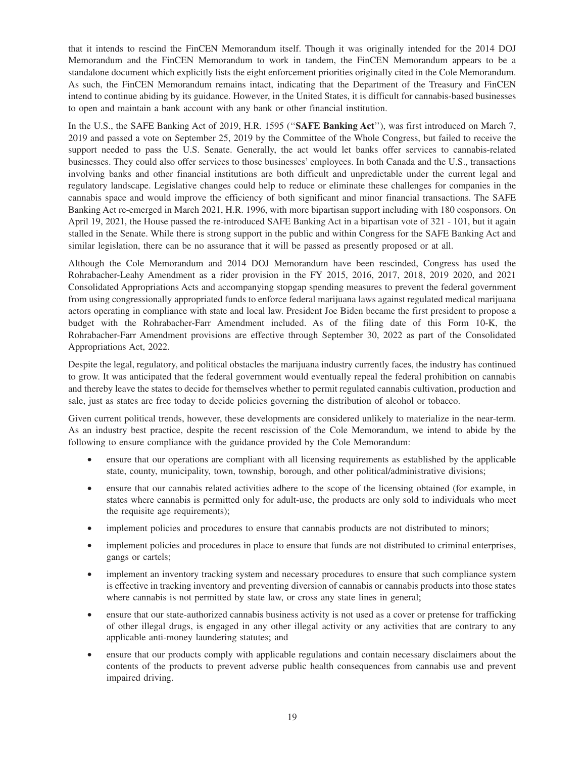that it intends to rescind the FinCEN Memorandum itself. Though it was originally intended for the 2014 DOJ Memorandum and the FinCEN Memorandum to work in tandem, the FinCEN Memorandum appears to be a standalone document which explicitly lists the eight enforcement priorities originally cited in the Cole Memorandum. As such, the FinCEN Memorandum remains intact, indicating that the Department of the Treasury and FinCEN intend to continue abiding by its guidance. However, in the United States, it is difficult for cannabis-based businesses to open and maintain a bank account with any bank or other financial institution.

In the U.S., the SAFE Banking Act of 2019, H.R. 1595 (''**SAFE Banking Act**''), was first introduced on March 7, 2019 and passed a vote on September 25, 2019 by the Committee of the Whole Congress, but failed to receive the support needed to pass the U.S. Senate. Generally, the act would let banks offer services to cannabis-related businesses. They could also offer services to those businesses' employees. In both Canada and the U.S., transactions involving banks and other financial institutions are both difficult and unpredictable under the current legal and regulatory landscape. Legislative changes could help to reduce or eliminate these challenges for companies in the cannabis space and would improve the efficiency of both significant and minor financial transactions. The SAFE Banking Act re-emerged in March 2021, H.R. 1996, with more bipartisan support including with 180 cosponsors. On April 19, 2021, the House passed the re-introduced SAFE Banking Act in a bipartisan vote of 321 - 101, but it again stalled in the Senate. While there is strong support in the public and within Congress for the SAFE Banking Act and similar legislation, there can be no assurance that it will be passed as presently proposed or at all.

Although the Cole Memorandum and 2014 DOJ Memorandum have been rescinded, Congress has used the Rohrabacher-Leahy Amendment as a rider provision in the FY 2015, 2016, 2017, 2018, 2019 2020, and 2021 Consolidated Appropriations Acts and accompanying stopgap spending measures to prevent the federal government from using congressionally appropriated funds to enforce federal marijuana laws against regulated medical marijuana actors operating in compliance with state and local law. President Joe Biden became the first president to propose a budget with the Rohrabacher-Farr Amendment included. As of the filing date of this Form 10-K, the Rohrabacher-Farr Amendment provisions are effective through September 30, 2022 as part of the Consolidated Appropriations Act, 2022.

Despite the legal, regulatory, and political obstacles the marijuana industry currently faces, the industry has continued to grow. It was anticipated that the federal government would eventually repeal the federal prohibition on cannabis and thereby leave the states to decide for themselves whether to permit regulated cannabis cultivation, production and sale, just as states are free today to decide policies governing the distribution of alcohol or tobacco.

Given current political trends, however, these developments are considered unlikely to materialize in the near-term. As an industry best practice, despite the recent rescission of the Cole Memorandum, we intend to abide by the following to ensure compliance with the guidance provided by the Cole Memorandum:

- ensure that our operations are compliant with all licensing requirements as established by the applicable state, county, municipality, town, township, borough, and other political/administrative divisions;
- ensure that our cannabis related activities adhere to the scope of the licensing obtained (for example, in states where cannabis is permitted only for adult-use, the products are only sold to individuals who meet the requisite age requirements);
- implement policies and procedures to ensure that cannabis products are not distributed to minors;
- implement policies and procedures in place to ensure that funds are not distributed to criminal enterprises, gangs or cartels;
- implement an inventory tracking system and necessary procedures to ensure that such compliance system is effective in tracking inventory and preventing diversion of cannabis or cannabis products into those states where cannabis is not permitted by state law, or cross any state lines in general;
- ensure that our state-authorized cannabis business activity is not used as a cover or pretense for trafficking of other illegal drugs, is engaged in any other illegal activity or any activities that are contrary to any applicable anti-money laundering statutes; and
- ensure that our products comply with applicable regulations and contain necessary disclaimers about the contents of the products to prevent adverse public health consequences from cannabis use and prevent impaired driving.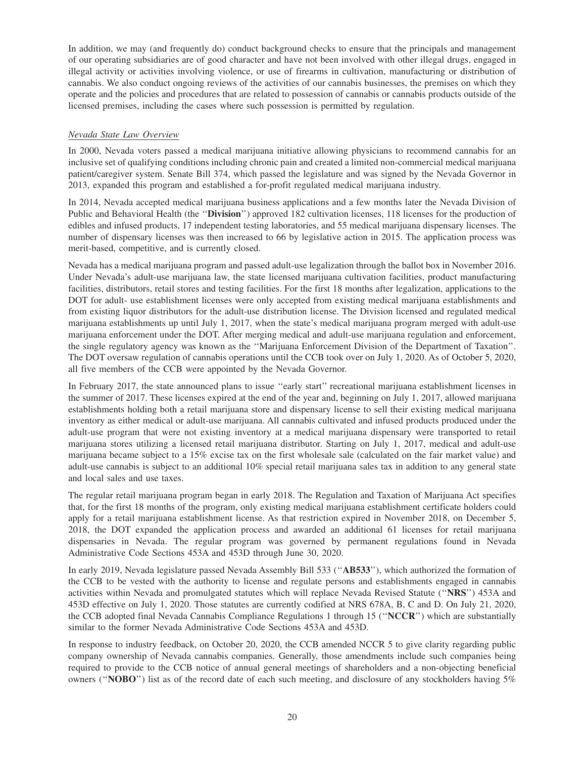In addition, we may (and frequently do) conduct background checks to ensure that the principals and management of our operating subsidiaries are of good character and have not been involved with other illegal drugs, engaged in illegal activity or activities involving violence, or use of firearms in cultivation, manufacturing or distribution of cannabis. We also conduct ongoing reviews of the activities of our cannabis businesses, the premises on which they operate and the policies and procedures that are related to possession of cannabis or cannabis products outside of the licensed premises, including the cases where such possession is permitted by regulation.

# *Nevada State Law Overview*

In 2000, Nevada voters passed a medical marijuana initiative allowing physicians to recommend cannabis for an inclusive set of qualifying conditions including chronic pain and created a limited non-commercial medical marijuana patient/caregiver system. Senate Bill 374, which passed the legislature and was signed by the Nevada Governor in 2013, expanded this program and established a for-profit regulated medical marijuana industry.

In 2014, Nevada accepted medical marijuana business applications and a few months later the Nevada Division of Public and Behavioral Health (the ''**Division**'') approved 182 cultivation licenses, 118 licenses for the production of edibles and infused products, 17 independent testing laboratories, and 55 medical marijuana dispensary licenses. The number of dispensary licenses was then increased to 66 by legislative action in 2015. The application process was merit-based, competitive, and is currently closed.

Nevada has a medical marijuana program and passed adult-use legalization through the ballot box in November 2016. Under Nevada's adult-use marijuana law, the state licensed marijuana cultivation facilities, product manufacturing facilities, distributors, retail stores and testing facilities. For the first 18 months after legalization, applications to the DOT for adult- use establishment licenses were only accepted from existing medical marijuana establishments and from existing liquor distributors for the adult-use distribution license. The Division licensed and regulated medical marijuana establishments up until July 1, 2017, when the state's medical marijuana program merged with adult-use marijuana enforcement under the DOT. After merging medical and adult-use marijuana regulation and enforcement, the single regulatory agency was known as the ''Marijuana Enforcement Division of the Department of Taxation''. The DOT oversaw regulation of cannabis operations until the CCB took over on July 1, 2020. As of October 5, 2020, all five members of the CCB were appointed by the Nevada Governor.

In February 2017, the state announced plans to issue ''early start'' recreational marijuana establishment licenses in the summer of 2017. These licenses expired at the end of the year and, beginning on July 1, 2017, allowed marijuana establishments holding both a retail marijuana store and dispensary license to sell their existing medical marijuana inventory as either medical or adult-use marijuana. All cannabis cultivated and infused products produced under the adult-use program that were not existing inventory at a medical marijuana dispensary were transported to retail marijuana stores utilizing a licensed retail marijuana distributor. Starting on July 1, 2017, medical and adult-use marijuana became subject to a 15% excise tax on the first wholesale sale (calculated on the fair market value) and adult-use cannabis is subject to an additional 10% special retail marijuana sales tax in addition to any general state and local sales and use taxes.

The regular retail marijuana program began in early 2018. The Regulation and Taxation of Marijuana Act specifies that, for the first 18 months of the program, only existing medical marijuana establishment certificate holders could apply for a retail marijuana establishment license. As that restriction expired in November 2018, on December 5, 2018, the DOT expanded the application process and awarded an additional 61 licenses for retail marijuana dispensaries in Nevada. The regular program was governed by permanent regulations found in Nevada Administrative Code Sections 453A and 453D through June 30, 2020.

In early 2019, Nevada legislature passed Nevada Assembly Bill 533 (''**AB533**''), which authorized the formation of the CCB to be vested with the authority to license and regulate persons and establishments engaged in cannabis activities within Nevada and promulgated statutes which will replace Nevada Revised Statute (''**NRS**'') 453A and 453D effective on July 1, 2020. Those statutes are currently codified at NRS 678A, B, C and D. On July 21, 2020, the CCB adopted final Nevada Cannabis Compliance Regulations 1 through 15 (''**NCCR**'') which are substantially similar to the former Nevada Administrative Code Sections 453A and 453D.

In response to industry feedback, on October 20, 2020, the CCB amended NCCR 5 to give clarity regarding public company ownership of Nevada cannabis companies. Generally, those amendments include such companies being required to provide to the CCB notice of annual general meetings of shareholders and a non-objecting beneficial owners (''**NOBO**'') list as of the record date of each such meeting, and disclosure of any stockholders having 5%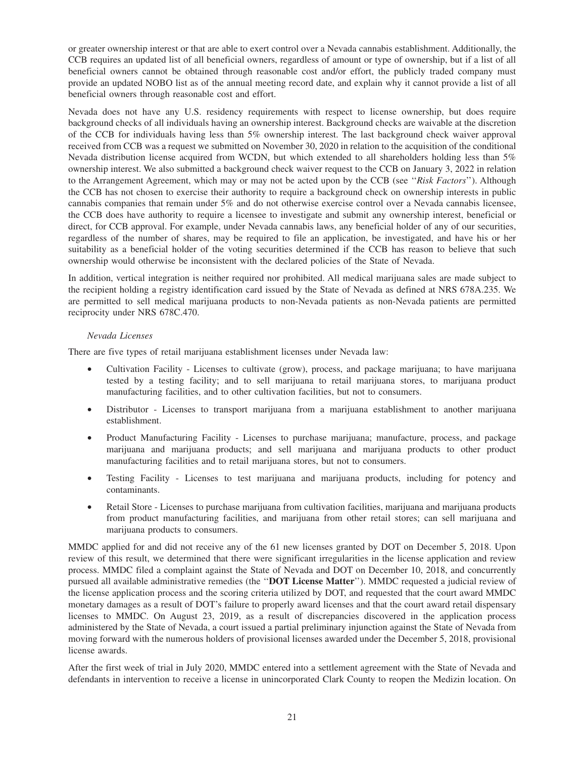or greater ownership interest or that are able to exert control over a Nevada cannabis establishment. Additionally, the CCB requires an updated list of all beneficial owners, regardless of amount or type of ownership, but if a list of all beneficial owners cannot be obtained through reasonable cost and/or effort, the publicly traded company must provide an updated NOBO list as of the annual meeting record date, and explain why it cannot provide a list of all beneficial owners through reasonable cost and effort.

Nevada does not have any U.S. residency requirements with respect to license ownership, but does require background checks of all individuals having an ownership interest. Background checks are waivable at the discretion of the CCB for individuals having less than 5% ownership interest. The last background check waiver approval received from CCB was a request we submitted on November 30, 2020 in relation to the acquisition of the conditional Nevada distribution license acquired from WCDN, but which extended to all shareholders holding less than 5% ownership interest. We also submitted a background check waiver request to the CCB on January 3, 2022 in relation to the Arrangement Agreement, which may or may not be acted upon by the CCB (see ''*Risk Factors*''). Although the CCB has not chosen to exercise their authority to require a background check on ownership interests in public cannabis companies that remain under 5% and do not otherwise exercise control over a Nevada cannabis licensee, the CCB does have authority to require a licensee to investigate and submit any ownership interest, beneficial or direct, for CCB approval. For example, under Nevada cannabis laws, any beneficial holder of any of our securities, regardless of the number of shares, may be required to file an application, be investigated, and have his or her suitability as a beneficial holder of the voting securities determined if the CCB has reason to believe that such ownership would otherwise be inconsistent with the declared policies of the State of Nevada.

In addition, vertical integration is neither required nor prohibited. All medical marijuana sales are made subject to the recipient holding a registry identification card issued by the State of Nevada as defined at NRS 678A.235. We are permitted to sell medical marijuana products to non-Nevada patients as non-Nevada patients are permitted reciprocity under NRS 678C.470.

#### *Nevada Licenses*

There are five types of retail marijuana establishment licenses under Nevada law:

- Cultivation Facility Licenses to cultivate (grow), process, and package marijuana; to have marijuana tested by a testing facility; and to sell marijuana to retail marijuana stores, to marijuana product manufacturing facilities, and to other cultivation facilities, but not to consumers.
- Distributor Licenses to transport marijuana from a marijuana establishment to another marijuana establishment.
- Product Manufacturing Facility Licenses to purchase marijuana; manufacture, process, and package marijuana and marijuana products; and sell marijuana and marijuana products to other product manufacturing facilities and to retail marijuana stores, but not to consumers.
- Testing Facility Licenses to test marijuana and marijuana products, including for potency and contaminants.
- Retail Store Licenses to purchase marijuana from cultivation facilities, marijuana and marijuana products from product manufacturing facilities, and marijuana from other retail stores; can sell marijuana and marijuana products to consumers.

MMDC applied for and did not receive any of the 61 new licenses granted by DOT on December 5, 2018. Upon review of this result, we determined that there were significant irregularities in the license application and review process. MMDC filed a complaint against the State of Nevada and DOT on December 10, 2018, and concurrently pursued all available administrative remedies (the ''**DOT License Matter**''). MMDC requested a judicial review of the license application process and the scoring criteria utilized by DOT, and requested that the court award MMDC monetary damages as a result of DOT's failure to properly award licenses and that the court award retail dispensary licenses to MMDC. On August 23, 2019, as a result of discrepancies discovered in the application process administered by the State of Nevada, a court issued a partial preliminary injunction against the State of Nevada from moving forward with the numerous holders of provisional licenses awarded under the December 5, 2018, provisional license awards.

After the first week of trial in July 2020, MMDC entered into a settlement agreement with the State of Nevada and defendants in intervention to receive a license in unincorporated Clark County to reopen the Medizin location. On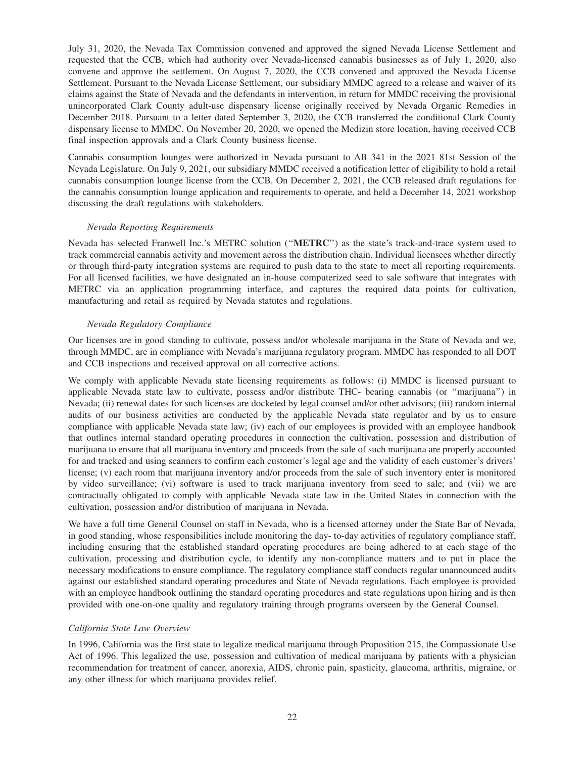July 31, 2020, the Nevada Tax Commission convened and approved the signed Nevada License Settlement and requested that the CCB, which had authority over Nevada-licensed cannabis businesses as of July 1, 2020, also convene and approve the settlement. On August 7, 2020, the CCB convened and approved the Nevada License Settlement. Pursuant to the Nevada License Settlement, our subsidiary MMDC agreed to a release and waiver of its claims against the State of Nevada and the defendants in intervention, in return for MMDC receiving the provisional unincorporated Clark County adult-use dispensary license originally received by Nevada Organic Remedies in December 2018. Pursuant to a letter dated September 3, 2020, the CCB transferred the conditional Clark County dispensary license to MMDC. On November 20, 2020, we opened the Medizin store location, having received CCB final inspection approvals and a Clark County business license.

Cannabis consumption lounges were authorized in Nevada pursuant to AB 341 in the 2021 81st Session of the Nevada Legislature. On July 9, 2021, our subsidiary MMDC received a notification letter of eligibility to hold a retail cannabis consumption lounge license from the CCB. On December 2, 2021, the CCB released draft regulations for the cannabis consumption lounge application and requirements to operate, and held a December 14, 2021 workshop discussing the draft regulations with stakeholders.

#### *Nevada Reporting Requirements*

Nevada has selected Franwell Inc.'s METRC solution (''**METRC**'') as the state's track-and-trace system used to track commercial cannabis activity and movement across the distribution chain. Individual licensees whether directly or through third-party integration systems are required to push data to the state to meet all reporting requirements. For all licensed facilities, we have designated an in-house computerized seed to sale software that integrates with METRC via an application programming interface, and captures the required data points for cultivation, manufacturing and retail as required by Nevada statutes and regulations.

### *Nevada Regulatory Compliance*

Our licenses are in good standing to cultivate, possess and/or wholesale marijuana in the State of Nevada and we, through MMDC, are in compliance with Nevada's marijuana regulatory program. MMDC has responded to all DOT and CCB inspections and received approval on all corrective actions.

We comply with applicable Nevada state licensing requirements as follows: (i) MMDC is licensed pursuant to applicable Nevada state law to cultivate, possess and/or distribute THC- bearing cannabis (or ''marijuana'') in Nevada; (ii) renewal dates for such licenses are docketed by legal counsel and/or other advisors; (iii) random internal audits of our business activities are conducted by the applicable Nevada state regulator and by us to ensure compliance with applicable Nevada state law; (iv) each of our employees is provided with an employee handbook that outlines internal standard operating procedures in connection the cultivation, possession and distribution of marijuana to ensure that all marijuana inventory and proceeds from the sale of such marijuana are properly accounted for and tracked and using scanners to confirm each customer's legal age and the validity of each customer's drivers' license; (v) each room that marijuana inventory and/or proceeds from the sale of such inventory enter is monitored by video surveillance; (vi) software is used to track marijuana inventory from seed to sale; and (vii) we are contractually obligated to comply with applicable Nevada state law in the United States in connection with the cultivation, possession and/or distribution of marijuana in Nevada.

We have a full time General Counsel on staff in Nevada, who is a licensed attorney under the State Bar of Nevada, in good standing, whose responsibilities include monitoring the day- to-day activities of regulatory compliance staff, including ensuring that the established standard operating procedures are being adhered to at each stage of the cultivation, processing and distribution cycle, to identify any non-compliance matters and to put in place the necessary modifications to ensure compliance. The regulatory compliance staff conducts regular unannounced audits against our established standard operating procedures and State of Nevada regulations. Each employee is provided with an employee handbook outlining the standard operating procedures and state regulations upon hiring and is then provided with one-on-one quality and regulatory training through programs overseen by the General Counsel.

# *California State Law Overview*

In 1996, California was the first state to legalize medical marijuana through Proposition 215, the Compassionate Use Act of 1996. This legalized the use, possession and cultivation of medical marijuana by patients with a physician recommendation for treatment of cancer, anorexia, AIDS, chronic pain, spasticity, glaucoma, arthritis, migraine, or any other illness for which marijuana provides relief.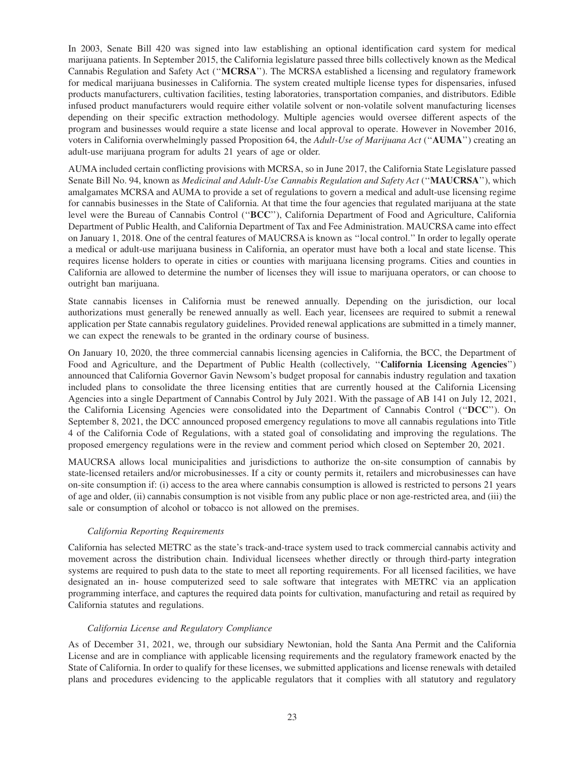In 2003, Senate Bill 420 was signed into law establishing an optional identification card system for medical marijuana patients. In September 2015, the California legislature passed three bills collectively known as the Medical Cannabis Regulation and Safety Act (''**MCRSA**''). The MCRSA established a licensing and regulatory framework for medical marijuana businesses in California. The system created multiple license types for dispensaries, infused products manufacturers, cultivation facilities, testing laboratories, transportation companies, and distributors. Edible infused product manufacturers would require either volatile solvent or non-volatile solvent manufacturing licenses depending on their specific extraction methodology. Multiple agencies would oversee different aspects of the program and businesses would require a state license and local approval to operate. However in November 2016, voters in California overwhelmingly passed Proposition 64, the *Adult-Use of Marijuana Act* (''**AUMA**'') creating an adult-use marijuana program for adults 21 years of age or older.

AUMA included certain conflicting provisions with MCRSA, so in June 2017, the California State Legislature passed Senate Bill No. 94, known as *Medicinal and Adult-Use Cannabis Regulation and Safety Act* (''**MAUCRSA**''), which amalgamates MCRSA and AUMA to provide a set of regulations to govern a medical and adult-use licensing regime for cannabis businesses in the State of California. At that time the four agencies that regulated marijuana at the state level were the Bureau of Cannabis Control (''**BCC**''), California Department of Food and Agriculture, California Department of Public Health, and California Department of Tax and Fee Administration. MAUCRSA came into effect on January 1, 2018. One of the central features of MAUCRSA is known as ''local control.'' In order to legally operate a medical or adult-use marijuana business in California, an operator must have both a local and state license. This requires license holders to operate in cities or counties with marijuana licensing programs. Cities and counties in California are allowed to determine the number of licenses they will issue to marijuana operators, or can choose to outright ban marijuana.

State cannabis licenses in California must be renewed annually. Depending on the jurisdiction, our local authorizations must generally be renewed annually as well. Each year, licensees are required to submit a renewal application per State cannabis regulatory guidelines. Provided renewal applications are submitted in a timely manner, we can expect the renewals to be granted in the ordinary course of business.

On January 10, 2020, the three commercial cannabis licensing agencies in California, the BCC, the Department of Food and Agriculture, and the Department of Public Health (collectively, ''**California Licensing Agencies**'') announced that California Governor Gavin Newsom's budget proposal for cannabis industry regulation and taxation included plans to consolidate the three licensing entities that are currently housed at the California Licensing Agencies into a single Department of Cannabis Control by July 2021. With the passage of AB 141 on July 12, 2021, the California Licensing Agencies were consolidated into the Department of Cannabis Control (''**DCC**''). On September 8, 2021, the DCC announced proposed emergency regulations to move all cannabis regulations into Title 4 of the California Code of Regulations, with a stated goal of consolidating and improving the regulations. The proposed emergency regulations were in the review and comment period which closed on September 20, 2021.

MAUCRSA allows local municipalities and jurisdictions to authorize the on-site consumption of cannabis by state-licensed retailers and/or microbusinesses. If a city or county permits it, retailers and microbusinesses can have on-site consumption if: (i) access to the area where cannabis consumption is allowed is restricted to persons 21 years of age and older, (ii) cannabis consumption is not visible from any public place or non age-restricted area, and (iii) the sale or consumption of alcohol or tobacco is not allowed on the premises.

# *California Reporting Requirements*

California has selected METRC as the state's track-and-trace system used to track commercial cannabis activity and movement across the distribution chain. Individual licensees whether directly or through third-party integration systems are required to push data to the state to meet all reporting requirements. For all licensed facilities, we have designated an in- house computerized seed to sale software that integrates with METRC via an application programming interface, and captures the required data points for cultivation, manufacturing and retail as required by California statutes and regulations.

#### *California License and Regulatory Compliance*

As of December 31, 2021, we, through our subsidiary Newtonian, hold the Santa Ana Permit and the California License and are in compliance with applicable licensing requirements and the regulatory framework enacted by the State of California. In order to qualify for these licenses, we submitted applications and license renewals with detailed plans and procedures evidencing to the applicable regulators that it complies with all statutory and regulatory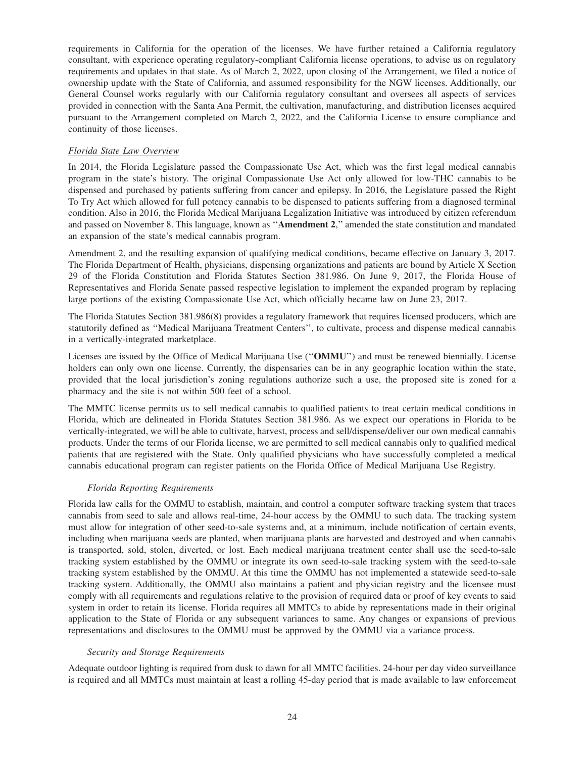requirements in California for the operation of the licenses. We have further retained a California regulatory consultant, with experience operating regulatory-compliant California license operations, to advise us on regulatory requirements and updates in that state. As of March 2, 2022, upon closing of the Arrangement, we filed a notice of ownership update with the State of California, and assumed responsibility for the NGW licenses. Additionally, our General Counsel works regularly with our California regulatory consultant and oversees all aspects of services provided in connection with the Santa Ana Permit, the cultivation, manufacturing, and distribution licenses acquired pursuant to the Arrangement completed on March 2, 2022, and the California License to ensure compliance and continuity of those licenses.

#### *Florida State Law Overview*

In 2014, the Florida Legislature passed the Compassionate Use Act, which was the first legal medical cannabis program in the state's history. The original Compassionate Use Act only allowed for low-THC cannabis to be dispensed and purchased by patients suffering from cancer and epilepsy. In 2016, the Legislature passed the Right To Try Act which allowed for full potency cannabis to be dispensed to patients suffering from a diagnosed terminal condition. Also in 2016, the Florida Medical Marijuana Legalization Initiative was introduced by citizen referendum and passed on November 8. This language, known as ''**Amendment 2**,'' amended the state constitution and mandated an expansion of the state's medical cannabis program.

Amendment 2, and the resulting expansion of qualifying medical conditions, became effective on January 3, 2017. The Florida Department of Health, physicians, dispensing organizations and patients are bound by Article X Section 29 of the Florida Constitution and Florida Statutes Section 381.986. On June 9, 2017, the Florida House of Representatives and Florida Senate passed respective legislation to implement the expanded program by replacing large portions of the existing Compassionate Use Act, which officially became law on June 23, 2017.

The Florida Statutes Section 381.986(8) provides a regulatory framework that requires licensed producers, which are statutorily defined as ''Medical Marijuana Treatment Centers'', to cultivate, process and dispense medical cannabis in a vertically-integrated marketplace.

Licenses are issued by the Office of Medical Marijuana Use (''**OMMU**'') and must be renewed biennially. License holders can only own one license. Currently, the dispensaries can be in any geographic location within the state, provided that the local jurisdiction's zoning regulations authorize such a use, the proposed site is zoned for a pharmacy and the site is not within 500 feet of a school.

The MMTC license permits us to sell medical cannabis to qualified patients to treat certain medical conditions in Florida, which are delineated in Florida Statutes Section 381.986. As we expect our operations in Florida to be vertically-integrated, we will be able to cultivate, harvest, process and sell/dispense/deliver our own medical cannabis products. Under the terms of our Florida license, we are permitted to sell medical cannabis only to qualified medical patients that are registered with the State. Only qualified physicians who have successfully completed a medical cannabis educational program can register patients on the Florida Office of Medical Marijuana Use Registry.

#### *Florida Reporting Requirements*

Florida law calls for the OMMU to establish, maintain, and control a computer software tracking system that traces cannabis from seed to sale and allows real-time, 24-hour access by the OMMU to such data. The tracking system must allow for integration of other seed-to-sale systems and, at a minimum, include notification of certain events, including when marijuana seeds are planted, when marijuana plants are harvested and destroyed and when cannabis is transported, sold, stolen, diverted, or lost. Each medical marijuana treatment center shall use the seed-to-sale tracking system established by the OMMU or integrate its own seed-to-sale tracking system with the seed-to-sale tracking system established by the OMMU. At this time the OMMU has not implemented a statewide seed-to-sale tracking system. Additionally, the OMMU also maintains a patient and physician registry and the licensee must comply with all requirements and regulations relative to the provision of required data or proof of key events to said system in order to retain its license. Florida requires all MMTCs to abide by representations made in their original application to the State of Florida or any subsequent variances to same. Any changes or expansions of previous representations and disclosures to the OMMU must be approved by the OMMU via a variance process.

#### *Security and Storage Requirements*

Adequate outdoor lighting is required from dusk to dawn for all MMTC facilities. 24-hour per day video surveillance is required and all MMTCs must maintain at least a rolling 45-day period that is made available to law enforcement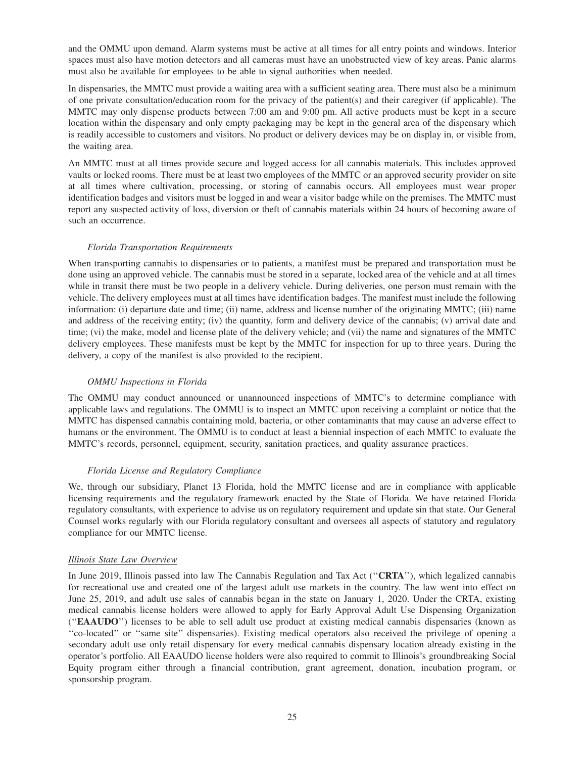and the OMMU upon demand. Alarm systems must be active at all times for all entry points and windows. Interior spaces must also have motion detectors and all cameras must have an unobstructed view of key areas. Panic alarms must also be available for employees to be able to signal authorities when needed.

In dispensaries, the MMTC must provide a waiting area with a sufficient seating area. There must also be a minimum of one private consultation/education room for the privacy of the patient(s) and their caregiver (if applicable). The MMTC may only dispense products between 7:00 am and 9:00 pm. All active products must be kept in a secure location within the dispensary and only empty packaging may be kept in the general area of the dispensary which is readily accessible to customers and visitors. No product or delivery devices may be on display in, or visible from, the waiting area.

An MMTC must at all times provide secure and logged access for all cannabis materials. This includes approved vaults or locked rooms. There must be at least two employees of the MMTC or an approved security provider on site at all times where cultivation, processing, or storing of cannabis occurs. All employees must wear proper identification badges and visitors must be logged in and wear a visitor badge while on the premises. The MMTC must report any suspected activity of loss, diversion or theft of cannabis materials within 24 hours of becoming aware of such an occurrence.

#### *Florida Transportation Requirements*

When transporting cannabis to dispensaries or to patients, a manifest must be prepared and transportation must be done using an approved vehicle. The cannabis must be stored in a separate, locked area of the vehicle and at all times while in transit there must be two people in a delivery vehicle. During deliveries, one person must remain with the vehicle. The delivery employees must at all times have identification badges. The manifest must include the following information: (i) departure date and time; (ii) name, address and license number of the originating MMTC; (iii) name and address of the receiving entity; (iv) the quantity, form and delivery device of the cannabis; (v) arrival date and time; (vi) the make, model and license plate of the delivery vehicle; and (vii) the name and signatures of the MMTC delivery employees. These manifests must be kept by the MMTC for inspection for up to three years. During the delivery, a copy of the manifest is also provided to the recipient.

### *OMMU Inspections in Florida*

The OMMU may conduct announced or unannounced inspections of MMTC's to determine compliance with applicable laws and regulations. The OMMU is to inspect an MMTC upon receiving a complaint or notice that the MMTC has dispensed cannabis containing mold, bacteria, or other contaminants that may cause an adverse effect to humans or the environment. The OMMU is to conduct at least a biennial inspection of each MMTC to evaluate the MMTC's records, personnel, equipment, security, sanitation practices, and quality assurance practices.

#### *Florida License and Regulatory Compliance*

We, through our subsidiary, Planet 13 Florida, hold the MMTC license and are in compliance with applicable licensing requirements and the regulatory framework enacted by the State of Florida. We have retained Florida regulatory consultants, with experience to advise us on regulatory requirement and update sin that state. Our General Counsel works regularly with our Florida regulatory consultant and oversees all aspects of statutory and regulatory compliance for our MMTC license.

#### *Illinois State Law Overview*

In June 2019, Illinois passed into law The Cannabis Regulation and Tax Act (''**CRTA**''), which legalized cannabis for recreational use and created one of the largest adult use markets in the country. The law went into effect on June 25, 2019, and adult use sales of cannabis began in the state on January 1, 2020. Under the CRTA, existing medical cannabis license holders were allowed to apply for Early Approval Adult Use Dispensing Organization (''**EAAUDO**'') licenses to be able to sell adult use product at existing medical cannabis dispensaries (known as ''co-located'' or ''same site'' dispensaries). Existing medical operators also received the privilege of opening a secondary adult use only retail dispensary for every medical cannabis dispensary location already existing in the operator's portfolio. All EAAUDO license holders were also required to commit to Illinois's groundbreaking Social Equity program either through a financial contribution, grant agreement, donation, incubation program, or sponsorship program.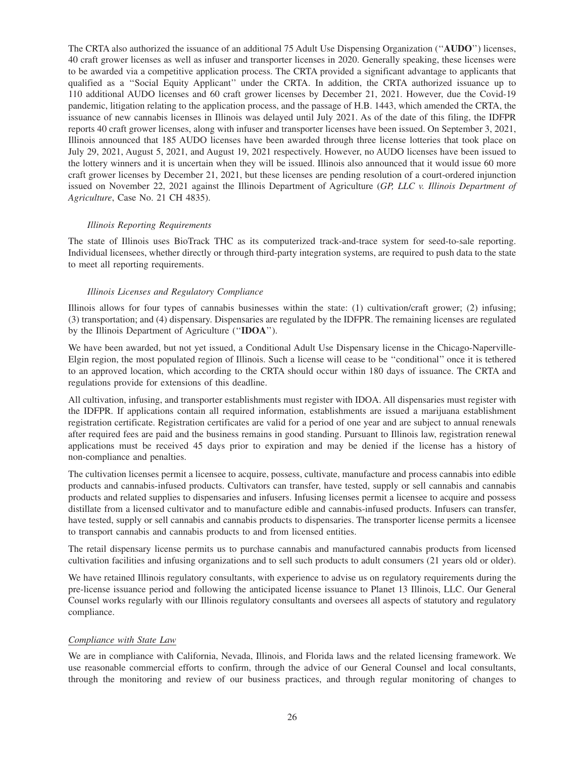The CRTA also authorized the issuance of an additional 75 Adult Use Dispensing Organization (''**AUDO**'') licenses, 40 craft grower licenses as well as infuser and transporter licenses in 2020. Generally speaking, these licenses were to be awarded via a competitive application process. The CRTA provided a significant advantage to applicants that qualified as a ''Social Equity Applicant'' under the CRTA. In addition, the CRTA authorized issuance up to 110 additional AUDO licenses and 60 craft grower licenses by December 21, 2021. However, due the Covid-19 pandemic, litigation relating to the application process, and the passage of H.B. 1443, which amended the CRTA, the issuance of new cannabis licenses in Illinois was delayed until July 2021. As of the date of this filing, the IDFPR reports 40 craft grower licenses, along with infuser and transporter licenses have been issued. On September 3, 2021, Illinois announced that 185 AUDO licenses have been awarded through three license lotteries that took place on July 29, 2021, August 5, 2021, and August 19, 2021 respectively. However, no AUDO licenses have been issued to the lottery winners and it is uncertain when they will be issued. Illinois also announced that it would issue 60 more craft grower licenses by December 21, 2021, but these licenses are pending resolution of a court-ordered injunction issued on November 22, 2021 against the Illinois Department of Agriculture (*GP, LLC v. Illinois Department of Agriculture*, Case No. 21 CH 4835).

#### *Illinois Reporting Requirements*

The state of Illinois uses BioTrack THC as its computerized track-and-trace system for seed-to-sale reporting. Individual licensees, whether directly or through third-party integration systems, are required to push data to the state to meet all reporting requirements.

#### *Illinois Licenses and Regulatory Compliance*

Illinois allows for four types of cannabis businesses within the state: (1) cultivation/craft grower; (2) infusing; (3) transportation; and (4) dispensary. Dispensaries are regulated by the IDFPR. The remaining licenses are regulated by the Illinois Department of Agriculture (''**IDOA**'').

We have been awarded, but not yet issued, a Conditional Adult Use Dispensary license in the Chicago-Naperville-Elgin region, the most populated region of Illinois. Such a license will cease to be ''conditional'' once it is tethered to an approved location, which according to the CRTA should occur within 180 days of issuance. The CRTA and regulations provide for extensions of this deadline.

All cultivation, infusing, and transporter establishments must register with IDOA. All dispensaries must register with the IDFPR. If applications contain all required information, establishments are issued a marijuana establishment registration certificate. Registration certificates are valid for a period of one year and are subject to annual renewals after required fees are paid and the business remains in good standing. Pursuant to Illinois law, registration renewal applications must be received 45 days prior to expiration and may be denied if the license has a history of non-compliance and penalties.

The cultivation licenses permit a licensee to acquire, possess, cultivate, manufacture and process cannabis into edible products and cannabis-infused products. Cultivators can transfer, have tested, supply or sell cannabis and cannabis products and related supplies to dispensaries and infusers. Infusing licenses permit a licensee to acquire and possess distillate from a licensed cultivator and to manufacture edible and cannabis-infused products. Infusers can transfer, have tested, supply or sell cannabis and cannabis products to dispensaries. The transporter license permits a licensee to transport cannabis and cannabis products to and from licensed entities.

The retail dispensary license permits us to purchase cannabis and manufactured cannabis products from licensed cultivation facilities and infusing organizations and to sell such products to adult consumers (21 years old or older).

We have retained Illinois regulatory consultants, with experience to advise us on regulatory requirements during the pre-license issuance period and following the anticipated license issuance to Planet 13 Illinois, LLC. Our General Counsel works regularly with our Illinois regulatory consultants and oversees all aspects of statutory and regulatory compliance.

#### *Compliance with State Law*

We are in compliance with California, Nevada, Illinois, and Florida laws and the related licensing framework. We use reasonable commercial efforts to confirm, through the advice of our General Counsel and local consultants, through the monitoring and review of our business practices, and through regular monitoring of changes to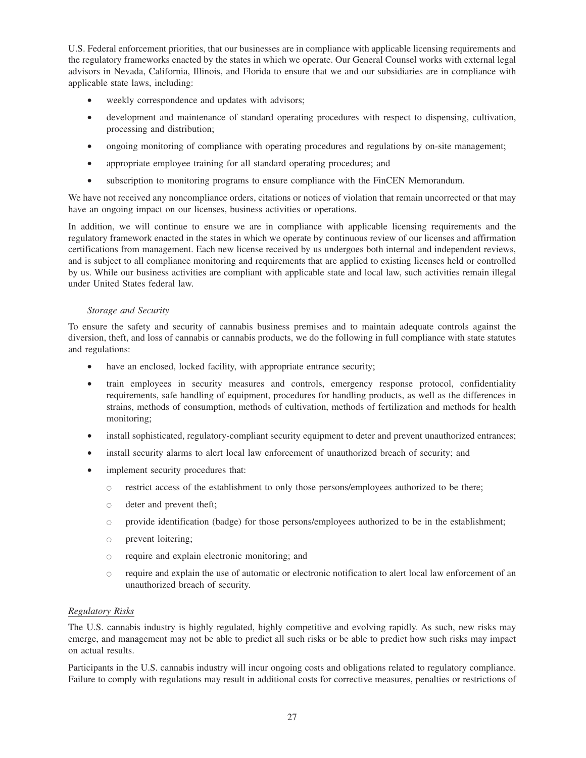U.S. Federal enforcement priorities, that our businesses are in compliance with applicable licensing requirements and the regulatory frameworks enacted by the states in which we operate. Our General Counsel works with external legal advisors in Nevada, California, Illinois, and Florida to ensure that we and our subsidiaries are in compliance with applicable state laws, including:

- weekly correspondence and updates with advisors;
- development and maintenance of standard operating procedures with respect to dispensing, cultivation, processing and distribution;
- ongoing monitoring of compliance with operating procedures and regulations by on-site management;
- appropriate employee training for all standard operating procedures; and
- subscription to monitoring programs to ensure compliance with the FinCEN Memorandum.

We have not received any noncompliance orders, citations or notices of violation that remain uncorrected or that may have an ongoing impact on our licenses, business activities or operations.

In addition, we will continue to ensure we are in compliance with applicable licensing requirements and the regulatory framework enacted in the states in which we operate by continuous review of our licenses and affirmation certifications from management. Each new license received by us undergoes both internal and independent reviews, and is subject to all compliance monitoring and requirements that are applied to existing licenses held or controlled by us. While our business activities are compliant with applicable state and local law, such activities remain illegal under United States federal law.

# *Storage and Security*

To ensure the safety and security of cannabis business premises and to maintain adequate controls against the diversion, theft, and loss of cannabis or cannabis products, we do the following in full compliance with state statutes and regulations:

- have an enclosed, locked facility, with appropriate entrance security;
- train employees in security measures and controls, emergency response protocol, confidentiality requirements, safe handling of equipment, procedures for handling products, as well as the differences in strains, methods of consumption, methods of cultivation, methods of fertilization and methods for health monitoring;
- install sophisticated, regulatory-compliant security equipment to deter and prevent unauthorized entrances;
- install security alarms to alert local law enforcement of unauthorized breach of security; and
- implement security procedures that:
	- $\circ$  restrict access of the establishment to only those persons/employees authorized to be there;
	- deter and prevent theft;
	- provide identification (badge) for those persons/employees authorized to be in the establishment;
	- prevent loitering;
	- require and explain electronic monitoring; and
	- require and explain the use of automatic or electronic notification to alert local law enforcement of an unauthorized breach of security.

# *Regulatory Risks*

The U.S. cannabis industry is highly regulated, highly competitive and evolving rapidly. As such, new risks may emerge, and management may not be able to predict all such risks or be able to predict how such risks may impact on actual results.

Participants in the U.S. cannabis industry will incur ongoing costs and obligations related to regulatory compliance. Failure to comply with regulations may result in additional costs for corrective measures, penalties or restrictions of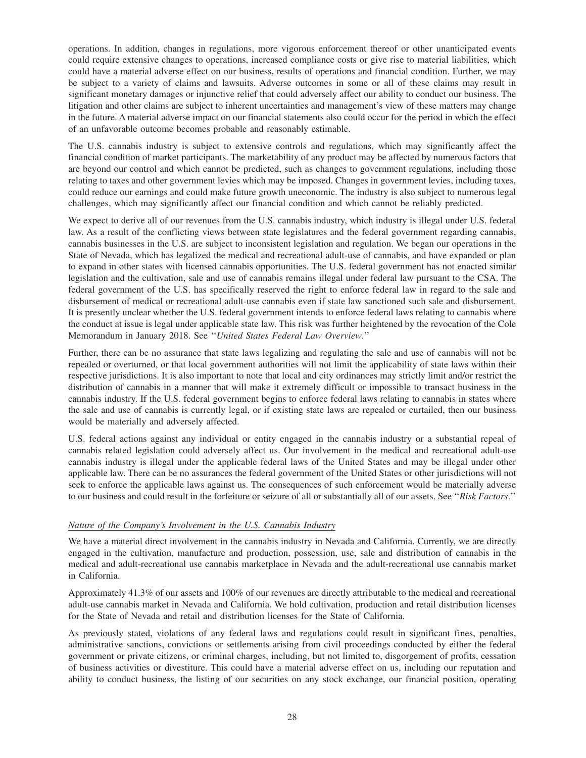operations. In addition, changes in regulations, more vigorous enforcement thereof or other unanticipated events could require extensive changes to operations, increased compliance costs or give rise to material liabilities, which could have a material adverse effect on our business, results of operations and financial condition. Further, we may be subject to a variety of claims and lawsuits. Adverse outcomes in some or all of these claims may result in significant monetary damages or injunctive relief that could adversely affect our ability to conduct our business. The litigation and other claims are subject to inherent uncertainties and management's view of these matters may change in the future. A material adverse impact on our financial statements also could occur for the period in which the effect of an unfavorable outcome becomes probable and reasonably estimable.

The U.S. cannabis industry is subject to extensive controls and regulations, which may significantly affect the financial condition of market participants. The marketability of any product may be affected by numerous factors that are beyond our control and which cannot be predicted, such as changes to government regulations, including those relating to taxes and other government levies which may be imposed. Changes in government levies, including taxes, could reduce our earnings and could make future growth uneconomic. The industry is also subject to numerous legal challenges, which may significantly affect our financial condition and which cannot be reliably predicted.

We expect to derive all of our revenues from the U.S. cannabis industry, which industry is illegal under U.S. federal law. As a result of the conflicting views between state legislatures and the federal government regarding cannabis, cannabis businesses in the U.S. are subject to inconsistent legislation and regulation. We began our operations in the State of Nevada, which has legalized the medical and recreational adult-use of cannabis, and have expanded or plan to expand in other states with licensed cannabis opportunities. The U.S. federal government has not enacted similar legislation and the cultivation, sale and use of cannabis remains illegal under federal law pursuant to the CSA. The federal government of the U.S. has specifically reserved the right to enforce federal law in regard to the sale and disbursement of medical or recreational adult-use cannabis even if state law sanctioned such sale and disbursement. It is presently unclear whether the U.S. federal government intends to enforce federal laws relating to cannabis where the conduct at issue is legal under applicable state law. This risk was further heightened by the revocation of the Cole Memorandum in January 2018. See ''*United States Federal Law Overview*.''

Further, there can be no assurance that state laws legalizing and regulating the sale and use of cannabis will not be repealed or overturned, or that local government authorities will not limit the applicability of state laws within their respective jurisdictions. It is also important to note that local and city ordinances may strictly limit and/or restrict the distribution of cannabis in a manner that will make it extremely difficult or impossible to transact business in the cannabis industry. If the U.S. federal government begins to enforce federal laws relating to cannabis in states where the sale and use of cannabis is currently legal, or if existing state laws are repealed or curtailed, then our business would be materially and adversely affected.

U.S. federal actions against any individual or entity engaged in the cannabis industry or a substantial repeal of cannabis related legislation could adversely affect us. Our involvement in the medical and recreational adult-use cannabis industry is illegal under the applicable federal laws of the United States and may be illegal under other applicable law. There can be no assurances the federal government of the United States or other jurisdictions will not seek to enforce the applicable laws against us. The consequences of such enforcement would be materially adverse to our business and could result in the forfeiture or seizure of all or substantially all of our assets. See ''*Risk Factors*.''

# *Nature of the Company's Involvement in the U.S. Cannabis Industry*

We have a material direct involvement in the cannabis industry in Nevada and California. Currently, we are directly engaged in the cultivation, manufacture and production, possession, use, sale and distribution of cannabis in the medical and adult-recreational use cannabis marketplace in Nevada and the adult-recreational use cannabis market in California.

Approximately 41.3% of our assets and 100% of our revenues are directly attributable to the medical and recreational adult-use cannabis market in Nevada and California. We hold cultivation, production and retail distribution licenses for the State of Nevada and retail and distribution licenses for the State of California.

As previously stated, violations of any federal laws and regulations could result in significant fines, penalties, administrative sanctions, convictions or settlements arising from civil proceedings conducted by either the federal government or private citizens, or criminal charges, including, but not limited to, disgorgement of profits, cessation of business activities or divestiture. This could have a material adverse effect on us, including our reputation and ability to conduct business, the listing of our securities on any stock exchange, our financial position, operating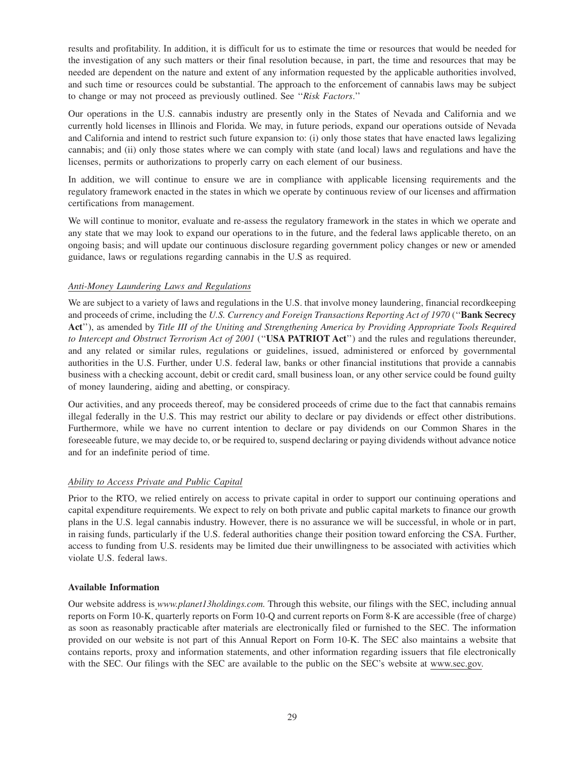results and profitability. In addition, it is difficult for us to estimate the time or resources that would be needed for the investigation of any such matters or their final resolution because, in part, the time and resources that may be needed are dependent on the nature and extent of any information requested by the applicable authorities involved, and such time or resources could be substantial. The approach to the enforcement of cannabis laws may be subject to change or may not proceed as previously outlined. See ''*Risk Factors*.''

Our operations in the U.S. cannabis industry are presently only in the States of Nevada and California and we currently hold licenses in Illinois and Florida. We may, in future periods, expand our operations outside of Nevada and California and intend to restrict such future expansion to: (i) only those states that have enacted laws legalizing cannabis; and (ii) only those states where we can comply with state (and local) laws and regulations and have the licenses, permits or authorizations to properly carry on each element of our business.

In addition, we will continue to ensure we are in compliance with applicable licensing requirements and the regulatory framework enacted in the states in which we operate by continuous review of our licenses and affirmation certifications from management.

We will continue to monitor, evaluate and re-assess the regulatory framework in the states in which we operate and any state that we may look to expand our operations to in the future, and the federal laws applicable thereto, on an ongoing basis; and will update our continuous disclosure regarding government policy changes or new or amended guidance, laws or regulations regarding cannabis in the U.S as required.

# *Anti-Money Laundering Laws and Regulations*

We are subject to a variety of laws and regulations in the U.S. that involve money laundering, financial recordkeeping and proceeds of crime, including the *U.S. Currency and Foreign Transactions Reporting Act of 1970* (''**Bank Secrecy Act**''), as amended by *Title III of the Uniting and Strengthening America by Providing Appropriate Tools Required to Intercept and Obstruct Terrorism Act of 2001* (''**USA PATRIOT Act**'') and the rules and regulations thereunder, and any related or similar rules, regulations or guidelines, issued, administered or enforced by governmental authorities in the U.S. Further, under U.S. federal law, banks or other financial institutions that provide a cannabis business with a checking account, debit or credit card, small business loan, or any other service could be found guilty of money laundering, aiding and abetting, or conspiracy.

Our activities, and any proceeds thereof, may be considered proceeds of crime due to the fact that cannabis remains illegal federally in the U.S. This may restrict our ability to declare or pay dividends or effect other distributions. Furthermore, while we have no current intention to declare or pay dividends on our Common Shares in the foreseeable future, we may decide to, or be required to, suspend declaring or paying dividends without advance notice and for an indefinite period of time.

# *Ability to Access Private and Public Capital*

Prior to the RTO, we relied entirely on access to private capital in order to support our continuing operations and capital expenditure requirements. We expect to rely on both private and public capital markets to finance our growth plans in the U.S. legal cannabis industry. However, there is no assurance we will be successful, in whole or in part, in raising funds, particularly if the U.S. federal authorities change their position toward enforcing the CSA. Further, access to funding from U.S. residents may be limited due their unwillingness to be associated with activities which violate U.S. federal laws.

# **Available Information**

Our website address is *www.planet13holdings.com.* Through this website, our filings with the SEC, including annual reports on Form 10-K, quarterly reports on Form 10-Q and current reports on Form 8-K are accessible (free of charge) as soon as reasonably practicable after materials are electronically filed or furnished to the SEC. The information provided on our website is not part of this Annual Report on Form 10-K. The SEC also maintains a website that contains reports, proxy and information statements, and other information regarding issuers that file electronically with the SEC. Our filings with the SEC are available to the public on the SEC's website at www.sec.gov.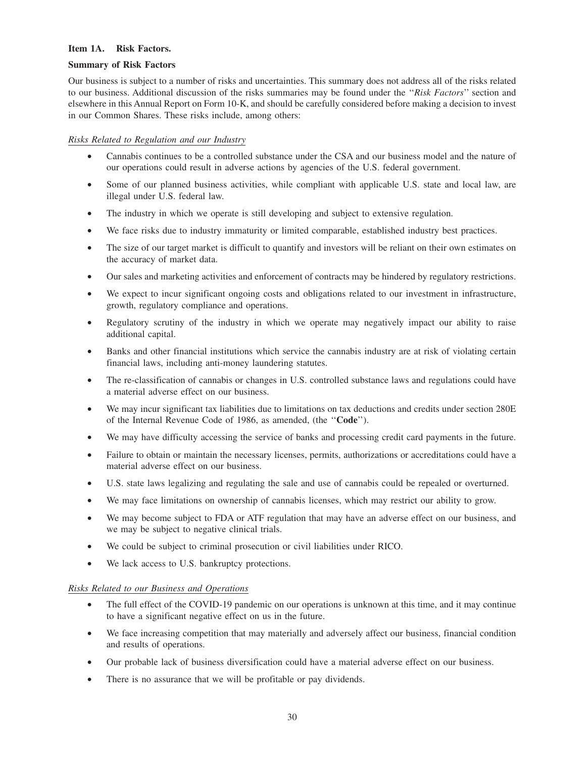### **Item 1A. Risk Factors.**

#### **Summary of Risk Factors**

Our business is subject to a number of risks and uncertainties. This summary does not address all of the risks related to our business. Additional discussion of the risks summaries may be found under the ''*Risk Factors*'' section and elsewhere in this Annual Report on Form 10-K, and should be carefully considered before making a decision to invest in our Common Shares. These risks include, among others:

# *Risks Related to Regulation and our Industry*

- Cannabis continues to be a controlled substance under the CSA and our business model and the nature of our operations could result in adverse actions by agencies of the U.S. federal government.
- Some of our planned business activities, while compliant with applicable U.S. state and local law, are illegal under U.S. federal law.
- The industry in which we operate is still developing and subject to extensive regulation.
- We face risks due to industry immaturity or limited comparable, established industry best practices.
- The size of our target market is difficult to quantify and investors will be reliant on their own estimates on the accuracy of market data.
- Our sales and marketing activities and enforcement of contracts may be hindered by regulatory restrictions.
- We expect to incur significant ongoing costs and obligations related to our investment in infrastructure, growth, regulatory compliance and operations.
- Regulatory scrutiny of the industry in which we operate may negatively impact our ability to raise additional capital.
- Banks and other financial institutions which service the cannabis industry are at risk of violating certain financial laws, including anti-money laundering statutes.
- The re-classification of cannabis or changes in U.S. controlled substance laws and regulations could have a material adverse effect on our business.
- We may incur significant tax liabilities due to limitations on tax deductions and credits under section 280E of the Internal Revenue Code of 1986, as amended, (the ''**Code**'').
- We may have difficulty accessing the service of banks and processing credit card payments in the future.
- Failure to obtain or maintain the necessary licenses, permits, authorizations or accreditations could have a material adverse effect on our business.
- U.S. state laws legalizing and regulating the sale and use of cannabis could be repealed or overturned.
- We may face limitations on ownership of cannabis licenses, which may restrict our ability to grow.
- We may become subject to FDA or ATF regulation that may have an adverse effect on our business, and we may be subject to negative clinical trials.
- We could be subject to criminal prosecution or civil liabilities under RICO.
- We lack access to U.S. bankruptcy protections.

# *Risks Related to our Business and Operations*

- The full effect of the COVID-19 pandemic on our operations is unknown at this time, and it may continue to have a significant negative effect on us in the future.
- We face increasing competition that may materially and adversely affect our business, financial condition and results of operations.
- Our probable lack of business diversification could have a material adverse effect on our business.
- There is no assurance that we will be profitable or pay dividends.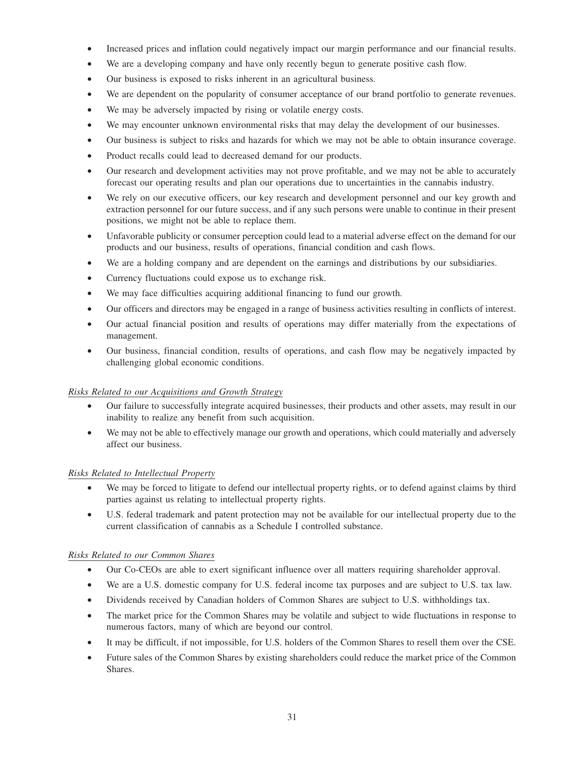- Increased prices and inflation could negatively impact our margin performance and our financial results.
- We are a developing company and have only recently begun to generate positive cash flow.
- Our business is exposed to risks inherent in an agricultural business.
- We are dependent on the popularity of consumer acceptance of our brand portfolio to generate revenues.
- We may be adversely impacted by rising or volatile energy costs.
- We may encounter unknown environmental risks that may delay the development of our businesses.
- Our business is subject to risks and hazards for which we may not be able to obtain insurance coverage.
- Product recalls could lead to decreased demand for our products.
- Our research and development activities may not prove profitable, and we may not be able to accurately forecast our operating results and plan our operations due to uncertainties in the cannabis industry.
- We rely on our executive officers, our key research and development personnel and our key growth and extraction personnel for our future success, and if any such persons were unable to continue in their present positions, we might not be able to replace them.
- Unfavorable publicity or consumer perception could lead to a material adverse effect on the demand for our products and our business, results of operations, financial condition and cash flows.
- We are a holding company and are dependent on the earnings and distributions by our subsidiaries.
- Currency fluctuations could expose us to exchange risk.
- We may face difficulties acquiring additional financing to fund our growth.
- Our officers and directors may be engaged in a range of business activities resulting in conflicts of interest.
- Our actual financial position and results of operations may differ materially from the expectations of management.
- Our business, financial condition, results of operations, and cash flow may be negatively impacted by challenging global economic conditions.

# *Risks Related to our Acquisitions and Growth Strategy*

- Our failure to successfully integrate acquired businesses, their products and other assets, may result in our inability to realize any benefit from such acquisition.
- We may not be able to effectively manage our growth and operations, which could materially and adversely affect our business.

# *Risks Related to Intellectual Property*

- We may be forced to litigate to defend our intellectual property rights, or to defend against claims by third parties against us relating to intellectual property rights.
- U.S. federal trademark and patent protection may not be available for our intellectual property due to the current classification of cannabis as a Schedule I controlled substance.

# *Risks Related to our Common Shares*

- Our Co-CEOs are able to exert significant influence over all matters requiring shareholder approval.
- We are a U.S. domestic company for U.S. federal income tax purposes and are subject to U.S. tax law.
- Dividends received by Canadian holders of Common Shares are subject to U.S. withholdings tax.
- The market price for the Common Shares may be volatile and subject to wide fluctuations in response to numerous factors, many of which are beyond our control.
- It may be difficult, if not impossible, for U.S. holders of the Common Shares to resell them over the CSE.
- Future sales of the Common Shares by existing shareholders could reduce the market price of the Common Shares.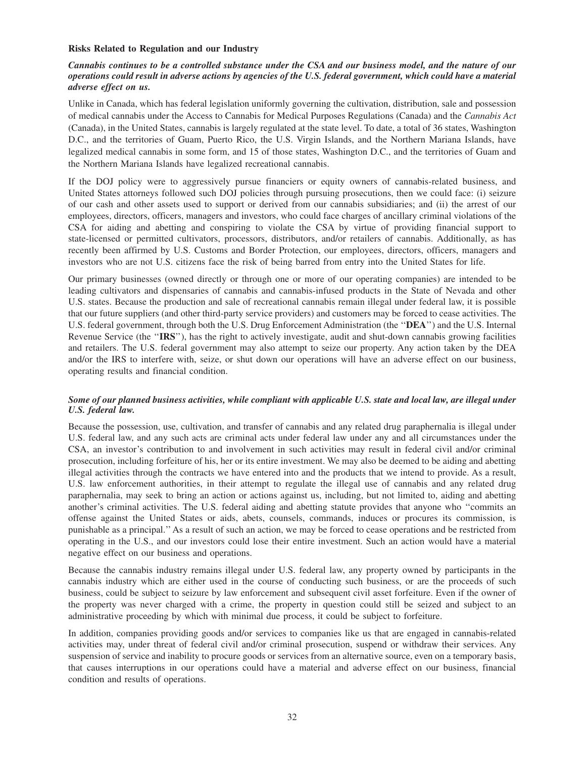#### **Risks Related to Regulation and our Industry**

# *Cannabis continues to be a controlled substance under the CSA and our business model, and the nature of our operations could result in adverse actions by agencies of the U.S. federal government, which could have a material adverse effect on us.*

Unlike in Canada, which has federal legislation uniformly governing the cultivation, distribution, sale and possession of medical cannabis under the Access to Cannabis for Medical Purposes Regulations (Canada) and the *Cannabis Act* (Canada), in the United States, cannabis is largely regulated at the state level. To date, a total of 36 states, Washington D.C., and the territories of Guam, Puerto Rico, the U.S. Virgin Islands, and the Northern Mariana Islands, have legalized medical cannabis in some form, and 15 of those states, Washington D.C., and the territories of Guam and the Northern Mariana Islands have legalized recreational cannabis.

If the DOJ policy were to aggressively pursue financiers or equity owners of cannabis-related business, and United States attorneys followed such DOJ policies through pursuing prosecutions, then we could face: (i) seizure of our cash and other assets used to support or derived from our cannabis subsidiaries; and (ii) the arrest of our employees, directors, officers, managers and investors, who could face charges of ancillary criminal violations of the CSA for aiding and abetting and conspiring to violate the CSA by virtue of providing financial support to state-licensed or permitted cultivators, processors, distributors, and/or retailers of cannabis. Additionally, as has recently been affirmed by U.S. Customs and Border Protection, our employees, directors, officers, managers and investors who are not U.S. citizens face the risk of being barred from entry into the United States for life.

Our primary businesses (owned directly or through one or more of our operating companies) are intended to be leading cultivators and dispensaries of cannabis and cannabis-infused products in the State of Nevada and other U.S. states. Because the production and sale of recreational cannabis remain illegal under federal law, it is possible that our future suppliers (and other third-party service providers) and customers may be forced to cease activities. The U.S. federal government, through both the U.S. Drug Enforcement Administration (the ''**DEA**'') and the U.S. Internal Revenue Service (the ''**IRS**''), has the right to actively investigate, audit and shut-down cannabis growing facilities and retailers. The U.S. federal government may also attempt to seize our property. Any action taken by the DEA and/or the IRS to interfere with, seize, or shut down our operations will have an adverse effect on our business, operating results and financial condition.

#### *Some of our planned business activities, while compliant with applicable U.S. state and local law, are illegal under U.S. federal law.*

Because the possession, use, cultivation, and transfer of cannabis and any related drug paraphernalia is illegal under U.S. federal law, and any such acts are criminal acts under federal law under any and all circumstances under the CSA, an investor's contribution to and involvement in such activities may result in federal civil and/or criminal prosecution, including forfeiture of his, her or its entire investment. We may also be deemed to be aiding and abetting illegal activities through the contracts we have entered into and the products that we intend to provide. As a result, U.S. law enforcement authorities, in their attempt to regulate the illegal use of cannabis and any related drug paraphernalia, may seek to bring an action or actions against us, including, but not limited to, aiding and abetting another's criminal activities. The U.S. federal aiding and abetting statute provides that anyone who ''commits an offense against the United States or aids, abets, counsels, commands, induces or procures its commission, is punishable as a principal.''As a result of such an action, we may be forced to cease operations and be restricted from operating in the U.S., and our investors could lose their entire investment. Such an action would have a material negative effect on our business and operations.

Because the cannabis industry remains illegal under U.S. federal law, any property owned by participants in the cannabis industry which are either used in the course of conducting such business, or are the proceeds of such business, could be subject to seizure by law enforcement and subsequent civil asset forfeiture. Even if the owner of the property was never charged with a crime, the property in question could still be seized and subject to an administrative proceeding by which with minimal due process, it could be subject to forfeiture.

In addition, companies providing goods and/or services to companies like us that are engaged in cannabis-related activities may, under threat of federal civil and/or criminal prosecution, suspend or withdraw their services. Any suspension of service and inability to procure goods or services from an alternative source, even on a temporary basis, that causes interruptions in our operations could have a material and adverse effect on our business, financial condition and results of operations.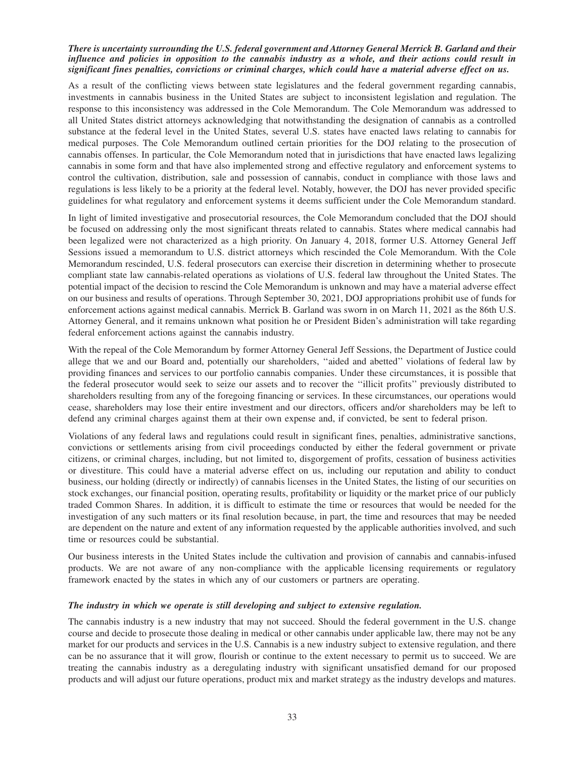#### *There is uncertainty surrounding the U.S. federal government and Attorney General Merrick B. Garland and their influence and policies in opposition to the cannabis industry as a whole, and their actions could result in significant fines penalties, convictions or criminal charges, which could have a material adverse effect on us.*

As a result of the conflicting views between state legislatures and the federal government regarding cannabis, investments in cannabis business in the United States are subject to inconsistent legislation and regulation. The response to this inconsistency was addressed in the Cole Memorandum. The Cole Memorandum was addressed to all United States district attorneys acknowledging that notwithstanding the designation of cannabis as a controlled substance at the federal level in the United States, several U.S. states have enacted laws relating to cannabis for medical purposes. The Cole Memorandum outlined certain priorities for the DOJ relating to the prosecution of cannabis offenses. In particular, the Cole Memorandum noted that in jurisdictions that have enacted laws legalizing cannabis in some form and that have also implemented strong and effective regulatory and enforcement systems to control the cultivation, distribution, sale and possession of cannabis, conduct in compliance with those laws and regulations is less likely to be a priority at the federal level. Notably, however, the DOJ has never provided specific guidelines for what regulatory and enforcement systems it deems sufficient under the Cole Memorandum standard.

In light of limited investigative and prosecutorial resources, the Cole Memorandum concluded that the DOJ should be focused on addressing only the most significant threats related to cannabis. States where medical cannabis had been legalized were not characterized as a high priority. On January 4, 2018, former U.S. Attorney General Jeff Sessions issued a memorandum to U.S. district attorneys which rescinded the Cole Memorandum. With the Cole Memorandum rescinded, U.S. federal prosecutors can exercise their discretion in determining whether to prosecute compliant state law cannabis-related operations as violations of U.S. federal law throughout the United States. The potential impact of the decision to rescind the Cole Memorandum is unknown and may have a material adverse effect on our business and results of operations. Through September 30, 2021, DOJ appropriations prohibit use of funds for enforcement actions against medical cannabis. Merrick B. Garland was sworn in on March 11, 2021 as the 86th U.S. Attorney General, and it remains unknown what position he or President Biden's administration will take regarding federal enforcement actions against the cannabis industry.

With the repeal of the Cole Memorandum by former Attorney General Jeff Sessions, the Department of Justice could allege that we and our Board and, potentially our shareholders, ''aided and abetted'' violations of federal law by providing finances and services to our portfolio cannabis companies. Under these circumstances, it is possible that the federal prosecutor would seek to seize our assets and to recover the ''illicit profits'' previously distributed to shareholders resulting from any of the foregoing financing or services. In these circumstances, our operations would cease, shareholders may lose their entire investment and our directors, officers and/or shareholders may be left to defend any criminal charges against them at their own expense and, if convicted, be sent to federal prison.

Violations of any federal laws and regulations could result in significant fines, penalties, administrative sanctions, convictions or settlements arising from civil proceedings conducted by either the federal government or private citizens, or criminal charges, including, but not limited to, disgorgement of profits, cessation of business activities or divestiture. This could have a material adverse effect on us, including our reputation and ability to conduct business, our holding (directly or indirectly) of cannabis licenses in the United States, the listing of our securities on stock exchanges, our financial position, operating results, profitability or liquidity or the market price of our publicly traded Common Shares. In addition, it is difficult to estimate the time or resources that would be needed for the investigation of any such matters or its final resolution because, in part, the time and resources that may be needed are dependent on the nature and extent of any information requested by the applicable authorities involved, and such time or resources could be substantial.

Our business interests in the United States include the cultivation and provision of cannabis and cannabis-infused products. We are not aware of any non-compliance with the applicable licensing requirements or regulatory framework enacted by the states in which any of our customers or partners are operating.

#### *The industry in which we operate is still developing and subject to extensive regulation.*

The cannabis industry is a new industry that may not succeed. Should the federal government in the U.S. change course and decide to prosecute those dealing in medical or other cannabis under applicable law, there may not be any market for our products and services in the U.S. Cannabis is a new industry subject to extensive regulation, and there can be no assurance that it will grow, flourish or continue to the extent necessary to permit us to succeed. We are treating the cannabis industry as a deregulating industry with significant unsatisfied demand for our proposed products and will adjust our future operations, product mix and market strategy as the industry develops and matures.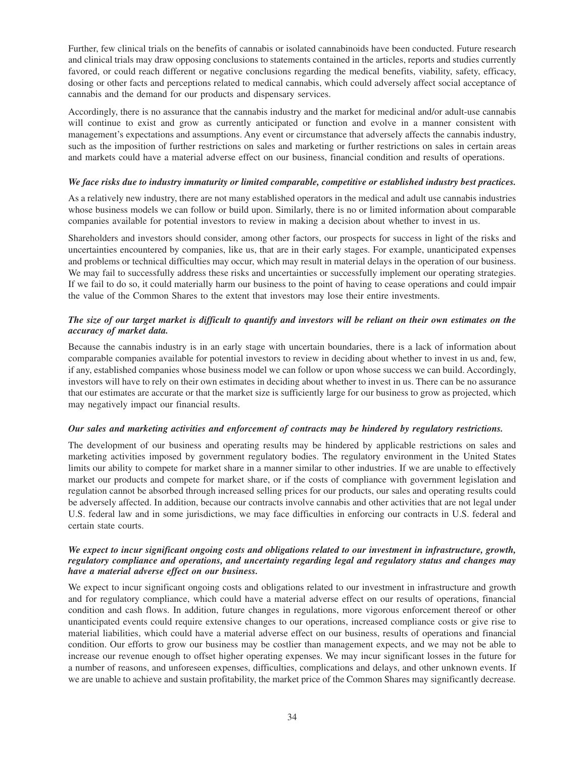Further, few clinical trials on the benefits of cannabis or isolated cannabinoids have been conducted. Future research and clinical trials may draw opposing conclusions to statements contained in the articles, reports and studies currently favored, or could reach different or negative conclusions regarding the medical benefits, viability, safety, efficacy, dosing or other facts and perceptions related to medical cannabis, which could adversely affect social acceptance of cannabis and the demand for our products and dispensary services.

Accordingly, there is no assurance that the cannabis industry and the market for medicinal and/or adult-use cannabis will continue to exist and grow as currently anticipated or function and evolve in a manner consistent with management's expectations and assumptions. Any event or circumstance that adversely affects the cannabis industry, such as the imposition of further restrictions on sales and marketing or further restrictions on sales in certain areas and markets could have a material adverse effect on our business, financial condition and results of operations.

### *We face risks due to industry immaturity or limited comparable, competitive or established industry best practices.*

As a relatively new industry, there are not many established operators in the medical and adult use cannabis industries whose business models we can follow or build upon. Similarly, there is no or limited information about comparable companies available for potential investors to review in making a decision about whether to invest in us.

Shareholders and investors should consider, among other factors, our prospects for success in light of the risks and uncertainties encountered by companies, like us, that are in their early stages. For example, unanticipated expenses and problems or technical difficulties may occur, which may result in material delays in the operation of our business. We may fail to successfully address these risks and uncertainties or successfully implement our operating strategies. If we fail to do so, it could materially harm our business to the point of having to cease operations and could impair the value of the Common Shares to the extent that investors may lose their entire investments.

# *The size of our target market is difficult to quantify and investors will be reliant on their own estimates on the accuracy of market data.*

Because the cannabis industry is in an early stage with uncertain boundaries, there is a lack of information about comparable companies available for potential investors to review in deciding about whether to invest in us and, few, if any, established companies whose business model we can follow or upon whose success we can build. Accordingly, investors will have to rely on their own estimates in deciding about whether to invest in us. There can be no assurance that our estimates are accurate or that the market size is sufficiently large for our business to grow as projected, which may negatively impact our financial results.

# *Our sales and marketing activities and enforcement of contracts may be hindered by regulatory restrictions.*

The development of our business and operating results may be hindered by applicable restrictions on sales and marketing activities imposed by government regulatory bodies. The regulatory environment in the United States limits our ability to compete for market share in a manner similar to other industries. If we are unable to effectively market our products and compete for market share, or if the costs of compliance with government legislation and regulation cannot be absorbed through increased selling prices for our products, our sales and operating results could be adversely affected. In addition, because our contracts involve cannabis and other activities that are not legal under U.S. federal law and in some jurisdictions, we may face difficulties in enforcing our contracts in U.S. federal and certain state courts.

# *We expect to incur significant ongoing costs and obligations related to our investment in infrastructure, growth, regulatory compliance and operations, and uncertainty regarding legal and regulatory status and changes may have a material adverse effect on our business.*

We expect to incur significant ongoing costs and obligations related to our investment in infrastructure and growth and for regulatory compliance, which could have a material adverse effect on our results of operations, financial condition and cash flows. In addition, future changes in regulations, more vigorous enforcement thereof or other unanticipated events could require extensive changes to our operations, increased compliance costs or give rise to material liabilities, which could have a material adverse effect on our business, results of operations and financial condition. Our efforts to grow our business may be costlier than management expects, and we may not be able to increase our revenue enough to offset higher operating expenses. We may incur significant losses in the future for a number of reasons, and unforeseen expenses, difficulties, complications and delays, and other unknown events. If we are unable to achieve and sustain profitability, the market price of the Common Shares may significantly decrease*.*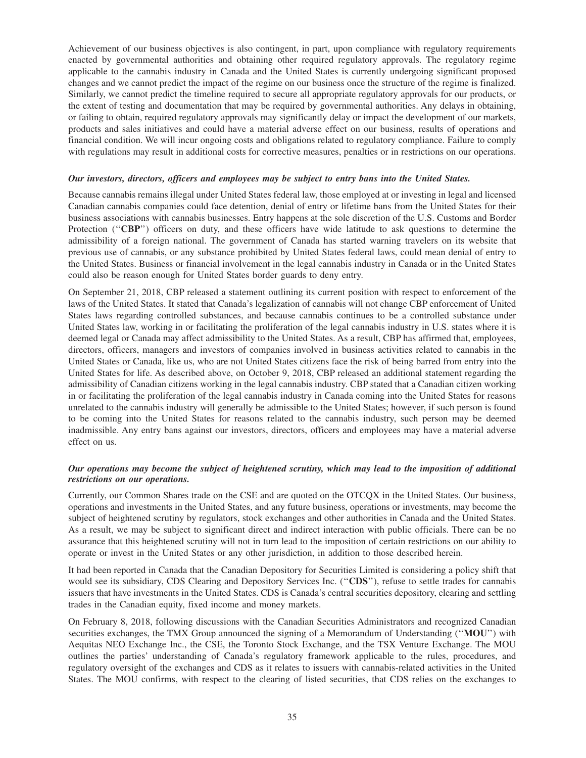Achievement of our business objectives is also contingent, in part, upon compliance with regulatory requirements enacted by governmental authorities and obtaining other required regulatory approvals. The regulatory regime applicable to the cannabis industry in Canada and the United States is currently undergoing significant proposed changes and we cannot predict the impact of the regime on our business once the structure of the regime is finalized. Similarly, we cannot predict the timeline required to secure all appropriate regulatory approvals for our products, or the extent of testing and documentation that may be required by governmental authorities. Any delays in obtaining, or failing to obtain, required regulatory approvals may significantly delay or impact the development of our markets, products and sales initiatives and could have a material adverse effect on our business, results of operations and financial condition. We will incur ongoing costs and obligations related to regulatory compliance. Failure to comply with regulations may result in additional costs for corrective measures, penalties or in restrictions on our operations.

### *Our investors, directors, officers and employees may be subject to entry bans into the United States.*

Because cannabis remains illegal under United States federal law, those employed at or investing in legal and licensed Canadian cannabis companies could face detention, denial of entry or lifetime bans from the United States for their business associations with cannabis businesses. Entry happens at the sole discretion of the U.S. Customs and Border Protection ("**CBP**") officers on duty, and these officers have wide latitude to ask questions to determine the admissibility of a foreign national. The government of Canada has started warning travelers on its website that previous use of cannabis, or any substance prohibited by United States federal laws, could mean denial of entry to the United States. Business or financial involvement in the legal cannabis industry in Canada or in the United States could also be reason enough for United States border guards to deny entry.

On September 21, 2018, CBP released a statement outlining its current position with respect to enforcement of the laws of the United States. It stated that Canada's legalization of cannabis will not change CBP enforcement of United States laws regarding controlled substances, and because cannabis continues to be a controlled substance under United States law, working in or facilitating the proliferation of the legal cannabis industry in U.S. states where it is deemed legal or Canada may affect admissibility to the United States. As a result, CBP has affirmed that, employees, directors, officers, managers and investors of companies involved in business activities related to cannabis in the United States or Canada, like us, who are not United States citizens face the risk of being barred from entry into the United States for life. As described above, on October 9, 2018, CBP released an additional statement regarding the admissibility of Canadian citizens working in the legal cannabis industry. CBP stated that a Canadian citizen working in or facilitating the proliferation of the legal cannabis industry in Canada coming into the United States for reasons unrelated to the cannabis industry will generally be admissible to the United States; however, if such person is found to be coming into the United States for reasons related to the cannabis industry, such person may be deemed inadmissible. Any entry bans against our investors, directors, officers and employees may have a material adverse effect on us.

# *Our operations may become the subject of heightened scrutiny, which may lead to the imposition of additional restrictions on our operations.*

Currently, our Common Shares trade on the CSE and are quoted on the OTCQX in the United States. Our business, operations and investments in the United States, and any future business, operations or investments, may become the subject of heightened scrutiny by regulators, stock exchanges and other authorities in Canada and the United States. As a result, we may be subject to significant direct and indirect interaction with public officials. There can be no assurance that this heightened scrutiny will not in turn lead to the imposition of certain restrictions on our ability to operate or invest in the United States or any other jurisdiction, in addition to those described herein.

It had been reported in Canada that the Canadian Depository for Securities Limited is considering a policy shift that would see its subsidiary, CDS Clearing and Depository Services Inc. ("**CDS**"), refuse to settle trades for cannabis issuers that have investments in the United States. CDS is Canada's central securities depository, clearing and settling trades in the Canadian equity, fixed income and money markets.

On February 8, 2018, following discussions with the Canadian Securities Administrators and recognized Canadian securities exchanges, the TMX Group announced the signing of a Memorandum of Understanding (''**MOU**'') with Aequitas NEO Exchange Inc., the CSE, the Toronto Stock Exchange, and the TSX Venture Exchange. The MOU outlines the parties' understanding of Canada's regulatory framework applicable to the rules, procedures, and regulatory oversight of the exchanges and CDS as it relates to issuers with cannabis-related activities in the United States. The MOU confirms, with respect to the clearing of listed securities, that CDS relies on the exchanges to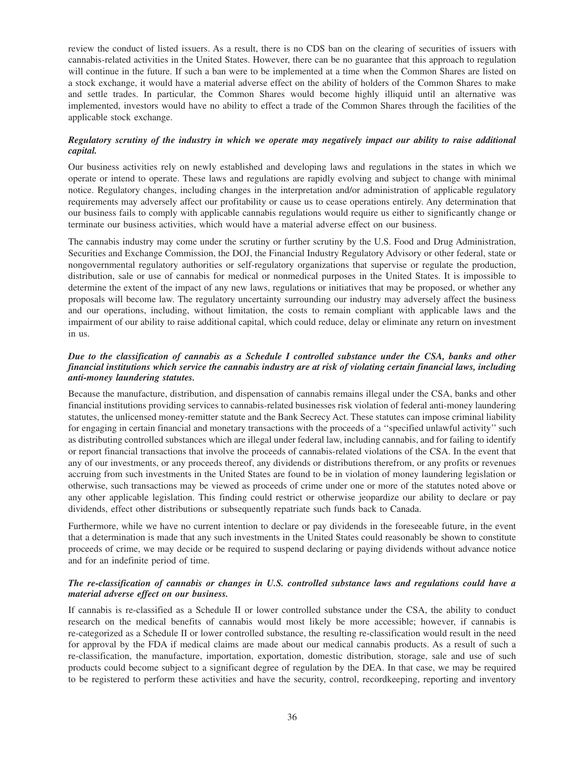review the conduct of listed issuers. As a result, there is no CDS ban on the clearing of securities of issuers with cannabis-related activities in the United States. However, there can be no guarantee that this approach to regulation will continue in the future. If such a ban were to be implemented at a time when the Common Shares are listed on a stock exchange, it would have a material adverse effect on the ability of holders of the Common Shares to make and settle trades. In particular, the Common Shares would become highly illiquid until an alternative was implemented, investors would have no ability to effect a trade of the Common Shares through the facilities of the applicable stock exchange.

# *Regulatory scrutiny of the industry in which we operate may negatively impact our ability to raise additional capital.*

Our business activities rely on newly established and developing laws and regulations in the states in which we operate or intend to operate. These laws and regulations are rapidly evolving and subject to change with minimal notice. Regulatory changes, including changes in the interpretation and/or administration of applicable regulatory requirements may adversely affect our profitability or cause us to cease operations entirely. Any determination that our business fails to comply with applicable cannabis regulations would require us either to significantly change or terminate our business activities, which would have a material adverse effect on our business.

The cannabis industry may come under the scrutiny or further scrutiny by the U.S. Food and Drug Administration, Securities and Exchange Commission, the DOJ, the Financial Industry Regulatory Advisory or other federal, state or nongovernmental regulatory authorities or self-regulatory organizations that supervise or regulate the production, distribution, sale or use of cannabis for medical or nonmedical purposes in the United States. It is impossible to determine the extent of the impact of any new laws, regulations or initiatives that may be proposed, or whether any proposals will become law. The regulatory uncertainty surrounding our industry may adversely affect the business and our operations, including, without limitation, the costs to remain compliant with applicable laws and the impairment of our ability to raise additional capital, which could reduce, delay or eliminate any return on investment in us.

# *Due to the classification of cannabis as a Schedule I controlled substance under the CSA, banks and other financial institutions which service the cannabis industry are at risk of violating certain financial laws, including anti-money laundering statutes.*

Because the manufacture, distribution, and dispensation of cannabis remains illegal under the CSA, banks and other financial institutions providing services to cannabis-related businesses risk violation of federal anti-money laundering statutes, the unlicensed money-remitter statute and the Bank Secrecy Act. These statutes can impose criminal liability for engaging in certain financial and monetary transactions with the proceeds of a ''specified unlawful activity'' such as distributing controlled substances which are illegal under federal law, including cannabis, and for failing to identify or report financial transactions that involve the proceeds of cannabis-related violations of the CSA. In the event that any of our investments, or any proceeds thereof, any dividends or distributions therefrom, or any profits or revenues accruing from such investments in the United States are found to be in violation of money laundering legislation or otherwise, such transactions may be viewed as proceeds of crime under one or more of the statutes noted above or any other applicable legislation. This finding could restrict or otherwise jeopardize our ability to declare or pay dividends, effect other distributions or subsequently repatriate such funds back to Canada.

Furthermore, while we have no current intention to declare or pay dividends in the foreseeable future, in the event that a determination is made that any such investments in the United States could reasonably be shown to constitute proceeds of crime, we may decide or be required to suspend declaring or paying dividends without advance notice and for an indefinite period of time.

# *The re-classification of cannabis or changes in U.S. controlled substance laws and regulations could have a material adverse effect on our business.*

If cannabis is re-classified as a Schedule II or lower controlled substance under the CSA, the ability to conduct research on the medical benefits of cannabis would most likely be more accessible; however, if cannabis is re-categorized as a Schedule II or lower controlled substance, the resulting re-classification would result in the need for approval by the FDA if medical claims are made about our medical cannabis products. As a result of such a re-classification, the manufacture, importation, exportation, domestic distribution, storage, sale and use of such products could become subject to a significant degree of regulation by the DEA. In that case, we may be required to be registered to perform these activities and have the security, control, recordkeeping, reporting and inventory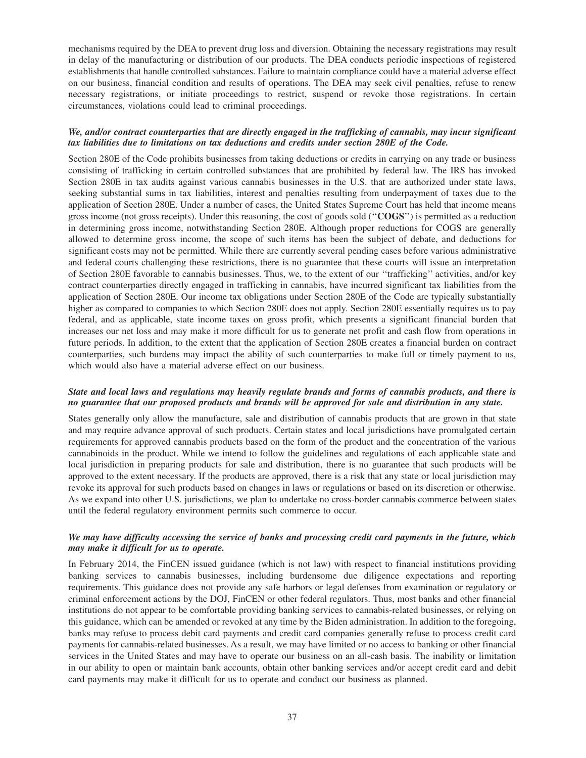mechanisms required by the DEA to prevent drug loss and diversion. Obtaining the necessary registrations may result in delay of the manufacturing or distribution of our products. The DEA conducts periodic inspections of registered establishments that handle controlled substances. Failure to maintain compliance could have a material adverse effect on our business, financial condition and results of operations. The DEA may seek civil penalties, refuse to renew necessary registrations, or initiate proceedings to restrict, suspend or revoke those registrations. In certain circumstances, violations could lead to criminal proceedings.

## *We, and/or contract counterparties that are directly engaged in the trafficking of cannabis, may incur significant tax liabilities due to limitations on tax deductions and credits under section 280E of the Code.*

Section 280E of the Code prohibits businesses from taking deductions or credits in carrying on any trade or business consisting of trafficking in certain controlled substances that are prohibited by federal law. The IRS has invoked Section 280E in tax audits against various cannabis businesses in the U.S. that are authorized under state laws, seeking substantial sums in tax liabilities, interest and penalties resulting from underpayment of taxes due to the application of Section 280E. Under a number of cases, the United States Supreme Court has held that income means gross income (not gross receipts). Under this reasoning, the cost of goods sold (''**COGS**'') is permitted as a reduction in determining gross income, notwithstanding Section 280E. Although proper reductions for COGS are generally allowed to determine gross income, the scope of such items has been the subject of debate, and deductions for significant costs may not be permitted. While there are currently several pending cases before various administrative and federal courts challenging these restrictions, there is no guarantee that these courts will issue an interpretation of Section 280E favorable to cannabis businesses. Thus, we, to the extent of our ''trafficking'' activities, and/or key contract counterparties directly engaged in trafficking in cannabis, have incurred significant tax liabilities from the application of Section 280E. Our income tax obligations under Section 280E of the Code are typically substantially higher as compared to companies to which Section 280E does not apply. Section 280E essentially requires us to pay federal, and as applicable, state income taxes on gross profit, which presents a significant financial burden that increases our net loss and may make it more difficult for us to generate net profit and cash flow from operations in future periods. In addition, to the extent that the application of Section 280E creates a financial burden on contract counterparties, such burdens may impact the ability of such counterparties to make full or timely payment to us, which would also have a material adverse effect on our business.

### *State and local laws and regulations may heavily regulate brands and forms of cannabis products, and there is no guarantee that our proposed products and brands will be approved for sale and distribution in any state.*

States generally only allow the manufacture, sale and distribution of cannabis products that are grown in that state and may require advance approval of such products. Certain states and local jurisdictions have promulgated certain requirements for approved cannabis products based on the form of the product and the concentration of the various cannabinoids in the product. While we intend to follow the guidelines and regulations of each applicable state and local jurisdiction in preparing products for sale and distribution, there is no guarantee that such products will be approved to the extent necessary. If the products are approved, there is a risk that any state or local jurisdiction may revoke its approval for such products based on changes in laws or regulations or based on its discretion or otherwise. As we expand into other U.S. jurisdictions, we plan to undertake no cross-border cannabis commerce between states until the federal regulatory environment permits such commerce to occur.

## *We may have difficulty accessing the service of banks and processing credit card payments in the future, which may make it difficult for us to operate.*

In February 2014, the FinCEN issued guidance (which is not law) with respect to financial institutions providing banking services to cannabis businesses, including burdensome due diligence expectations and reporting requirements. This guidance does not provide any safe harbors or legal defenses from examination or regulatory or criminal enforcement actions by the DOJ, FinCEN or other federal regulators. Thus, most banks and other financial institutions do not appear to be comfortable providing banking services to cannabis-related businesses, or relying on this guidance, which can be amended or revoked at any time by the Biden administration. In addition to the foregoing, banks may refuse to process debit card payments and credit card companies generally refuse to process credit card payments for cannabis-related businesses. As a result, we may have limited or no access to banking or other financial services in the United States and may have to operate our business on an all-cash basis. The inability or limitation in our ability to open or maintain bank accounts, obtain other banking services and/or accept credit card and debit card payments may make it difficult for us to operate and conduct our business as planned.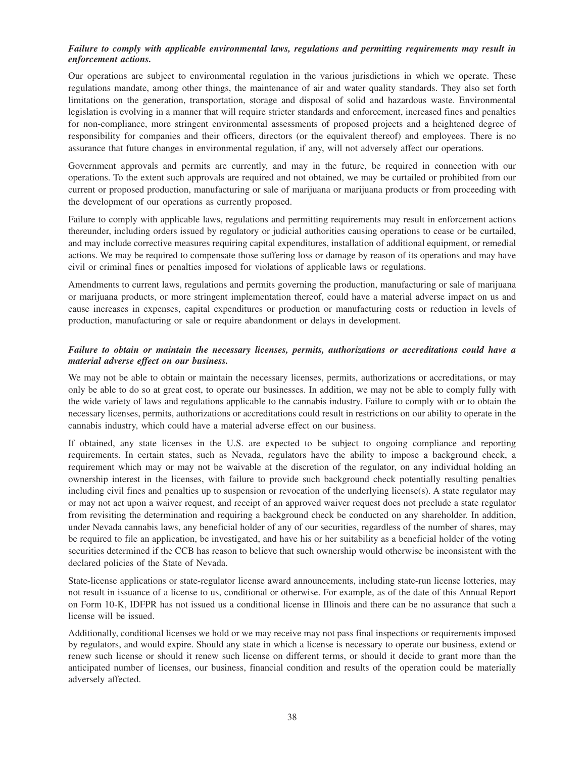## *Failure to comply with applicable environmental laws, regulations and permitting requirements may result in enforcement actions.*

Our operations are subject to environmental regulation in the various jurisdictions in which we operate. These regulations mandate, among other things, the maintenance of air and water quality standards. They also set forth limitations on the generation, transportation, storage and disposal of solid and hazardous waste. Environmental legislation is evolving in a manner that will require stricter standards and enforcement, increased fines and penalties for non-compliance, more stringent environmental assessments of proposed projects and a heightened degree of responsibility for companies and their officers, directors (or the equivalent thereof) and employees. There is no assurance that future changes in environmental regulation, if any, will not adversely affect our operations.

Government approvals and permits are currently, and may in the future, be required in connection with our operations. To the extent such approvals are required and not obtained, we may be curtailed or prohibited from our current or proposed production, manufacturing or sale of marijuana or marijuana products or from proceeding with the development of our operations as currently proposed.

Failure to comply with applicable laws, regulations and permitting requirements may result in enforcement actions thereunder, including orders issued by regulatory or judicial authorities causing operations to cease or be curtailed, and may include corrective measures requiring capital expenditures, installation of additional equipment, or remedial actions. We may be required to compensate those suffering loss or damage by reason of its operations and may have civil or criminal fines or penalties imposed for violations of applicable laws or regulations.

Amendments to current laws, regulations and permits governing the production, manufacturing or sale of marijuana or marijuana products, or more stringent implementation thereof, could have a material adverse impact on us and cause increases in expenses, capital expenditures or production or manufacturing costs or reduction in levels of production, manufacturing or sale or require abandonment or delays in development.

# *Failure to obtain or maintain the necessary licenses, permits, authorizations or accreditations could have a material adverse effect on our business.*

We may not be able to obtain or maintain the necessary licenses, permits, authorizations or accreditations, or may only be able to do so at great cost, to operate our businesses. In addition, we may not be able to comply fully with the wide variety of laws and regulations applicable to the cannabis industry. Failure to comply with or to obtain the necessary licenses, permits, authorizations or accreditations could result in restrictions on our ability to operate in the cannabis industry, which could have a material adverse effect on our business.

If obtained, any state licenses in the U.S. are expected to be subject to ongoing compliance and reporting requirements. In certain states, such as Nevada, regulators have the ability to impose a background check, a requirement which may or may not be waivable at the discretion of the regulator, on any individual holding an ownership interest in the licenses, with failure to provide such background check potentially resulting penalties including civil fines and penalties up to suspension or revocation of the underlying license(s). A state regulator may or may not act upon a waiver request, and receipt of an approved waiver request does not preclude a state regulator from revisiting the determination and requiring a background check be conducted on any shareholder. In addition, under Nevada cannabis laws, any beneficial holder of any of our securities, regardless of the number of shares, may be required to file an application, be investigated, and have his or her suitability as a beneficial holder of the voting securities determined if the CCB has reason to believe that such ownership would otherwise be inconsistent with the declared policies of the State of Nevada.

State-license applications or state-regulator license award announcements, including state-run license lotteries, may not result in issuance of a license to us, conditional or otherwise. For example, as of the date of this Annual Report on Form 10-K, IDFPR has not issued us a conditional license in Illinois and there can be no assurance that such a license will be issued.

Additionally, conditional licenses we hold or we may receive may not pass final inspections or requirements imposed by regulators, and would expire. Should any state in which a license is necessary to operate our business, extend or renew such license or should it renew such license on different terms, or should it decide to grant more than the anticipated number of licenses, our business, financial condition and results of the operation could be materially adversely affected.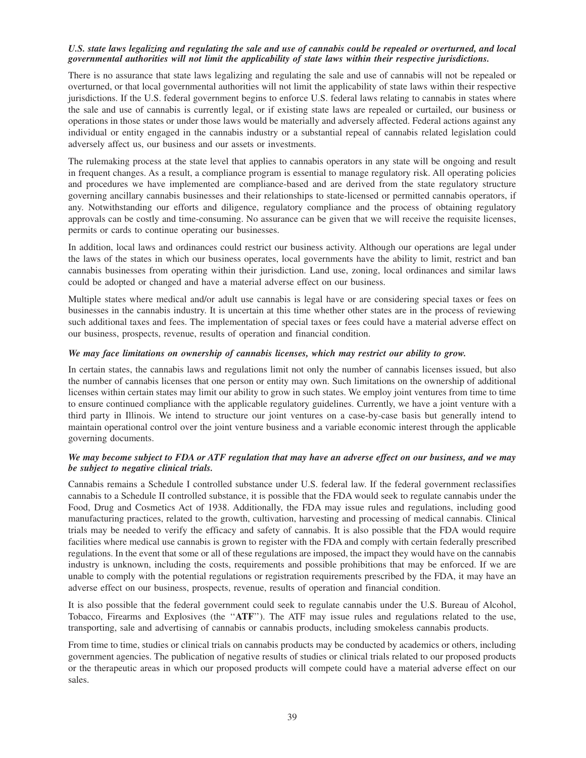## *U.S. state laws legalizing and regulating the sale and use of cannabis could be repealed or overturned, and local governmental authorities will not limit the applicability of state laws within their respective jurisdictions.*

There is no assurance that state laws legalizing and regulating the sale and use of cannabis will not be repealed or overturned, or that local governmental authorities will not limit the applicability of state laws within their respective jurisdictions. If the U.S. federal government begins to enforce U.S. federal laws relating to cannabis in states where the sale and use of cannabis is currently legal, or if existing state laws are repealed or curtailed, our business or operations in those states or under those laws would be materially and adversely affected. Federal actions against any individual or entity engaged in the cannabis industry or a substantial repeal of cannabis related legislation could adversely affect us, our business and our assets or investments.

The rulemaking process at the state level that applies to cannabis operators in any state will be ongoing and result in frequent changes. As a result, a compliance program is essential to manage regulatory risk. All operating policies and procedures we have implemented are compliance-based and are derived from the state regulatory structure governing ancillary cannabis businesses and their relationships to state-licensed or permitted cannabis operators, if any. Notwithstanding our efforts and diligence, regulatory compliance and the process of obtaining regulatory approvals can be costly and time-consuming. No assurance can be given that we will receive the requisite licenses, permits or cards to continue operating our businesses.

In addition, local laws and ordinances could restrict our business activity. Although our operations are legal under the laws of the states in which our business operates, local governments have the ability to limit, restrict and ban cannabis businesses from operating within their jurisdiction. Land use, zoning, local ordinances and similar laws could be adopted or changed and have a material adverse effect on our business.

Multiple states where medical and/or adult use cannabis is legal have or are considering special taxes or fees on businesses in the cannabis industry. It is uncertain at this time whether other states are in the process of reviewing such additional taxes and fees. The implementation of special taxes or fees could have a material adverse effect on our business, prospects, revenue, results of operation and financial condition.

## *We may face limitations on ownership of cannabis licenses, which may restrict our ability to grow.*

In certain states, the cannabis laws and regulations limit not only the number of cannabis licenses issued, but also the number of cannabis licenses that one person or entity may own. Such limitations on the ownership of additional licenses within certain states may limit our ability to grow in such states. We employ joint ventures from time to time to ensure continued compliance with the applicable regulatory guidelines. Currently, we have a joint venture with a third party in Illinois. We intend to structure our joint ventures on a case-by-case basis but generally intend to maintain operational control over the joint venture business and a variable economic interest through the applicable governing documents.

## *We may become subject to FDA or ATF regulation that may have an adverse effect on our business, and we may be subject to negative clinical trials.*

Cannabis remains a Schedule I controlled substance under U.S. federal law. If the federal government reclassifies cannabis to a Schedule II controlled substance, it is possible that the FDA would seek to regulate cannabis under the Food, Drug and Cosmetics Act of 1938. Additionally, the FDA may issue rules and regulations, including good manufacturing practices, related to the growth, cultivation, harvesting and processing of medical cannabis. Clinical trials may be needed to verify the efficacy and safety of cannabis. It is also possible that the FDA would require facilities where medical use cannabis is grown to register with the FDA and comply with certain federally prescribed regulations. In the event that some or all of these regulations are imposed, the impact they would have on the cannabis industry is unknown, including the costs, requirements and possible prohibitions that may be enforced. If we are unable to comply with the potential regulations or registration requirements prescribed by the FDA, it may have an adverse effect on our business, prospects, revenue, results of operation and financial condition.

It is also possible that the federal government could seek to regulate cannabis under the U.S. Bureau of Alcohol, Tobacco, Firearms and Explosives (the ''**ATF**''). The ATF may issue rules and regulations related to the use, transporting, sale and advertising of cannabis or cannabis products, including smokeless cannabis products.

From time to time, studies or clinical trials on cannabis products may be conducted by academics or others, including government agencies. The publication of negative results of studies or clinical trials related to our proposed products or the therapeutic areas in which our proposed products will compete could have a material adverse effect on our sales.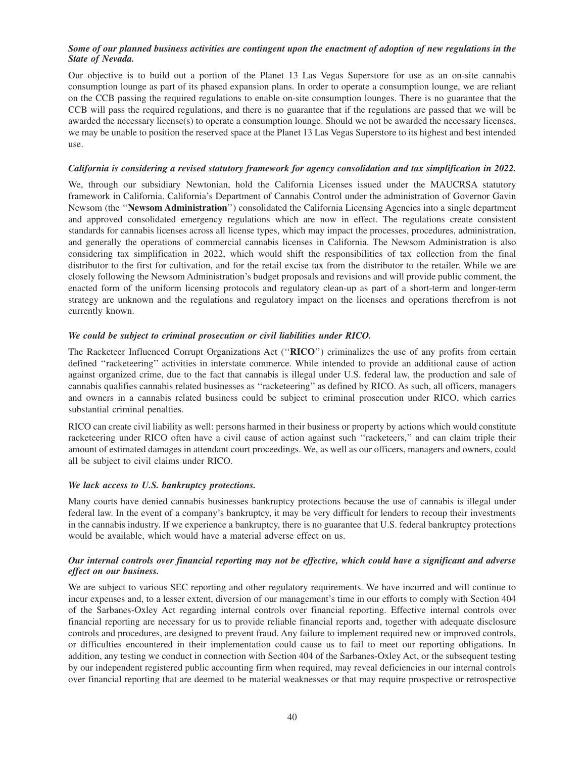## *Some of our planned business activities are contingent upon the enactment of adoption of new regulations in the State of Nevada.*

Our objective is to build out a portion of the Planet 13 Las Vegas Superstore for use as an on-site cannabis consumption lounge as part of its phased expansion plans. In order to operate a consumption lounge, we are reliant on the CCB passing the required regulations to enable on-site consumption lounges. There is no guarantee that the CCB will pass the required regulations, and there is no guarantee that if the regulations are passed that we will be awarded the necessary license(s) to operate a consumption lounge. Should we not be awarded the necessary licenses, we may be unable to position the reserved space at the Planet 13 Las Vegas Superstore to its highest and best intended use.

# *California is considering a revised statutory framework for agency consolidation and tax simplification in 2022.*

We, through our subsidiary Newtonian, hold the California Licenses issued under the MAUCRSA statutory framework in California. California's Department of Cannabis Control under the administration of Governor Gavin Newsom (the ''**Newsom Administration**'') consolidated the California Licensing Agencies into a single department and approved consolidated emergency regulations which are now in effect. The regulations create consistent standards for cannabis licenses across all license types, which may impact the processes, procedures, administration, and generally the operations of commercial cannabis licenses in California. The Newsom Administration is also considering tax simplification in 2022, which would shift the responsibilities of tax collection from the final distributor to the first for cultivation, and for the retail excise tax from the distributor to the retailer. While we are closely following the Newsom Administration's budget proposals and revisions and will provide public comment, the enacted form of the uniform licensing protocols and regulatory clean-up as part of a short-term and longer-term strategy are unknown and the regulations and regulatory impact on the licenses and operations therefrom is not currently known.

## *We could be subject to criminal prosecution or civil liabilities under RICO.*

The Racketeer Influenced Corrupt Organizations Act (''**RICO**'') criminalizes the use of any profits from certain defined ''racketeering'' activities in interstate commerce. While intended to provide an additional cause of action against organized crime, due to the fact that cannabis is illegal under U.S. federal law, the production and sale of cannabis qualifies cannabis related businesses as ''racketeering'' as defined by RICO. As such, all officers, managers and owners in a cannabis related business could be subject to criminal prosecution under RICO, which carries substantial criminal penalties.

RICO can create civil liability as well: persons harmed in their business or property by actions which would constitute racketeering under RICO often have a civil cause of action against such ''racketeers,'' and can claim triple their amount of estimated damages in attendant court proceedings. We, as well as our officers, managers and owners, could all be subject to civil claims under RICO.

# *We lack access to U.S. bankruptcy protections.*

Many courts have denied cannabis businesses bankruptcy protections because the use of cannabis is illegal under federal law. In the event of a company's bankruptcy, it may be very difficult for lenders to recoup their investments in the cannabis industry. If we experience a bankruptcy, there is no guarantee that U.S. federal bankruptcy protections would be available, which would have a material adverse effect on us.

# *Our internal controls over financial reporting may not be effective, which could have a significant and adverse effect on our business.*

We are subject to various SEC reporting and other regulatory requirements. We have incurred and will continue to incur expenses and, to a lesser extent, diversion of our management's time in our efforts to comply with Section 404 of the Sarbanes-Oxley Act regarding internal controls over financial reporting. Effective internal controls over financial reporting are necessary for us to provide reliable financial reports and, together with adequate disclosure controls and procedures, are designed to prevent fraud. Any failure to implement required new or improved controls, or difficulties encountered in their implementation could cause us to fail to meet our reporting obligations. In addition, any testing we conduct in connection with Section 404 of the Sarbanes-Oxley Act, or the subsequent testing by our independent registered public accounting firm when required, may reveal deficiencies in our internal controls over financial reporting that are deemed to be material weaknesses or that may require prospective or retrospective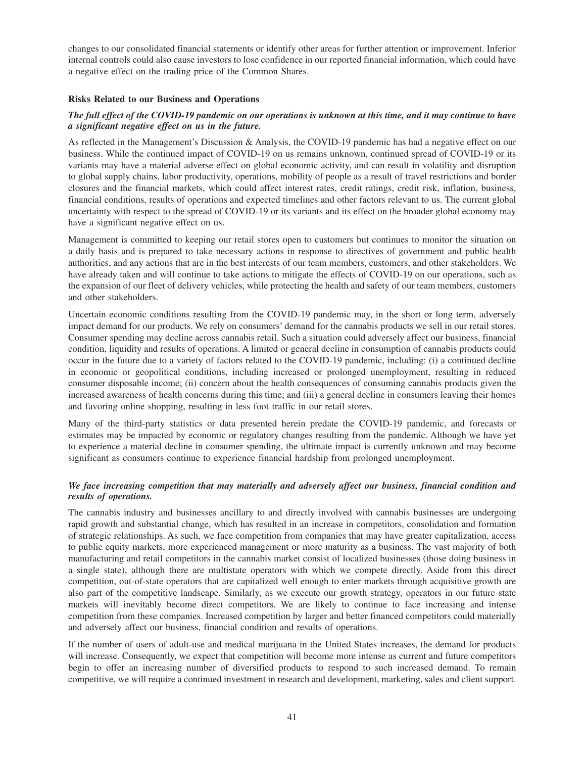changes to our consolidated financial statements or identify other areas for further attention or improvement. Inferior internal controls could also cause investors to lose confidence in our reported financial information, which could have a negative effect on the trading price of the Common Shares.

## **Risks Related to our Business and Operations**

# *The full effect of the COVID-19 pandemic on our operations is unknown at this time, and it may continue to have a significant negative effect on us in the future.*

As reflected in the Management's Discussion & Analysis, the COVID-19 pandemic has had a negative effect on our business. While the continued impact of COVID-19 on us remains unknown, continued spread of COVID-19 or its variants may have a material adverse effect on global economic activity, and can result in volatility and disruption to global supply chains, labor productivity, operations, mobility of people as a result of travel restrictions and border closures and the financial markets, which could affect interest rates, credit ratings, credit risk, inflation, business, financial conditions, results of operations and expected timelines and other factors relevant to us. The current global uncertainty with respect to the spread of COVID-19 or its variants and its effect on the broader global economy may have a significant negative effect on us.

Management is committed to keeping our retail stores open to customers but continues to monitor the situation on a daily basis and is prepared to take necessary actions in response to directives of government and public health authorities, and any actions that are in the best interests of our team members, customers, and other stakeholders. We have already taken and will continue to take actions to mitigate the effects of COVID-19 on our operations, such as the expansion of our fleet of delivery vehicles, while protecting the health and safety of our team members, customers and other stakeholders.

Uncertain economic conditions resulting from the COVID-19 pandemic may, in the short or long term, adversely impact demand for our products. We rely on consumers' demand for the cannabis products we sell in our retail stores. Consumer spending may decline across cannabis retail. Such a situation could adversely affect our business, financial condition, liquidity and results of operations. A limited or general decline in consumption of cannabis products could occur in the future due to a variety of factors related to the COVID-19 pandemic, including: (i) a continued decline in economic or geopolitical conditions, including increased or prolonged unemployment, resulting in reduced consumer disposable income; (ii) concern about the health consequences of consuming cannabis products given the increased awareness of health concerns during this time; and (iii) a general decline in consumers leaving their homes and favoring online shopping, resulting in less foot traffic in our retail stores.

Many of the third-party statistics or data presented herein predate the COVID-19 pandemic, and forecasts or estimates may be impacted by economic or regulatory changes resulting from the pandemic. Although we have yet to experience a material decline in consumer spending, the ultimate impact is currently unknown and may become significant as consumers continue to experience financial hardship from prolonged unemployment.

# *We face increasing competition that may materially and adversely affect our business, financial condition and results of operations.*

The cannabis industry and businesses ancillary to and directly involved with cannabis businesses are undergoing rapid growth and substantial change, which has resulted in an increase in competitors, consolidation and formation of strategic relationships. As such, we face competition from companies that may have greater capitalization, access to public equity markets, more experienced management or more maturity as a business. The vast majority of both manufacturing and retail competitors in the cannabis market consist of localized businesses (those doing business in a single state), although there are multistate operators with which we compete directly. Aside from this direct competition, out-of-state operators that are capitalized well enough to enter markets through acquisitive growth are also part of the competitive landscape. Similarly, as we execute our growth strategy, operators in our future state markets will inevitably become direct competitors. We are likely to continue to face increasing and intense competition from these companies. Increased competition by larger and better financed competitors could materially and adversely affect our business, financial condition and results of operations.

If the number of users of adult-use and medical marijuana in the United States increases, the demand for products will increase. Consequently, we expect that competition will become more intense as current and future competitors begin to offer an increasing number of diversified products to respond to such increased demand. To remain competitive, we will require a continued investment in research and development, marketing, sales and client support.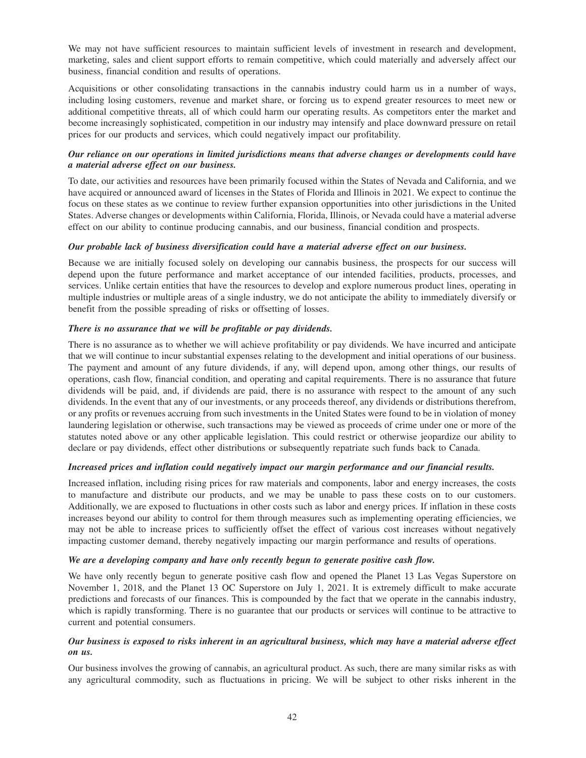We may not have sufficient resources to maintain sufficient levels of investment in research and development, marketing, sales and client support efforts to remain competitive, which could materially and adversely affect our business, financial condition and results of operations.

Acquisitions or other consolidating transactions in the cannabis industry could harm us in a number of ways, including losing customers, revenue and market share, or forcing us to expend greater resources to meet new or additional competitive threats, all of which could harm our operating results. As competitors enter the market and become increasingly sophisticated, competition in our industry may intensify and place downward pressure on retail prices for our products and services, which could negatively impact our profitability.

# *Our reliance on our operations in limited jurisdictions means that adverse changes or developments could have a material adverse effect on our business.*

To date, our activities and resources have been primarily focused within the States of Nevada and California, and we have acquired or announced award of licenses in the States of Florida and Illinois in 2021. We expect to continue the focus on these states as we continue to review further expansion opportunities into other jurisdictions in the United States. Adverse changes or developments within California, Florida, Illinois, or Nevada could have a material adverse effect on our ability to continue producing cannabis, and our business, financial condition and prospects.

# *Our probable lack of business diversification could have a material adverse effect on our business.*

Because we are initially focused solely on developing our cannabis business, the prospects for our success will depend upon the future performance and market acceptance of our intended facilities, products, processes, and services. Unlike certain entities that have the resources to develop and explore numerous product lines, operating in multiple industries or multiple areas of a single industry, we do not anticipate the ability to immediately diversify or benefit from the possible spreading of risks or offsetting of losses.

## *There is no assurance that we will be profitable or pay dividends.*

There is no assurance as to whether we will achieve profitability or pay dividends. We have incurred and anticipate that we will continue to incur substantial expenses relating to the development and initial operations of our business. The payment and amount of any future dividends, if any, will depend upon, among other things, our results of operations, cash flow, financial condition, and operating and capital requirements. There is no assurance that future dividends will be paid, and, if dividends are paid, there is no assurance with respect to the amount of any such dividends. In the event that any of our investments, or any proceeds thereof, any dividends or distributions therefrom, or any profits or revenues accruing from such investments in the United States were found to be in violation of money laundering legislation or otherwise, such transactions may be viewed as proceeds of crime under one or more of the statutes noted above or any other applicable legislation. This could restrict or otherwise jeopardize our ability to declare or pay dividends, effect other distributions or subsequently repatriate such funds back to Canada.

## *Increased prices and inflation could negatively impact our margin performance and our financial results.*

Increased inflation, including rising prices for raw materials and components, labor and energy increases, the costs to manufacture and distribute our products, and we may be unable to pass these costs on to our customers. Additionally, we are exposed to fluctuations in other costs such as labor and energy prices. If inflation in these costs increases beyond our ability to control for them through measures such as implementing operating efficiencies, we may not be able to increase prices to sufficiently offset the effect of various cost increases without negatively impacting customer demand, thereby negatively impacting our margin performance and results of operations.

# *We are a developing company and have only recently begun to generate positive cash flow.*

We have only recently begun to generate positive cash flow and opened the Planet 13 Las Vegas Superstore on November 1, 2018, and the Planet 13 OC Superstore on July 1, 2021. It is extremely difficult to make accurate predictions and forecasts of our finances. This is compounded by the fact that we operate in the cannabis industry, which is rapidly transforming. There is no guarantee that our products or services will continue to be attractive to current and potential consumers.

# *Our business is exposed to risks inherent in an agricultural business, which may have a material adverse effect on us.*

Our business involves the growing of cannabis, an agricultural product. As such, there are many similar risks as with any agricultural commodity, such as fluctuations in pricing. We will be subject to other risks inherent in the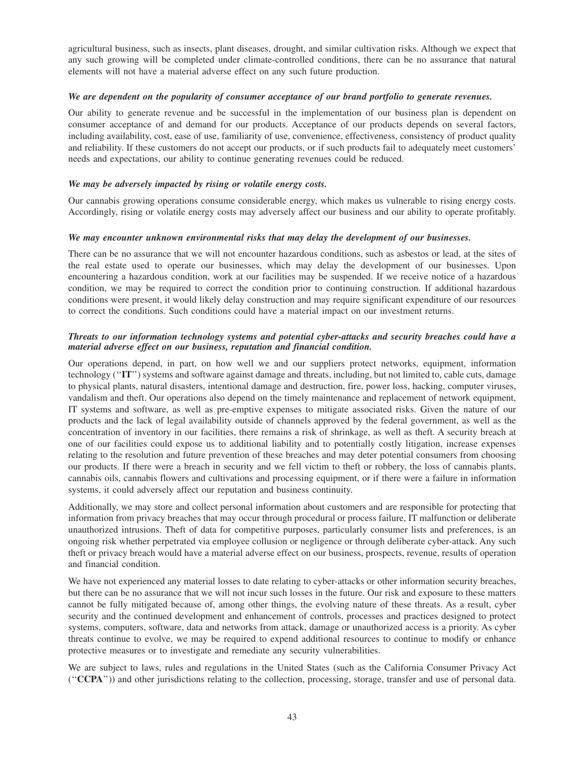agricultural business, such as insects, plant diseases, drought, and similar cultivation risks. Although we expect that any such growing will be completed under climate-controlled conditions, there can be no assurance that natural elements will not have a material adverse effect on any such future production.

### *We are dependent on the popularity of consumer acceptance of our brand portfolio to generate revenues.*

Our ability to generate revenue and be successful in the implementation of our business plan is dependent on consumer acceptance of and demand for our products. Acceptance of our products depends on several factors, including availability, cost, ease of use, familiarity of use, convenience, effectiveness, consistency of product quality and reliability. If these customers do not accept our products, or if such products fail to adequately meet customers' needs and expectations, our ability to continue generating revenues could be reduced.

# *We may be adversely impacted by rising or volatile energy costs.*

Our cannabis growing operations consume considerable energy, which makes us vulnerable to rising energy costs. Accordingly, rising or volatile energy costs may adversely affect our business and our ability to operate profitably.

## *We may encounter unknown environmental risks that may delay the development of our businesses.*

There can be no assurance that we will not encounter hazardous conditions, such as asbestos or lead, at the sites of the real estate used to operate our businesses, which may delay the development of our businesses. Upon encountering a hazardous condition, work at our facilities may be suspended. If we receive notice of a hazardous condition, we may be required to correct the condition prior to continuing construction. If additional hazardous conditions were present, it would likely delay construction and may require significant expenditure of our resources to correct the conditions. Such conditions could have a material impact on our investment returns.

# *Threats to our information technology systems and potential cyber-attacks and security breaches could have a material adverse effect on our business, reputation and financial condition.*

Our operations depend, in part, on how well we and our suppliers protect networks, equipment, information technology (''**IT**'') systems and software against damage and threats, including, but not limited to, cable cuts, damage to physical plants, natural disasters, intentional damage and destruction, fire, power loss, hacking, computer viruses, vandalism and theft. Our operations also depend on the timely maintenance and replacement of network equipment, IT systems and software, as well as pre-emptive expenses to mitigate associated risks. Given the nature of our products and the lack of legal availability outside of channels approved by the federal government, as well as the concentration of inventory in our facilities, there remains a risk of shrinkage, as well as theft. A security breach at one of our facilities could expose us to additional liability and to potentially costly litigation, increase expenses relating to the resolution and future prevention of these breaches and may deter potential consumers from choosing our products. If there were a breach in security and we fell victim to theft or robbery, the loss of cannabis plants, cannabis oils, cannabis flowers and cultivations and processing equipment, or if there were a failure in information systems, it could adversely affect our reputation and business continuity.

Additionally, we may store and collect personal information about customers and are responsible for protecting that information from privacy breaches that may occur through procedural or process failure, IT malfunction or deliberate unauthorized intrusions. Theft of data for competitive purposes, particularly consumer lists and preferences, is an ongoing risk whether perpetrated via employee collusion or negligence or through deliberate cyber-attack. Any such theft or privacy breach would have a material adverse effect on our business, prospects, revenue, results of operation and financial condition.

We have not experienced any material losses to date relating to cyber-attacks or other information security breaches, but there can be no assurance that we will not incur such losses in the future. Our risk and exposure to these matters cannot be fully mitigated because of, among other things, the evolving nature of these threats. As a result, cyber security and the continued development and enhancement of controls, processes and practices designed to protect systems, computers, software, data and networks from attack, damage or unauthorized access is a priority. As cyber threats continue to evolve, we may be required to expend additional resources to continue to modify or enhance protective measures or to investigate and remediate any security vulnerabilities.

We are subject to laws, rules and regulations in the United States (such as the California Consumer Privacy Act (''**CCPA**'')) and other jurisdictions relating to the collection, processing, storage, transfer and use of personal data.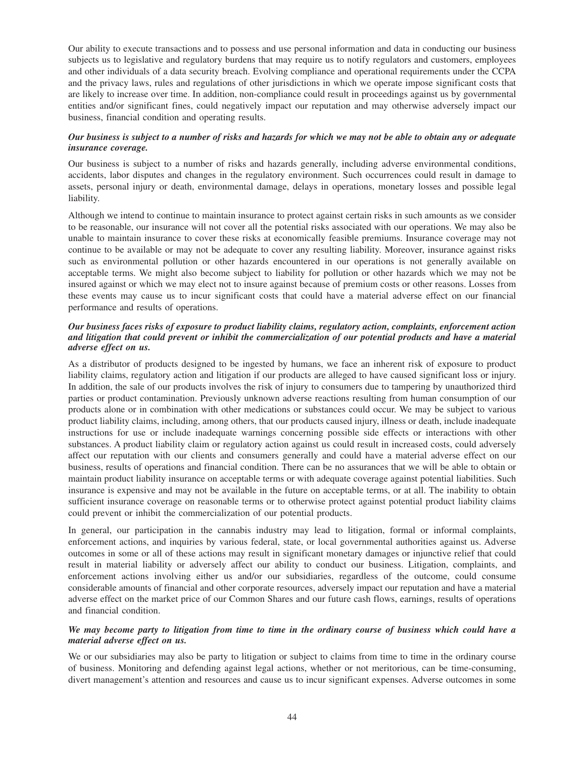Our ability to execute transactions and to possess and use personal information and data in conducting our business subjects us to legislative and regulatory burdens that may require us to notify regulators and customers, employees and other individuals of a data security breach. Evolving compliance and operational requirements under the CCPA and the privacy laws, rules and regulations of other jurisdictions in which we operate impose significant costs that are likely to increase over time. In addition, non-compliance could result in proceedings against us by governmental entities and/or significant fines, could negatively impact our reputation and may otherwise adversely impact our business, financial condition and operating results.

# *Our business is subject to a number of risks and hazards for which we may not be able to obtain any or adequate insurance coverage.*

Our business is subject to a number of risks and hazards generally, including adverse environmental conditions, accidents, labor disputes and changes in the regulatory environment. Such occurrences could result in damage to assets, personal injury or death, environmental damage, delays in operations, monetary losses and possible legal liability.

Although we intend to continue to maintain insurance to protect against certain risks in such amounts as we consider to be reasonable, our insurance will not cover all the potential risks associated with our operations. We may also be unable to maintain insurance to cover these risks at economically feasible premiums. Insurance coverage may not continue to be available or may not be adequate to cover any resulting liability. Moreover, insurance against risks such as environmental pollution or other hazards encountered in our operations is not generally available on acceptable terms. We might also become subject to liability for pollution or other hazards which we may not be insured against or which we may elect not to insure against because of premium costs or other reasons. Losses from these events may cause us to incur significant costs that could have a material adverse effect on our financial performance and results of operations.

# *Our business faces risks of exposure to product liability claims, regulatory action, complaints, enforcement action and litigation that could prevent or inhibit the commercialization of our potential products and have a material adverse effect on us.*

As a distributor of products designed to be ingested by humans, we face an inherent risk of exposure to product liability claims, regulatory action and litigation if our products are alleged to have caused significant loss or injury. In addition, the sale of our products involves the risk of injury to consumers due to tampering by unauthorized third parties or product contamination. Previously unknown adverse reactions resulting from human consumption of our products alone or in combination with other medications or substances could occur. We may be subject to various product liability claims, including, among others, that our products caused injury, illness or death, include inadequate instructions for use or include inadequate warnings concerning possible side effects or interactions with other substances. A product liability claim or regulatory action against us could result in increased costs, could adversely affect our reputation with our clients and consumers generally and could have a material adverse effect on our business, results of operations and financial condition. There can be no assurances that we will be able to obtain or maintain product liability insurance on acceptable terms or with adequate coverage against potential liabilities. Such insurance is expensive and may not be available in the future on acceptable terms, or at all. The inability to obtain sufficient insurance coverage on reasonable terms or to otherwise protect against potential product liability claims could prevent or inhibit the commercialization of our potential products.

In general, our participation in the cannabis industry may lead to litigation, formal or informal complaints, enforcement actions, and inquiries by various federal, state, or local governmental authorities against us. Adverse outcomes in some or all of these actions may result in significant monetary damages or injunctive relief that could result in material liability or adversely affect our ability to conduct our business. Litigation, complaints, and enforcement actions involving either us and/or our subsidiaries, regardless of the outcome, could consume considerable amounts of financial and other corporate resources, adversely impact our reputation and have a material adverse effect on the market price of our Common Shares and our future cash flows, earnings, results of operations and financial condition.

## *We may become party to litigation from time to time in the ordinary course of business which could have a material adverse effect on us.*

We or our subsidiaries may also be party to litigation or subject to claims from time to time in the ordinary course of business. Monitoring and defending against legal actions, whether or not meritorious, can be time-consuming, divert management's attention and resources and cause us to incur significant expenses. Adverse outcomes in some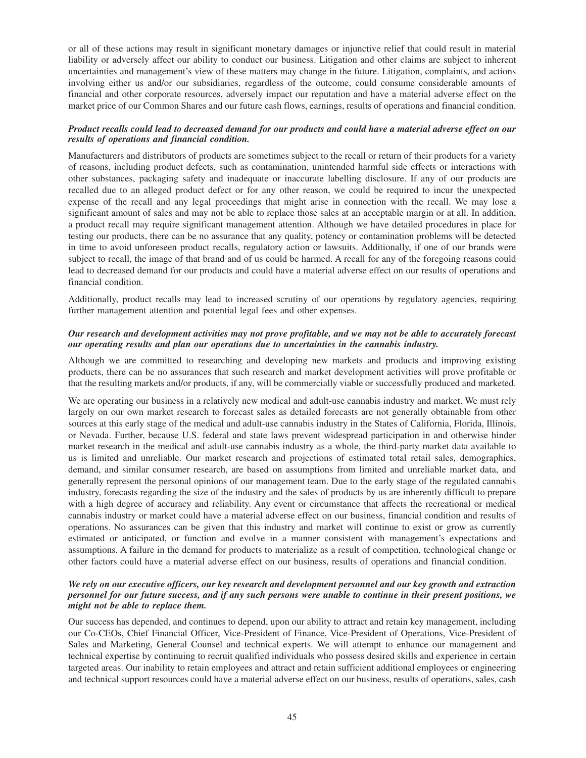or all of these actions may result in significant monetary damages or injunctive relief that could result in material liability or adversely affect our ability to conduct our business. Litigation and other claims are subject to inherent uncertainties and management's view of these matters may change in the future. Litigation, complaints, and actions involving either us and/or our subsidiaries, regardless of the outcome, could consume considerable amounts of financial and other corporate resources, adversely impact our reputation and have a material adverse effect on the market price of our Common Shares and our future cash flows, earnings, results of operations and financial condition.

# *Product recalls could lead to decreased demand for our products and could have a material adverse effect on our results of operations and financial condition.*

Manufacturers and distributors of products are sometimes subject to the recall or return of their products for a variety of reasons, including product defects, such as contamination, unintended harmful side effects or interactions with other substances, packaging safety and inadequate or inaccurate labelling disclosure. If any of our products are recalled due to an alleged product defect or for any other reason, we could be required to incur the unexpected expense of the recall and any legal proceedings that might arise in connection with the recall. We may lose a significant amount of sales and may not be able to replace those sales at an acceptable margin or at all. In addition, a product recall may require significant management attention. Although we have detailed procedures in place for testing our products, there can be no assurance that any quality, potency or contamination problems will be detected in time to avoid unforeseen product recalls, regulatory action or lawsuits. Additionally, if one of our brands were subject to recall, the image of that brand and of us could be harmed. A recall for any of the foregoing reasons could lead to decreased demand for our products and could have a material adverse effect on our results of operations and financial condition.

Additionally, product recalls may lead to increased scrutiny of our operations by regulatory agencies, requiring further management attention and potential legal fees and other expenses.

## *Our research and development activities may not prove profitable, and we may not be able to accurately forecast our operating results and plan our operations due to uncertainties in the cannabis industry.*

Although we are committed to researching and developing new markets and products and improving existing products, there can be no assurances that such research and market development activities will prove profitable or that the resulting markets and/or products, if any, will be commercially viable or successfully produced and marketed.

We are operating our business in a relatively new medical and adult-use cannabis industry and market. We must rely largely on our own market research to forecast sales as detailed forecasts are not generally obtainable from other sources at this early stage of the medical and adult-use cannabis industry in the States of California, Florida, Illinois, or Nevada. Further, because U.S. federal and state laws prevent widespread participation in and otherwise hinder market research in the medical and adult-use cannabis industry as a whole, the third-party market data available to us is limited and unreliable. Our market research and projections of estimated total retail sales, demographics, demand, and similar consumer research, are based on assumptions from limited and unreliable market data, and generally represent the personal opinions of our management team. Due to the early stage of the regulated cannabis industry, forecasts regarding the size of the industry and the sales of products by us are inherently difficult to prepare with a high degree of accuracy and reliability. Any event or circumstance that affects the recreational or medical cannabis industry or market could have a material adverse effect on our business, financial condition and results of operations. No assurances can be given that this industry and market will continue to exist or grow as currently estimated or anticipated, or function and evolve in a manner consistent with management's expectations and assumptions. A failure in the demand for products to materialize as a result of competition, technological change or other factors could have a material adverse effect on our business, results of operations and financial condition.

## *We rely on our executive officers, our key research and development personnel and our key growth and extraction personnel for our future success, and if any such persons were unable to continue in their present positions, we might not be able to replace them.*

Our success has depended, and continues to depend, upon our ability to attract and retain key management, including our Co-CEOs, Chief Financial Officer, Vice-President of Finance, Vice-President of Operations, Vice-President of Sales and Marketing, General Counsel and technical experts. We will attempt to enhance our management and technical expertise by continuing to recruit qualified individuals who possess desired skills and experience in certain targeted areas. Our inability to retain employees and attract and retain sufficient additional employees or engineering and technical support resources could have a material adverse effect on our business, results of operations, sales, cash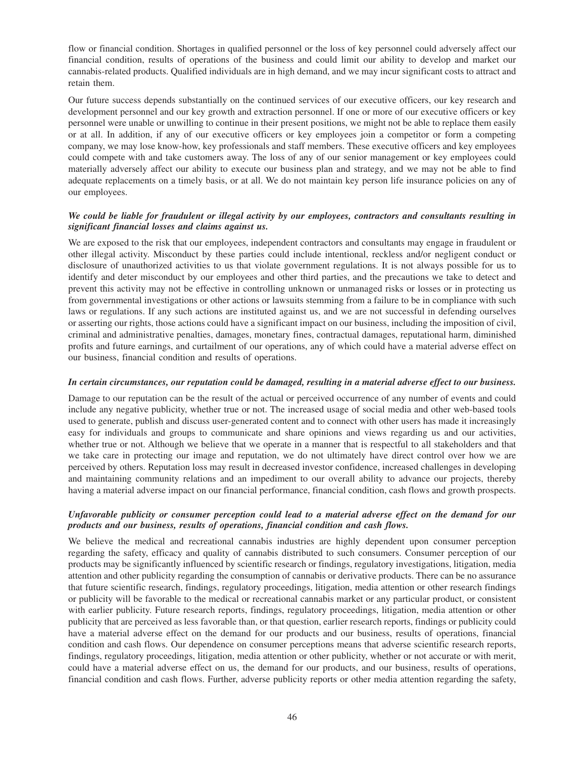flow or financial condition. Shortages in qualified personnel or the loss of key personnel could adversely affect our financial condition, results of operations of the business and could limit our ability to develop and market our cannabis-related products. Qualified individuals are in high demand, and we may incur significant costs to attract and retain them.

Our future success depends substantially on the continued services of our executive officers, our key research and development personnel and our key growth and extraction personnel. If one or more of our executive officers or key personnel were unable or unwilling to continue in their present positions, we might not be able to replace them easily or at all. In addition, if any of our executive officers or key employees join a competitor or form a competing company, we may lose know-how, key professionals and staff members. These executive officers and key employees could compete with and take customers away. The loss of any of our senior management or key employees could materially adversely affect our ability to execute our business plan and strategy, and we may not be able to find adequate replacements on a timely basis, or at all. We do not maintain key person life insurance policies on any of our employees.

# *We could be liable for fraudulent or illegal activity by our employees, contractors and consultants resulting in significant financial losses and claims against us.*

We are exposed to the risk that our employees, independent contractors and consultants may engage in fraudulent or other illegal activity. Misconduct by these parties could include intentional, reckless and/or negligent conduct or disclosure of unauthorized activities to us that violate government regulations. It is not always possible for us to identify and deter misconduct by our employees and other third parties, and the precautions we take to detect and prevent this activity may not be effective in controlling unknown or unmanaged risks or losses or in protecting us from governmental investigations or other actions or lawsuits stemming from a failure to be in compliance with such laws or regulations. If any such actions are instituted against us, and we are not successful in defending ourselves or asserting our rights, those actions could have a significant impact on our business, including the imposition of civil, criminal and administrative penalties, damages, monetary fines, contractual damages, reputational harm, diminished profits and future earnings, and curtailment of our operations, any of which could have a material adverse effect on our business, financial condition and results of operations.

### *In certain circumstances, our reputation could be damaged, resulting in a material adverse effect to our business.*

Damage to our reputation can be the result of the actual or perceived occurrence of any number of events and could include any negative publicity, whether true or not. The increased usage of social media and other web-based tools used to generate, publish and discuss user-generated content and to connect with other users has made it increasingly easy for individuals and groups to communicate and share opinions and views regarding us and our activities, whether true or not. Although we believe that we operate in a manner that is respectful to all stakeholders and that we take care in protecting our image and reputation, we do not ultimately have direct control over how we are perceived by others. Reputation loss may result in decreased investor confidence, increased challenges in developing and maintaining community relations and an impediment to our overall ability to advance our projects, thereby having a material adverse impact on our financial performance, financial condition, cash flows and growth prospects.

## *Unfavorable publicity or consumer perception could lead to a material adverse effect on the demand for our products and our business, results of operations, financial condition and cash flows.*

We believe the medical and recreational cannabis industries are highly dependent upon consumer perception regarding the safety, efficacy and quality of cannabis distributed to such consumers. Consumer perception of our products may be significantly influenced by scientific research or findings, regulatory investigations, litigation, media attention and other publicity regarding the consumption of cannabis or derivative products. There can be no assurance that future scientific research, findings, regulatory proceedings, litigation, media attention or other research findings or publicity will be favorable to the medical or recreational cannabis market or any particular product, or consistent with earlier publicity. Future research reports, findings, regulatory proceedings, litigation, media attention or other publicity that are perceived as less favorable than, or that question, earlier research reports, findings or publicity could have a material adverse effect on the demand for our products and our business, results of operations, financial condition and cash flows. Our dependence on consumer perceptions means that adverse scientific research reports, findings, regulatory proceedings, litigation, media attention or other publicity, whether or not accurate or with merit, could have a material adverse effect on us, the demand for our products, and our business, results of operations, financial condition and cash flows. Further, adverse publicity reports or other media attention regarding the safety,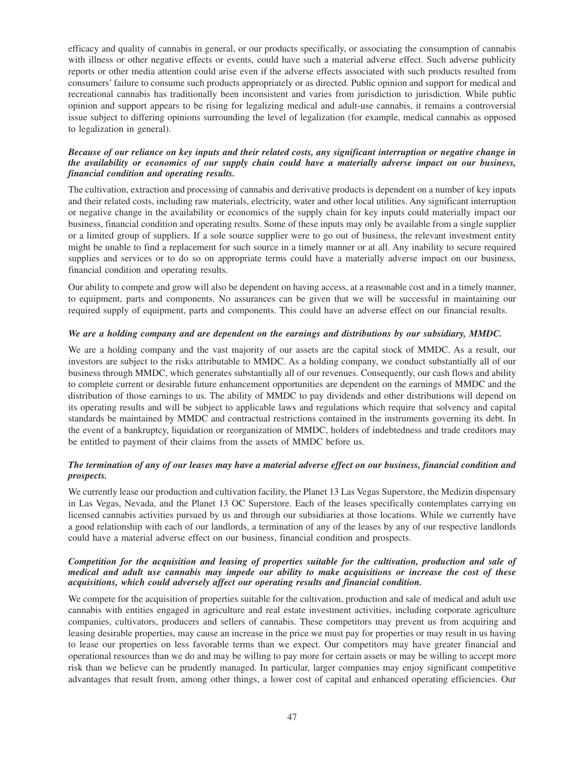efficacy and quality of cannabis in general, or our products specifically, or associating the consumption of cannabis with illness or other negative effects or events, could have such a material adverse effect. Such adverse publicity reports or other media attention could arise even if the adverse effects associated with such products resulted from consumers' failure to consume such products appropriately or as directed. Public opinion and support for medical and recreational cannabis has traditionally been inconsistent and varies from jurisdiction to jurisdiction. While public opinion and support appears to be rising for legalizing medical and adult-use cannabis, it remains a controversial issue subject to differing opinions surrounding the level of legalization (for example, medical cannabis as opposed to legalization in general).

## *Because of our reliance on key inputs and their related costs, any significant interruption or negative change in the availability or economics of our supply chain could have a materially adverse impact on our business, financial condition and operating results.*

The cultivation, extraction and processing of cannabis and derivative products is dependent on a number of key inputs and their related costs, including raw materials, electricity, water and other local utilities. Any significant interruption or negative change in the availability or economics of the supply chain for key inputs could materially impact our business, financial condition and operating results. Some of these inputs may only be available from a single supplier or a limited group of suppliers. If a sole source supplier were to go out of business, the relevant investment entity might be unable to find a replacement for such source in a timely manner or at all. Any inability to secure required supplies and services or to do so on appropriate terms could have a materially adverse impact on our business, financial condition and operating results.

Our ability to compete and grow will also be dependent on having access, at a reasonable cost and in a timely manner, to equipment, parts and components. No assurances can be given that we will be successful in maintaining our required supply of equipment, parts and components. This could have an adverse effect on our financial results.

## *We are a holding company and are dependent on the earnings and distributions by our subsidiary, MMDC.*

We are a holding company and the vast majority of our assets are the capital stock of MMDC. As a result, our investors are subject to the risks attributable to MMDC. As a holding company, we conduct substantially all of our business through MMDC, which generates substantially all of our revenues. Consequently, our cash flows and ability to complete current or desirable future enhancement opportunities are dependent on the earnings of MMDC and the distribution of those earnings to us. The ability of MMDC to pay dividends and other distributions will depend on its operating results and will be subject to applicable laws and regulations which require that solvency and capital standards be maintained by MMDC and contractual restrictions contained in the instruments governing its debt. In the event of a bankruptcy, liquidation or reorganization of MMDC, holders of indebtedness and trade creditors may be entitled to payment of their claims from the assets of MMDC before us.

# *The termination of any of our leases may have a material adverse effect on our business, financial condition and prospects.*

We currently lease our production and cultivation facility, the Planet 13 Las Vegas Superstore, the Medizin dispensary in Las Vegas, Nevada, and the Planet 13 OC Superstore. Each of the leases specifically contemplates carrying on licensed cannabis activities pursued by us and through our subsidiaries at those locations. While we currently have a good relationship with each of our landlords, a termination of any of the leases by any of our respective landlords could have a material adverse effect on our business, financial condition and prospects.

## *Competition for the acquisition and leasing of properties suitable for the cultivation, production and sale of medical and adult use cannabis may impede our ability to make acquisitions or increase the cost of these acquisitions, which could adversely affect our operating results and financial condition.*

We compete for the acquisition of properties suitable for the cultivation, production and sale of medical and adult use cannabis with entities engaged in agriculture and real estate investment activities, including corporate agriculture companies, cultivators, producers and sellers of cannabis. These competitors may prevent us from acquiring and leasing desirable properties, may cause an increase in the price we must pay for properties or may result in us having to lease our properties on less favorable terms than we expect. Our competitors may have greater financial and operational resources than we do and may be willing to pay more for certain assets or may be willing to accept more risk than we believe can be prudently managed. In particular, larger companies may enjoy significant competitive advantages that result from, among other things, a lower cost of capital and enhanced operating efficiencies. Our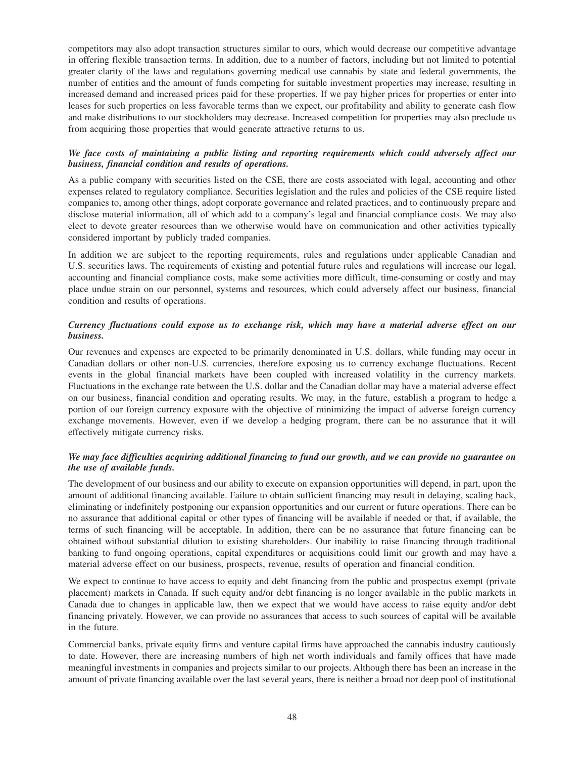competitors may also adopt transaction structures similar to ours, which would decrease our competitive advantage in offering flexible transaction terms. In addition, due to a number of factors, including but not limited to potential greater clarity of the laws and regulations governing medical use cannabis by state and federal governments, the number of entities and the amount of funds competing for suitable investment properties may increase, resulting in increased demand and increased prices paid for these properties. If we pay higher prices for properties or enter into leases for such properties on less favorable terms than we expect, our profitability and ability to generate cash flow and make distributions to our stockholders may decrease. Increased competition for properties may also preclude us from acquiring those properties that would generate attractive returns to us.

# *We face costs of maintaining a public listing and reporting requirements which could adversely affect our business, financial condition and results of operations.*

As a public company with securities listed on the CSE, there are costs associated with legal, accounting and other expenses related to regulatory compliance. Securities legislation and the rules and policies of the CSE require listed companies to, among other things, adopt corporate governance and related practices, and to continuously prepare and disclose material information, all of which add to a company's legal and financial compliance costs. We may also elect to devote greater resources than we otherwise would have on communication and other activities typically considered important by publicly traded companies.

In addition we are subject to the reporting requirements, rules and regulations under applicable Canadian and U.S. securities laws. The requirements of existing and potential future rules and regulations will increase our legal, accounting and financial compliance costs, make some activities more difficult, time-consuming or costly and may place undue strain on our personnel, systems and resources, which could adversely affect our business, financial condition and results of operations.

# *Currency fluctuations could expose us to exchange risk, which may have a material adverse effect on our business.*

Our revenues and expenses are expected to be primarily denominated in U.S. dollars, while funding may occur in Canadian dollars or other non-U.S. currencies, therefore exposing us to currency exchange fluctuations. Recent events in the global financial markets have been coupled with increased volatility in the currency markets. Fluctuations in the exchange rate between the U.S. dollar and the Canadian dollar may have a material adverse effect on our business, financial condition and operating results. We may, in the future, establish a program to hedge a portion of our foreign currency exposure with the objective of minimizing the impact of adverse foreign currency exchange movements. However, even if we develop a hedging program, there can be no assurance that it will effectively mitigate currency risks.

# *We may face difficulties acquiring additional financing to fund our growth, and we can provide no guarantee on the use of available funds.*

The development of our business and our ability to execute on expansion opportunities will depend, in part, upon the amount of additional financing available. Failure to obtain sufficient financing may result in delaying, scaling back, eliminating or indefinitely postponing our expansion opportunities and our current or future operations. There can be no assurance that additional capital or other types of financing will be available if needed or that, if available, the terms of such financing will be acceptable. In addition, there can be no assurance that future financing can be obtained without substantial dilution to existing shareholders. Our inability to raise financing through traditional banking to fund ongoing operations, capital expenditures or acquisitions could limit our growth and may have a material adverse effect on our business, prospects, revenue, results of operation and financial condition.

We expect to continue to have access to equity and debt financing from the public and prospectus exempt (private placement) markets in Canada. If such equity and/or debt financing is no longer available in the public markets in Canada due to changes in applicable law, then we expect that we would have access to raise equity and/or debt financing privately. However, we can provide no assurances that access to such sources of capital will be available in the future.

Commercial banks, private equity firms and venture capital firms have approached the cannabis industry cautiously to date. However, there are increasing numbers of high net worth individuals and family offices that have made meaningful investments in companies and projects similar to our projects. Although there has been an increase in the amount of private financing available over the last several years, there is neither a broad nor deep pool of institutional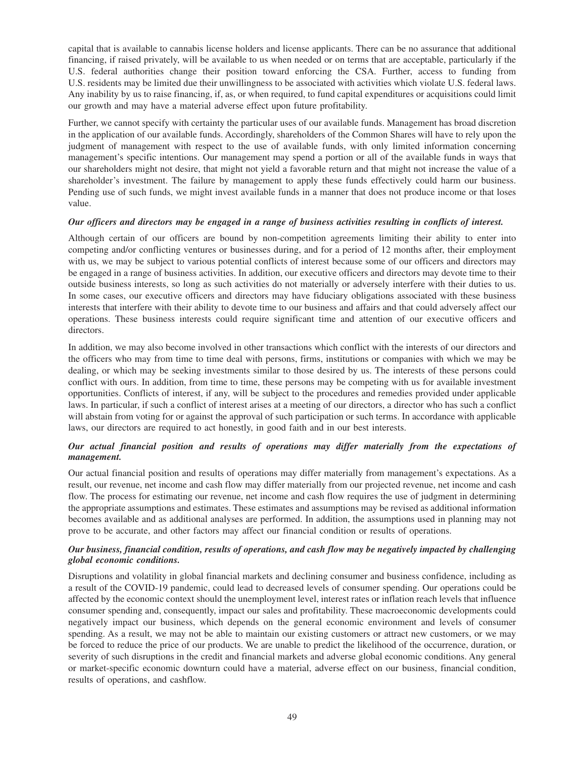capital that is available to cannabis license holders and license applicants. There can be no assurance that additional financing, if raised privately, will be available to us when needed or on terms that are acceptable, particularly if the U.S. federal authorities change their position toward enforcing the CSA. Further, access to funding from U.S. residents may be limited due their unwillingness to be associated with activities which violate U.S. federal laws. Any inability by us to raise financing, if, as, or when required, to fund capital expenditures or acquisitions could limit our growth and may have a material adverse effect upon future profitability.

Further, we cannot specify with certainty the particular uses of our available funds. Management has broad discretion in the application of our available funds. Accordingly, shareholders of the Common Shares will have to rely upon the judgment of management with respect to the use of available funds, with only limited information concerning management's specific intentions. Our management may spend a portion or all of the available funds in ways that our shareholders might not desire, that might not yield a favorable return and that might not increase the value of a shareholder's investment. The failure by management to apply these funds effectively could harm our business. Pending use of such funds, we might invest available funds in a manner that does not produce income or that loses value.

## *Our officers and directors may be engaged in a range of business activities resulting in conflicts of interest.*

Although certain of our officers are bound by non-competition agreements limiting their ability to enter into competing and/or conflicting ventures or businesses during, and for a period of 12 months after, their employment with us, we may be subject to various potential conflicts of interest because some of our officers and directors may be engaged in a range of business activities. In addition, our executive officers and directors may devote time to their outside business interests, so long as such activities do not materially or adversely interfere with their duties to us. In some cases, our executive officers and directors may have fiduciary obligations associated with these business interests that interfere with their ability to devote time to our business and affairs and that could adversely affect our operations. These business interests could require significant time and attention of our executive officers and directors.

In addition, we may also become involved in other transactions which conflict with the interests of our directors and the officers who may from time to time deal with persons, firms, institutions or companies with which we may be dealing, or which may be seeking investments similar to those desired by us. The interests of these persons could conflict with ours. In addition, from time to time, these persons may be competing with us for available investment opportunities. Conflicts of interest, if any, will be subject to the procedures and remedies provided under applicable laws. In particular, if such a conflict of interest arises at a meeting of our directors, a director who has such a conflict will abstain from voting for or against the approval of such participation or such terms. In accordance with applicable laws, our directors are required to act honestly, in good faith and in our best interests.

# *Our actual financial position and results of operations may differ materially from the expectations of management.*

Our actual financial position and results of operations may differ materially from management's expectations. As a result, our revenue, net income and cash flow may differ materially from our projected revenue, net income and cash flow. The process for estimating our revenue, net income and cash flow requires the use of judgment in determining the appropriate assumptions and estimates. These estimates and assumptions may be revised as additional information becomes available and as additional analyses are performed. In addition, the assumptions used in planning may not prove to be accurate, and other factors may affect our financial condition or results of operations.

# *Our business, financial condition, results of operations, and cash flow may be negatively impacted by challenging global economic conditions.*

Disruptions and volatility in global financial markets and declining consumer and business confidence, including as a result of the COVID-19 pandemic, could lead to decreased levels of consumer spending. Our operations could be affected by the economic context should the unemployment level, interest rates or inflation reach levels that influence consumer spending and, consequently, impact our sales and profitability. These macroeconomic developments could negatively impact our business, which depends on the general economic environment and levels of consumer spending. As a result, we may not be able to maintain our existing customers or attract new customers, or we may be forced to reduce the price of our products. We are unable to predict the likelihood of the occurrence, duration, or severity of such disruptions in the credit and financial markets and adverse global economic conditions. Any general or market-specific economic downturn could have a material, adverse effect on our business, financial condition, results of operations, and cashflow.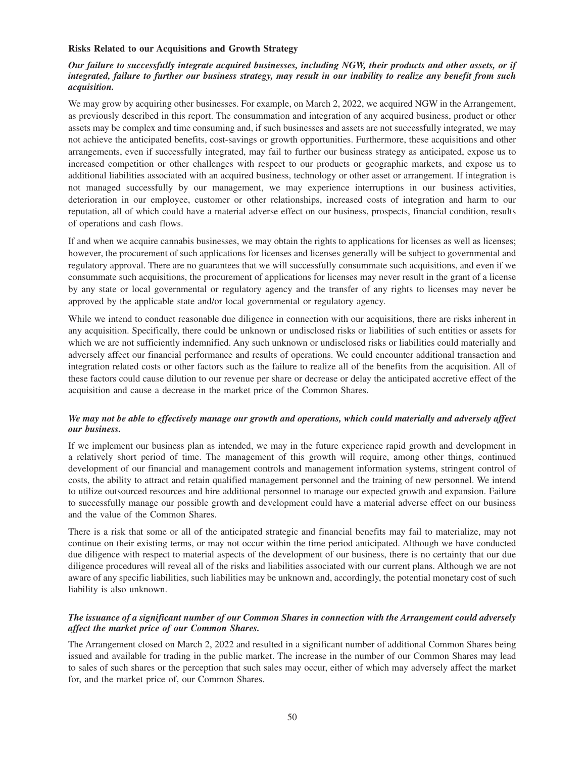## **Risks Related to our Acquisitions and Growth Strategy**

# *Our failure to successfully integrate acquired businesses, including NGW, their products and other assets, or if integrated, failure to further our business strategy, may result in our inability to realize any benefit from such acquisition.*

We may grow by acquiring other businesses. For example, on March 2, 2022, we acquired NGW in the Arrangement, as previously described in this report. The consummation and integration of any acquired business, product or other assets may be complex and time consuming and, if such businesses and assets are not successfully integrated, we may not achieve the anticipated benefits, cost-savings or growth opportunities. Furthermore, these acquisitions and other arrangements, even if successfully integrated, may fail to further our business strategy as anticipated, expose us to increased competition or other challenges with respect to our products or geographic markets, and expose us to additional liabilities associated with an acquired business, technology or other asset or arrangement. If integration is not managed successfully by our management, we may experience interruptions in our business activities, deterioration in our employee, customer or other relationships, increased costs of integration and harm to our reputation, all of which could have a material adverse effect on our business, prospects, financial condition, results of operations and cash flows.

If and when we acquire cannabis businesses, we may obtain the rights to applications for licenses as well as licenses; however, the procurement of such applications for licenses and licenses generally will be subject to governmental and regulatory approval. There are no guarantees that we will successfully consummate such acquisitions, and even if we consummate such acquisitions, the procurement of applications for licenses may never result in the grant of a license by any state or local governmental or regulatory agency and the transfer of any rights to licenses may never be approved by the applicable state and/or local governmental or regulatory agency.

While we intend to conduct reasonable due diligence in connection with our acquisitions, there are risks inherent in any acquisition. Specifically, there could be unknown or undisclosed risks or liabilities of such entities or assets for which we are not sufficiently indemnified. Any such unknown or undisclosed risks or liabilities could materially and adversely affect our financial performance and results of operations. We could encounter additional transaction and integration related costs or other factors such as the failure to realize all of the benefits from the acquisition. All of these factors could cause dilution to our revenue per share or decrease or delay the anticipated accretive effect of the acquisition and cause a decrease in the market price of the Common Shares.

## *We may not be able to effectively manage our growth and operations, which could materially and adversely affect our business.*

If we implement our business plan as intended, we may in the future experience rapid growth and development in a relatively short period of time. The management of this growth will require, among other things, continued development of our financial and management controls and management information systems, stringent control of costs, the ability to attract and retain qualified management personnel and the training of new personnel. We intend to utilize outsourced resources and hire additional personnel to manage our expected growth and expansion. Failure to successfully manage our possible growth and development could have a material adverse effect on our business and the value of the Common Shares.

There is a risk that some or all of the anticipated strategic and financial benefits may fail to materialize, may not continue on their existing terms, or may not occur within the time period anticipated. Although we have conducted due diligence with respect to material aspects of the development of our business, there is no certainty that our due diligence procedures will reveal all of the risks and liabilities associated with our current plans. Although we are not aware of any specific liabilities, such liabilities may be unknown and, accordingly, the potential monetary cost of such liability is also unknown.

## *The issuance of a significant number of our Common Shares in connection with the Arrangement could adversely affect the market price of our Common Shares.*

The Arrangement closed on March 2, 2022 and resulted in a significant number of additional Common Shares being issued and available for trading in the public market. The increase in the number of our Common Shares may lead to sales of such shares or the perception that such sales may occur, either of which may adversely affect the market for, and the market price of, our Common Shares.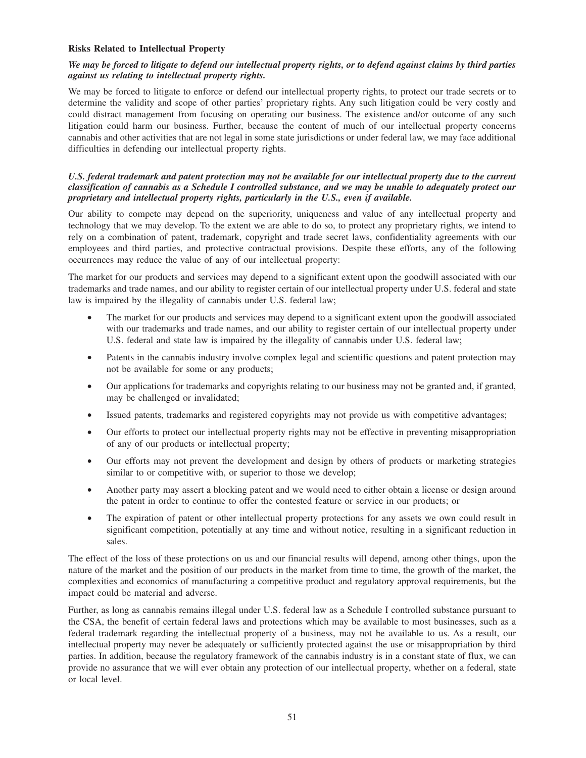## **Risks Related to Intellectual Property**

# *We may be forced to litigate to defend our intellectual property rights, or to defend against claims by third parties against us relating to intellectual property rights.*

We may be forced to litigate to enforce or defend our intellectual property rights, to protect our trade secrets or to determine the validity and scope of other parties' proprietary rights. Any such litigation could be very costly and could distract management from focusing on operating our business. The existence and/or outcome of any such litigation could harm our business. Further, because the content of much of our intellectual property concerns cannabis and other activities that are not legal in some state jurisdictions or under federal law, we may face additional difficulties in defending our intellectual property rights.

# *U.S. federal trademark and patent protection may not be available for our intellectual property due to the current classification of cannabis as a Schedule I controlled substance, and we may be unable to adequately protect our proprietary and intellectual property rights, particularly in the U.S., even if available.*

Our ability to compete may depend on the superiority, uniqueness and value of any intellectual property and technology that we may develop. To the extent we are able to do so, to protect any proprietary rights, we intend to rely on a combination of patent, trademark, copyright and trade secret laws, confidentiality agreements with our employees and third parties, and protective contractual provisions. Despite these efforts, any of the following occurrences may reduce the value of any of our intellectual property:

The market for our products and services may depend to a significant extent upon the goodwill associated with our trademarks and trade names, and our ability to register certain of our intellectual property under U.S. federal and state law is impaired by the illegality of cannabis under U.S. federal law;

- The market for our products and services may depend to a significant extent upon the goodwill associated with our trademarks and trade names, and our ability to register certain of our intellectual property under U.S. federal and state law is impaired by the illegality of cannabis under U.S. federal law;
- Patents in the cannabis industry involve complex legal and scientific questions and patent protection may not be available for some or any products;
- Our applications for trademarks and copyrights relating to our business may not be granted and, if granted, may be challenged or invalidated;
- Issued patents, trademarks and registered copyrights may not provide us with competitive advantages;
- Our efforts to protect our intellectual property rights may not be effective in preventing misappropriation of any of our products or intellectual property;
- Our efforts may not prevent the development and design by others of products or marketing strategies similar to or competitive with, or superior to those we develop;
- Another party may assert a blocking patent and we would need to either obtain a license or design around the patent in order to continue to offer the contested feature or service in our products; or
- The expiration of patent or other intellectual property protections for any assets we own could result in significant competition, potentially at any time and without notice, resulting in a significant reduction in sales.

The effect of the loss of these protections on us and our financial results will depend, among other things, upon the nature of the market and the position of our products in the market from time to time, the growth of the market, the complexities and economics of manufacturing a competitive product and regulatory approval requirements, but the impact could be material and adverse.

Further, as long as cannabis remains illegal under U.S. federal law as a Schedule I controlled substance pursuant to the CSA, the benefit of certain federal laws and protections which may be available to most businesses, such as a federal trademark regarding the intellectual property of a business, may not be available to us. As a result, our intellectual property may never be adequately or sufficiently protected against the use or misappropriation by third parties. In addition, because the regulatory framework of the cannabis industry is in a constant state of flux, we can provide no assurance that we will ever obtain any protection of our intellectual property, whether on a federal, state or local level.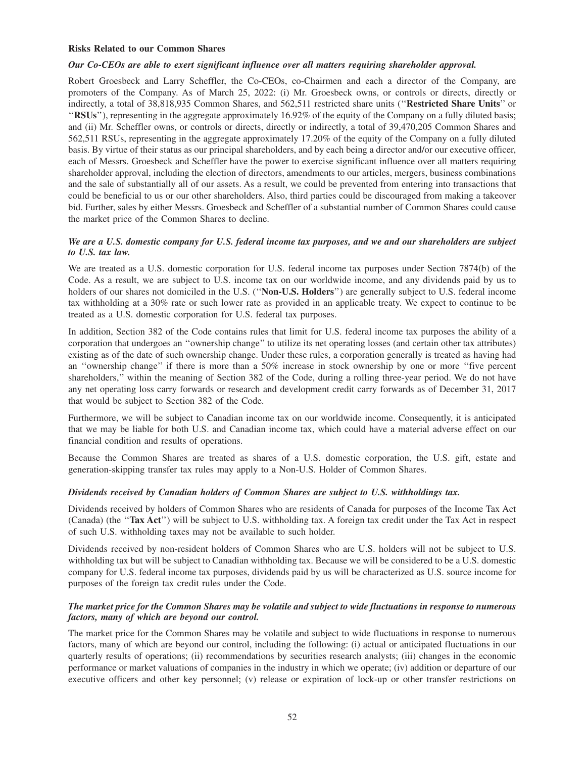### **Risks Related to our Common Shares**

### *Our Co-CEOs are able to exert significant influence over all matters requiring shareholder approval.*

Robert Groesbeck and Larry Scheffler, the Co-CEOs, co-Chairmen and each a director of the Company, are promoters of the Company. As of March 25, 2022: (i) Mr. Groesbeck owns, or controls or directs, directly or indirectly, a total of 38,818,935 Common Shares, and 562,511 restricted share units (''**Restricted Share Units**'' or ''**RSUs**''), representing in the aggregate approximately 16.92% of the equity of the Company on a fully diluted basis; and (ii) Mr. Scheffler owns, or controls or directs, directly or indirectly, a total of 39,470,205 Common Shares and 562,511 RSUs, representing in the aggregate approximately 17.20% of the equity of the Company on a fully diluted basis. By virtue of their status as our principal shareholders, and by each being a director and/or our executive officer, each of Messrs. Groesbeck and Scheffler have the power to exercise significant influence over all matters requiring shareholder approval, including the election of directors, amendments to our articles, mergers, business combinations and the sale of substantially all of our assets. As a result, we could be prevented from entering into transactions that could be beneficial to us or our other shareholders. Also, third parties could be discouraged from making a takeover bid. Further, sales by either Messrs. Groesbeck and Scheffler of a substantial number of Common Shares could cause the market price of the Common Shares to decline.

## *We are a U.S. domestic company for U.S. federal income tax purposes, and we and our shareholders are subject to U.S. tax law.*

We are treated as a U.S. domestic corporation for U.S. federal income tax purposes under Section 7874(b) of the Code. As a result, we are subject to U.S. income tax on our worldwide income, and any dividends paid by us to holders of our shares not domiciled in the U.S. (''**Non-U.S. Holders**'') are generally subject to U.S. federal income tax withholding at a 30% rate or such lower rate as provided in an applicable treaty. We expect to continue to be treated as a U.S. domestic corporation for U.S. federal tax purposes.

In addition, Section 382 of the Code contains rules that limit for U.S. federal income tax purposes the ability of a corporation that undergoes an ''ownership change'' to utilize its net operating losses (and certain other tax attributes) existing as of the date of such ownership change. Under these rules, a corporation generally is treated as having had an ''ownership change'' if there is more than a 50% increase in stock ownership by one or more ''five percent shareholders,'' within the meaning of Section 382 of the Code, during a rolling three-year period. We do not have any net operating loss carry forwards or research and development credit carry forwards as of December 31, 2017 that would be subject to Section 382 of the Code.

Furthermore, we will be subject to Canadian income tax on our worldwide income. Consequently, it is anticipated that we may be liable for both U.S. and Canadian income tax, which could have a material adverse effect on our financial condition and results of operations.

Because the Common Shares are treated as shares of a U.S. domestic corporation, the U.S. gift, estate and generation-skipping transfer tax rules may apply to a Non-U.S. Holder of Common Shares.

### *Dividends received by Canadian holders of Common Shares are subject to U.S. withholdings tax.*

Dividends received by holders of Common Shares who are residents of Canada for purposes of the Income Tax Act (Canada) (the ''**Tax Act**'') will be subject to U.S. withholding tax. A foreign tax credit under the Tax Act in respect of such U.S. withholding taxes may not be available to such holder.

Dividends received by non-resident holders of Common Shares who are U.S. holders will not be subject to U.S. withholding tax but will be subject to Canadian withholding tax. Because we will be considered to be a U.S. domestic company for U.S. federal income tax purposes, dividends paid by us will be characterized as U.S. source income for purposes of the foreign tax credit rules under the Code.

## *The market price for the Common Shares may be volatile and subject to wide fluctuations in response to numerous factors, many of which are beyond our control.*

The market price for the Common Shares may be volatile and subject to wide fluctuations in response to numerous factors, many of which are beyond our control, including the following: (i) actual or anticipated fluctuations in our quarterly results of operations; (ii) recommendations by securities research analysts; (iii) changes in the economic performance or market valuations of companies in the industry in which we operate; (iv) addition or departure of our executive officers and other key personnel; (v) release or expiration of lock-up or other transfer restrictions on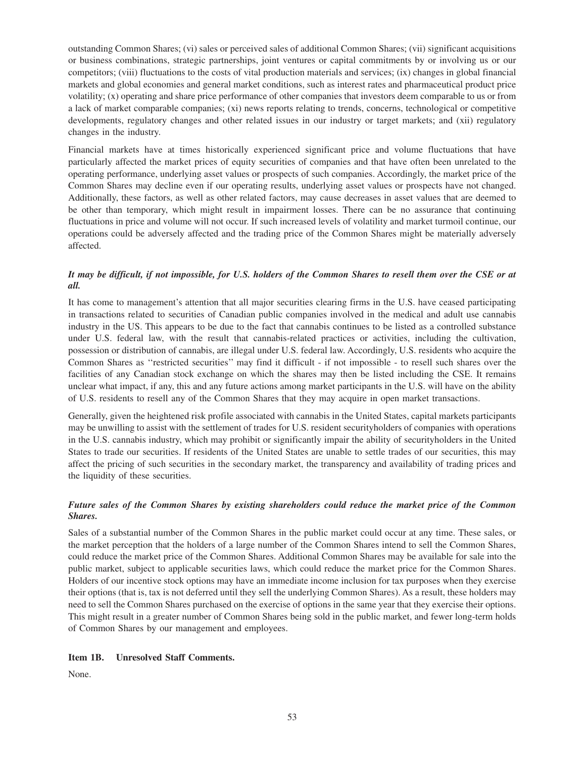outstanding Common Shares; (vi) sales or perceived sales of additional Common Shares; (vii) significant acquisitions or business combinations, strategic partnerships, joint ventures or capital commitments by or involving us or our competitors; (viii) fluctuations to the costs of vital production materials and services; (ix) changes in global financial markets and global economies and general market conditions, such as interest rates and pharmaceutical product price volatility; (x) operating and share price performance of other companies that investors deem comparable to us or from a lack of market comparable companies; (xi) news reports relating to trends, concerns, technological or competitive developments, regulatory changes and other related issues in our industry or target markets; and (xii) regulatory changes in the industry.

Financial markets have at times historically experienced significant price and volume fluctuations that have particularly affected the market prices of equity securities of companies and that have often been unrelated to the operating performance, underlying asset values or prospects of such companies. Accordingly, the market price of the Common Shares may decline even if our operating results, underlying asset values or prospects have not changed. Additionally, these factors, as well as other related factors, may cause decreases in asset values that are deemed to be other than temporary, which might result in impairment losses. There can be no assurance that continuing fluctuations in price and volume will not occur. If such increased levels of volatility and market turmoil continue, our operations could be adversely affected and the trading price of the Common Shares might be materially adversely affected.

# *It may be difficult, if not impossible, for U.S. holders of the Common Shares to resell them over the CSE or at all.*

It has come to management's attention that all major securities clearing firms in the U.S. have ceased participating in transactions related to securities of Canadian public companies involved in the medical and adult use cannabis industry in the US. This appears to be due to the fact that cannabis continues to be listed as a controlled substance under U.S. federal law, with the result that cannabis-related practices or activities, including the cultivation, possession or distribution of cannabis, are illegal under U.S. federal law. Accordingly, U.S. residents who acquire the Common Shares as ''restricted securities'' may find it difficult - if not impossible - to resell such shares over the facilities of any Canadian stock exchange on which the shares may then be listed including the CSE. It remains unclear what impact, if any, this and any future actions among market participants in the U.S. will have on the ability of U.S. residents to resell any of the Common Shares that they may acquire in open market transactions.

Generally, given the heightened risk profile associated with cannabis in the United States, capital markets participants may be unwilling to assist with the settlement of trades for U.S. resident securityholders of companies with operations in the U.S. cannabis industry, which may prohibit or significantly impair the ability of securityholders in the United States to trade our securities. If residents of the United States are unable to settle trades of our securities, this may affect the pricing of such securities in the secondary market, the transparency and availability of trading prices and the liquidity of these securities.

# *Future sales of the Common Shares by existing shareholders could reduce the market price of the Common Shares.*

Sales of a substantial number of the Common Shares in the public market could occur at any time. These sales, or the market perception that the holders of a large number of the Common Shares intend to sell the Common Shares, could reduce the market price of the Common Shares. Additional Common Shares may be available for sale into the public market, subject to applicable securities laws, which could reduce the market price for the Common Shares. Holders of our incentive stock options may have an immediate income inclusion for tax purposes when they exercise their options (that is, tax is not deferred until they sell the underlying Common Shares). As a result, these holders may need to sell the Common Shares purchased on the exercise of options in the same year that they exercise their options. This might result in a greater number of Common Shares being sold in the public market, and fewer long-term holds of Common Shares by our management and employees.

# **Item 1B. Unresolved Staff Comments.**

None.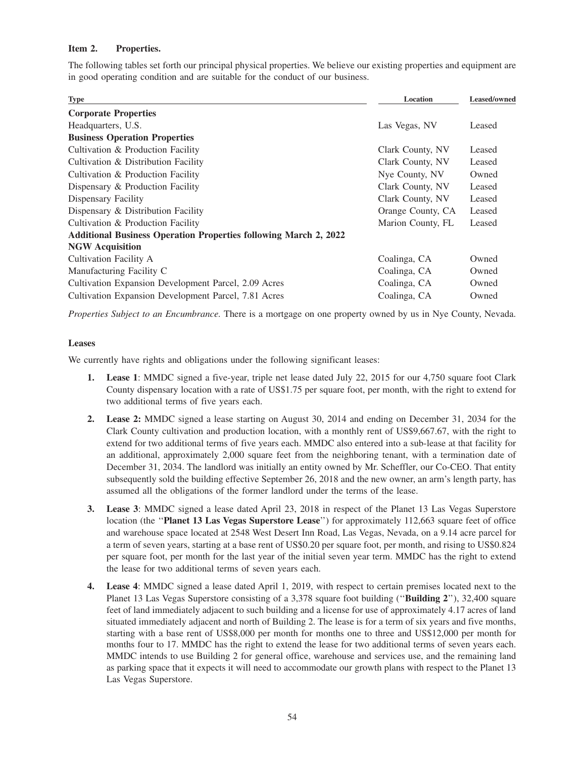## **Item 2. Properties.**

The following tables set forth our principal physical properties. We believe our existing properties and equipment are in good operating condition and are suitable for the conduct of our business.

| <b>Type</b>                                                             | Location          | Leased/owned |  |
|-------------------------------------------------------------------------|-------------------|--------------|--|
| <b>Corporate Properties</b>                                             |                   |              |  |
| Headquarters, U.S.                                                      | Las Vegas, NV     | Leased       |  |
| <b>Business Operation Properties</b>                                    |                   |              |  |
| Cultivation & Production Facility                                       | Clark County, NV  | Leased       |  |
| Cultivation & Distribution Facility                                     | Clark County, NV  | Leased       |  |
| Cultivation & Production Facility                                       | Nye County, NV    | Owned        |  |
| Dispensary & Production Facility                                        | Clark County, NV  | Leased       |  |
| Dispensary Facility                                                     | Clark County, NV  | Leased       |  |
| Dispensary & Distribution Facility                                      | Orange County, CA | Leased       |  |
| Cultivation & Production Facility                                       | Marion County, FL | Leased       |  |
| <b>Additional Business Operation Properties following March 2, 2022</b> |                   |              |  |
| <b>NGW Acquisition</b>                                                  |                   |              |  |
| Cultivation Facility A                                                  | Coalinga, CA      | Owned        |  |
| Manufacturing Facility C                                                | Coalinga, CA      | Owned        |  |
| Cultivation Expansion Development Parcel, 2.09 Acres                    | Coalinga, CA      | Owned        |  |
| Cultivation Expansion Development Parcel, 7.81 Acres                    | Coalinga, CA      | Owned        |  |
|                                                                         |                   |              |  |

*Properties Subject to an Encumbrance.* There is a mortgage on one property owned by us in Nye County, Nevada.

### **Leases**

We currently have rights and obligations under the following significant leases:

- **1. Lease 1**: MMDC signed a five-year, triple net lease dated July 22, 2015 for our 4,750 square foot Clark County dispensary location with a rate of US\$1.75 per square foot, per month, with the right to extend for two additional terms of five years each.
- **2. Lease 2:** MMDC signed a lease starting on August 30, 2014 and ending on December 31, 2034 for the Clark County cultivation and production location, with a monthly rent of US\$9,667.67, with the right to extend for two additional terms of five years each. MMDC also entered into a sub-lease at that facility for an additional, approximately 2,000 square feet from the neighboring tenant, with a termination date of December 31, 2034. The landlord was initially an entity owned by Mr. Scheffler, our Co-CEO. That entity subsequently sold the building effective September 26, 2018 and the new owner, an arm's length party, has assumed all the obligations of the former landlord under the terms of the lease.
- **3. Lease 3**: MMDC signed a lease dated April 23, 2018 in respect of the Planet 13 Las Vegas Superstore location (the ''**Planet 13 Las Vegas Superstore Lease**'') for approximately 112,663 square feet of office and warehouse space located at 2548 West Desert Inn Road, Las Vegas, Nevada, on a 9.14 acre parcel for a term of seven years, starting at a base rent of US\$0.20 per square foot, per month, and rising to US\$0.824 per square foot, per month for the last year of the initial seven year term. MMDC has the right to extend the lease for two additional terms of seven years each.
- **4. Lease 4**: MMDC signed a lease dated April 1, 2019, with respect to certain premises located next to the Planet 13 Las Vegas Superstore consisting of a 3,378 square foot building (''**Building 2**''), 32,400 square feet of land immediately adjacent to such building and a license for use of approximately 4.17 acres of land situated immediately adjacent and north of Building 2. The lease is for a term of six years and five months, starting with a base rent of US\$8,000 per month for months one to three and US\$12,000 per month for months four to 17. MMDC has the right to extend the lease for two additional terms of seven years each. MMDC intends to use Building 2 for general office, warehouse and services use, and the remaining land as parking space that it expects it will need to accommodate our growth plans with respect to the Planet 13 Las Vegas Superstore.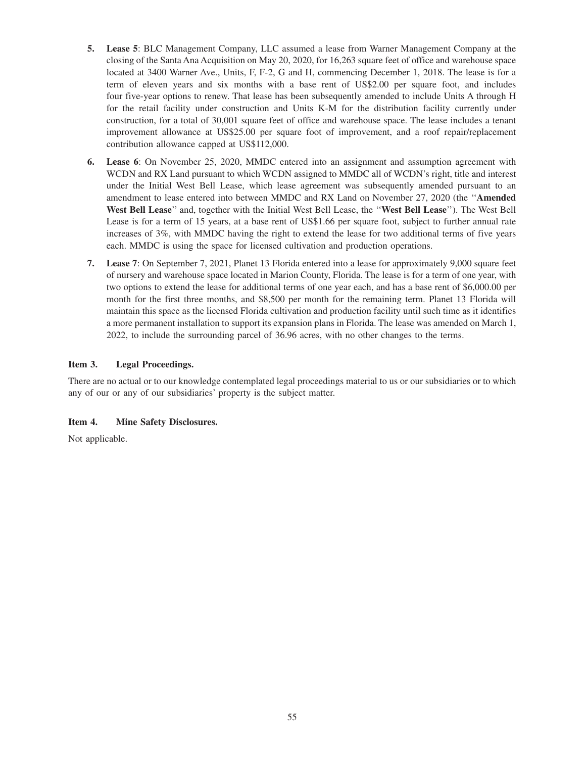- **5. Lease 5**: BLC Management Company, LLC assumed a lease from Warner Management Company at the closing of the Santa Ana Acquisition on May 20, 2020, for 16,263 square feet of office and warehouse space located at 3400 Warner Ave., Units, F, F-2, G and H, commencing December 1, 2018. The lease is for a term of eleven years and six months with a base rent of US\$2.00 per square foot, and includes four five-year options to renew. That lease has been subsequently amended to include Units A through H for the retail facility under construction and Units K-M for the distribution facility currently under construction, for a total of 30,001 square feet of office and warehouse space. The lease includes a tenant improvement allowance at US\$25.00 per square foot of improvement, and a roof repair/replacement contribution allowance capped at US\$112,000.
- **6. Lease 6**: On November 25, 2020, MMDC entered into an assignment and assumption agreement with WCDN and RX Land pursuant to which WCDN assigned to MMDC all of WCDN's right, title and interest under the Initial West Bell Lease, which lease agreement was subsequently amended pursuant to an amendment to lease entered into between MMDC and RX Land on November 27, 2020 (the ''**Amended West Bell Lease**'' and, together with the Initial West Bell Lease, the ''**West Bell Lease**''). The West Bell Lease is for a term of 15 years, at a base rent of US\$1.66 per square foot, subject to further annual rate increases of 3%, with MMDC having the right to extend the lease for two additional terms of five years each. MMDC is using the space for licensed cultivation and production operations.
- **7. Lease 7**: On September 7, 2021, Planet 13 Florida entered into a lease for approximately 9,000 square feet of nursery and warehouse space located in Marion County, Florida. The lease is for a term of one year, with two options to extend the lease for additional terms of one year each, and has a base rent of \$6,000.00 per month for the first three months, and \$8,500 per month for the remaining term. Planet 13 Florida will maintain this space as the licensed Florida cultivation and production facility until such time as it identifies a more permanent installation to support its expansion plans in Florida. The lease was amended on March 1, 2022, to include the surrounding parcel of 36.96 acres, with no other changes to the terms.

# **Item 3. Legal Proceedings.**

There are no actual or to our knowledge contemplated legal proceedings material to us or our subsidiaries or to which any of our or any of our subsidiaries' property is the subject matter.

# **Item 4. Mine Safety Disclosures.**

Not applicable.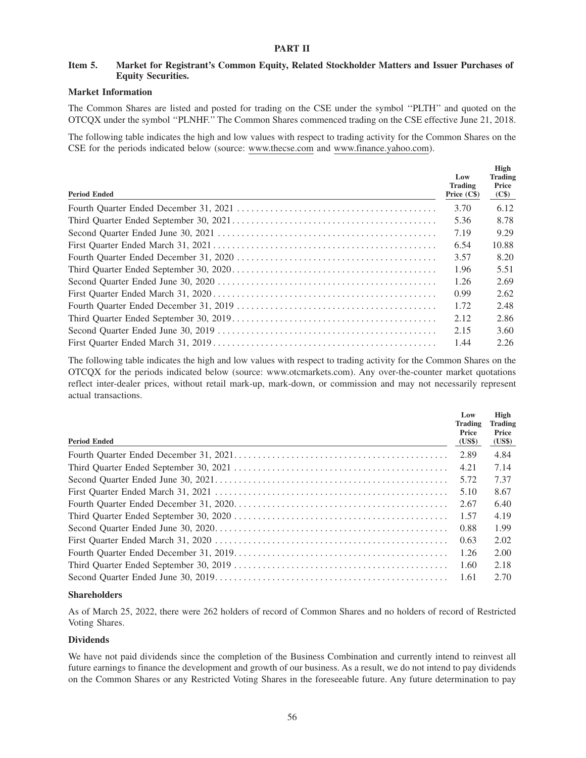# **Item 5. Market for Registrant's Common Equity, Related Stockholder Matters and Issuer Purchases of Equity Securities.**

## **Market Information**

The Common Shares are listed and posted for trading on the CSE under the symbol ''PLTH'' and quoted on the OTCQX under the symbol ''PLNHF.'' The Common Shares commenced trading on the CSE effective June 21, 2018.

The following table indicates the high and low values with respect to trading activity for the Common Shares on the CSE for the periods indicated below (source: www.thecse.com and www.finance.yahoo.com).

| <b>Period Ended</b> | Low<br>Trading<br>Price $(Cs)$ | High<br><b>Trading</b><br>Price<br>(C\$) |
|---------------------|--------------------------------|------------------------------------------|
|                     | 3.70                           | 6.12                                     |
|                     | 5.36                           | 8.78                                     |
|                     | 7.19                           | 9.29                                     |
|                     | 6.54                           | 10.88                                    |
|                     | 3.57                           | 8.20                                     |
|                     | 1.96                           | 5.51                                     |
|                     | 1.26                           | 2.69                                     |
|                     | 0.99                           | 2.62                                     |
|                     | 1.72                           | 2.48                                     |
|                     | 2.12                           | 2.86                                     |
|                     | 2.15                           | 3.60                                     |
|                     | 1.44                           | 2.26                                     |

The following table indicates the high and low values with respect to trading activity for the Common Shares on the OTCQX for the periods indicated below (source: www.otcmarkets.com). Any over-the-counter market quotations reflect inter-dealer prices, without retail mark-up, mark-down, or commission and may not necessarily represent actual transactions.

| <b>Period Ended</b> | Low<br><b>Trading</b><br>Price<br>(US\$) | High<br><b>Trading</b><br>Price<br>(US\$) |
|---------------------|------------------------------------------|-------------------------------------------|
|                     | 2.89                                     | 4.84                                      |
|                     | 4.21                                     | 7.14                                      |
|                     | 5.72                                     | 7.37                                      |
|                     | 5.10                                     | 8.67                                      |
|                     | 2.67                                     | 6.40                                      |
|                     | 1.57                                     | 4.19                                      |
|                     | 0.88                                     | 1.99                                      |
|                     | 0.63                                     | 2.02                                      |
|                     | 1.26                                     | 2.00                                      |
|                     | 1.60                                     | 2.18                                      |
|                     | 1.61                                     | 2.70                                      |

# **Shareholders**

As of March 25, 2022, there were 262 holders of record of Common Shares and no holders of record of Restricted Voting Shares.

# **Dividends**

We have not paid dividends since the completion of the Business Combination and currently intend to reinvest all future earnings to finance the development and growth of our business. As a result, we do not intend to pay dividends on the Common Shares or any Restricted Voting Shares in the foreseeable future. Any future determination to pay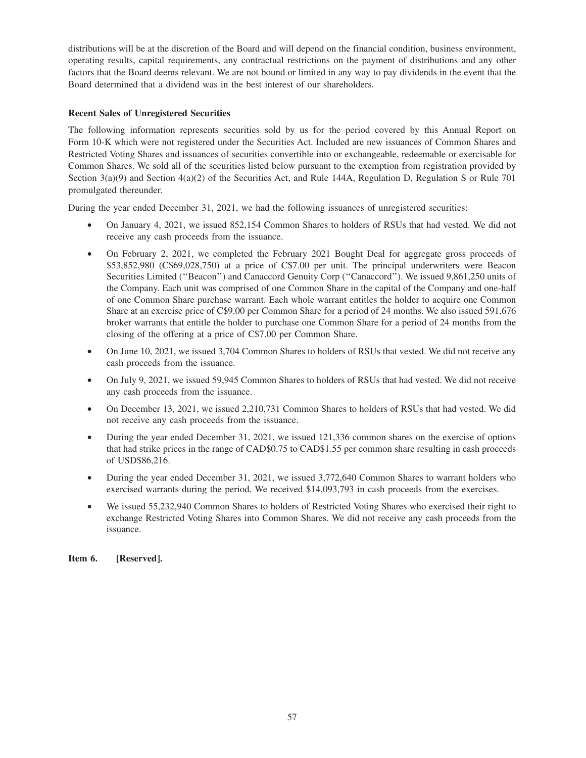distributions will be at the discretion of the Board and will depend on the financial condition, business environment, operating results, capital requirements, any contractual restrictions on the payment of distributions and any other factors that the Board deems relevant. We are not bound or limited in any way to pay dividends in the event that the Board determined that a dividend was in the best interest of our shareholders.

# **Recent Sales of Unregistered Securities**

The following information represents securities sold by us for the period covered by this Annual Report on Form 10-K which were not registered under the Securities Act. Included are new issuances of Common Shares and Restricted Voting Shares and issuances of securities convertible into or exchangeable, redeemable or exercisable for Common Shares. We sold all of the securities listed below pursuant to the exemption from registration provided by Section 3(a)(9) and Section 4(a)(2) of the Securities Act, and Rule 144A, Regulation D, Regulation S or Rule 701 promulgated thereunder.

During the year ended December 31, 2021, we had the following issuances of unregistered securities:

- On January 4, 2021, we issued 852,154 Common Shares to holders of RSUs that had vested. We did not receive any cash proceeds from the issuance.
- On February 2, 2021, we completed the February 2021 Bought Deal for aggregate gross proceeds of \$53,852,980 (C\$69,028,750) at a price of C\$7.00 per unit. The principal underwriters were Beacon Securities Limited (''Beacon'') and Canaccord Genuity Corp (''Canaccord''). We issued 9,861,250 units of the Company. Each unit was comprised of one Common Share in the capital of the Company and one-half of one Common Share purchase warrant. Each whole warrant entitles the holder to acquire one Common Share at an exercise price of C\$9.00 per Common Share for a period of 24 months. We also issued 591,676 broker warrants that entitle the holder to purchase one Common Share for a period of 24 months from the closing of the offering at a price of C\$7.00 per Common Share.
- On June 10, 2021, we issued 3,704 Common Shares to holders of RSUs that vested. We did not receive any cash proceeds from the issuance.
- On July 9, 2021, we issued 59,945 Common Shares to holders of RSUs that had vested. We did not receive any cash proceeds from the issuance.
- On December 13, 2021, we issued 2,210,731 Common Shares to holders of RSUs that had vested. We did not receive any cash proceeds from the issuance.
- During the year ended December 31, 2021, we issued 121,336 common shares on the exercise of options that had strike prices in the range of CAD\$0.75 to CAD\$1.55 per common share resulting in cash proceeds of USD\$86,216.
- During the year ended December 31, 2021, we issued 3,772,640 Common Shares to warrant holders who exercised warrants during the period. We received \$14,093,793 in cash proceeds from the exercises.
- We issued 55,232,940 Common Shares to holders of Restricted Voting Shares who exercised their right to exchange Restricted Voting Shares into Common Shares. We did not receive any cash proceeds from the issuance.

**Item 6. [Reserved].**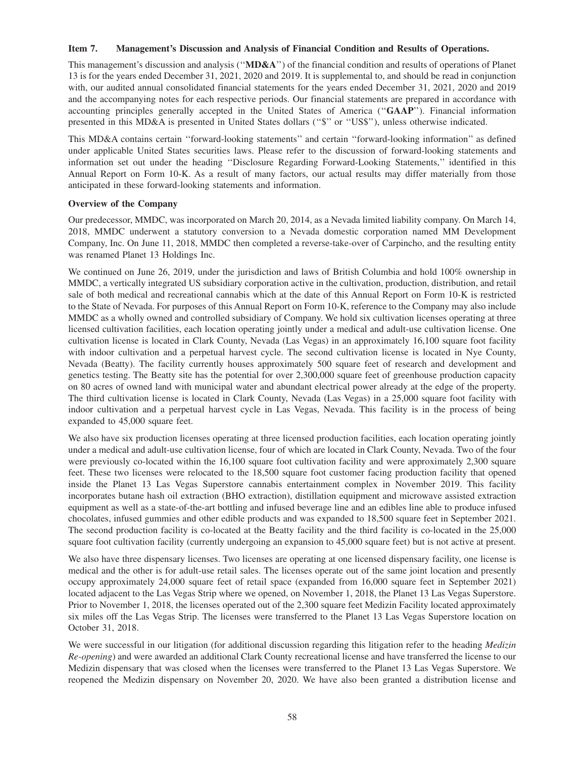## **Item 7. Management's Discussion and Analysis of Financial Condition and Results of Operations.**

This management's discussion and analysis (''**MD&A**'') of the financial condition and results of operations of Planet 13 is for the years ended December 31, 2021, 2020 and 2019. It is supplemental to, and should be read in conjunction with, our audited annual consolidated financial statements for the years ended December 31, 2021, 2020 and 2019 and the accompanying notes for each respective periods. Our financial statements are prepared in accordance with accounting principles generally accepted in the United States of America (''**GAAP**''). Financial information presented in this MD&A is presented in United States dollars (''\$'' or ''US\$''), unless otherwise indicated.

This MD&A contains certain ''forward-looking statements'' and certain ''forward-looking information'' as defined under applicable United States securities laws. Please refer to the discussion of forward-looking statements and information set out under the heading ''Disclosure Regarding Forward-Looking Statements,'' identified in this Annual Report on Form 10-K. As a result of many factors, our actual results may differ materially from those anticipated in these forward-looking statements and information.

# **Overview of the Company**

Our predecessor, MMDC, was incorporated on March 20, 2014, as a Nevada limited liability company. On March 14, 2018, MMDC underwent a statutory conversion to a Nevada domestic corporation named MM Development Company, Inc. On June 11, 2018, MMDC then completed a reverse-take-over of Carpincho, and the resulting entity was renamed Planet 13 Holdings Inc.

We continued on June 26, 2019, under the jurisdiction and laws of British Columbia and hold 100% ownership in MMDC, a vertically integrated US subsidiary corporation active in the cultivation, production, distribution, and retail sale of both medical and recreational cannabis which at the date of this Annual Report on Form 10-K is restricted to the State of Nevada. For purposes of this Annual Report on Form 10-K, reference to the Company may also include MMDC as a wholly owned and controlled subsidiary of Company. We hold six cultivation licenses operating at three licensed cultivation facilities, each location operating jointly under a medical and adult-use cultivation license. One cultivation license is located in Clark County, Nevada (Las Vegas) in an approximately 16,100 square foot facility with indoor cultivation and a perpetual harvest cycle. The second cultivation license is located in Nye County, Nevada (Beatty). The facility currently houses approximately 500 square feet of research and development and genetics testing. The Beatty site has the potential for over 2,300,000 square feet of greenhouse production capacity on 80 acres of owned land with municipal water and abundant electrical power already at the edge of the property. The third cultivation license is located in Clark County, Nevada (Las Vegas) in a 25,000 square foot facility with indoor cultivation and a perpetual harvest cycle in Las Vegas, Nevada. This facility is in the process of being expanded to 45,000 square feet.

We also have six production licenses operating at three licensed production facilities, each location operating jointly under a medical and adult-use cultivation license, four of which are located in Clark County, Nevada. Two of the four were previously co-located within the 16,100 square foot cultivation facility and were approximately 2,300 square feet. These two licenses were relocated to the 18,500 square foot customer facing production facility that opened inside the Planet 13 Las Vegas Superstore cannabis entertainment complex in November 2019. This facility incorporates butane hash oil extraction (BHO extraction), distillation equipment and microwave assisted extraction equipment as well as a state-of-the-art bottling and infused beverage line and an edibles line able to produce infused chocolates, infused gummies and other edible products and was expanded to 18,500 square feet in September 2021. The second production facility is co-located at the Beatty facility and the third facility is co-located in the 25,000 square foot cultivation facility (currently undergoing an expansion to 45,000 square feet) but is not active at present.

We also have three dispensary licenses. Two licenses are operating at one licensed dispensary facility, one license is medical and the other is for adult-use retail sales. The licenses operate out of the same joint location and presently occupy approximately 24,000 square feet of retail space (expanded from 16,000 square feet in September 2021) located adjacent to the Las Vegas Strip where we opened, on November 1, 2018, the Planet 13 Las Vegas Superstore. Prior to November 1, 2018, the licenses operated out of the 2,300 square feet Medizin Facility located approximately six miles off the Las Vegas Strip. The licenses were transferred to the Planet 13 Las Vegas Superstore location on October 31, 2018.

We were successful in our litigation (for additional discussion regarding this litigation refer to the heading *Medizin Re-opening*) and were awarded an additional Clark County recreational license and have transferred the license to our Medizin dispensary that was closed when the licenses were transferred to the Planet 13 Las Vegas Superstore. We reopened the Medizin dispensary on November 20, 2020. We have also been granted a distribution license and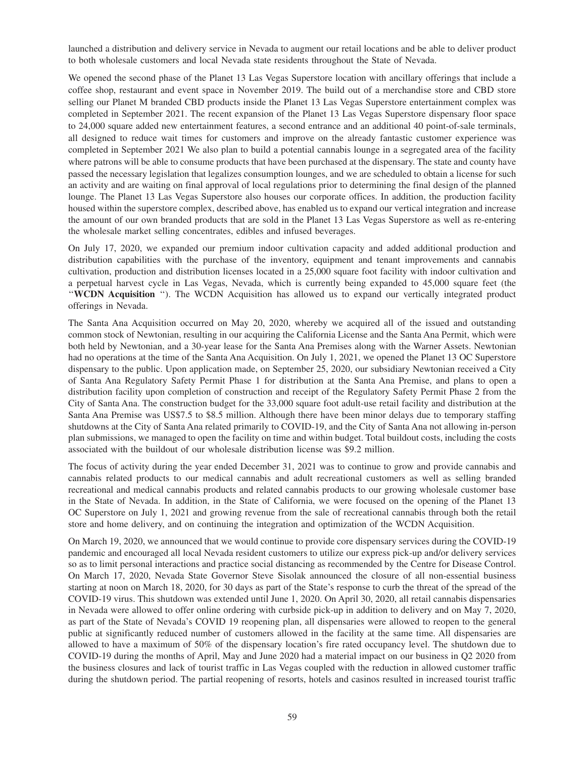launched a distribution and delivery service in Nevada to augment our retail locations and be able to deliver product to both wholesale customers and local Nevada state residents throughout the State of Nevada.

We opened the second phase of the Planet 13 Las Vegas Superstore location with ancillary offerings that include a coffee shop, restaurant and event space in November 2019. The build out of a merchandise store and CBD store selling our Planet M branded CBD products inside the Planet 13 Las Vegas Superstore entertainment complex was completed in September 2021. The recent expansion of the Planet 13 Las Vegas Superstore dispensary floor space to 24,000 square added new entertainment features, a second entrance and an additional 40 point-of-sale terminals, all designed to reduce wait times for customers and improve on the already fantastic customer experience was completed in September 2021 We also plan to build a potential cannabis lounge in a segregated area of the facility where patrons will be able to consume products that have been purchased at the dispensary. The state and county have passed the necessary legislation that legalizes consumption lounges, and we are scheduled to obtain a license for such an activity and are waiting on final approval of local regulations prior to determining the final design of the planned lounge. The Planet 13 Las Vegas Superstore also houses our corporate offices. In addition, the production facility housed within the superstore complex, described above, has enabled us to expand our vertical integration and increase the amount of our own branded products that are sold in the Planet 13 Las Vegas Superstore as well as re-entering the wholesale market selling concentrates, edibles and infused beverages.

On July 17, 2020, we expanded our premium indoor cultivation capacity and added additional production and distribution capabilities with the purchase of the inventory, equipment and tenant improvements and cannabis cultivation, production and distribution licenses located in a 25,000 square foot facility with indoor cultivation and a perpetual harvest cycle in Las Vegas, Nevada, which is currently being expanded to 45,000 square feet (the ''**WCDN Acquisition** ''). The WCDN Acquisition has allowed us to expand our vertically integrated product offerings in Nevada.

The Santa Ana Acquisition occurred on May 20, 2020, whereby we acquired all of the issued and outstanding common stock of Newtonian, resulting in our acquiring the California License and the Santa Ana Permit, which were both held by Newtonian, and a 30-year lease for the Santa Ana Premises along with the Warner Assets. Newtonian had no operations at the time of the Santa Ana Acquisition. On July 1, 2021, we opened the Planet 13 OC Superstore dispensary to the public. Upon application made, on September 25, 2020, our subsidiary Newtonian received a City of Santa Ana Regulatory Safety Permit Phase 1 for distribution at the Santa Ana Premise, and plans to open a distribution facility upon completion of construction and receipt of the Regulatory Safety Permit Phase 2 from the City of Santa Ana. The construction budget for the 33,000 square foot adult-use retail facility and distribution at the Santa Ana Premise was US\$7.5 to \$8.5 million. Although there have been minor delays due to temporary staffing shutdowns at the City of Santa Ana related primarily to COVID-19, and the City of Santa Ana not allowing in-person plan submissions, we managed to open the facility on time and within budget. Total buildout costs, including the costs associated with the buildout of our wholesale distribution license was \$9.2 million.

The focus of activity during the year ended December 31, 2021 was to continue to grow and provide cannabis and cannabis related products to our medical cannabis and adult recreational customers as well as selling branded recreational and medical cannabis products and related cannabis products to our growing wholesale customer base in the State of Nevada. In addition, in the State of California, we were focused on the opening of the Planet 13 OC Superstore on July 1, 2021 and growing revenue from the sale of recreational cannabis through both the retail store and home delivery, and on continuing the integration and optimization of the WCDN Acquisition.

On March 19, 2020, we announced that we would continue to provide core dispensary services during the COVID-19 pandemic and encouraged all local Nevada resident customers to utilize our express pick-up and/or delivery services so as to limit personal interactions and practice social distancing as recommended by the Centre for Disease Control. On March 17, 2020, Nevada State Governor Steve Sisolak announced the closure of all non-essential business starting at noon on March 18, 2020, for 30 days as part of the State's response to curb the threat of the spread of the COVID-19 virus. This shutdown was extended until June 1, 2020. On April 30, 2020, all retail cannabis dispensaries in Nevada were allowed to offer online ordering with curbside pick-up in addition to delivery and on May 7, 2020, as part of the State of Nevada's COVID 19 reopening plan, all dispensaries were allowed to reopen to the general public at significantly reduced number of customers allowed in the facility at the same time. All dispensaries are allowed to have a maximum of 50% of the dispensary location's fire rated occupancy level. The shutdown due to COVID-19 during the months of April, May and June 2020 had a material impact on our business in Q2 2020 from the business closures and lack of tourist traffic in Las Vegas coupled with the reduction in allowed customer traffic during the shutdown period. The partial reopening of resorts, hotels and casinos resulted in increased tourist traffic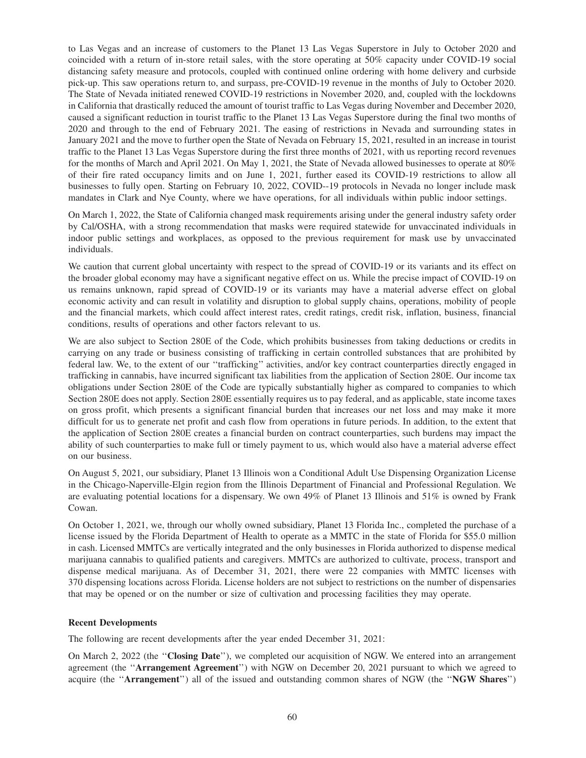to Las Vegas and an increase of customers to the Planet 13 Las Vegas Superstore in July to October 2020 and coincided with a return of in-store retail sales, with the store operating at 50% capacity under COVID-19 social distancing safety measure and protocols, coupled with continued online ordering with home delivery and curbside pick-up. This saw operations return to, and surpass, pre-COVID-19 revenue in the months of July to October 2020. The State of Nevada initiated renewed COVID-19 restrictions in November 2020, and, coupled with the lockdowns in California that drastically reduced the amount of tourist traffic to Las Vegas during November and December 2020, caused a significant reduction in tourist traffic to the Planet 13 Las Vegas Superstore during the final two months of 2020 and through to the end of February 2021. The easing of restrictions in Nevada and surrounding states in January 2021 and the move to further open the State of Nevada on February 15, 2021, resulted in an increase in tourist traffic to the Planet 13 Las Vegas Superstore during the first three months of 2021, with us reporting record revenues for the months of March and April 2021. On May 1, 2021, the State of Nevada allowed businesses to operate at 80% of their fire rated occupancy limits and on June 1, 2021, further eased its COVID-19 restrictions to allow all businesses to fully open. Starting on February 10, 2022, COVID--19 protocols in Nevada no longer include mask mandates in Clark and Nye County, where we have operations, for all individuals within public indoor settings.

On March 1, 2022, the State of California changed mask requirements arising under the general industry safety order by Cal/OSHA, with a strong recommendation that masks were required statewide for unvaccinated individuals in indoor public settings and workplaces, as opposed to the previous requirement for mask use by unvaccinated individuals.

We caution that current global uncertainty with respect to the spread of COVID-19 or its variants and its effect on the broader global economy may have a significant negative effect on us. While the precise impact of COVID-19 on us remains unknown, rapid spread of COVID-19 or its variants may have a material adverse effect on global economic activity and can result in volatility and disruption to global supply chains, operations, mobility of people and the financial markets, which could affect interest rates, credit ratings, credit risk, inflation, business, financial conditions, results of operations and other factors relevant to us.

We are also subject to Section 280E of the Code, which prohibits businesses from taking deductions or credits in carrying on any trade or business consisting of trafficking in certain controlled substances that are prohibited by federal law. We, to the extent of our ''trafficking'' activities, and/or key contract counterparties directly engaged in trafficking in cannabis, have incurred significant tax liabilities from the application of Section 280E. Our income tax obligations under Section 280E of the Code are typically substantially higher as compared to companies to which Section 280E does not apply. Section 280E essentially requires us to pay federal, and as applicable, state income taxes on gross profit, which presents a significant financial burden that increases our net loss and may make it more difficult for us to generate net profit and cash flow from operations in future periods. In addition, to the extent that the application of Section 280E creates a financial burden on contract counterparties, such burdens may impact the ability of such counterparties to make full or timely payment to us, which would also have a material adverse effect on our business.

On August 5, 2021, our subsidiary, Planet 13 Illinois won a Conditional Adult Use Dispensing Organization License in the Chicago-Naperville-Elgin region from the Illinois Department of Financial and Professional Regulation. We are evaluating potential locations for a dispensary. We own 49% of Planet 13 Illinois and 51% is owned by Frank Cowan.

On October 1, 2021, we, through our wholly owned subsidiary, Planet 13 Florida Inc., completed the purchase of a license issued by the Florida Department of Health to operate as a MMTC in the state of Florida for \$55.0 million in cash. Licensed MMTCs are vertically integrated and the only businesses in Florida authorized to dispense medical marijuana cannabis to qualified patients and caregivers. MMTCs are authorized to cultivate, process, transport and dispense medical marijuana. As of December 31, 2021, there were 22 companies with MMTC licenses with 370 dispensing locations across Florida. License holders are not subject to restrictions on the number of dispensaries that may be opened or on the number or size of cultivation and processing facilities they may operate.

### **Recent Developments**

The following are recent developments after the year ended December 31, 2021:

On March 2, 2022 (the ''**Closing Date**''), we completed our acquisition of NGW. We entered into an arrangement agreement (the ''**Arrangement Agreement**'') with NGW on December 20, 2021 pursuant to which we agreed to acquire (the ''**Arrangement**'') all of the issued and outstanding common shares of NGW (the ''**NGW Shares**'')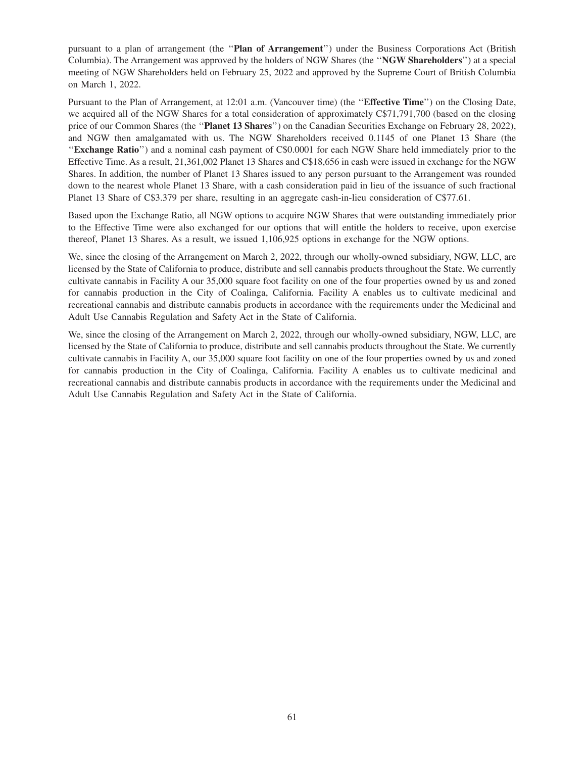pursuant to a plan of arrangement (the ''**Plan of Arrangement**'') under the Business Corporations Act (British Columbia). The Arrangement was approved by the holders of NGW Shares (the ''**NGW Shareholders**'') at a special meeting of NGW Shareholders held on February 25, 2022 and approved by the Supreme Court of British Columbia on March 1, 2022.

Pursuant to the Plan of Arrangement, at 12:01 a.m. (Vancouver time) (the ''**Effective Time**'') on the Closing Date, we acquired all of the NGW Shares for a total consideration of approximately C\$71,791,700 (based on the closing price of our Common Shares (the ''**Planet 13 Shares**'') on the Canadian Securities Exchange on February 28, 2022), and NGW then amalgamated with us. The NGW Shareholders received 0.1145 of one Planet 13 Share (the ''**Exchange Ratio**'') and a nominal cash payment of C\$0.0001 for each NGW Share held immediately prior to the Effective Time. As a result, 21,361,002 Planet 13 Shares and C\$18,656 in cash were issued in exchange for the NGW Shares. In addition, the number of Planet 13 Shares issued to any person pursuant to the Arrangement was rounded down to the nearest whole Planet 13 Share, with a cash consideration paid in lieu of the issuance of such fractional Planet 13 Share of C\$3.379 per share, resulting in an aggregate cash-in-lieu consideration of C\$77.61.

Based upon the Exchange Ratio, all NGW options to acquire NGW Shares that were outstanding immediately prior to the Effective Time were also exchanged for our options that will entitle the holders to receive, upon exercise thereof, Planet 13 Shares. As a result, we issued 1,106,925 options in exchange for the NGW options.

We, since the closing of the Arrangement on March 2, 2022, through our wholly-owned subsidiary, NGW, LLC, are licensed by the State of California to produce, distribute and sell cannabis products throughout the State. We currently cultivate cannabis in Facility A our 35,000 square foot facility on one of the four properties owned by us and zoned for cannabis production in the City of Coalinga, California. Facility A enables us to cultivate medicinal and recreational cannabis and distribute cannabis products in accordance with the requirements under the Medicinal and Adult Use Cannabis Regulation and Safety Act in the State of California.

We, since the closing of the Arrangement on March 2, 2022, through our wholly-owned subsidiary, NGW, LLC, are licensed by the State of California to produce, distribute and sell cannabis products throughout the State. We currently cultivate cannabis in Facility A, our 35,000 square foot facility on one of the four properties owned by us and zoned for cannabis production in the City of Coalinga, California. Facility A enables us to cultivate medicinal and recreational cannabis and distribute cannabis products in accordance with the requirements under the Medicinal and Adult Use Cannabis Regulation and Safety Act in the State of California.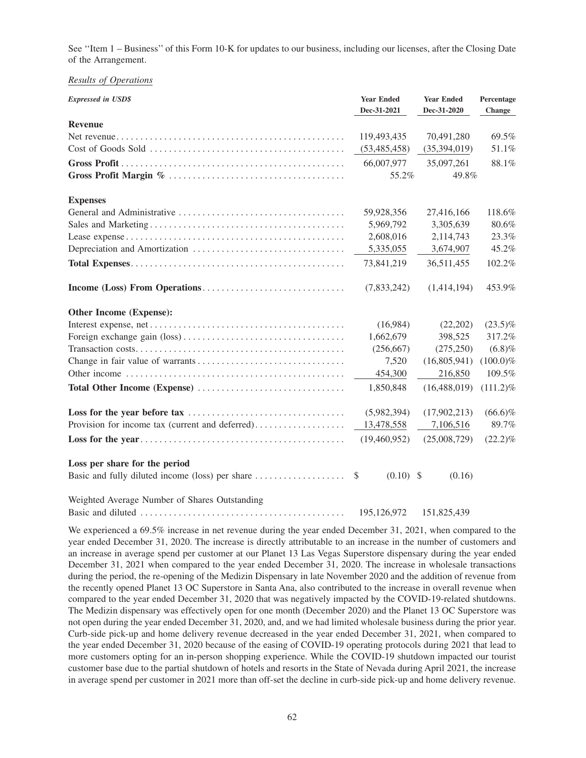See ''Item 1 – Business'' of this Form 10-K for updates to our business, including our licenses, after the Closing Date of the Arrangement.

### *Results of Operations*

| <b>Expressed in USD\$</b>                       | <b>Year Ended</b><br>Dec-31-2021 | <b>Year Ended</b><br>Dec-31-2020 | Percentage<br>Change |
|-------------------------------------------------|----------------------------------|----------------------------------|----------------------|
| <b>Revenue</b>                                  |                                  |                                  |                      |
|                                                 | 119,493,435                      | 70,491,280                       | 69.5%                |
|                                                 | (53, 485, 458)                   | (35,394,019)                     | 51.1%                |
|                                                 | 66,007,977                       | 35,097,261                       | 88.1%                |
|                                                 | 55.2%                            | 49.8%                            |                      |
| <b>Expenses</b>                                 |                                  |                                  |                      |
|                                                 | 59,928,356                       | 27,416,166                       | 118.6%               |
|                                                 | 5,969,792                        | 3,305,639                        | 80.6%                |
|                                                 | 2,608,016                        | 2,114,743                        | 23.3%                |
|                                                 | 5,335,055                        | 3,674,907                        | 45.2%                |
|                                                 | 73,841,219                       | 36,511,455                       | 102.2%               |
|                                                 | (7,833,242)                      | (1,414,194)                      | 453.9%               |
| <b>Other Income (Expense):</b>                  |                                  |                                  |                      |
|                                                 | (16,984)                         | (22,202)                         | $(23.5)\%$           |
|                                                 | 1,662,679                        | 398,525                          | 317.2%               |
|                                                 | (256, 667)                       | (275, 250)                       | (6.8)%               |
|                                                 | 7,520                            | (16,805,941)                     | $(100.0)\%$          |
|                                                 | 454,300                          | 216,850                          | 109.5%               |
|                                                 | 1,850,848                        | (16, 488, 019)                   | $(111.2)\%$          |
|                                                 | (5,982,394)                      | (17,902,213)                     | $(66.6)\%$           |
| Provision for income tax (current and deferred) | 13,478,558                       | 7,106,516                        | 89.7%                |
|                                                 | (19,460,952)                     | (25,008,729)                     | $(22.2)\%$           |
| Loss per share for the period                   |                                  |                                  |                      |
|                                                 | $(0.10)$ \$<br>$\mathcal{S}$     | (0.16)                           |                      |
| Weighted Average Number of Shares Outstanding   |                                  |                                  |                      |
|                                                 | 195,126,972                      | 151,825,439                      |                      |

We experienced a 69.5% increase in net revenue during the year ended December 31, 2021, when compared to the year ended December 31, 2020. The increase is directly attributable to an increase in the number of customers and an increase in average spend per customer at our Planet 13 Las Vegas Superstore dispensary during the year ended December 31, 2021 when compared to the year ended December 31, 2020. The increase in wholesale transactions during the period, the re-opening of the Medizin Dispensary in late November 2020 and the addition of revenue from the recently opened Planet 13 OC Superstore in Santa Ana, also contributed to the increase in overall revenue when compared to the year ended December 31, 2020 that was negatively impacted by the COVID-19-related shutdowns. The Medizin dispensary was effectively open for one month (December 2020) and the Planet 13 OC Superstore was not open during the year ended December 31, 2020, and, and we had limited wholesale business during the prior year. Curb-side pick-up and home delivery revenue decreased in the year ended December 31, 2021, when compared to the year ended December 31, 2020 because of the easing of COVID-19 operating protocols during 2021 that lead to more customers opting for an in-person shopping experience. While the COVID-19 shutdown impacted our tourist customer base due to the partial shutdown of hotels and resorts in the State of Nevada during April 2021, the increase in average spend per customer in 2021 more than off-set the decline in curb-side pick-up and home delivery revenue.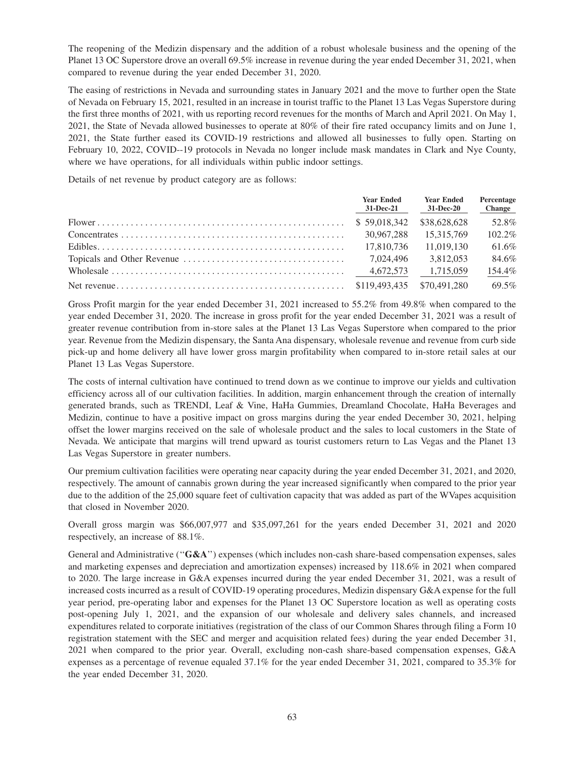The reopening of the Medizin dispensary and the addition of a robust wholesale business and the opening of the Planet 13 OC Superstore drove an overall 69.5% increase in revenue during the year ended December 31, 2021, when compared to revenue during the year ended December 31, 2020.

The easing of restrictions in Nevada and surrounding states in January 2021 and the move to further open the State of Nevada on February 15, 2021, resulted in an increase in tourist traffic to the Planet 13 Las Vegas Superstore during the first three months of 2021, with us reporting record revenues for the months of March and April 2021. On May 1, 2021, the State of Nevada allowed businesses to operate at 80% of their fire rated occupancy limits and on June 1, 2021, the State further eased its COVID-19 restrictions and allowed all businesses to fully open. Starting on February 10, 2022, COVID--19 protocols in Nevada no longer include mask mandates in Clark and Nye County, where we have operations, for all individuals within public indoor settings.

Details of net revenue by product category are as follows:

| <b>Year Ended</b><br>31-Dec-21 | <b>Year Ended</b><br>31-Dec-20 | Percentage<br><b>Change</b> |
|--------------------------------|--------------------------------|-----------------------------|
| \$59,018,342                   | \$38,628,628                   | 52.8%                       |
| 30.967.288                     | 15.315.769                     | 102.2%                      |
| 17.810.736                     | 11.019.130                     | 61.6%                       |
| 7.024.496                      | 3.812.053                      | 84.6%                       |
|                                | 1.715.059                      | 154.4%                      |
|                                |                                | 69.5%                       |

Gross Profit margin for the year ended December 31, 2021 increased to 55.2% from 49.8% when compared to the year ended December 31, 2020. The increase in gross profit for the year ended December 31, 2021 was a result of greater revenue contribution from in-store sales at the Planet 13 Las Vegas Superstore when compared to the prior year. Revenue from the Medizin dispensary, the Santa Ana dispensary, wholesale revenue and revenue from curb side pick-up and home delivery all have lower gross margin profitability when compared to in-store retail sales at our Planet 13 Las Vegas Superstore.

The costs of internal cultivation have continued to trend down as we continue to improve our yields and cultivation efficiency across all of our cultivation facilities. In addition, margin enhancement through the creation of internally generated brands, such as TRENDI, Leaf & Vine, HaHa Gummies, Dreamland Chocolate, HaHa Beverages and Medizin, continue to have a positive impact on gross margins during the year ended December 30, 2021, helping offset the lower margins received on the sale of wholesale product and the sales to local customers in the State of Nevada. We anticipate that margins will trend upward as tourist customers return to Las Vegas and the Planet 13 Las Vegas Superstore in greater numbers.

Our premium cultivation facilities were operating near capacity during the year ended December 31, 2021, and 2020, respectively. The amount of cannabis grown during the year increased significantly when compared to the prior year due to the addition of the 25,000 square feet of cultivation capacity that was added as part of the WVapes acquisition that closed in November 2020.

Overall gross margin was \$66,007,977 and \$35,097,261 for the years ended December 31, 2021 and 2020 respectively, an increase of 88.1%.

General and Administrative (''**G&A**'') expenses (which includes non-cash share-based compensation expenses, sales and marketing expenses and depreciation and amortization expenses) increased by 118.6% in 2021 when compared to 2020. The large increase in G&A expenses incurred during the year ended December 31, 2021, was a result of increased costs incurred as a result of COVID-19 operating procedures, Medizin dispensary G&A expense for the full year period, pre-operating labor and expenses for the Planet 13 OC Superstore location as well as operating costs post-opening July 1, 2021, and the expansion of our wholesale and delivery sales channels, and increased expenditures related to corporate initiatives (registration of the class of our Common Shares through filing a Form 10 registration statement with the SEC and merger and acquisition related fees) during the year ended December 31, 2021 when compared to the prior year. Overall, excluding non-cash share-based compensation expenses, G&A expenses as a percentage of revenue equaled 37.1% for the year ended December 31, 2021, compared to 35.3% for the year ended December 31, 2020.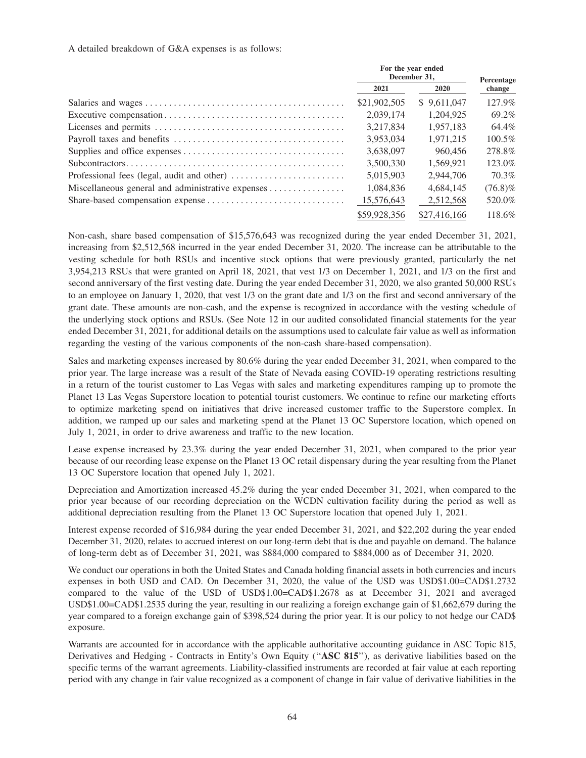A detailed breakdown of G&A expenses is as follows:

| For the year ended<br>December 31. |              | Percentage |
|------------------------------------|--------------|------------|
| 2021                               | <b>2020</b>  | change     |
| \$21,902,505                       | \$9.611,047  | 127.9%     |
| 2.039.174                          | 1.204.925    | 69.2%      |
| 3.217.834                          | 1.957.183    | 64.4%      |
| 3.953.034                          | 1.971.215    | $100.5\%$  |
| 3,638,097                          | 960,456      | 278.8%     |
| 3.500.330                          | 1.569.921    | 123.0%     |
| 5.015.903                          | 2.944.706    | 70.3%      |
| 1.084.836                          | 4.684.145    | $(76.8)\%$ |
| 15,576,643                         | 2,512,568    | 520.0%     |
| \$59,928,356                       | \$27,416,166 | 118.6%     |

Non-cash, share based compensation of \$15,576,643 was recognized during the year ended December 31, 2021, increasing from \$2,512,568 incurred in the year ended December 31, 2020. The increase can be attributable to the vesting schedule for both RSUs and incentive stock options that were previously granted, particularly the net 3,954,213 RSUs that were granted on April 18, 2021, that vest 1/3 on December 1, 2021, and 1/3 on the first and second anniversary of the first vesting date. During the year ended December 31, 2020, we also granted 50,000 RSUs to an employee on January 1, 2020, that vest 1/3 on the grant date and 1/3 on the first and second anniversary of the grant date. These amounts are non-cash, and the expense is recognized in accordance with the vesting schedule of the underlying stock options and RSUs. (See Note 12 in our audited consolidated financial statements for the year ended December 31, 2021, for additional details on the assumptions used to calculate fair value as well as information regarding the vesting of the various components of the non-cash share-based compensation).

Sales and marketing expenses increased by 80.6% during the year ended December 31, 2021, when compared to the prior year. The large increase was a result of the State of Nevada easing COVID-19 operating restrictions resulting in a return of the tourist customer to Las Vegas with sales and marketing expenditures ramping up to promote the Planet 13 Las Vegas Superstore location to potential tourist customers. We continue to refine our marketing efforts to optimize marketing spend on initiatives that drive increased customer traffic to the Superstore complex. In addition, we ramped up our sales and marketing spend at the Planet 13 OC Superstore location, which opened on July 1, 2021, in order to drive awareness and traffic to the new location.

Lease expense increased by 23.3% during the year ended December 31, 2021, when compared to the prior year because of our recording lease expense on the Planet 13 OC retail dispensary during the year resulting from the Planet 13 OC Superstore location that opened July 1, 2021.

Depreciation and Amortization increased 45.2% during the year ended December 31, 2021, when compared to the prior year because of our recording depreciation on the WCDN cultivation facility during the period as well as additional depreciation resulting from the Planet 13 OC Superstore location that opened July 1, 2021.

Interest expense recorded of \$16,984 during the year ended December 31, 2021, and \$22,202 during the year ended December 31, 2020, relates to accrued interest on our long-term debt that is due and payable on demand. The balance of long-term debt as of December 31, 2021, was \$884,000 compared to \$884,000 as of December 31, 2020.

We conduct our operations in both the United States and Canada holding financial assets in both currencies and incurs expenses in both USD and CAD. On December 31, 2020, the value of the USD was USD\$1.00=CAD\$1.2732 compared to the value of the USD of USD\$1.00=CAD\$1.2678 as at December 31, 2021 and averaged USD\$1.00=CAD\$1.2535 during the year, resulting in our realizing a foreign exchange gain of \$1,662,679 during the year compared to a foreign exchange gain of \$398,524 during the prior year. It is our policy to not hedge our CAD\$ exposure.

Warrants are accounted for in accordance with the applicable authoritative accounting guidance in ASC Topic 815, Derivatives and Hedging - Contracts in Entity's Own Equity (''**ASC 815**''), as derivative liabilities based on the specific terms of the warrant agreements. Liability-classified instruments are recorded at fair value at each reporting period with any change in fair value recognized as a component of change in fair value of derivative liabilities in the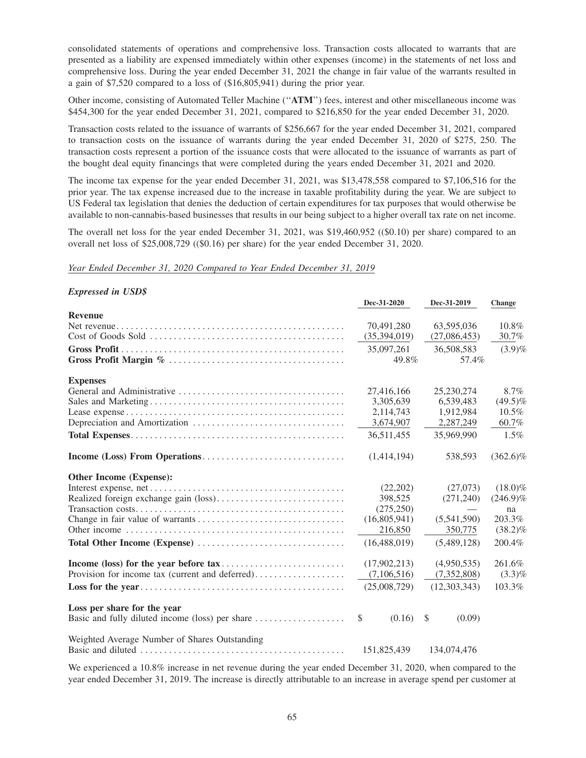consolidated statements of operations and comprehensive loss. Transaction costs allocated to warrants that are presented as a liability are expensed immediately within other expenses (income) in the statements of net loss and comprehensive loss. During the year ended December 31, 2021 the change in fair value of the warrants resulted in a gain of \$7,520 compared to a loss of (\$16,805,941) during the prior year.

Other income, consisting of Automated Teller Machine (''**ATM**'') fees, interest and other miscellaneous income was \$454,300 for the year ended December 31, 2021, compared to \$216,850 for the year ended December 31, 2020.

Transaction costs related to the issuance of warrants of \$256,667 for the year ended December 31, 2021, compared to transaction costs on the issuance of warrants during the year ended December 31, 2020 of \$275, 250. The transaction costs represent a portion of the issuance costs that were allocated to the issuance of warrants as part of the bought deal equity financings that were completed during the years ended December 31, 2021 and 2020.

The income tax expense for the year ended December 31, 2021, was \$13,478,558 compared to \$7,106,516 for the prior year. The tax expense increased due to the increase in taxable profitability during the year. We are subject to US Federal tax legislation that denies the deduction of certain expenditures for tax purposes that would otherwise be available to non-cannabis-based businesses that results in our being subject to a higher overall tax rate on net income.

The overall net loss for the year ended December 31, 2021, was \$19,460,952 ((\$0.10) per share) compared to an overall net loss of \$25,008,729 ((\$0.16) per share) for the year ended December 31, 2020.

*Year Ended December 31, 2020 Compared to Year Ended December 31, 2019*

#### *Expressed in USD\$*

|                                                 | Dec-31-2020            | Dec-31-2019                   | <b>Change</b> |
|-------------------------------------------------|------------------------|-------------------------------|---------------|
| <b>Revenue</b>                                  |                        |                               |               |
|                                                 | 70,491,280             | 63,595,036                    | 10.8%         |
|                                                 | (35,394,019)           | (27,086,453)                  | 30.7%         |
|                                                 | 35,097,261             | 36,508,583                    | $(3.9)\%$     |
|                                                 | 49.8%                  | 57.4%                         |               |
| <b>Expenses</b>                                 |                        |                               |               |
|                                                 | 27,416,166             | 25,230,274                    | 8.7%          |
|                                                 | 3,305,639              | 6,539,483                     | $(49.5)\%$    |
|                                                 | 2,114,743              | 1,912,984                     | 10.5%         |
|                                                 | 3,674,907              | 2,287,249                     | 60.7%         |
|                                                 | 36,511,455             | 35,969,990                    | 1.5%          |
|                                                 | (1,414,194)            | 538,593                       | $(362.6)\%$   |
| Other Income (Expense):                         |                        |                               |               |
|                                                 | (22,202)               | (27,073)                      | $(18.0)\%$    |
|                                                 | 398,525                | (271,240)                     | $(246.9)\%$   |
|                                                 | (275, 250)             | $\overbrace{\phantom{aaaaa}}$ | na            |
|                                                 | (16,805,941)           | (5,541,590)                   | 203.3%        |
|                                                 | 216,850                | 350,775                       | $(38.2)\%$    |
|                                                 | (16, 488, 019)         | (5,489,128)                   | 200.4%        |
|                                                 | (17,902,213)           | (4,950,535)                   | 261.6%        |
| Provision for income tax (current and deferred) | (7,106,516)            | (7,352,808)                   | $(3.3)\%$     |
|                                                 | (25,008,729)           | (12,303,343)                  | 103.3%        |
| Loss per share for the year                     |                        |                               |               |
|                                                 | $\mathbb{S}$<br>(0.16) | \$<br>(0.09)                  |               |
| Weighted Average Number of Shares Outstanding   |                        |                               |               |
|                                                 | 151,825,439            | 134,074,476                   |               |

We experienced a 10.8% increase in net revenue during the year ended December 31, 2020, when compared to the year ended December 31, 2019. The increase is directly attributable to an increase in average spend per customer at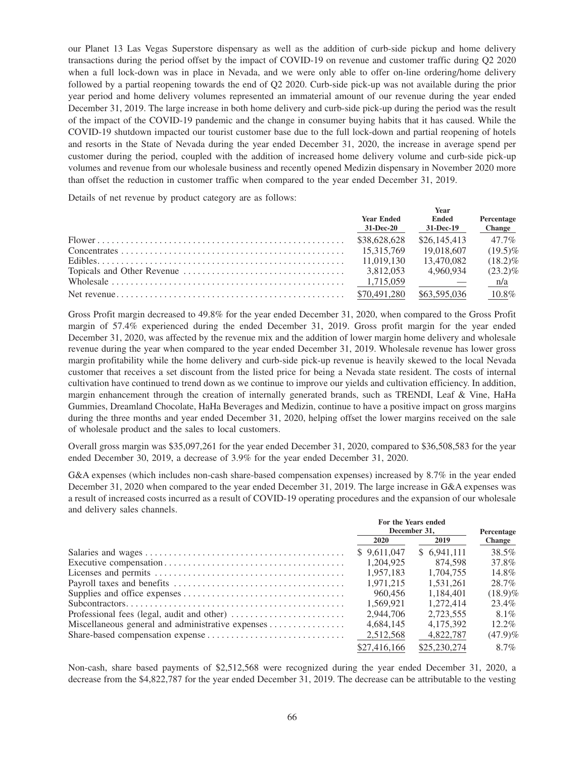our Planet 13 Las Vegas Superstore dispensary as well as the addition of curb-side pickup and home delivery transactions during the period offset by the impact of COVID-19 on revenue and customer traffic during Q2 2020 when a full lock-down was in place in Nevada, and we were only able to offer on-line ordering/home delivery followed by a partial reopening towards the end of Q2 2020. Curb-side pick-up was not available during the prior year period and home delivery volumes represented an immaterial amount of our revenue during the year ended December 31, 2019. The large increase in both home delivery and curb-side pick-up during the period was the result of the impact of the COVID-19 pandemic and the change in consumer buying habits that it has caused. While the COVID-19 shutdown impacted our tourist customer base due to the full lock-down and partial reopening of hotels and resorts in the State of Nevada during the year ended December 31, 2020, the increase in average spend per customer during the period, coupled with the addition of increased home delivery volume and curb-side pick-up volumes and revenue from our wholesale business and recently opened Medizin dispensary in November 2020 more than offset the reduction in customer traffic when compared to the year ended December 31, 2019.

Details of net revenue by product category are as follows:

|  | <b>Year Ended</b><br>31-Dec-20 | Ended<br>31-Dec-19 | Percentage<br><b>Change</b> |
|--|--------------------------------|--------------------|-----------------------------|
|  |                                |                    |                             |
|  | \$38,628,628                   | \$26,145,413       | $47.7\%$                    |
|  | 15.315.769                     | 19.018.607         | $(19.5)\%$                  |
|  | 11.019.130                     | 13.470.082         | $(18.2)\%$                  |
|  | 3.812.053                      | 4.960.934          | $(23.2)\%$                  |
|  | 1,715,059                      |                    | n/a                         |
|  |                                | \$63,595,036       | $10.8\%$                    |

Gross Profit margin decreased to 49.8% for the year ended December 31, 2020, when compared to the Gross Profit margin of 57.4% experienced during the ended December 31, 2019. Gross profit margin for the year ended December 31, 2020, was affected by the revenue mix and the addition of lower margin home delivery and wholesale revenue during the year when compared to the year ended December 31, 2019. Wholesale revenue has lower gross margin profitability while the home delivery and curb-side pick-up revenue is heavily skewed to the local Nevada customer that receives a set discount from the listed price for being a Nevada state resident. The costs of internal cultivation have continued to trend down as we continue to improve our yields and cultivation efficiency. In addition, margin enhancement through the creation of internally generated brands, such as TRENDI, Leaf & Vine, HaHa Gummies, Dreamland Chocolate, HaHa Beverages and Medizin, continue to have a positive impact on gross margins during the three months and year ended December 31, 2020, helping offset the lower margins received on the sale of wholesale product and the sales to local customers.

Overall gross margin was \$35,097,261 for the year ended December 31, 2020, compared to \$36,508,583 for the year ended December 30, 2019, a decrease of 3.9% for the year ended December 31, 2020.

G&A expenses (which includes non-cash share-based compensation expenses) increased by 8.7% in the year ended December 31, 2020 when compared to the year ended December 31, 2019. The large increase in G&A expenses was a result of increased costs incurred as a result of COVID-19 operating procedures and the expansion of our wholesale and delivery sales channels.

|                                                   | For the Years ended |              | Percentage    |
|---------------------------------------------------|---------------------|--------------|---------------|
|                                                   | December 31.        |              |               |
|                                                   | 2020                | 2019         | <b>Change</b> |
|                                                   | \$9.611,047         | \$ 6.941,111 | 38.5%         |
|                                                   | 1.204.925           | 874.598      | 37.8%         |
|                                                   | 1.957.183           | 1.704.755    | 14.8%         |
|                                                   | 1.971.215           | 1.531.261    | 28.7%         |
|                                                   | 960,456             | 1.184.401    | $(18.9)\%$    |
|                                                   | 1.569.921           | 1.272.414    | 23.4%         |
|                                                   | 2.944.706           | 2.723.555    | $8.1\%$       |
| Miscellaneous general and administrative expenses | 4.684.145           | 4.175.392    | $12.2\%$      |
|                                                   | 2,512,568           | 4.822.787    | $(47.9)\%$    |
|                                                   | \$27,416,166        | \$25,230,274 | 8.7%          |

Non-cash, share based payments of \$2,512,568 were recognized during the year ended December 31, 2020, a decrease from the \$4,822,787 for the year ended December 31, 2019. The decrease can be attributable to the vesting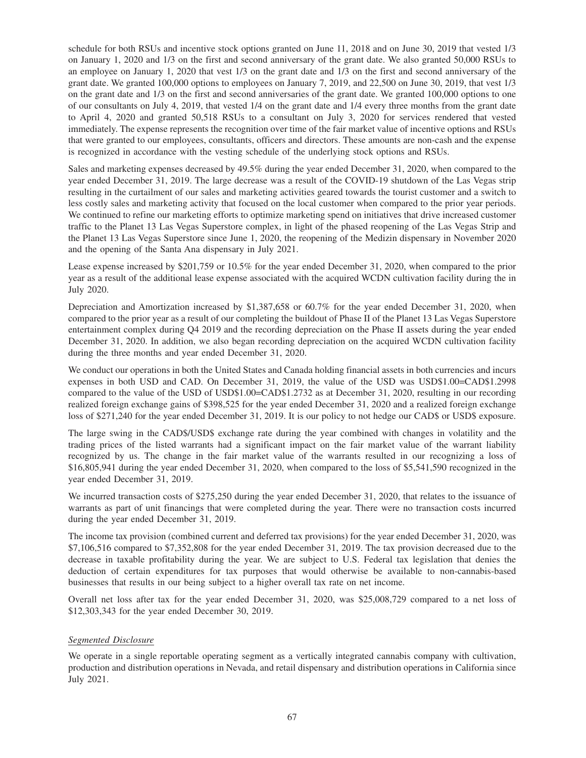schedule for both RSUs and incentive stock options granted on June 11, 2018 and on June 30, 2019 that vested 1/3 on January 1, 2020 and 1/3 on the first and second anniversary of the grant date. We also granted 50,000 RSUs to an employee on January 1, 2020 that vest 1/3 on the grant date and 1/3 on the first and second anniversary of the grant date. We granted 100,000 options to employees on January 7, 2019, and 22,500 on June 30, 2019, that vest 1/3 on the grant date and 1/3 on the first and second anniversaries of the grant date. We granted 100,000 options to one of our consultants on July 4, 2019, that vested 1/4 on the grant date and 1/4 every three months from the grant date to April 4, 2020 and granted 50,518 RSUs to a consultant on July 3, 2020 for services rendered that vested immediately. The expense represents the recognition over time of the fair market value of incentive options and RSUs that were granted to our employees, consultants, officers and directors. These amounts are non-cash and the expense is recognized in accordance with the vesting schedule of the underlying stock options and RSUs.

Sales and marketing expenses decreased by 49.5% during the year ended December 31, 2020, when compared to the year ended December 31, 2019. The large decrease was a result of the COVID-19 shutdown of the Las Vegas strip resulting in the curtailment of our sales and marketing activities geared towards the tourist customer and a switch to less costly sales and marketing activity that focused on the local customer when compared to the prior year periods. We continued to refine our marketing efforts to optimize marketing spend on initiatives that drive increased customer traffic to the Planet 13 Las Vegas Superstore complex, in light of the phased reopening of the Las Vegas Strip and the Planet 13 Las Vegas Superstore since June 1, 2020, the reopening of the Medizin dispensary in November 2020 and the opening of the Santa Ana dispensary in July 2021.

Lease expense increased by \$201,759 or 10.5% for the year ended December 31, 2020, when compared to the prior year as a result of the additional lease expense associated with the acquired WCDN cultivation facility during the in July 2020.

Depreciation and Amortization increased by \$1,387,658 or 60.7% for the year ended December 31, 2020, when compared to the prior year as a result of our completing the buildout of Phase II of the Planet 13 Las Vegas Superstore entertainment complex during Q4 2019 and the recording depreciation on the Phase II assets during the year ended December 31, 2020. In addition, we also began recording depreciation on the acquired WCDN cultivation facility during the three months and year ended December 31, 2020.

We conduct our operations in both the United States and Canada holding financial assets in both currencies and incurs expenses in both USD and CAD. On December 31, 2019, the value of the USD was USD\$1.00=CAD\$1.2998 compared to the value of the USD of USD\$1.00=CAD\$1.2732 as at December 31, 2020, resulting in our recording realized foreign exchange gains of \$398,525 for the year ended December 31, 2020 and a realized foreign exchange loss of \$271,240 for the year ended December 31, 2019. It is our policy to not hedge our CAD\$ or USD\$ exposure.

The large swing in the CAD\$/USD\$ exchange rate during the year combined with changes in volatility and the trading prices of the listed warrants had a significant impact on the fair market value of the warrant liability recognized by us. The change in the fair market value of the warrants resulted in our recognizing a loss of \$16,805,941 during the year ended December 31, 2020, when compared to the loss of \$5,541,590 recognized in the year ended December 31, 2019.

We incurred transaction costs of \$275,250 during the year ended December 31, 2020, that relates to the issuance of warrants as part of unit financings that were completed during the year. There were no transaction costs incurred during the year ended December 31, 2019.

The income tax provision (combined current and deferred tax provisions) for the year ended December 31, 2020, was \$7,106,516 compared to \$7,352,808 for the year ended December 31, 2019. The tax provision decreased due to the decrease in taxable profitability during the year. We are subject to U.S. Federal tax legislation that denies the deduction of certain expenditures for tax purposes that would otherwise be available to non-cannabis-based businesses that results in our being subject to a higher overall tax rate on net income.

Overall net loss after tax for the year ended December 31, 2020, was \$25,008,729 compared to a net loss of \$12,303,343 for the year ended December 30, 2019.

# *Segmented Disclosure*

We operate in a single reportable operating segment as a vertically integrated cannabis company with cultivation, production and distribution operations in Nevada, and retail dispensary and distribution operations in California since July 2021.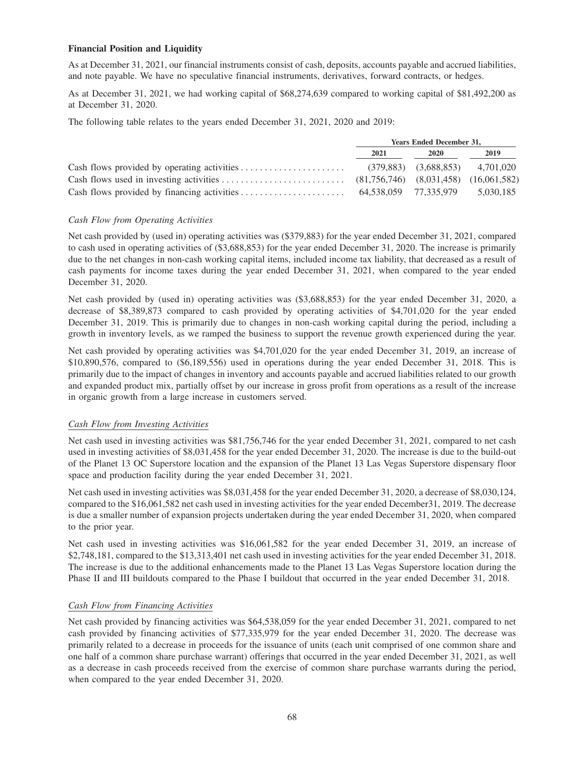## **Financial Position and Liquidity**

As at December 31, 2021, our financial instruments consist of cash, deposits, accounts payable and accrued liabilities, and note payable. We have no speculative financial instruments, derivatives, forward contracts, or hedges.

As at December 31, 2021, we had working capital of \$68,274,639 compared to working capital of \$81,492,200 as at December 31, 2020.

The following table relates to the years ended December 31, 2021, 2020 and 2019:

| <b>Years Ended December 31,</b> |                                       |           |
|---------------------------------|---------------------------------------|-----------|
| 2021                            | <b>2020</b>                           | 2019      |
|                                 | $(379,883)$ $(3,688,853)$ $4,701,020$ |           |
|                                 |                                       |           |
| 64.538.059 77.335.979           |                                       | 5,030,185 |

## *Cash Flow from Operating Activities*

Net cash provided by (used in) operating activities was (\$379,883) for the year ended December 31, 2021, compared to cash used in operating activities of (\$3,688,853) for the year ended December 31, 2020. The increase is primarily due to the net changes in non-cash working capital items, included income tax liability, that decreased as a result of cash payments for income taxes during the year ended December 31, 2021, when compared to the year ended December 31, 2020.

Net cash provided by (used in) operating activities was (\$3,688,853) for the year ended December 31, 2020, a decrease of \$8,389,873 compared to cash provided by operating activities of \$4,701,020 for the year ended December 31, 2019. This is primarily due to changes in non-cash working capital during the period, including a growth in inventory levels, as we ramped the business to support the revenue growth experienced during the year.

Net cash provided by operating activities was \$4,701,020 for the year ended December 31, 2019, an increase of \$10,890,576, compared to (\$6,189,556) used in operations during the year ended December 31, 2018. This is primarily due to the impact of changes in inventory and accounts payable and accrued liabilities related to our growth and expanded product mix, partially offset by our increase in gross profit from operations as a result of the increase in organic growth from a large increase in customers served.

# *Cash Flow from Investing Activities*

Net cash used in investing activities was \$81,756,746 for the year ended December 31, 2021, compared to net cash used in investing activities of \$8,031,458 for the year ended December 31, 2020. The increase is due to the build-out of the Planet 13 OC Superstore location and the expansion of the Planet 13 Las Vegas Superstore dispensary floor space and production facility during the year ended December 31, 2021.

Net cash used in investing activities was \$8,031,458 for the year ended December 31, 2020, a decrease of \$8,030,124, compared to the \$16,061,582 net cash used in investing activities for the year ended December31, 2019. The decrease is due a smaller number of expansion projects undertaken during the year ended December 31, 2020, when compared to the prior year.

Net cash used in investing activities was \$16,061,582 for the year ended December 31, 2019, an increase of \$2,748,181, compared to the \$13,313,401 net cash used in investing activities for the year ended December 31, 2018. The increase is due to the additional enhancements made to the Planet 13 Las Vegas Superstore location during the Phase II and III buildouts compared to the Phase I buildout that occurred in the year ended December 31, 2018.

### *Cash Flow from Financing Activities*

Net cash provided by financing activities was \$64,538,059 for the year ended December 31, 2021, compared to net cash provided by financing activities of \$77,335,979 for the year ended December 31, 2020. The decrease was primarily related to a decrease in proceeds for the issuance of units (each unit comprised of one common share and one half of a common share purchase warrant) offerings that occurred in the year ended December 31, 2021, as well as a decrease in cash proceeds received from the exercise of common share purchase warrants during the period, when compared to the year ended December 31, 2020.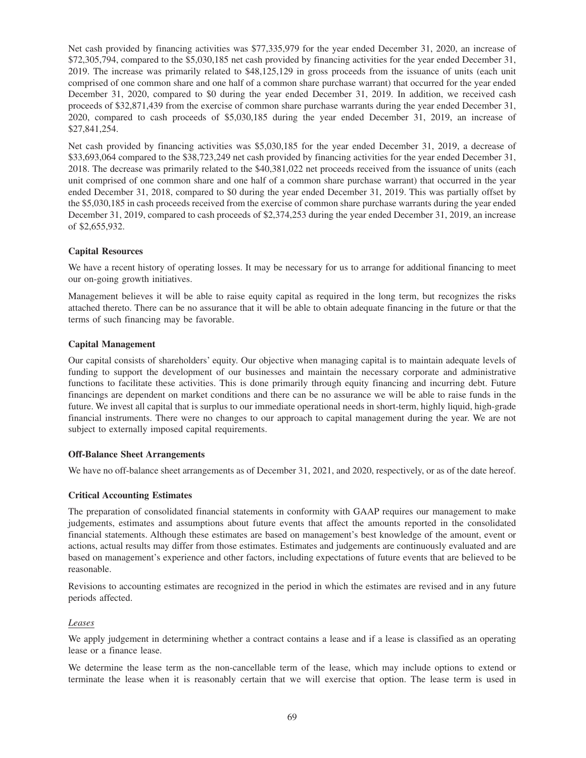Net cash provided by financing activities was \$77,335,979 for the year ended December 31, 2020, an increase of \$72,305,794, compared to the \$5,030,185 net cash provided by financing activities for the year ended December 31, 2019. The increase was primarily related to \$48,125,129 in gross proceeds from the issuance of units (each unit comprised of one common share and one half of a common share purchase warrant) that occurred for the year ended December 31, 2020, compared to \$0 during the year ended December 31, 2019. In addition, we received cash proceeds of \$32,871,439 from the exercise of common share purchase warrants during the year ended December 31, 2020, compared to cash proceeds of \$5,030,185 during the year ended December 31, 2019, an increase of \$27,841,254.

Net cash provided by financing activities was \$5,030,185 for the year ended December 31, 2019, a decrease of \$33,693,064 compared to the \$38,723,249 net cash provided by financing activities for the year ended December 31, 2018. The decrease was primarily related to the \$40,381,022 net proceeds received from the issuance of units (each unit comprised of one common share and one half of a common share purchase warrant) that occurred in the year ended December 31, 2018, compared to \$0 during the year ended December 31, 2019. This was partially offset by the \$5,030,185 in cash proceeds received from the exercise of common share purchase warrants during the year ended December 31, 2019, compared to cash proceeds of \$2,374,253 during the year ended December 31, 2019, an increase of \$2,655,932.

## **Capital Resources**

We have a recent history of operating losses. It may be necessary for us to arrange for additional financing to meet our on-going growth initiatives.

Management believes it will be able to raise equity capital as required in the long term, but recognizes the risks attached thereto. There can be no assurance that it will be able to obtain adequate financing in the future or that the terms of such financing may be favorable.

## **Capital Management**

Our capital consists of shareholders' equity. Our objective when managing capital is to maintain adequate levels of funding to support the development of our businesses and maintain the necessary corporate and administrative functions to facilitate these activities. This is done primarily through equity financing and incurring debt. Future financings are dependent on market conditions and there can be no assurance we will be able to raise funds in the future. We invest all capital that is surplus to our immediate operational needs in short-term, highly liquid, high-grade financial instruments. There were no changes to our approach to capital management during the year. We are not subject to externally imposed capital requirements.

### **Off-Balance Sheet Arrangements**

We have no off-balance sheet arrangements as of December 31, 2021, and 2020, respectively, or as of the date hereof.

### **Critical Accounting Estimates**

The preparation of consolidated financial statements in conformity with GAAP requires our management to make judgements, estimates and assumptions about future events that affect the amounts reported in the consolidated financial statements. Although these estimates are based on management's best knowledge of the amount, event or actions, actual results may differ from those estimates. Estimates and judgements are continuously evaluated and are based on management's experience and other factors, including expectations of future events that are believed to be reasonable.

Revisions to accounting estimates are recognized in the period in which the estimates are revised and in any future periods affected.

### *Leases*

We apply judgement in determining whether a contract contains a lease and if a lease is classified as an operating lease or a finance lease.

We determine the lease term as the non-cancellable term of the lease, which may include options to extend or terminate the lease when it is reasonably certain that we will exercise that option. The lease term is used in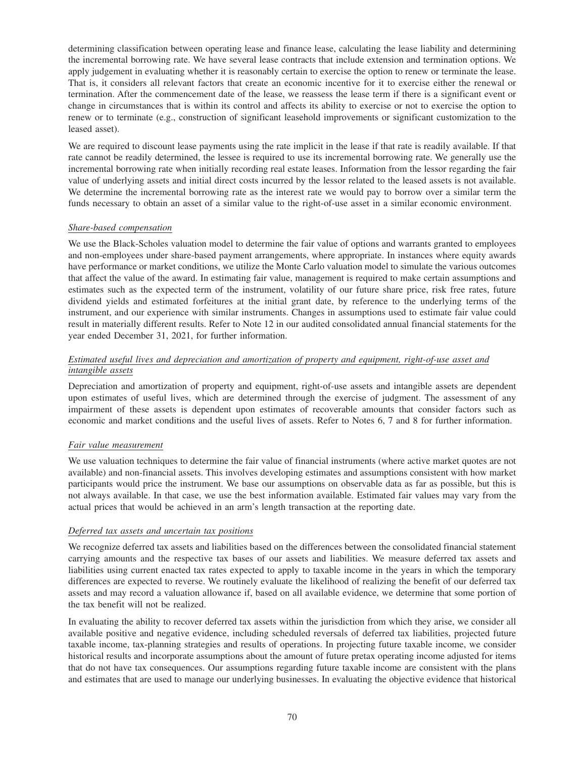determining classification between operating lease and finance lease, calculating the lease liability and determining the incremental borrowing rate. We have several lease contracts that include extension and termination options. We apply judgement in evaluating whether it is reasonably certain to exercise the option to renew or terminate the lease. That is, it considers all relevant factors that create an economic incentive for it to exercise either the renewal or termination. After the commencement date of the lease, we reassess the lease term if there is a significant event or change in circumstances that is within its control and affects its ability to exercise or not to exercise the option to renew or to terminate (e.g., construction of significant leasehold improvements or significant customization to the leased asset).

We are required to discount lease payments using the rate implicit in the lease if that rate is readily available. If that rate cannot be readily determined, the lessee is required to use its incremental borrowing rate. We generally use the incremental borrowing rate when initially recording real estate leases. Information from the lessor regarding the fair value of underlying assets and initial direct costs incurred by the lessor related to the leased assets is not available. We determine the incremental borrowing rate as the interest rate we would pay to borrow over a similar term the funds necessary to obtain an asset of a similar value to the right-of-use asset in a similar economic environment.

## *Share-based compensation*

We use the Black-Scholes valuation model to determine the fair value of options and warrants granted to employees and non-employees under share-based payment arrangements, where appropriate. In instances where equity awards have performance or market conditions, we utilize the Monte Carlo valuation model to simulate the various outcomes that affect the value of the award. In estimating fair value, management is required to make certain assumptions and estimates such as the expected term of the instrument, volatility of our future share price, risk free rates, future dividend yields and estimated forfeitures at the initial grant date, by reference to the underlying terms of the instrument, and our experience with similar instruments. Changes in assumptions used to estimate fair value could result in materially different results. Refer to Note 12 in our audited consolidated annual financial statements for the year ended December 31, 2021, for further information.

# *Estimated useful lives and depreciation and amortization of property and equipment, right-of-use asset and intangible assets*

Depreciation and amortization of property and equipment, right-of-use assets and intangible assets are dependent upon estimates of useful lives, which are determined through the exercise of judgment. The assessment of any impairment of these assets is dependent upon estimates of recoverable amounts that consider factors such as economic and market conditions and the useful lives of assets. Refer to Notes 6, 7 and 8 for further information.

# *Fair value measurement*

We use valuation techniques to determine the fair value of financial instruments (where active market quotes are not available) and non-financial assets. This involves developing estimates and assumptions consistent with how market participants would price the instrument. We base our assumptions on observable data as far as possible, but this is not always available. In that case, we use the best information available. Estimated fair values may vary from the actual prices that would be achieved in an arm's length transaction at the reporting date.

### *Deferred tax assets and uncertain tax positions*

We recognize deferred tax assets and liabilities based on the differences between the consolidated financial statement carrying amounts and the respective tax bases of our assets and liabilities. We measure deferred tax assets and liabilities using current enacted tax rates expected to apply to taxable income in the years in which the temporary differences are expected to reverse. We routinely evaluate the likelihood of realizing the benefit of our deferred tax assets and may record a valuation allowance if, based on all available evidence, we determine that some portion of the tax benefit will not be realized.

In evaluating the ability to recover deferred tax assets within the jurisdiction from which they arise, we consider all available positive and negative evidence, including scheduled reversals of deferred tax liabilities, projected future taxable income, tax-planning strategies and results of operations. In projecting future taxable income, we consider historical results and incorporate assumptions about the amount of future pretax operating income adjusted for items that do not have tax consequences. Our assumptions regarding future taxable income are consistent with the plans and estimates that are used to manage our underlying businesses. In evaluating the objective evidence that historical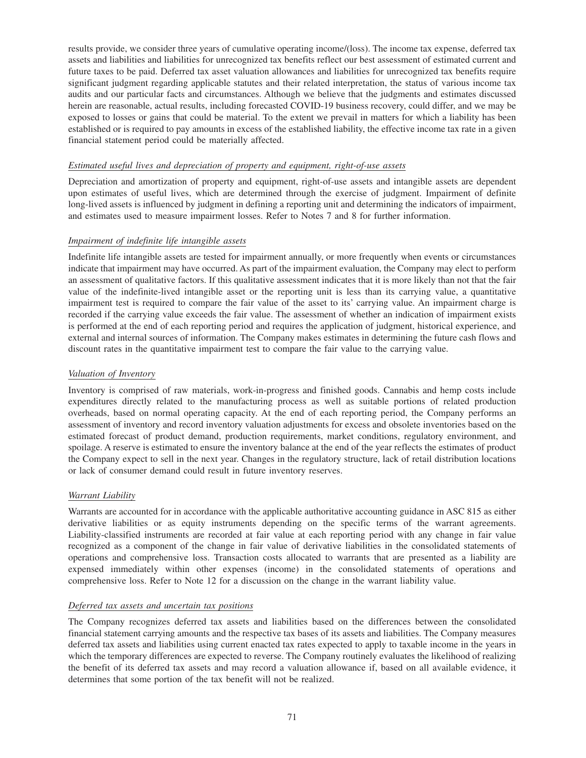results provide, we consider three years of cumulative operating income/(loss). The income tax expense, deferred tax assets and liabilities and liabilities for unrecognized tax benefits reflect our best assessment of estimated current and future taxes to be paid. Deferred tax asset valuation allowances and liabilities for unrecognized tax benefits require significant judgment regarding applicable statutes and their related interpretation, the status of various income tax audits and our particular facts and circumstances. Although we believe that the judgments and estimates discussed herein are reasonable, actual results, including forecasted COVID-19 business recovery, could differ, and we may be exposed to losses or gains that could be material. To the extent we prevail in matters for which a liability has been established or is required to pay amounts in excess of the established liability, the effective income tax rate in a given financial statement period could be materially affected.

## *Estimated useful lives and depreciation of property and equipment, right-of-use assets*

Depreciation and amortization of property and equipment, right-of-use assets and intangible assets are dependent upon estimates of useful lives, which are determined through the exercise of judgment. Impairment of definite long-lived assets is influenced by judgment in defining a reporting unit and determining the indicators of impairment, and estimates used to measure impairment losses. Refer to Notes 7 and 8 for further information.

## *Impairment of indefinite life intangible assets*

Indefinite life intangible assets are tested for impairment annually, or more frequently when events or circumstances indicate that impairment may have occurred. As part of the impairment evaluation, the Company may elect to perform an assessment of qualitative factors. If this qualitative assessment indicates that it is more likely than not that the fair value of the indefinite-lived intangible asset or the reporting unit is less than its carrying value, a quantitative impairment test is required to compare the fair value of the asset to its' carrying value. An impairment charge is recorded if the carrying value exceeds the fair value. The assessment of whether an indication of impairment exists is performed at the end of each reporting period and requires the application of judgment, historical experience, and external and internal sources of information. The Company makes estimates in determining the future cash flows and discount rates in the quantitative impairment test to compare the fair value to the carrying value.

## *Valuation of Inventory*

Inventory is comprised of raw materials, work-in-progress and finished goods. Cannabis and hemp costs include expenditures directly related to the manufacturing process as well as suitable portions of related production overheads, based on normal operating capacity. At the end of each reporting period, the Company performs an assessment of inventory and record inventory valuation adjustments for excess and obsolete inventories based on the estimated forecast of product demand, production requirements, market conditions, regulatory environment, and spoilage. A reserve is estimated to ensure the inventory balance at the end of the year reflects the estimates of product the Company expect to sell in the next year. Changes in the regulatory structure, lack of retail distribution locations or lack of consumer demand could result in future inventory reserves.

### *Warrant Liability*

Warrants are accounted for in accordance with the applicable authoritative accounting guidance in ASC 815 as either derivative liabilities or as equity instruments depending on the specific terms of the warrant agreements. Liability-classified instruments are recorded at fair value at each reporting period with any change in fair value recognized as a component of the change in fair value of derivative liabilities in the consolidated statements of operations and comprehensive loss. Transaction costs allocated to warrants that are presented as a liability are expensed immediately within other expenses (income) in the consolidated statements of operations and comprehensive loss. Refer to Note 12 for a discussion on the change in the warrant liability value.

#### *Deferred tax assets and uncertain tax positions*

The Company recognizes deferred tax assets and liabilities based on the differences between the consolidated financial statement carrying amounts and the respective tax bases of its assets and liabilities. The Company measures deferred tax assets and liabilities using current enacted tax rates expected to apply to taxable income in the years in which the temporary differences are expected to reverse. The Company routinely evaluates the likelihood of realizing the benefit of its deferred tax assets and may record a valuation allowance if, based on all available evidence, it determines that some portion of the tax benefit will not be realized.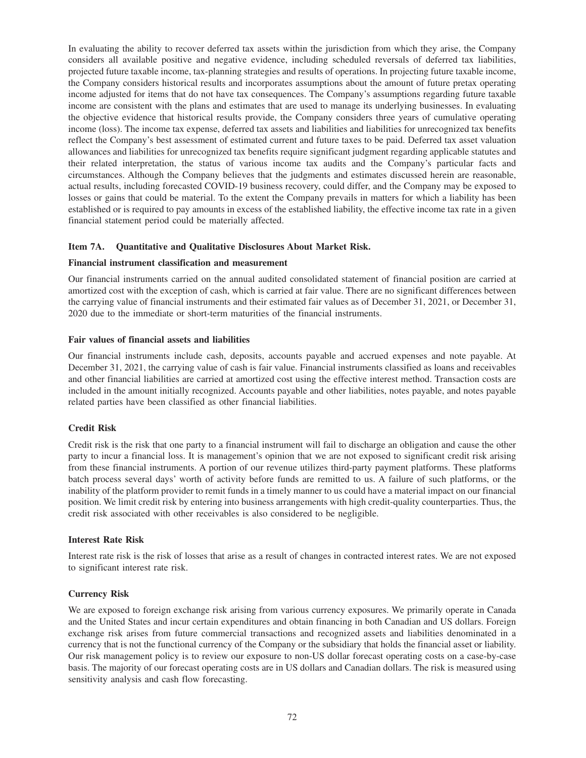In evaluating the ability to recover deferred tax assets within the jurisdiction from which they arise, the Company considers all available positive and negative evidence, including scheduled reversals of deferred tax liabilities, projected future taxable income, tax-planning strategies and results of operations. In projecting future taxable income, the Company considers historical results and incorporates assumptions about the amount of future pretax operating income adjusted for items that do not have tax consequences. The Company's assumptions regarding future taxable income are consistent with the plans and estimates that are used to manage its underlying businesses. In evaluating the objective evidence that historical results provide, the Company considers three years of cumulative operating income (loss). The income tax expense, deferred tax assets and liabilities and liabilities for unrecognized tax benefits reflect the Company's best assessment of estimated current and future taxes to be paid. Deferred tax asset valuation allowances and liabilities for unrecognized tax benefits require significant judgment regarding applicable statutes and their related interpretation, the status of various income tax audits and the Company's particular facts and circumstances. Although the Company believes that the judgments and estimates discussed herein are reasonable, actual results, including forecasted COVID-19 business recovery, could differ, and the Company may be exposed to losses or gains that could be material. To the extent the Company prevails in matters for which a liability has been established or is required to pay amounts in excess of the established liability, the effective income tax rate in a given financial statement period could be materially affected.

# **Item 7A. Quantitative and Qualitative Disclosures About Market Risk.**

#### **Financial instrument classification and measurement**

Our financial instruments carried on the annual audited consolidated statement of financial position are carried at amortized cost with the exception of cash, which is carried at fair value. There are no significant differences between the carrying value of financial instruments and their estimated fair values as of December 31, 2021, or December 31, 2020 due to the immediate or short-term maturities of the financial instruments.

#### **Fair values of financial assets and liabilities**

Our financial instruments include cash, deposits, accounts payable and accrued expenses and note payable. At December 31, 2021, the carrying value of cash is fair value. Financial instruments classified as loans and receivables and other financial liabilities are carried at amortized cost using the effective interest method. Transaction costs are included in the amount initially recognized. Accounts payable and other liabilities, notes payable, and notes payable related parties have been classified as other financial liabilities.

# **Credit Risk**

Credit risk is the risk that one party to a financial instrument will fail to discharge an obligation and cause the other party to incur a financial loss. It is management's opinion that we are not exposed to significant credit risk arising from these financial instruments. A portion of our revenue utilizes third-party payment platforms. These platforms batch process several days' worth of activity before funds are remitted to us. A failure of such platforms, or the inability of the platform provider to remit funds in a timely manner to us could have a material impact on our financial position. We limit credit risk by entering into business arrangements with high credit-quality counterparties. Thus, the credit risk associated with other receivables is also considered to be negligible.

#### **Interest Rate Risk**

Interest rate risk is the risk of losses that arise as a result of changes in contracted interest rates. We are not exposed to significant interest rate risk.

# **Currency Risk**

We are exposed to foreign exchange risk arising from various currency exposures. We primarily operate in Canada and the United States and incur certain expenditures and obtain financing in both Canadian and US dollars. Foreign exchange risk arises from future commercial transactions and recognized assets and liabilities denominated in a currency that is not the functional currency of the Company or the subsidiary that holds the financial asset or liability. Our risk management policy is to review our exposure to non-US dollar forecast operating costs on a case-by-case basis. The majority of our forecast operating costs are in US dollars and Canadian dollars. The risk is measured using sensitivity analysis and cash flow forecasting.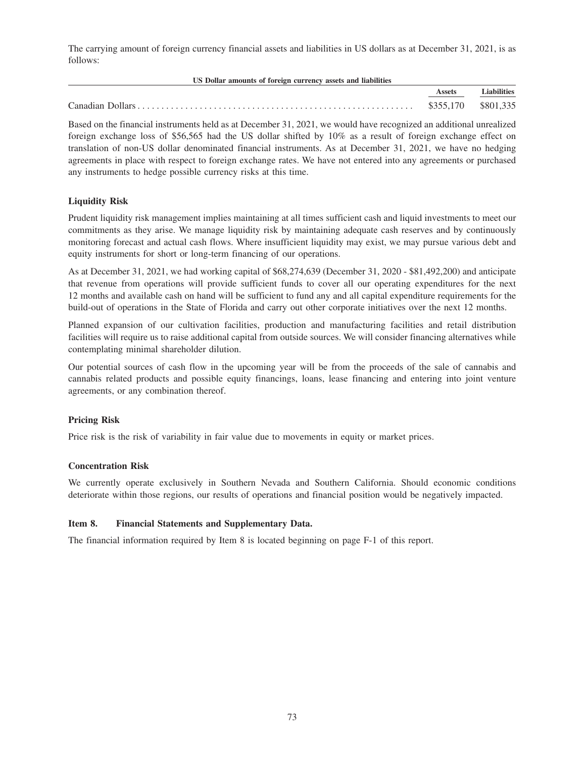The carrying amount of foreign currency financial assets and liabilities in US dollars as at December 31, 2021, is as follows:

| US Dollar amounts of foreign currency assets and liabilities |           |                    |
|--------------------------------------------------------------|-----------|--------------------|
|                                                              | Assets    | <b>Liabilities</b> |
|                                                              | \$355,170 | \$801,335          |

Based on the financial instruments held as at December 31, 2021, we would have recognized an additional unrealized foreign exchange loss of \$56,565 had the US dollar shifted by 10% as a result of foreign exchange effect on translation of non-US dollar denominated financial instruments. As at December 31, 2021, we have no hedging agreements in place with respect to foreign exchange rates. We have not entered into any agreements or purchased any instruments to hedge possible currency risks at this time.

# **Liquidity Risk**

Prudent liquidity risk management implies maintaining at all times sufficient cash and liquid investments to meet our commitments as they arise. We manage liquidity risk by maintaining adequate cash reserves and by continuously monitoring forecast and actual cash flows. Where insufficient liquidity may exist, we may pursue various debt and equity instruments for short or long-term financing of our operations.

As at December 31, 2021, we had working capital of \$68,274,639 (December 31, 2020 - \$81,492,200) and anticipate that revenue from operations will provide sufficient funds to cover all our operating expenditures for the next 12 months and available cash on hand will be sufficient to fund any and all capital expenditure requirements for the build-out of operations in the State of Florida and carry out other corporate initiatives over the next 12 months.

Planned expansion of our cultivation facilities, production and manufacturing facilities and retail distribution facilities will require us to raise additional capital from outside sources. We will consider financing alternatives while contemplating minimal shareholder dilution.

Our potential sources of cash flow in the upcoming year will be from the proceeds of the sale of cannabis and cannabis related products and possible equity financings, loans, lease financing and entering into joint venture agreements, or any combination thereof.

# **Pricing Risk**

Price risk is the risk of variability in fair value due to movements in equity or market prices.

# **Concentration Risk**

We currently operate exclusively in Southern Nevada and Southern California. Should economic conditions deteriorate within those regions, our results of operations and financial position would be negatively impacted.

# **Item 8. Financial Statements and Supplementary Data.**

The financial information required by Item 8 is located beginning on page F-1 of this report.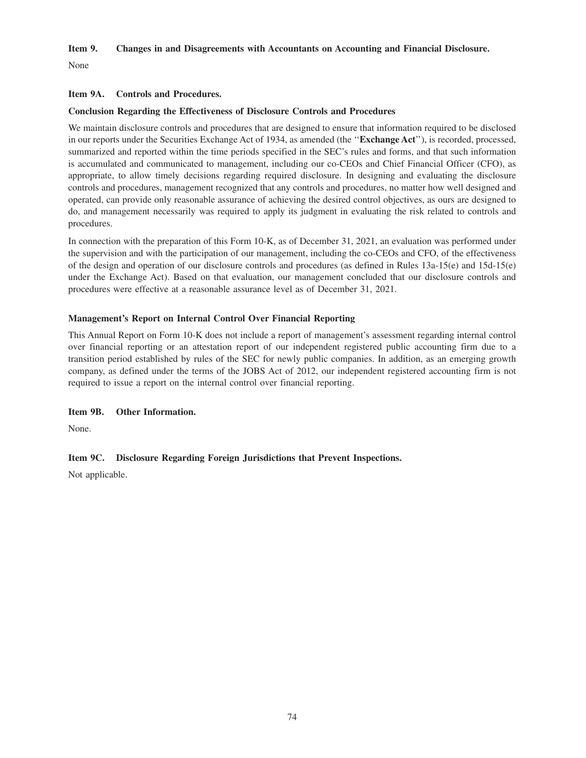## **Item 9. Changes in and Disagreements with Accountants on Accounting and Financial Disclosure.**

None

## **Item 9A. Controls and Procedures.**

## **Conclusion Regarding the Effectiveness of Disclosure Controls and Procedures**

We maintain disclosure controls and procedures that are designed to ensure that information required to be disclosed in our reports under the Securities Exchange Act of 1934, as amended (the ''**Exchange Act**''), is recorded, processed, summarized and reported within the time periods specified in the SEC's rules and forms, and that such information is accumulated and communicated to management, including our co-CEOs and Chief Financial Officer (CFO), as appropriate, to allow timely decisions regarding required disclosure. In designing and evaluating the disclosure controls and procedures, management recognized that any controls and procedures, no matter how well designed and operated, can provide only reasonable assurance of achieving the desired control objectives, as ours are designed to do, and management necessarily was required to apply its judgment in evaluating the risk related to controls and procedures.

In connection with the preparation of this Form 10-K, as of December 31, 2021, an evaluation was performed under the supervision and with the participation of our management, including the co-CEOs and CFO, of the effectiveness of the design and operation of our disclosure controls and procedures (as defined in Rules 13a-15(e) and 15d-15(e) under the Exchange Act). Based on that evaluation, our management concluded that our disclosure controls and procedures were effective at a reasonable assurance level as of December 31, 2021.

# **Management's Report on Internal Control Over Financial Reporting**

This Annual Report on Form 10-K does not include a report of management's assessment regarding internal control over financial reporting or an attestation report of our independent registered public accounting firm due to a transition period established by rules of the SEC for newly public companies. In addition, as an emerging growth company, as defined under the terms of the JOBS Act of 2012, our independent registered accounting firm is not required to issue a report on the internal control over financial reporting.

# **Item 9B. Other Information.**

None.

# **Item 9C. Disclosure Regarding Foreign Jurisdictions that Prevent Inspections.**

Not applicable.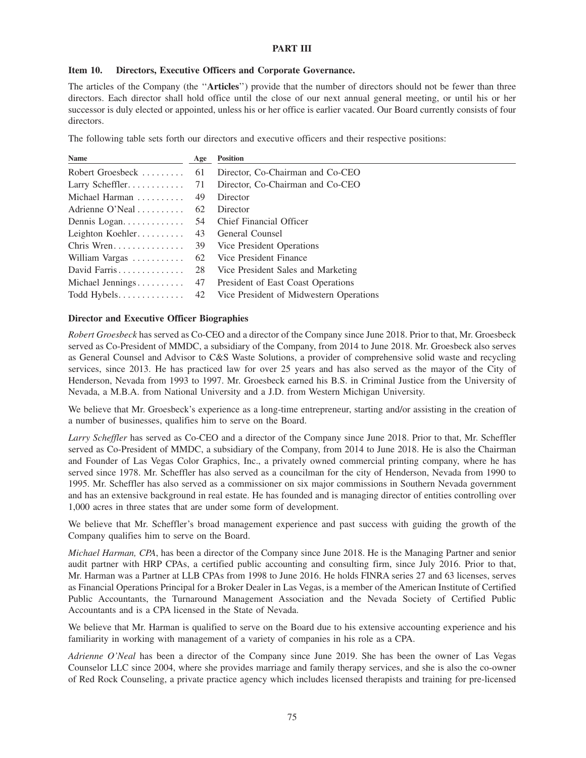## **PART III**

#### **Item 10. Directors, Executive Officers and Corporate Governance.**

The articles of the Company (the ''**Articles**'') provide that the number of directors should not be fewer than three directors. Each director shall hold office until the close of our next annual general meeting, or until his or her successor is duly elected or appointed, unless his or her office is earlier vacated. Our Board currently consists of four directors.

The following table sets forth our directors and executive officers and their respective positions:

| Name             | Age | <b>Position</b>                         |
|------------------|-----|-----------------------------------------|
| Robert Groesbeck | 61  | Director, Co-Chairman and Co-CEO        |
|                  |     | Director, Co-Chairman and Co-CEO        |
| Michael Harman   | 49  | Director                                |
| Adrienne O'Neal  | 62  | Director                                |
|                  | 54  | Chief Financial Officer                 |
| Leighton Koehler | 43  | General Counsel                         |
|                  |     | 39 Vice President Operations            |
| William Vargas   | 62  | Vice President Finance                  |
| David Farris     | 28  | Vice President Sales and Marketing      |
| Michael Jennings | 47  | President of East Coast Operations      |
|                  | 42  | Vice President of Midwestern Operations |

#### **Director and Executive Officer Biographies**

*Robert Groesbeck* has served as Co-CEO and a director of the Company since June 2018. Prior to that, Mr. Groesbeck served as Co-President of MMDC, a subsidiary of the Company, from 2014 to June 2018. Mr. Groesbeck also serves as General Counsel and Advisor to C&S Waste Solutions, a provider of comprehensive solid waste and recycling services, since 2013. He has practiced law for over 25 years and has also served as the mayor of the City of Henderson, Nevada from 1993 to 1997. Mr. Groesbeck earned his B.S. in Criminal Justice from the University of Nevada, a M.B.A. from National University and a J.D. from Western Michigan University.

We believe that Mr. Groesbeck's experience as a long-time entrepreneur, starting and/or assisting in the creation of a number of businesses, qualifies him to serve on the Board.

*Larry Scheffler* has served as Co-CEO and a director of the Company since June 2018. Prior to that, Mr. Scheffler served as Co-President of MMDC, a subsidiary of the Company, from 2014 to June 2018. He is also the Chairman and Founder of Las Vegas Color Graphics, Inc., a privately owned commercial printing company, where he has served since 1978. Mr. Scheffler has also served as a councilman for the city of Henderson, Nevada from 1990 to 1995. Mr. Scheffler has also served as a commissioner on six major commissions in Southern Nevada government and has an extensive background in real estate. He has founded and is managing director of entities controlling over 1,000 acres in three states that are under some form of development.

We believe that Mr. Scheffler's broad management experience and past success with guiding the growth of the Company qualifies him to serve on the Board.

*Michael Harman, CPA*, has been a director of the Company since June 2018. He is the Managing Partner and senior audit partner with HRP CPAs, a certified public accounting and consulting firm, since July 2016. Prior to that, Mr. Harman was a Partner at LLB CPAs from 1998 to June 2016. He holds FINRA series 27 and 63 licenses, serves as Financial Operations Principal for a Broker Dealer in Las Vegas, is a member of the American Institute of Certified Public Accountants, the Turnaround Management Association and the Nevada Society of Certified Public Accountants and is a CPA licensed in the State of Nevada.

We believe that Mr. Harman is qualified to serve on the Board due to his extensive accounting experience and his familiarity in working with management of a variety of companies in his role as a CPA.

*Adrienne O'Neal* has been a director of the Company since June 2019. She has been the owner of Las Vegas Counselor LLC since 2004, where she provides marriage and family therapy services, and she is also the co-owner of Red Rock Counseling, a private practice agency which includes licensed therapists and training for pre-licensed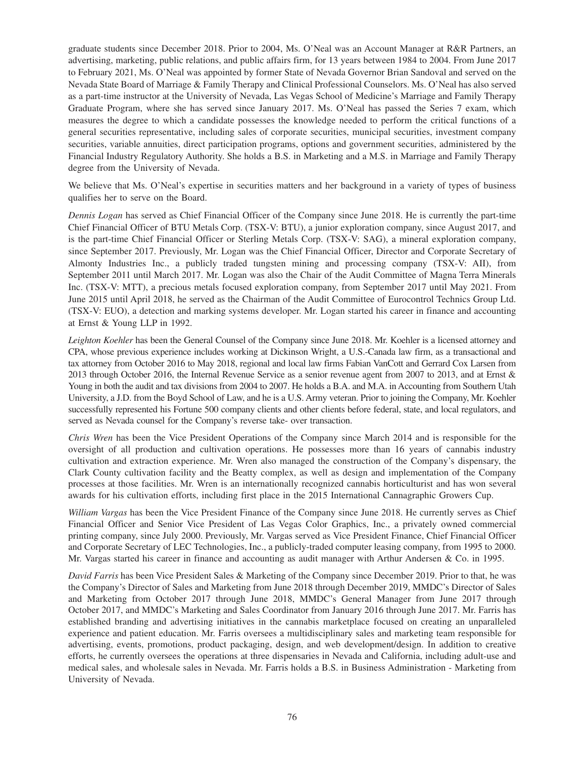graduate students since December 2018. Prior to 2004, Ms. O'Neal was an Account Manager at R&R Partners, an advertising, marketing, public relations, and public affairs firm, for 13 years between 1984 to 2004. From June 2017 to February 2021, Ms. O'Neal was appointed by former State of Nevada Governor Brian Sandoval and served on the Nevada State Board of Marriage & Family Therapy and Clinical Professional Counselors. Ms. O'Neal has also served as a part-time instructor at the University of Nevada, Las Vegas School of Medicine's Marriage and Family Therapy Graduate Program, where she has served since January 2017. Ms. O'Neal has passed the Series 7 exam, which measures the degree to which a candidate possesses the knowledge needed to perform the critical functions of a general securities representative, including sales of corporate securities, municipal securities, investment company securities, variable annuities, direct participation programs, options and government securities, administered by the Financial Industry Regulatory Authority. She holds a B.S. in Marketing and a M.S. in Marriage and Family Therapy degree from the University of Nevada.

We believe that Ms. O'Neal's expertise in securities matters and her background in a variety of types of business qualifies her to serve on the Board.

*Dennis Logan* has served as Chief Financial Officer of the Company since June 2018. He is currently the part-time Chief Financial Officer of BTU Metals Corp. (TSX-V: BTU), a junior exploration company, since August 2017, and is the part-time Chief Financial Officer or Sterling Metals Corp. (TSX-V: SAG), a mineral exploration company, since September 2017. Previously, Mr. Logan was the Chief Financial Officer, Director and Corporate Secretary of Almonty Industries Inc., a publicly traded tungsten mining and processing company (TSX-V: AII), from September 2011 until March 2017. Mr. Logan was also the Chair of the Audit Committee of Magna Terra Minerals Inc. (TSX-V: MTT), a precious metals focused exploration company, from September 2017 until May 2021. From June 2015 until April 2018, he served as the Chairman of the Audit Committee of Eurocontrol Technics Group Ltd. (TSX-V: EUO), a detection and marking systems developer. Mr. Logan started his career in finance and accounting at Ernst & Young LLP in 1992.

*Leighton Koehler* has been the General Counsel of the Company since June 2018. Mr. Koehler is a licensed attorney and CPA, whose previous experience includes working at Dickinson Wright, a U.S.-Canada law firm, as a transactional and tax attorney from October 2016 to May 2018, regional and local law firms Fabian VanCott and Gerrard Cox Larsen from 2013 through October 2016, the Internal Revenue Service as a senior revenue agent from 2007 to 2013, and at Ernst & Young in both the audit and tax divisions from 2004 to 2007. He holds a B.A. and M.A. in Accounting from Southern Utah University, a J.D. from the Boyd School of Law, and he is a U.S. Army veteran. Prior to joining the Company, Mr. Koehler successfully represented his Fortune 500 company clients and other clients before federal, state, and local regulators, and served as Nevada counsel for the Company's reverse take- over transaction.

*Chris Wren* has been the Vice President Operations of the Company since March 2014 and is responsible for the oversight of all production and cultivation operations. He possesses more than 16 years of cannabis industry cultivation and extraction experience. Mr. Wren also managed the construction of the Company's dispensary, the Clark County cultivation facility and the Beatty complex, as well as design and implementation of the Company processes at those facilities. Mr. Wren is an internationally recognized cannabis horticulturist and has won several awards for his cultivation efforts, including first place in the 2015 International Cannagraphic Growers Cup.

*William Vargas* has been the Vice President Finance of the Company since June 2018. He currently serves as Chief Financial Officer and Senior Vice President of Las Vegas Color Graphics, Inc., a privately owned commercial printing company, since July 2000. Previously, Mr. Vargas served as Vice President Finance, Chief Financial Officer and Corporate Secretary of LEC Technologies, Inc., a publicly-traded computer leasing company, from 1995 to 2000. Mr. Vargas started his career in finance and accounting as audit manager with Arthur Andersen & Co. in 1995.

*David Farris* has been Vice President Sales & Marketing of the Company since December 2019. Prior to that, he was the Company's Director of Sales and Marketing from June 2018 through December 2019, MMDC's Director of Sales and Marketing from October 2017 through June 2018, MMDC's General Manager from June 2017 through October 2017, and MMDC's Marketing and Sales Coordinator from January 2016 through June 2017. Mr. Farris has established branding and advertising initiatives in the cannabis marketplace focused on creating an unparalleled experience and patient education. Mr. Farris oversees a multidisciplinary sales and marketing team responsible for advertising, events, promotions, product packaging, design, and web development/design. In addition to creative efforts, he currently oversees the operations at three dispensaries in Nevada and California, including adult-use and medical sales, and wholesale sales in Nevada. Mr. Farris holds a B.S. in Business Administration - Marketing from University of Nevada.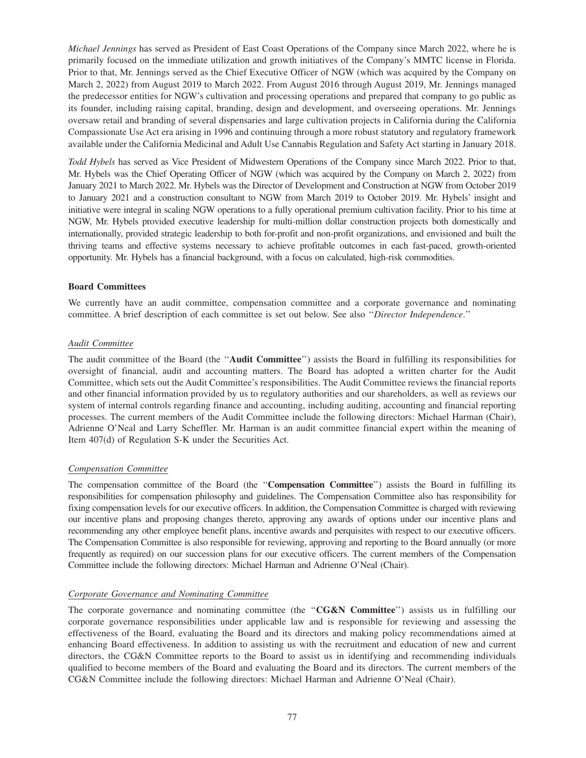*Michael Jennings* has served as President of East Coast Operations of the Company since March 2022, where he is primarily focused on the immediate utilization and growth initiatives of the Company's MMTC license in Florida. Prior to that, Mr. Jennings served as the Chief Executive Officer of NGW (which was acquired by the Company on March 2, 2022) from August 2019 to March 2022. From August 2016 through August 2019, Mr. Jennings managed the predecessor entities for NGW's cultivation and processing operations and prepared that company to go public as its founder, including raising capital, branding, design and development, and overseeing operations. Mr. Jennings oversaw retail and branding of several dispensaries and large cultivation projects in California during the California Compassionate Use Act era arising in 1996 and continuing through a more robust statutory and regulatory framework available under the California Medicinal and Adult Use Cannabis Regulation and Safety Act starting in January 2018.

*Todd Hybels* has served as Vice President of Midwestern Operations of the Company since March 2022. Prior to that, Mr. Hybels was the Chief Operating Officer of NGW (which was acquired by the Company on March 2, 2022) from January 2021 to March 2022. Mr. Hybels was the Director of Development and Construction at NGW from October 2019 to January 2021 and a construction consultant to NGW from March 2019 to October 2019. Mr. Hybels' insight and initiative were integral in scaling NGW operations to a fully operational premium cultivation facility. Prior to his time at NGW, Mr. Hybels provided executive leadership for multi-million dollar construction projects both domestically and internationally, provided strategic leadership to both for-profit and non-profit organizations, and envisioned and built the thriving teams and effective systems necessary to achieve profitable outcomes in each fast-paced, growth-oriented opportunity. Mr. Hybels has a financial background, with a focus on calculated, high-risk commodities.

## **Board Committees**

We currently have an audit committee, compensation committee and a corporate governance and nominating committee. A brief description of each committee is set out below. See also ''*Director Independence*.''

#### *Audit Committee*

The audit committee of the Board (the ''**Audit Committee**'') assists the Board in fulfilling its responsibilities for oversight of financial, audit and accounting matters. The Board has adopted a written charter for the Audit Committee, which sets out the Audit Committee's responsibilities. The Audit Committee reviews the financial reports and other financial information provided by us to regulatory authorities and our shareholders, as well as reviews our system of internal controls regarding finance and accounting, including auditing, accounting and financial reporting processes. The current members of the Audit Committee include the following directors: Michael Harman (Chair), Adrienne O'Neal and Larry Scheffler. Mr. Harman is an audit committee financial expert within the meaning of Item 407(d) of Regulation S-K under the Securities Act.

#### *Compensation Committee*

The compensation committee of the Board (the ''**Compensation Committee**'') assists the Board in fulfilling its responsibilities for compensation philosophy and guidelines. The Compensation Committee also has responsibility for fixing compensation levels for our executive officers. In addition, the Compensation Committee is charged with reviewing our incentive plans and proposing changes thereto, approving any awards of options under our incentive plans and recommending any other employee benefit plans, incentive awards and perquisites with respect to our executive officers. The Compensation Committee is also responsible for reviewing, approving and reporting to the Board annually (or more frequently as required) on our succession plans for our executive officers. The current members of the Compensation Committee include the following directors: Michael Harman and Adrienne O'Neal (Chair).

#### *Corporate Governance and Nominating Committee*

The corporate governance and nominating committee (the ''**CG&N Committee**'') assists us in fulfilling our corporate governance responsibilities under applicable law and is responsible for reviewing and assessing the effectiveness of the Board, evaluating the Board and its directors and making policy recommendations aimed at enhancing Board effectiveness. In addition to assisting us with the recruitment and education of new and current directors, the CG&N Committee reports to the Board to assist us in identifying and recommending individuals qualified to become members of the Board and evaluating the Board and its directors. The current members of the CG&N Committee include the following directors: Michael Harman and Adrienne O'Neal (Chair).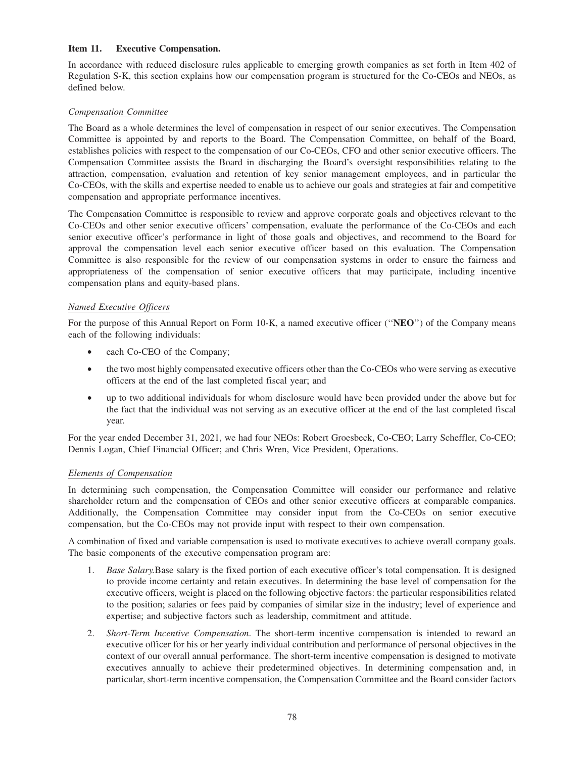## **Item 11. Executive Compensation.**

In accordance with reduced disclosure rules applicable to emerging growth companies as set forth in Item 402 of Regulation S-K, this section explains how our compensation program is structured for the Co-CEOs and NEOs, as defined below.

# *Compensation Committee*

The Board as a whole determines the level of compensation in respect of our senior executives. The Compensation Committee is appointed by and reports to the Board. The Compensation Committee, on behalf of the Board, establishes policies with respect to the compensation of our Co-CEOs, CFO and other senior executive officers. The Compensation Committee assists the Board in discharging the Board's oversight responsibilities relating to the attraction, compensation, evaluation and retention of key senior management employees, and in particular the Co-CEOs, with the skills and expertise needed to enable us to achieve our goals and strategies at fair and competitive compensation and appropriate performance incentives.

The Compensation Committee is responsible to review and approve corporate goals and objectives relevant to the Co-CEOs and other senior executive officers' compensation, evaluate the performance of the Co-CEOs and each senior executive officer's performance in light of those goals and objectives, and recommend to the Board for approval the compensation level each senior executive officer based on this evaluation. The Compensation Committee is also responsible for the review of our compensation systems in order to ensure the fairness and appropriateness of the compensation of senior executive officers that may participate, including incentive compensation plans and equity-based plans.

## *Named Executive Officers*

For the purpose of this Annual Report on Form 10-K, a named executive officer (''**NEO**'') of the Company means each of the following individuals:

- each Co-CEO of the Company;
- the two most highly compensated executive officers other than the Co-CEOs who were serving as executive officers at the end of the last completed fiscal year; and
- up to two additional individuals for whom disclosure would have been provided under the above but for the fact that the individual was not serving as an executive officer at the end of the last completed fiscal year.

For the year ended December 31, 2021, we had four NEOs: Robert Groesbeck, Co-CEO; Larry Scheffler, Co-CEO; Dennis Logan, Chief Financial Officer; and Chris Wren, Vice President, Operations.

### *Elements of Compensation*

In determining such compensation, the Compensation Committee will consider our performance and relative shareholder return and the compensation of CEOs and other senior executive officers at comparable companies. Additionally, the Compensation Committee may consider input from the Co-CEOs on senior executive compensation, but the Co-CEOs may not provide input with respect to their own compensation.

A combination of fixed and variable compensation is used to motivate executives to achieve overall company goals. The basic components of the executive compensation program are:

- 1. *Base Salary.*Base salary is the fixed portion of each executive officer's total compensation. It is designed to provide income certainty and retain executives. In determining the base level of compensation for the executive officers, weight is placed on the following objective factors: the particular responsibilities related to the position; salaries or fees paid by companies of similar size in the industry; level of experience and expertise; and subjective factors such as leadership, commitment and attitude.
- 2. *Short-Term Incentive Compensation*. The short-term incentive compensation is intended to reward an executive officer for his or her yearly individual contribution and performance of personal objectives in the context of our overall annual performance. The short-term incentive compensation is designed to motivate executives annually to achieve their predetermined objectives. In determining compensation and, in particular, short-term incentive compensation, the Compensation Committee and the Board consider factors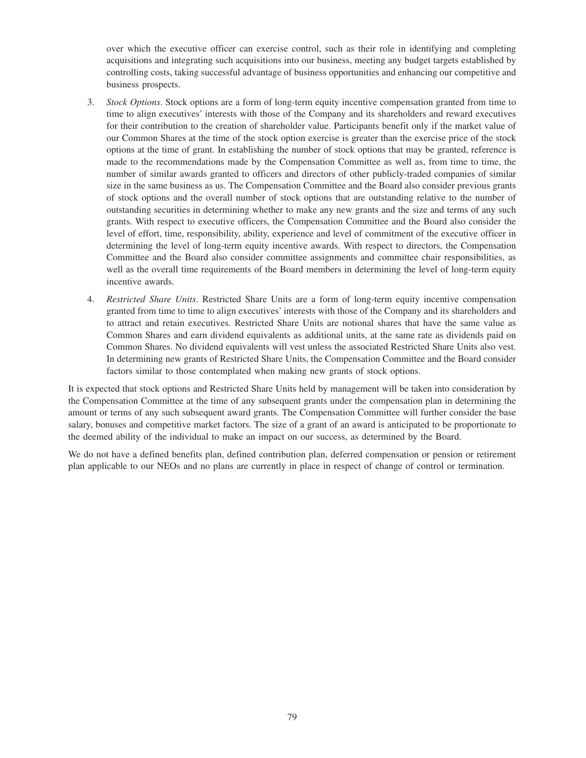over which the executive officer can exercise control, such as their role in identifying and completing acquisitions and integrating such acquisitions into our business, meeting any budget targets established by controlling costs, taking successful advantage of business opportunities and enhancing our competitive and business prospects.

- 3. *Stock Options*. Stock options are a form of long-term equity incentive compensation granted from time to time to align executives' interests with those of the Company and its shareholders and reward executives for their contribution to the creation of shareholder value. Participants benefit only if the market value of our Common Shares at the time of the stock option exercise is greater than the exercise price of the stock options at the time of grant. In establishing the number of stock options that may be granted, reference is made to the recommendations made by the Compensation Committee as well as, from time to time, the number of similar awards granted to officers and directors of other publicly-traded companies of similar size in the same business as us. The Compensation Committee and the Board also consider previous grants of stock options and the overall number of stock options that are outstanding relative to the number of outstanding securities in determining whether to make any new grants and the size and terms of any such grants. With respect to executive officers, the Compensation Committee and the Board also consider the level of effort, time, responsibility, ability, experience and level of commitment of the executive officer in determining the level of long-term equity incentive awards. With respect to directors, the Compensation Committee and the Board also consider committee assignments and committee chair responsibilities, as well as the overall time requirements of the Board members in determining the level of long-term equity incentive awards.
- 4. *Restricted Share Units*. Restricted Share Units are a form of long-term equity incentive compensation granted from time to time to align executives' interests with those of the Company and its shareholders and to attract and retain executives. Restricted Share Units are notional shares that have the same value as Common Shares and earn dividend equivalents as additional units, at the same rate as dividends paid on Common Shares. No dividend equivalents will vest unless the associated Restricted Share Units also vest. In determining new grants of Restricted Share Units, the Compensation Committee and the Board consider factors similar to those contemplated when making new grants of stock options.

It is expected that stock options and Restricted Share Units held by management will be taken into consideration by the Compensation Committee at the time of any subsequent grants under the compensation plan in determining the amount or terms of any such subsequent award grants. The Compensation Committee will further consider the base salary, bonuses and competitive market factors. The size of a grant of an award is anticipated to be proportionate to the deemed ability of the individual to make an impact on our success, as determined by the Board.

We do not have a defined benefits plan, defined contribution plan, deferred compensation or pension or retirement plan applicable to our NEOs and no plans are currently in place in respect of change of control or termination.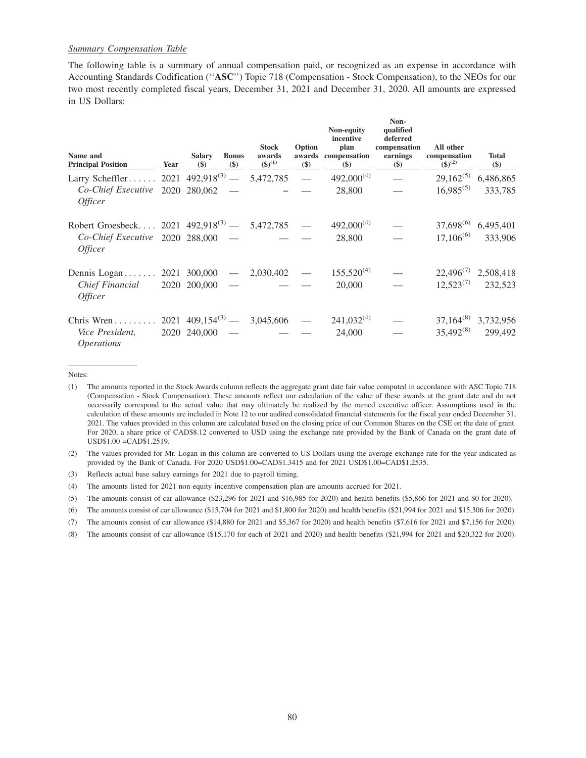# *Summary Compensation Table*

The following table is a summary of annual compensation paid, or recognized as an expense in accordance with Accounting Standards Codification (''**ASC**'') Topic 718 (Compensation - Stock Compensation), to the NEOs for our two most recently completed fiscal years, December 31, 2021 and December 31, 2020. All amounts are expressed in US Dollars:

| Name and<br><b>Principal Position</b>                 | Year | <b>Salary</b><br>$(\$)$ | <b>Bonus</b><br>$(\$)$ | <b>Stock</b><br>awards<br>$({\$})^{(1)}$ | Option<br>$(\$)$         | Non-equity<br>incentive<br>plan<br>awards compensation<br>$\left( \mathbf{\$}\right)$ | Non-<br>qualified<br>deferred<br>compensation<br>earnings<br>$(\$)$ | All other<br>compensation<br>$({\bf \$})^{(2)}$ | <b>Total</b><br>\$)      |
|-------------------------------------------------------|------|-------------------------|------------------------|------------------------------------------|--------------------------|---------------------------------------------------------------------------------------|---------------------------------------------------------------------|-------------------------------------------------|--------------------------|
| Larry Scheffler 2021 $492,918^{(3)} - 5,472,785$      |      |                         |                        |                                          | $\overline{\phantom{a}}$ | $492,000^{(4)}$                                                                       | $\frac{1}{2}$                                                       | $29,162^{(5)}$                                  | 6,486,865                |
| $Co-Chief Executive 2020 280,062 -$<br><i>Officer</i> |      |                         |                        |                                          |                          | 28,800                                                                                |                                                                     | $16,985^{(5)}$                                  | 333,785                  |
| Robert Groesbeck 2021 $492,918^{(3)} - 5,472,785$     |      |                         |                        |                                          |                          | $492,000^{(4)}$                                                                       |                                                                     | $37,698^{(6)}$                                  | 6,495,401                |
| $Co-Chief Executive 2020 288,000 -$<br><i>Officer</i> |      |                         |                        |                                          |                          | 28,800                                                                                |                                                                     | $17,106^{(6)}$                                  | 333,906                  |
| Dennis Logan 2021 300,000 —                           |      |                         |                        | 2,030,402                                |                          | $155,520^{(4)}$                                                                       |                                                                     |                                                 | $22,496^{(7)}$ 2,508,418 |
| Chief Financial<br><i>Officer</i>                     |      | $2020$ $200,000$ -      |                        |                                          |                          | 20,000                                                                                |                                                                     | $12,523^{(7)}$                                  | 232,523                  |
| Chris Wren $\dots \dots$                              |      |                         |                        | $2021 \t409, 154^{(3)} - 3, 045, 606$    |                          | $241,032^{(4)}$                                                                       |                                                                     |                                                 | $37,164^{(8)}$ 3,732,956 |
| Vice President,<br><i><b>Operations</b></i>           |      | $2020$ 240,000 -        |                        |                                          |                          | 24,000                                                                                |                                                                     | $35,492^{(8)}$                                  | 299,492                  |

Notes:

(2) The values provided for Mr. Logan in this column are converted to US Dollars using the average exchange rate for the year indicated as provided by the Bank of Canada. For 2020 USD\$1.00=CAD\$1.3415 and for 2021 USD\$1.00=CAD\$1.2535.

(3) Reflects actual base salary earnings for 2021 due to payroll timing.

(4) The amounts listed for 2021 non-equity incentive compensation plan are amounts accrued for 2021.

(5) The amounts consist of car allowance (\$23,296 for 2021 and \$16,985 for 2020) and health benefits (\$5,866 for 2021 and \$0 for 2020).

(8) The amounts consist of car allowance (\$15,170 for each of 2021 and 2020) and health benefits (\$21,994 for 2021 and \$20,322 for 2020).

<sup>(1)</sup> The amounts reported in the Stock Awards column reflects the aggregate grant date fair value computed in accordance with ASC Topic 718 (Compensation - Stock Compensation). These amounts reflect our calculation of the value of these awards at the grant date and do not necessarily correspond to the actual value that may ultimately be realized by the named executive officer. Assumptions used in the calculation of these amounts are included in Note 12 to our audited consolidated financial statements for the fiscal year ended December 31, 2021. The values provided in this column are calculated based on the closing price of our Common Shares on the CSE on the date of grant. For 2020, a share price of CAD\$8.12 converted to USD using the exchange rate provided by the Bank of Canada on the grant date of USD\$1.00 =CAD\$1.2519.

<sup>(6)</sup> The amounts consist of car allowance (\$15,704 for 2021 and \$1,800 for 2020) and health benefits (\$21,994 for 2021 and \$15,306 for 2020).

<sup>(7)</sup> The amounts consist of car allowance (\$14,880 for 2021 and \$5,367 for 2020) and health benefits (\$7,616 for 2021 and \$7,156 for 2020).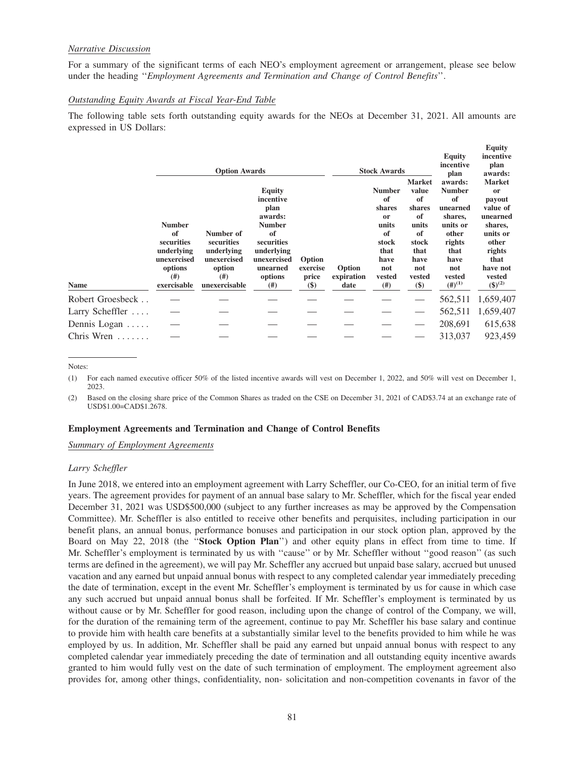### *Narrative Discussion*

For a summary of the significant terms of each NEO's employment agreement or arrangement, please see below under the heading ''*Employment Agreements and Termination and Change of Control Benefits*''.

## *Outstanding Equity Awards at Fiscal Year-End Table*

The following table sets forth outstanding equity awards for the NEOs at December 31, 2021. All amounts are expressed in US Dollars:

**Equity**

|                      |                                                                                                  | <b>Option Awards</b>                                                                    |                                                                                                                      |                                                          |                              | <b>Stock Awards</b>                                                                      | <b>Market</b>                                                                   | <b>Equity</b><br>incentive<br>plan<br>awards:                                                          | $\mathbf{u}$<br>incentive<br>plan<br>awards:<br><b>Market</b>                                                  |
|----------------------|--------------------------------------------------------------------------------------------------|-----------------------------------------------------------------------------------------|----------------------------------------------------------------------------------------------------------------------|----------------------------------------------------------|------------------------------|------------------------------------------------------------------------------------------|---------------------------------------------------------------------------------|--------------------------------------------------------------------------------------------------------|----------------------------------------------------------------------------------------------------------------|
|                      |                                                                                                  |                                                                                         | <b>Equity</b><br>incentive                                                                                           |                                                          |                              | <b>Number</b><br>of                                                                      | value<br>of                                                                     | <b>Number</b><br>of                                                                                    | <sub>or</sub><br>payout                                                                                        |
| Name                 | <b>Number</b><br>of<br>securities<br>underlying<br>unexercised<br>options<br>(# )<br>exercisable | Number of<br>securities<br>underlying<br>unexercised<br>option<br>(# )<br>unexercisable | plan<br>awards:<br><b>Number</b><br>of<br>securities<br>underlying<br>unexercised<br>unearned<br>options<br>$^{(#)}$ | Option<br>exercise<br>price<br>$\left( \text{\$}\right)$ | Option<br>expiration<br>date | shares<br><sub>or</sub><br>units<br>of<br>stock<br>that<br>have<br>not<br>vested<br>(# ) | shares<br>of<br>units<br>of<br>stock<br>that<br>have<br>not<br>vested<br>$(\$)$ | unearned<br>shares,<br>units or<br>other<br>rights<br>that<br>have<br>not<br>vested<br>$(4^{n})^{(1)}$ | value of<br>unearned<br>shares,<br>units or<br>other<br>rights<br>that<br>have not<br>vested<br>$({\S})^{(2)}$ |
| Robert Groesbeck     |                                                                                                  |                                                                                         |                                                                                                                      |                                                          |                              |                                                                                          |                                                                                 | 562,511                                                                                                | 1,659,407                                                                                                      |
| Larry Scheffler      |                                                                                                  |                                                                                         |                                                                                                                      |                                                          |                              |                                                                                          |                                                                                 | 562,511                                                                                                | 1,659,407                                                                                                      |
| Dennis Logan $\dots$ |                                                                                                  |                                                                                         |                                                                                                                      |                                                          |                              |                                                                                          |                                                                                 | 208,691                                                                                                | 615,638                                                                                                        |
| Chris Wren           |                                                                                                  |                                                                                         |                                                                                                                      |                                                          |                              |                                                                                          |                                                                                 | 313,037                                                                                                | 923,459                                                                                                        |

Notes:

(1) For each named executive officer 50% of the listed incentive awards will vest on December 1, 2022, and 50% will vest on December 1, 2023.

(2) Based on the closing share price of the Common Shares as traded on the CSE on December 31, 2021 of CAD\$3.74 at an exchange rate of USD\$1.00=CAD\$1.2678.

#### **Employment Agreements and Termination and Change of Control Benefits**

*Summary of Employment Agreements*

#### *Larry Scheffler*

In June 2018, we entered into an employment agreement with Larry Scheffler, our Co-CEO, for an initial term of five years. The agreement provides for payment of an annual base salary to Mr. Scheffler, which for the fiscal year ended December 31, 2021 was USD\$500,000 (subject to any further increases as may be approved by the Compensation Committee). Mr. Scheffler is also entitled to receive other benefits and perquisites, including participation in our benefit plans, an annual bonus, performance bonuses and participation in our stock option plan, approved by the Board on May 22, 2018 (the "**Stock Option Plan**") and other equity plans in effect from time to time. If Mr. Scheffler's employment is terminated by us with ''cause'' or by Mr. Scheffler without ''good reason'' (as such terms are defined in the agreement), we will pay Mr. Scheffler any accrued but unpaid base salary, accrued but unused vacation and any earned but unpaid annual bonus with respect to any completed calendar year immediately preceding the date of termination, except in the event Mr. Scheffler's employment is terminated by us for cause in which case any such accrued but unpaid annual bonus shall be forfeited. If Mr. Scheffler's employment is terminated by us without cause or by Mr. Scheffler for good reason, including upon the change of control of the Company, we will, for the duration of the remaining term of the agreement, continue to pay Mr. Scheffler his base salary and continue to provide him with health care benefits at a substantially similar level to the benefits provided to him while he was employed by us. In addition, Mr. Scheffler shall be paid any earned but unpaid annual bonus with respect to any completed calendar year immediately preceding the date of termination and all outstanding equity incentive awards granted to him would fully vest on the date of such termination of employment. The employment agreement also provides for, among other things, confidentiality, non- solicitation and non-competition covenants in favor of the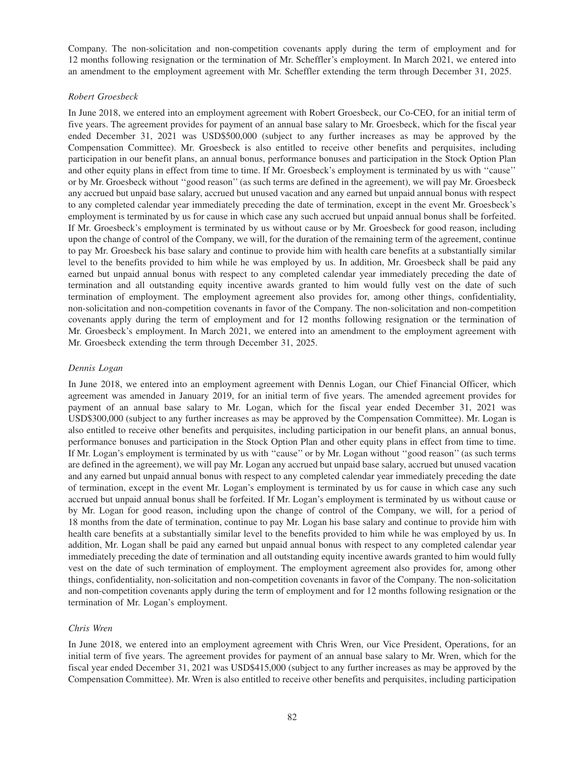Company. The non-solicitation and non-competition covenants apply during the term of employment and for 12 months following resignation or the termination of Mr. Scheffler's employment. In March 2021, we entered into an amendment to the employment agreement with Mr. Scheffler extending the term through December 31, 2025.

### *Robert Groesbeck*

In June 2018, we entered into an employment agreement with Robert Groesbeck, our Co-CEO, for an initial term of five years. The agreement provides for payment of an annual base salary to Mr. Groesbeck, which for the fiscal year ended December 31, 2021 was USD\$500,000 (subject to any further increases as may be approved by the Compensation Committee). Mr. Groesbeck is also entitled to receive other benefits and perquisites, including participation in our benefit plans, an annual bonus, performance bonuses and participation in the Stock Option Plan and other equity plans in effect from time to time. If Mr. Groesbeck's employment is terminated by us with ''cause'' or by Mr. Groesbeck without ''good reason'' (as such terms are defined in the agreement), we will pay Mr. Groesbeck any accrued but unpaid base salary, accrued but unused vacation and any earned but unpaid annual bonus with respect to any completed calendar year immediately preceding the date of termination, except in the event Mr. Groesbeck's employment is terminated by us for cause in which case any such accrued but unpaid annual bonus shall be forfeited. If Mr. Groesbeck's employment is terminated by us without cause or by Mr. Groesbeck for good reason, including upon the change of control of the Company, we will, for the duration of the remaining term of the agreement, continue to pay Mr. Groesbeck his base salary and continue to provide him with health care benefits at a substantially similar level to the benefits provided to him while he was employed by us. In addition, Mr. Groesbeck shall be paid any earned but unpaid annual bonus with respect to any completed calendar year immediately preceding the date of termination and all outstanding equity incentive awards granted to him would fully vest on the date of such termination of employment. The employment agreement also provides for, among other things, confidentiality, non-solicitation and non-competition covenants in favor of the Company. The non-solicitation and non-competition covenants apply during the term of employment and for 12 months following resignation or the termination of Mr. Groesbeck's employment. In March 2021, we entered into an amendment to the employment agreement with Mr. Groesbeck extending the term through December 31, 2025.

# *Dennis Logan*

In June 2018, we entered into an employment agreement with Dennis Logan, our Chief Financial Officer, which agreement was amended in January 2019, for an initial term of five years. The amended agreement provides for payment of an annual base salary to Mr. Logan, which for the fiscal year ended December 31, 2021 was USD\$300,000 (subject to any further increases as may be approved by the Compensation Committee). Mr. Logan is also entitled to receive other benefits and perquisites, including participation in our benefit plans, an annual bonus, performance bonuses and participation in the Stock Option Plan and other equity plans in effect from time to time. If Mr. Logan's employment is terminated by us with ''cause'' or by Mr. Logan without ''good reason'' (as such terms are defined in the agreement), we will pay Mr. Logan any accrued but unpaid base salary, accrued but unused vacation and any earned but unpaid annual bonus with respect to any completed calendar year immediately preceding the date of termination, except in the event Mr. Logan's employment is terminated by us for cause in which case any such accrued but unpaid annual bonus shall be forfeited. If Mr. Logan's employment is terminated by us without cause or by Mr. Logan for good reason, including upon the change of control of the Company, we will, for a period of 18 months from the date of termination, continue to pay Mr. Logan his base salary and continue to provide him with health care benefits at a substantially similar level to the benefits provided to him while he was employed by us. In addition, Mr. Logan shall be paid any earned but unpaid annual bonus with respect to any completed calendar year immediately preceding the date of termination and all outstanding equity incentive awards granted to him would fully vest on the date of such termination of employment. The employment agreement also provides for, among other things, confidentiality, non-solicitation and non-competition covenants in favor of the Company. The non-solicitation and non-competition covenants apply during the term of employment and for 12 months following resignation or the termination of Mr. Logan's employment.

# *Chris Wren*

In June 2018, we entered into an employment agreement with Chris Wren, our Vice President, Operations, for an initial term of five years. The agreement provides for payment of an annual base salary to Mr. Wren, which for the fiscal year ended December 31, 2021 was USD\$415,000 (subject to any further increases as may be approved by the Compensation Committee). Mr. Wren is also entitled to receive other benefits and perquisites, including participation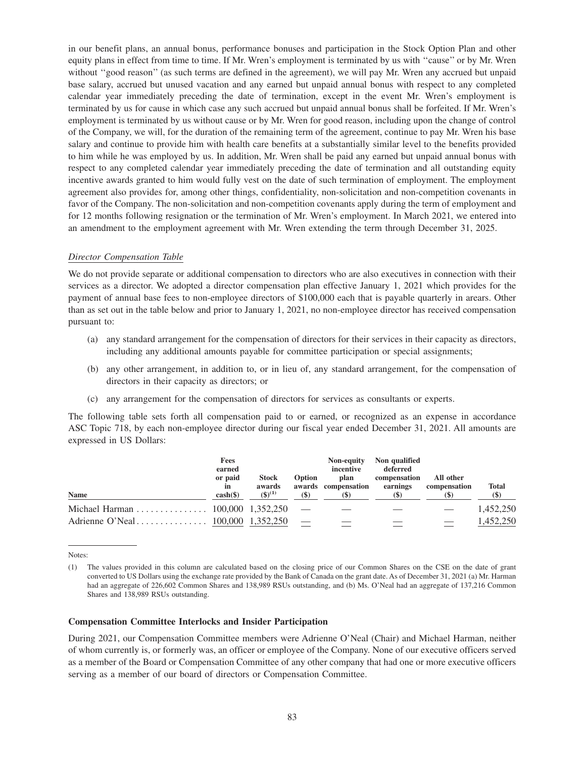in our benefit plans, an annual bonus, performance bonuses and participation in the Stock Option Plan and other equity plans in effect from time to time. If Mr. Wren's employment is terminated by us with ''cause'' or by Mr. Wren without "good reason" (as such terms are defined in the agreement), we will pay Mr. Wren any accrued but unpaid base salary, accrued but unused vacation and any earned but unpaid annual bonus with respect to any completed calendar year immediately preceding the date of termination, except in the event Mr. Wren's employment is terminated by us for cause in which case any such accrued but unpaid annual bonus shall be forfeited. If Mr. Wren's employment is terminated by us without cause or by Mr. Wren for good reason, including upon the change of control of the Company, we will, for the duration of the remaining term of the agreement, continue to pay Mr. Wren his base salary and continue to provide him with health care benefits at a substantially similar level to the benefits provided to him while he was employed by us. In addition, Mr. Wren shall be paid any earned but unpaid annual bonus with respect to any completed calendar year immediately preceding the date of termination and all outstanding equity incentive awards granted to him would fully vest on the date of such termination of employment. The employment agreement also provides for, among other things, confidentiality, non-solicitation and non-competition covenants in favor of the Company. The non-solicitation and non-competition covenants apply during the term of employment and for 12 months following resignation or the termination of Mr. Wren's employment. In March 2021, we entered into an amendment to the employment agreement with Mr. Wren extending the term through December 31, 2025.

#### *Director Compensation Table*

We do not provide separate or additional compensation to directors who are also executives in connection with their services as a director. We adopted a director compensation plan effective January 1, 2021 which provides for the payment of annual base fees to non-employee directors of \$100,000 each that is payable quarterly in arears. Other than as set out in the table below and prior to January 1, 2021, no non-employee director has received compensation pursuant to:

- (a) any standard arrangement for the compensation of directors for their services in their capacity as directors, including any additional amounts payable for committee participation or special assignments;
- (b) any other arrangement, in addition to, or in lieu of, any standard arrangement, for the compensation of directors in their capacity as directors; or
- (c) any arrangement for the compensation of directors for services as consultants or experts.

The following table sets forth all compensation paid to or earned, or recognized as an expense in accordance ASC Topic 718, by each non-employee director during our fiscal year ended December 31, 2021. All amounts are expressed in US Dollars:

| <b>Name</b>                        | Fees<br>earned<br>or paid<br>in<br>$\cosh(\frac{\theta}{2})$ | <b>Stock</b><br>awards<br>$(5)^{(1)}$ | Option<br>$(\$)$ | <b>Non-equity</b><br>incentive<br>plan<br>awards compensation<br>(S) | Non qualified<br>deferred<br>compensation<br>earnings<br><b>(\$)</b> | All other<br>compensation<br><b>(\$)</b> | <b>Total</b><br>$(\$)$ |
|------------------------------------|--------------------------------------------------------------|---------------------------------------|------------------|----------------------------------------------------------------------|----------------------------------------------------------------------|------------------------------------------|------------------------|
| Michael Harman 100,000 $1,352,250$ |                                                              |                                       |                  |                                                                      |                                                                      |                                          | 1.452.250              |
|                                    |                                                              |                                       |                  |                                                                      |                                                                      | $\hspace{1.0cm} \overline{\phantom{0}}$  | 1.452.250              |

Notes:

#### **Compensation Committee Interlocks and Insider Participation**

During 2021, our Compensation Committee members were Adrienne O'Neal (Chair) and Michael Harman, neither of whom currently is, or formerly was, an officer or employee of the Company. None of our executive officers served as a member of the Board or Compensation Committee of any other company that had one or more executive officers serving as a member of our board of directors or Compensation Committee.

<sup>(1)</sup> The values provided in this column are calculated based on the closing price of our Common Shares on the CSE on the date of grant converted to US Dollars using the exchange rate provided by the Bank of Canada on the grant date. As of December 31, 2021 (a) Mr. Harman had an aggregate of 226,602 Common Shares and 138,989 RSUs outstanding, and (b) Ms. O'Neal had an aggregate of 137,216 Common Shares and 138,989 RSUs outstanding.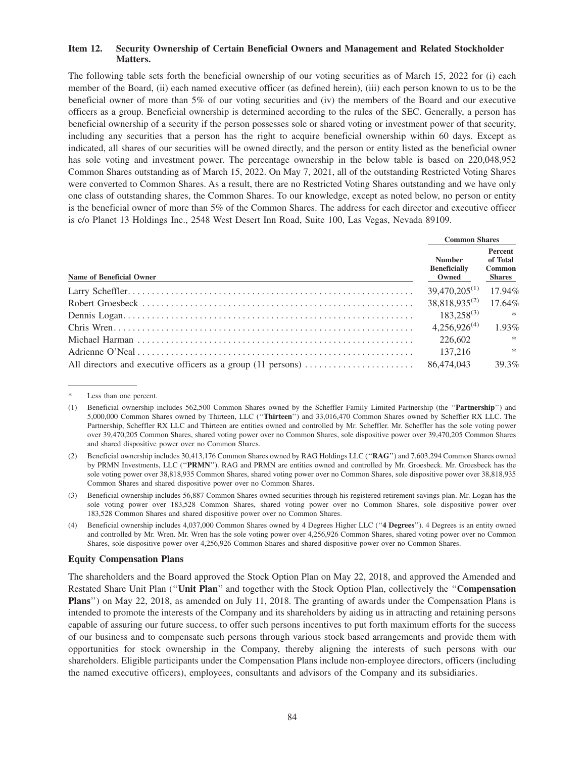## **Item 12. Security Ownership of Certain Beneficial Owners and Management and Related Stockholder Matters.**

The following table sets forth the beneficial ownership of our voting securities as of March 15, 2022 for (i) each member of the Board, (ii) each named executive officer (as defined herein), (iii) each person known to us to be the beneficial owner of more than 5% of our voting securities and (iv) the members of the Board and our executive officers as a group. Beneficial ownership is determined according to the rules of the SEC. Generally, a person has beneficial ownership of a security if the person possesses sole or shared voting or investment power of that security, including any securities that a person has the right to acquire beneficial ownership within 60 days. Except as indicated, all shares of our securities will be owned directly, and the person or entity listed as the beneficial owner has sole voting and investment power. The percentage ownership in the below table is based on 220,048,952 Common Shares outstanding as of March 15, 2022. On May 7, 2021, all of the outstanding Restricted Voting Shares were converted to Common Shares. As a result, there are no Restricted Voting Shares outstanding and we have only one class of outstanding shares, the Common Shares. To our knowledge, except as noted below, no person or entity is the beneficial owner of more than 5% of the Common Shares. The address for each director and executive officer is c/o Planet 13 Holdings Inc., 2548 West Desert Inn Road, Suite 100, Las Vegas, Nevada 89109.

|                                 | <b>Common Shares</b>                          |                                                       |  |
|---------------------------------|-----------------------------------------------|-------------------------------------------------------|--|
| <b>Name of Beneficial Owner</b> | <b>Number</b><br><b>Beneficially</b><br>Owned | Percent<br>of Total<br><b>Common</b><br><b>Shares</b> |  |
|                                 | $39,470,205^{(1)}$                            | 17.94%                                                |  |
|                                 | $38,818,935^{(2)}$                            | 17.64%                                                |  |
|                                 | $183,258^{(3)}$                               | $*$                                                   |  |
|                                 | $4,256,926^{(4)}$                             | 1.93%                                                 |  |
|                                 | 226,602                                       | $\ast$                                                |  |
|                                 | 137,216                                       | $\ast$                                                |  |
|                                 | 86,474,043                                    | 39.3%                                                 |  |

Less than one percent.

#### **Equity Compensation Plans**

The shareholders and the Board approved the Stock Option Plan on May 22, 2018, and approved the Amended and Restated Share Unit Plan (''**Unit Plan**'' and together with the Stock Option Plan, collectively the ''**Compensation Plans**'') on May 22, 2018, as amended on July 11, 2018. The granting of awards under the Compensation Plans is intended to promote the interests of the Company and its shareholders by aiding us in attracting and retaining persons capable of assuring our future success, to offer such persons incentives to put forth maximum efforts for the success of our business and to compensate such persons through various stock based arrangements and provide them with opportunities for stock ownership in the Company, thereby aligning the interests of such persons with our shareholders. Eligible participants under the Compensation Plans include non-employee directors, officers (including the named executive officers), employees, consultants and advisors of the Company and its subsidiaries.

<sup>(1)</sup> Beneficial ownership includes 562,500 Common Shares owned by the Scheffler Family Limited Partnership (the ''**Partnership**'') and 5,000,000 Common Shares owned by Thirteen, LLC (''**Thirteen**'') and 33,016,470 Common Shares owned by Scheffler RX LLC. The Partnership, Scheffler RX LLC and Thirteen are entities owned and controlled by Mr. Scheffler. Mr. Scheffler has the sole voting power over 39,470,205 Common Shares, shared voting power over no Common Shares, sole dispositive power over 39,470,205 Common Shares and shared dispositive power over no Common Shares.

<sup>(2)</sup> Beneficial ownership includes 30,413,176 Common Shares owned by RAG Holdings LLC (''**RAG**'') and 7,603,294 Common Shares owned by PRMN Investments, LLC (''**PRMN**''). RAG and PRMN are entities owned and controlled by Mr. Groesbeck. Mr. Groesbeck has the sole voting power over 38,818,935 Common Shares, shared voting power over no Common Shares, sole dispositive power over 38,818,935 Common Shares and shared dispositive power over no Common Shares.

<sup>(3)</sup> Beneficial ownership includes 56,887 Common Shares owned securities through his registered retirement savings plan. Mr. Logan has the sole voting power over 183,528 Common Shares, shared voting power over no Common Shares, sole dispositive power over 183,528 Common Shares and shared dispositive power over no Common Shares.

<sup>(4)</sup> Beneficial ownership includes 4,037,000 Common Shares owned by 4 Degrees Higher LLC (''**4 Degrees**''). 4 Degrees is an entity owned and controlled by Mr. Wren. Mr. Wren has the sole voting power over 4,256,926 Common Shares, shared voting power over no Common Shares, sole dispositive power over 4,256,926 Common Shares and shared dispositive power over no Common Shares.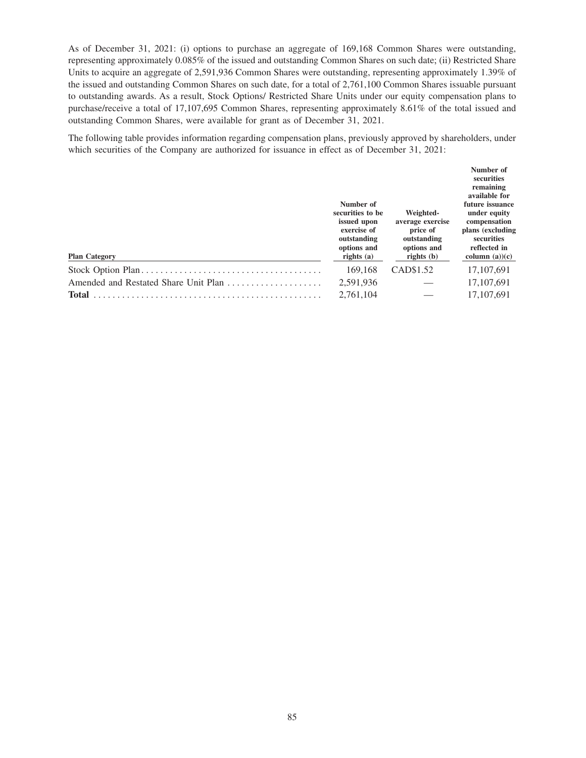As of December 31, 2021: (i) options to purchase an aggregate of 169,168 Common Shares were outstanding, representing approximately 0.085% of the issued and outstanding Common Shares on such date; (ii) Restricted Share Units to acquire an aggregate of 2,591,936 Common Shares were outstanding, representing approximately 1.39% of the issued and outstanding Common Shares on such date, for a total of 2,761,100 Common Shares issuable pursuant to outstanding awards. As a result, Stock Options/ Restricted Share Units under our equity compensation plans to purchase/receive a total of 17,107,695 Common Shares, representing approximately 8.61% of the total issued and outstanding Common Shares, were available for grant as of December 31, 2021.

The following table provides information regarding compensation plans, previously approved by shareholders, under which securities of the Company are authorized for issuance in effect as of December 31, 2021:

| <b>Plan Category</b>                 | Number of<br>securities to be<br>issued upon<br>exercise of<br>outstanding<br>options and<br>rights $(a)$ | Weighted-<br>average exercise<br>price of<br>outstanding<br>options and<br>rights $(b)$ | Number of<br>securities<br>remaining<br>available for<br>future issuance<br>under equity<br>compensation<br>plans (excluding<br>securities<br>reflected in<br>column $(a)(c)$ |
|--------------------------------------|-----------------------------------------------------------------------------------------------------------|-----------------------------------------------------------------------------------------|-------------------------------------------------------------------------------------------------------------------------------------------------------------------------------|
|                                      | 169,168                                                                                                   | CAD\$1.52                                                                               | 17, 107, 691                                                                                                                                                                  |
| Amended and Restated Share Unit Plan | 2,591,936                                                                                                 |                                                                                         | 17,107,691                                                                                                                                                                    |
| <b>Total</b>                         | 2,761,104                                                                                                 |                                                                                         | 17,107,691                                                                                                                                                                    |
|                                      |                                                                                                           |                                                                                         |                                                                                                                                                                               |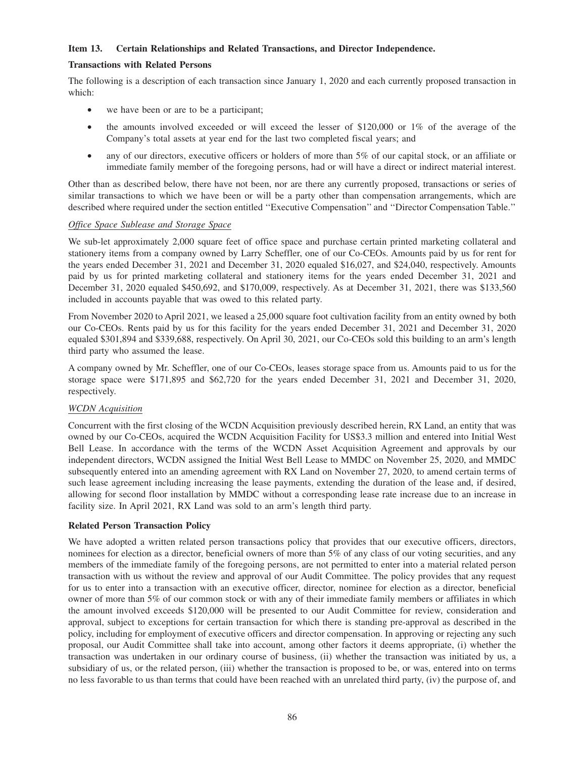## **Item 13. Certain Relationships and Related Transactions, and Director Independence.**

### **Transactions with Related Persons**

The following is a description of each transaction since January 1, 2020 and each currently proposed transaction in which:

- we have been or are to be a participant;
- the amounts involved exceeded or will exceed the lesser of \$120,000 or 1% of the average of the Company's total assets at year end for the last two completed fiscal years; and
- any of our directors, executive officers or holders of more than 5% of our capital stock, or an affiliate or immediate family member of the foregoing persons, had or will have a direct or indirect material interest.

Other than as described below, there have not been, nor are there any currently proposed, transactions or series of similar transactions to which we have been or will be a party other than compensation arrangements, which are described where required under the section entitled ''Executive Compensation'' and ''Director Compensation Table.''

#### *Office Space Sublease and Storage Space*

We sub-let approximately 2,000 square feet of office space and purchase certain printed marketing collateral and stationery items from a company owned by Larry Scheffler, one of our Co-CEOs. Amounts paid by us for rent for the years ended December 31, 2021 and December 31, 2020 equaled \$16,027, and \$24,040, respectively. Amounts paid by us for printed marketing collateral and stationery items for the years ended December 31, 2021 and December 31, 2020 equaled \$450,692, and \$170,009, respectively. As at December 31, 2021, there was \$133,560 included in accounts payable that was owed to this related party.

From November 2020 to April 2021, we leased a 25,000 square foot cultivation facility from an entity owned by both our Co-CEOs. Rents paid by us for this facility for the years ended December 31, 2021 and December 31, 2020 equaled \$301,894 and \$339,688, respectively. On April 30, 2021, our Co-CEOs sold this building to an arm's length third party who assumed the lease.

A company owned by Mr. Scheffler, one of our Co-CEOs, leases storage space from us. Amounts paid to us for the storage space were \$171,895 and \$62,720 for the years ended December 31, 2021 and December 31, 2020, respectively.

# *WCDN Acquisition*

Concurrent with the first closing of the WCDN Acquisition previously described herein, RX Land, an entity that was owned by our Co-CEOs, acquired the WCDN Acquisition Facility for US\$3.3 million and entered into Initial West Bell Lease. In accordance with the terms of the WCDN Asset Acquisition Agreement and approvals by our independent directors, WCDN assigned the Initial West Bell Lease to MMDC on November 25, 2020, and MMDC subsequently entered into an amending agreement with RX Land on November 27, 2020, to amend certain terms of such lease agreement including increasing the lease payments, extending the duration of the lease and, if desired, allowing for second floor installation by MMDC without a corresponding lease rate increase due to an increase in facility size. In April 2021, RX Land was sold to an arm's length third party.

# **Related Person Transaction Policy**

We have adopted a written related person transactions policy that provides that our executive officers, directors, nominees for election as a director, beneficial owners of more than 5% of any class of our voting securities, and any members of the immediate family of the foregoing persons, are not permitted to enter into a material related person transaction with us without the review and approval of our Audit Committee. The policy provides that any request for us to enter into a transaction with an executive officer, director, nominee for election as a director, beneficial owner of more than 5% of our common stock or with any of their immediate family members or affiliates in which the amount involved exceeds \$120,000 will be presented to our Audit Committee for review, consideration and approval, subject to exceptions for certain transaction for which there is standing pre-approval as described in the policy, including for employment of executive officers and director compensation. In approving or rejecting any such proposal, our Audit Committee shall take into account, among other factors it deems appropriate, (i) whether the transaction was undertaken in our ordinary course of business, (ii) whether the transaction was initiated by us, a subsidiary of us, or the related person, (iii) whether the transaction is proposed to be, or was, entered into on terms no less favorable to us than terms that could have been reached with an unrelated third party, (iv) the purpose of, and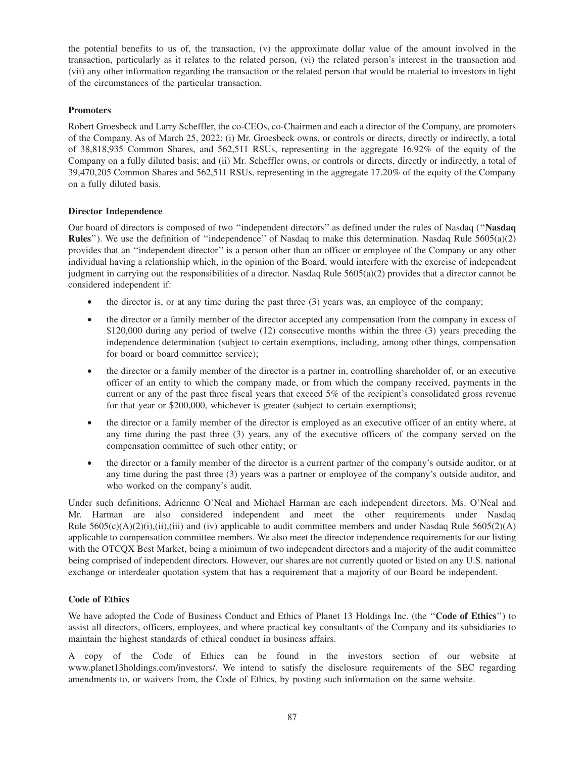the potential benefits to us of, the transaction, (v) the approximate dollar value of the amount involved in the transaction, particularly as it relates to the related person, (vi) the related person's interest in the transaction and (vii) any other information regarding the transaction or the related person that would be material to investors in light of the circumstances of the particular transaction.

# **Promoters**

Robert Groesbeck and Larry Scheffler, the co-CEOs, co-Chairmen and each a director of the Company, are promoters of the Company. As of March 25, 2022: (i) Mr. Groesbeck owns, or controls or directs, directly or indirectly, a total of 38,818,935 Common Shares, and 562,511 RSUs, representing in the aggregate 16.92% of the equity of the Company on a fully diluted basis; and (ii) Mr. Scheffler owns, or controls or directs, directly or indirectly, a total of 39,470,205 Common Shares and 562,511 RSUs, representing in the aggregate 17.20% of the equity of the Company on a fully diluted basis.

# **Director Independence**

Our board of directors is composed of two ''independent directors'' as defined under the rules of Nasdaq (''**Nasdaq Rules**''). We use the definition of ''independence'' of Nasdaq to make this determination. Nasdaq Rule 5605(a)(2) provides that an ''independent director'' is a person other than an officer or employee of the Company or any other individual having a relationship which, in the opinion of the Board, would interfere with the exercise of independent judgment in carrying out the responsibilities of a director. Nasdaq Rule  $5605(a)(2)$  provides that a director cannot be considered independent if:

- $\bullet$  the director is, or at any time during the past three (3) years was, an employee of the company;
- the director or a family member of the director accepted any compensation from the company in excess of \$120,000 during any period of twelve (12) consecutive months within the three (3) years preceding the independence determination (subject to certain exemptions, including, among other things, compensation for board or board committee service);
- the director or a family member of the director is a partner in, controlling shareholder of, or an executive officer of an entity to which the company made, or from which the company received, payments in the current or any of the past three fiscal years that exceed 5% of the recipient's consolidated gross revenue for that year or \$200,000, whichever is greater (subject to certain exemptions);
- the director or a family member of the director is employed as an executive officer of an entity where, at any time during the past three (3) years, any of the executive officers of the company served on the compensation committee of such other entity; or
- the director or a family member of the director is a current partner of the company's outside auditor, or at any time during the past three (3) years was a partner or employee of the company's outside auditor, and who worked on the company's audit.

Under such definitions, Adrienne O'Neal and Michael Harman are each independent directors. Ms. O'Neal and Mr. Harman are also considered independent and meet the other requirements under Nasdaq Rule  $5605(c)(A)(2)(i), (ii), (iii)$  and (iv) applicable to audit committee members and under Nasdaq Rule  $5605(2)(A)$ applicable to compensation committee members. We also meet the director independence requirements for our listing with the OTCQX Best Market, being a minimum of two independent directors and a majority of the audit committee being comprised of independent directors. However, our shares are not currently quoted or listed on any U.S. national exchange or interdealer quotation system that has a requirement that a majority of our Board be independent.

# **Code of Ethics**

We have adopted the Code of Business Conduct and Ethics of Planet 13 Holdings Inc. (the ''**Code of Ethics**'') to assist all directors, officers, employees, and where practical key consultants of the Company and its subsidiaries to maintain the highest standards of ethical conduct in business affairs.

A copy of the Code of Ethics can be found in the investors section of our website at www.planet13holdings.com/investors/. We intend to satisfy the disclosure requirements of the SEC regarding amendments to, or waivers from, the Code of Ethics, by posting such information on the same website.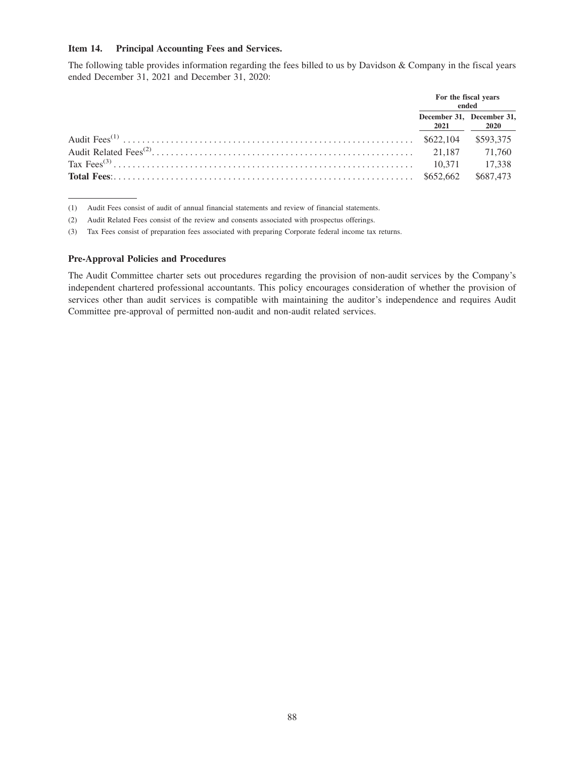#### **Item 14. Principal Accounting Fees and Services.**

The following table provides information regarding the fees billed to us by Davidson & Company in the fiscal years ended December 31, 2021 and December 31, 2020:

|                                                                                                                                                                                                                                                                                                                                            | For the fiscal years              | ended       |
|--------------------------------------------------------------------------------------------------------------------------------------------------------------------------------------------------------------------------------------------------------------------------------------------------------------------------------------------|-----------------------------------|-------------|
|                                                                                                                                                                                                                                                                                                                                            | December 31, December 31,<br>2021 | <b>2020</b> |
|                                                                                                                                                                                                                                                                                                                                            |                                   | \$593.375   |
|                                                                                                                                                                                                                                                                                                                                            |                                   |             |
|                                                                                                                                                                                                                                                                                                                                            |                                   | 17.338      |
| <b>Total Fees:</b> $\ldots$ $\ldots$ $\ldots$ $\ldots$ $\ldots$ $\ldots$ $\ldots$ $\ldots$ $\ldots$ $\ldots$ $\ldots$ $\ldots$ $\ldots$ $\ldots$ $\ldots$ $\ldots$ $\ldots$ $\ldots$ $\ldots$ $\ldots$ $\ldots$ $\ldots$ $\ldots$ $\ldots$ $\ldots$ $\ldots$ $\ldots$ $\ldots$ $\ldots$ $\ldots$ $\ldots$ $\ldots$ $\ldots$ $\ldots$ $\ld$ |                                   | \$687,473   |

(1) Audit Fees consist of audit of annual financial statements and review of financial statements.

(2) Audit Related Fees consist of the review and consents associated with prospectus offerings.

(3) Tax Fees consist of preparation fees associated with preparing Corporate federal income tax returns.

### **Pre-Approval Policies and Procedures**

The Audit Committee charter sets out procedures regarding the provision of non-audit services by the Company's independent chartered professional accountants. This policy encourages consideration of whether the provision of services other than audit services is compatible with maintaining the auditor's independence and requires Audit Committee pre-approval of permitted non-audit and non-audit related services.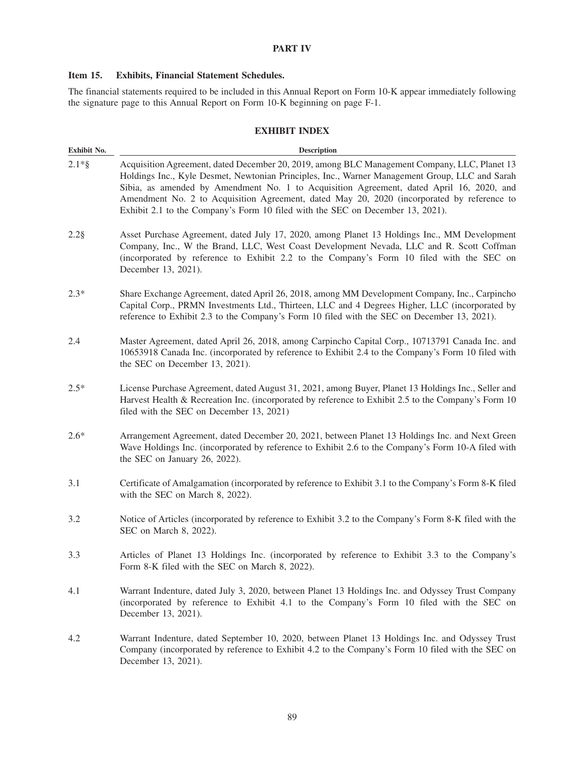# **PART IV**

# **Item 15. Exhibits, Financial Statement Schedules.**

The financial statements required to be included in this Annual Report on Form 10-K appear immediately following the signature page to this Annual Report on Form 10-K beginning on page F-1.

## **EXHIBIT INDEX**

| Exhibit No. | <b>Description</b>                                                                                                                                                                                                                                                                                                                                                                                                                                                         |
|-------------|----------------------------------------------------------------------------------------------------------------------------------------------------------------------------------------------------------------------------------------------------------------------------------------------------------------------------------------------------------------------------------------------------------------------------------------------------------------------------|
| $2.1*$ §    | Acquisition Agreement, dated December 20, 2019, among BLC Management Company, LLC, Planet 13<br>Holdings Inc., Kyle Desmet, Newtonian Principles, Inc., Warner Management Group, LLC and Sarah<br>Sibia, as amended by Amendment No. 1 to Acquisition Agreement, dated April 16, 2020, and<br>Amendment No. 2 to Acquisition Agreement, dated May 20, 2020 (incorporated by reference to<br>Exhibit 2.1 to the Company's Form 10 filed with the SEC on December 13, 2021). |
| $2.2$ §     | Asset Purchase Agreement, dated July 17, 2020, among Planet 13 Holdings Inc., MM Development<br>Company, Inc., W the Brand, LLC, West Coast Development Nevada, LLC and R. Scott Coffman<br>(incorporated by reference to Exhibit 2.2 to the Company's Form 10 filed with the SEC on<br>December 13, 2021).                                                                                                                                                                |
| $2.3*$      | Share Exchange Agreement, dated April 26, 2018, among MM Development Company, Inc., Carpincho<br>Capital Corp., PRMN Investments Ltd., Thirteen, LLC and 4 Degrees Higher, LLC (incorporated by<br>reference to Exhibit 2.3 to the Company's Form 10 filed with the SEC on December 13, 2021).                                                                                                                                                                             |
| 2.4         | Master Agreement, dated April 26, 2018, among Carpincho Capital Corp., 10713791 Canada Inc. and<br>10653918 Canada Inc. (incorporated by reference to Exhibit 2.4 to the Company's Form 10 filed with<br>the SEC on December 13, 2021).                                                                                                                                                                                                                                    |
| $2.5*$      | License Purchase Agreement, dated August 31, 2021, among Buyer, Planet 13 Holdings Inc., Seller and<br>Harvest Health & Recreation Inc. (incorporated by reference to Exhibit 2.5 to the Company's Form 10<br>filed with the SEC on December 13, 2021)                                                                                                                                                                                                                     |
| $2.6*$      | Arrangement Agreement, dated December 20, 2021, between Planet 13 Holdings Inc. and Next Green<br>Wave Holdings Inc. (incorporated by reference to Exhibit 2.6 to the Company's Form 10-A filed with<br>the SEC on January 26, 2022).                                                                                                                                                                                                                                      |
| 3.1         | Certificate of Amalgamation (incorporated by reference to Exhibit 3.1 to the Company's Form 8-K filed<br>with the SEC on March 8, 2022).                                                                                                                                                                                                                                                                                                                                   |
| 3.2         | Notice of Articles (incorporated by reference to Exhibit 3.2 to the Company's Form 8-K filed with the<br>SEC on March 8, 2022).                                                                                                                                                                                                                                                                                                                                            |
| 3.3         | Articles of Planet 13 Holdings Inc. (incorporated by reference to Exhibit 3.3 to the Company's<br>Form 8-K filed with the SEC on March 8, 2022).                                                                                                                                                                                                                                                                                                                           |
| 4.1         | Warrant Indenture, dated July 3, 2020, between Planet 13 Holdings Inc. and Odyssey Trust Company<br>(incorporated by reference to Exhibit 4.1 to the Company's Form 10 filed with the SEC on<br>December 13, 2021).                                                                                                                                                                                                                                                        |
| 4.2         | Warrant Indenture, dated September 10, 2020, between Planet 13 Holdings Inc. and Odyssey Trust<br>Company (incorporated by reference to Exhibit 4.2 to the Company's Form 10 filed with the SEC on<br>December 13, 2021).                                                                                                                                                                                                                                                  |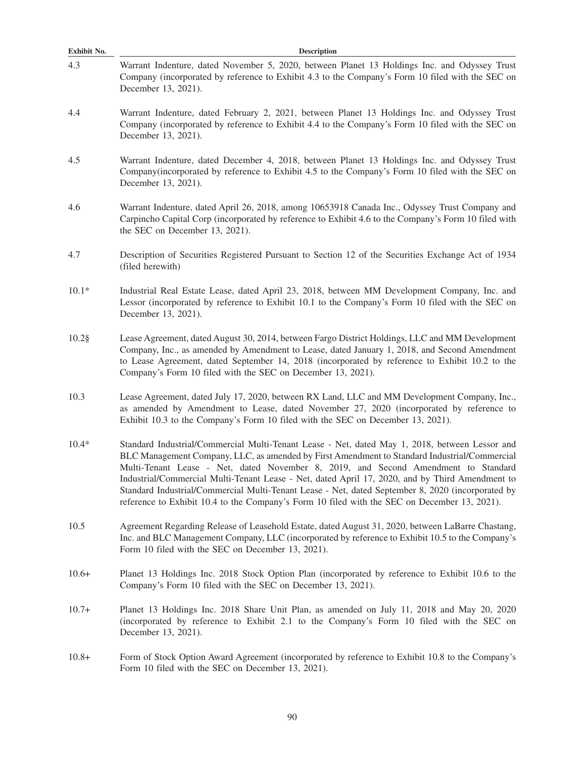| Exhibit No. | <b>Description</b>                                                                                                                                                                                                                                                                                                                                                                                                                                                                                                                                                                           |  |  |  |  |  |
|-------------|----------------------------------------------------------------------------------------------------------------------------------------------------------------------------------------------------------------------------------------------------------------------------------------------------------------------------------------------------------------------------------------------------------------------------------------------------------------------------------------------------------------------------------------------------------------------------------------------|--|--|--|--|--|
| 4.3         | Warrant Indenture, dated November 5, 2020, between Planet 13 Holdings Inc. and Odyssey Trust<br>Company (incorporated by reference to Exhibit 4.3 to the Company's Form 10 filed with the SEC on<br>December 13, 2021).                                                                                                                                                                                                                                                                                                                                                                      |  |  |  |  |  |
| 4.4         | Warrant Indenture, dated February 2, 2021, between Planet 13 Holdings Inc. and Odyssey Trust<br>Company (incorporated by reference to Exhibit 4.4 to the Company's Form 10 filed with the SEC on<br>December 13, 2021).                                                                                                                                                                                                                                                                                                                                                                      |  |  |  |  |  |
| 4.5         | Warrant Indenture, dated December 4, 2018, between Planet 13 Holdings Inc. and Odyssey Trust<br>Company(incorporated by reference to Exhibit 4.5 to the Company's Form 10 filed with the SEC on<br>December 13, 2021).                                                                                                                                                                                                                                                                                                                                                                       |  |  |  |  |  |
| 4.6         | Warrant Indenture, dated April 26, 2018, among 10653918 Canada Inc., Odyssey Trust Company and<br>Carpincho Capital Corp (incorporated by reference to Exhibit 4.6 to the Company's Form 10 filed with<br>the SEC on December 13, 2021).                                                                                                                                                                                                                                                                                                                                                     |  |  |  |  |  |
| 4.7         | Description of Securities Registered Pursuant to Section 12 of the Securities Exchange Act of 1934<br>(filed herewith)                                                                                                                                                                                                                                                                                                                                                                                                                                                                       |  |  |  |  |  |
| $10.1*$     | Industrial Real Estate Lease, dated April 23, 2018, between MM Development Company, Inc. and<br>Lessor (incorporated by reference to Exhibit 10.1 to the Company's Form 10 filed with the SEC on<br>December 13, 2021).                                                                                                                                                                                                                                                                                                                                                                      |  |  |  |  |  |
| $10.2$ §    | Lease Agreement, dated August 30, 2014, between Fargo District Holdings, LLC and MM Development<br>Company, Inc., as amended by Amendment to Lease, dated January 1, 2018, and Second Amendment<br>to Lease Agreement, dated September 14, 2018 (incorporated by reference to Exhibit 10.2 to the<br>Company's Form 10 filed with the SEC on December 13, 2021).                                                                                                                                                                                                                             |  |  |  |  |  |
| 10.3        | Lease Agreement, dated July 17, 2020, between RX Land, LLC and MM Development Company, Inc.,<br>as amended by Amendment to Lease, dated November 27, 2020 (incorporated by reference to<br>Exhibit 10.3 to the Company's Form 10 filed with the SEC on December 13, 2021).                                                                                                                                                                                                                                                                                                                   |  |  |  |  |  |
| $10.4*$     | Standard Industrial/Commercial Multi-Tenant Lease - Net, dated May 1, 2018, between Lessor and<br>BLC Management Company, LLC, as amended by First Amendment to Standard Industrial/Commercial<br>Multi-Tenant Lease - Net, dated November 8, 2019, and Second Amendment to Standard<br>Industrial/Commercial Multi-Tenant Lease - Net, dated April 17, 2020, and by Third Amendment to<br>Standard Industrial/Commercial Multi-Tenant Lease - Net, dated September 8, 2020 (incorporated by<br>reference to Exhibit 10.4 to the Company's Form 10 filed with the SEC on December 13, 2021). |  |  |  |  |  |
| 10.5        | Agreement Regarding Release of Leasehold Estate, dated August 31, 2020, between LaBarre Chastang,<br>Inc. and BLC Management Company, LLC (incorporated by reference to Exhibit 10.5 to the Company's<br>Form 10 filed with the SEC on December 13, 2021).                                                                                                                                                                                                                                                                                                                                   |  |  |  |  |  |
| $10.6+$     | Planet 13 Holdings Inc. 2018 Stock Option Plan (incorporated by reference to Exhibit 10.6 to the<br>Company's Form 10 filed with the SEC on December 13, 2021).                                                                                                                                                                                                                                                                                                                                                                                                                              |  |  |  |  |  |
| $10.7+$     | Planet 13 Holdings Inc. 2018 Share Unit Plan, as amended on July 11, 2018 and May 20, 2020<br>(incorporated by reference to Exhibit 2.1 to the Company's Form 10 filed with the SEC on<br>December 13, 2021).                                                                                                                                                                                                                                                                                                                                                                                |  |  |  |  |  |
| $10.8+$     | Form of Stock Option Award Agreement (incorporated by reference to Exhibit 10.8 to the Company's<br>Form 10 filed with the SEC on December 13, 2021).                                                                                                                                                                                                                                                                                                                                                                                                                                        |  |  |  |  |  |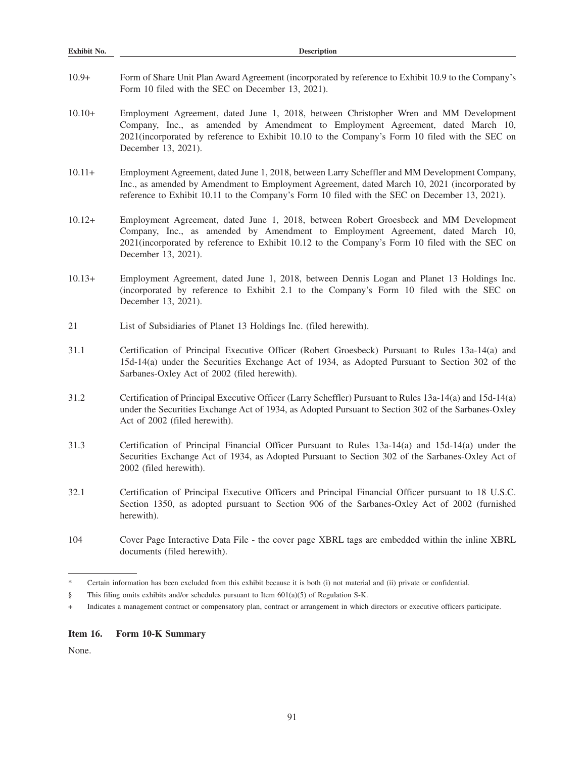| Exhibit No. | <b>Description</b>                                                                                                                                                                                                                                                                                |  |  |  |  |
|-------------|---------------------------------------------------------------------------------------------------------------------------------------------------------------------------------------------------------------------------------------------------------------------------------------------------|--|--|--|--|
| $10.9+$     | Form of Share Unit Plan Award Agreement (incorporated by reference to Exhibit 10.9 to the Company's<br>Form 10 filed with the SEC on December 13, 2021).                                                                                                                                          |  |  |  |  |
| $10.10+$    | Employment Agreement, dated June 1, 2018, between Christopher Wren and MM Development<br>Company, Inc., as amended by Amendment to Employment Agreement, dated March 10,<br>2021(incorporated by reference to Exhibit 10.10 to the Company's Form 10 filed with the SEC on<br>December 13, 2021). |  |  |  |  |
| $10.11+$    | Employment Agreement, dated June 1, 2018, between Larry Scheffler and MM Development Company,<br>Inc., as amended by Amendment to Employment Agreement, dated March 10, 2021 (incorporated by<br>reference to Exhibit 10.11 to the Company's Form 10 filed with the SEC on December 13, 2021).    |  |  |  |  |
| $10.12+$    | Employment Agreement, dated June 1, 2018, between Robert Groesbeck and MM Development<br>Company, Inc., as amended by Amendment to Employment Agreement, dated March 10,<br>2021(incorporated by reference to Exhibit 10.12 to the Company's Form 10 filed with the SEC on<br>December 13, 2021). |  |  |  |  |
| $10.13+$    | Employment Agreement, dated June 1, 2018, between Dennis Logan and Planet 13 Holdings Inc.<br>(incorporated by reference to Exhibit 2.1 to the Company's Form 10 filed with the SEC on<br>December 13, 2021).                                                                                     |  |  |  |  |
| 21          | List of Subsidiaries of Planet 13 Holdings Inc. (filed herewith).                                                                                                                                                                                                                                 |  |  |  |  |
| 31.1        | Certification of Principal Executive Officer (Robert Groesbeck) Pursuant to Rules 13a-14(a) and<br>15d-14(a) under the Securities Exchange Act of 1934, as Adopted Pursuant to Section 302 of the<br>Sarbanes-Oxley Act of 2002 (filed herewith).                                                 |  |  |  |  |
| 31.2        | Certification of Principal Executive Officer (Larry Scheffler) Pursuant to Rules 13a-14(a) and 15d-14(a)<br>under the Securities Exchange Act of 1934, as Adopted Pursuant to Section 302 of the Sarbanes-Oxley<br>Act of 2002 (filed herewith).                                                  |  |  |  |  |
| 31.3        | Certification of Principal Financial Officer Pursuant to Rules 13a-14(a) and 15d-14(a) under the<br>Securities Exchange Act of 1934, as Adopted Pursuant to Section 302 of the Sarbanes-Oxley Act of<br>2002 (filed herewith).                                                                    |  |  |  |  |
| 32.1        | Certification of Principal Executive Officers and Principal Financial Officer pursuant to 18 U.S.C.<br>Section 1350, as adopted pursuant to Section 906 of the Sarbanes-Oxley Act of 2002 (furnished<br>herewith).                                                                                |  |  |  |  |

# **Item 16. Form 10-K Summary**

None.

<sup>104</sup> Cover Page Interactive Data File - the cover page XBRL tags are embedded within the inline XBRL documents (filed herewith).

<sup>\*</sup> Certain information has been excluded from this exhibit because it is both (i) not material and (ii) private or confidential.

<sup>§</sup> This filing omits exhibits and/or schedules pursuant to Item 601(a)(5) of Regulation S-K.

<sup>+</sup> Indicates a management contract or compensatory plan, contract or arrangement in which directors or executive officers participate.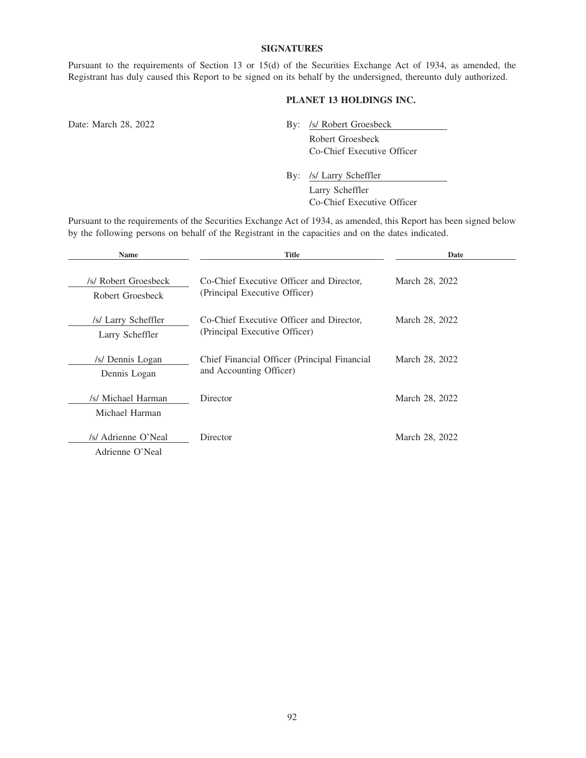### **SIGNATURES**

Pursuant to the requirements of Section 13 or 15(d) of the Securities Exchange Act of 1934, as amended, the Registrant has duly caused this Report to be signed on its behalf by the undersigned, thereunto duly authorized.

# **PLANET 13 HOLDINGS INC.**

Date: March 28, 2022 By: /s/ Robert Groesbeck Robert Groesbeck Co-Chief Executive Officer

> By: /s/ Larry Scheffler Larry Scheffler Co-Chief Executive Officer

Pursuant to the requirements of the Securities Exchange Act of 1934, as amended, this Report has been signed below by the following persons on behalf of the Registrant in the capacities and on the dates indicated.

| <b>Name</b>                              | Title                                                                     | Date           |
|------------------------------------------|---------------------------------------------------------------------------|----------------|
| /s/ Robert Groesbeck<br>Robert Groesbeck | Co-Chief Executive Officer and Director,<br>(Principal Executive Officer) | March 28, 2022 |
| /s/ Larry Scheffler<br>Larry Scheffler   | Co-Chief Executive Officer and Director,<br>(Principal Executive Officer) | March 28, 2022 |
| /s/ Dennis Logan<br>Dennis Logan         | Chief Financial Officer (Principal Financial<br>and Accounting Officer)   | March 28, 2022 |
| /s/ Michael Harman<br>Michael Harman     | Director                                                                  | March 28, 2022 |
| /s/ Adrienne O'Neal<br>Adrienne O'Neal   | Director                                                                  | March 28, 2022 |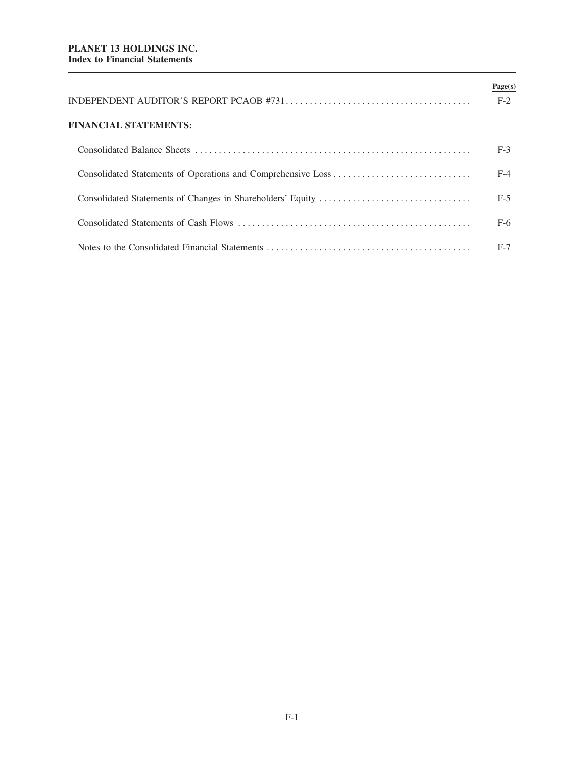|                       | Page(s)<br>$F-2$ |
|-----------------------|------------------|
| FINANCIAL STATEMENTS: |                  |
|                       | $F-3$            |
|                       | $F-4$            |
|                       | $F-5$            |
|                       | $F-6$            |
|                       | $F-7$            |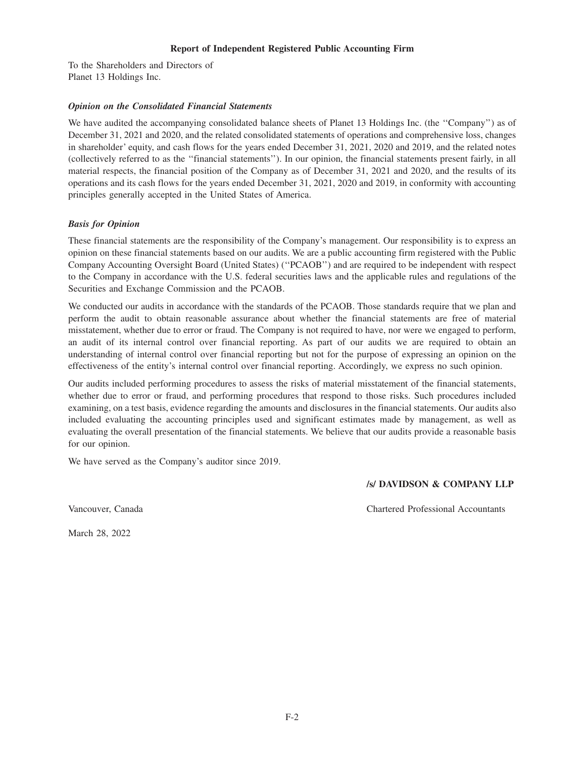#### **Report of Independent Registered Public Accounting Firm**

To the Shareholders and Directors of Planet 13 Holdings Inc.

## *Opinion on the Consolidated Financial Statements*

We have audited the accompanying consolidated balance sheets of Planet 13 Holdings Inc. (the "Company") as of December 31, 2021 and 2020, and the related consolidated statements of operations and comprehensive loss, changes in shareholder' equity, and cash flows for the years ended December 31, 2021, 2020 and 2019, and the related notes (collectively referred to as the ''financial statements''). In our opinion, the financial statements present fairly, in all material respects, the financial position of the Company as of December 31, 2021 and 2020, and the results of its operations and its cash flows for the years ended December 31, 2021, 2020 and 2019, in conformity with accounting principles generally accepted in the United States of America.

## *Basis for Opinion*

These financial statements are the responsibility of the Company's management. Our responsibility is to express an opinion on these financial statements based on our audits. We are a public accounting firm registered with the Public Company Accounting Oversight Board (United States) (''PCAOB'') and are required to be independent with respect to the Company in accordance with the U.S. federal securities laws and the applicable rules and regulations of the Securities and Exchange Commission and the PCAOB.

We conducted our audits in accordance with the standards of the PCAOB. Those standards require that we plan and perform the audit to obtain reasonable assurance about whether the financial statements are free of material misstatement, whether due to error or fraud. The Company is not required to have, nor were we engaged to perform, an audit of its internal control over financial reporting. As part of our audits we are required to obtain an understanding of internal control over financial reporting but not for the purpose of expressing an opinion on the effectiveness of the entity's internal control over financial reporting. Accordingly, we express no such opinion.

Our audits included performing procedures to assess the risks of material misstatement of the financial statements, whether due to error or fraud, and performing procedures that respond to those risks. Such procedures included examining, on a test basis, evidence regarding the amounts and disclosures in the financial statements. Our audits also included evaluating the accounting principles used and significant estimates made by management, as well as evaluating the overall presentation of the financial statements. We believe that our audits provide a reasonable basis for our opinion.

We have served as the Company's auditor since 2019.

# **/s/ DAVIDSON & COMPANY LLP**

Vancouver, Canada Chartered Professional Accountants

March 28, 2022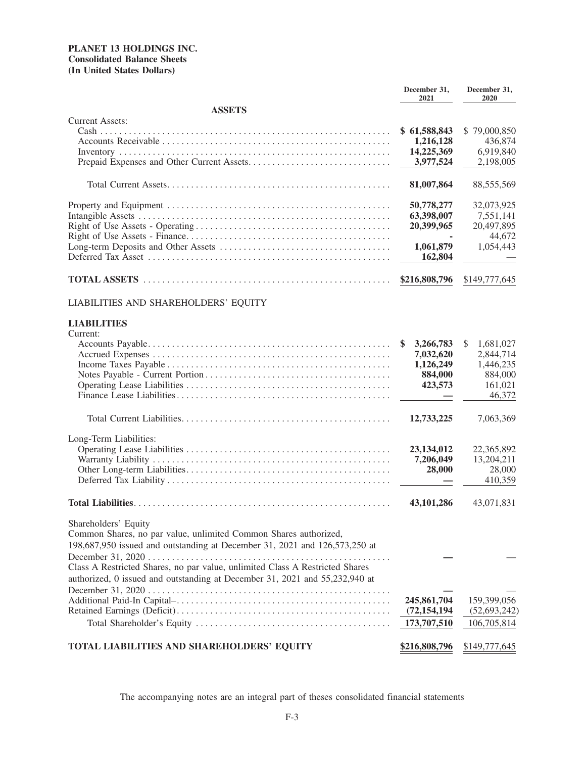# **PLANET 13 HOLDINGS INC. Consolidated Balance Sheets (In United States Dollars)**

|                                                                              | December 31,<br>2021   | December 31,<br>2020   |
|------------------------------------------------------------------------------|------------------------|------------------------|
| <b>ASSETS</b>                                                                |                        |                        |
| <b>Current Assets:</b>                                                       | \$61,588,843           | \$79,000,850           |
|                                                                              | 1,216,128              | 436,874                |
|                                                                              | 14,225,369             | 6,919,840              |
|                                                                              | 3,977,524              | 2,198,005              |
|                                                                              | 81,007,864             | 88,555,569             |
|                                                                              | 50,778,277             | 32,073,925             |
|                                                                              | 63,398,007             | 7,551,141              |
|                                                                              | 20,399,965             | 20,497,895             |
|                                                                              |                        | 44,672                 |
|                                                                              | 1,061,879<br>162,804   | 1,054,443              |
| <b>TOTAL ASSETS</b>                                                          | \$216,808,796          | \$149,777,645          |
| LIABILITIES AND SHAREHOLDERS' EQUITY                                         |                        |                        |
| <b>LIABILITIES</b>                                                           |                        |                        |
| Current:                                                                     |                        |                        |
|                                                                              | 3,266,783              | 1,681,027<br>S         |
|                                                                              | 7,032,620<br>1,126,249 | 2,844,714<br>1,446,235 |
|                                                                              | 884,000                | 884,000                |
|                                                                              | 423,573                | 161,021                |
|                                                                              |                        | 46,372                 |
|                                                                              | 12,733,225             | 7,063,369              |
| Long-Term Liabilities:                                                       |                        |                        |
|                                                                              | 23, 134, 012           | 22,365,892             |
|                                                                              | 7,206,049              | 13,204,211             |
|                                                                              | 28,000                 | 28,000                 |
|                                                                              |                        | 410,359                |
|                                                                              | 43,101,286             | 43,071,831             |
| Shareholders' Equity                                                         |                        |                        |
| Common Shares, no par value, unlimited Common Shares authorized,             |                        |                        |
| 198,687,950 issued and outstanding at December 31, 2021 and 126,573,250 at   |                        |                        |
|                                                                              |                        |                        |
| Class A Restricted Shares, no par value, unlimited Class A Restricted Shares |                        |                        |
| authorized, 0 issued and outstanding at December 31, 2021 and 55,232,940 at  |                        |                        |
|                                                                              |                        |                        |
|                                                                              | 245,861,704            | 159,399,056            |
|                                                                              | (72, 154, 194)         | (52, 693, 242)         |
|                                                                              | 173,707,510            | 106,705,814            |
| TOTAL LIABILITIES AND SHAREHOLDERS' EQUITY                                   | \$216,808,796          | \$149,777,645          |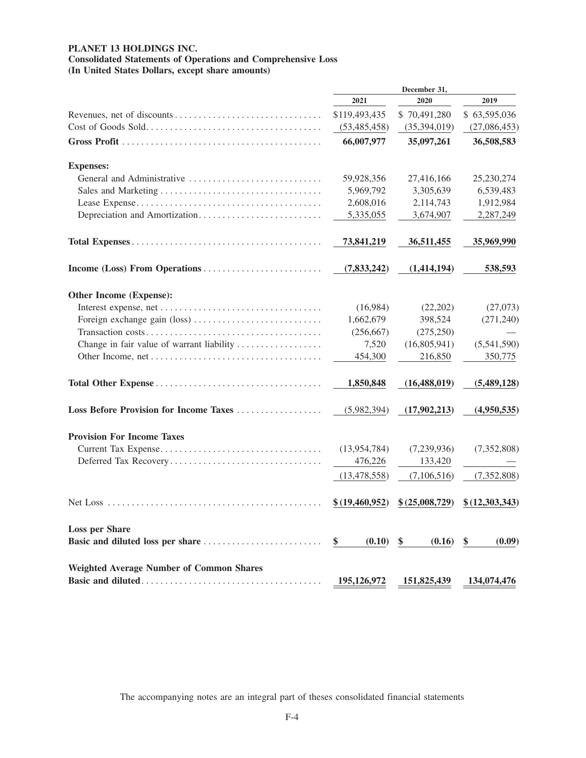# **PLANET 13 HOLDINGS INC.**

**Consolidated Statements of Operations and Comprehensive Loss (In United States Dollars, except share amounts)**

|                                                 | December 31,   |                 |                |
|-------------------------------------------------|----------------|-----------------|----------------|
|                                                 | 2021           | 2020            | 2019           |
|                                                 | \$119,493,435  | \$70,491,280    | \$63,595,036   |
|                                                 | (53, 485, 458) | (35,394,019)    | (27,086,453)   |
|                                                 | 66,007,977     | 35,097,261      | 36,508,583     |
| <b>Expenses:</b>                                |                |                 |                |
| General and Administrative                      | 59,928,356     | 27,416,166      | 25,230,274     |
|                                                 | 5,969,792      | 3,305,639       | 6,539,483      |
|                                                 | 2,608,016      | 2,114,743       | 1,912,984      |
| Depreciation and Amortization                   | 5,335,055      | 3,674,907       | 2,287,249      |
|                                                 | 73,841,219     | 36,511,455      | 35,969,990     |
|                                                 | (7, 833, 242)  | (1,414,194)     | 538,593        |
| Other Income (Expense):                         |                |                 |                |
|                                                 | (16,984)       | (22, 202)       | (27,073)       |
|                                                 | 1,662,679      | 398,524         | (271, 240)     |
|                                                 | (256, 667)     | (275, 250)      |                |
| Change in fair value of warrant liability       | 7,520          | (16,805,941)    | (5,541,590)    |
|                                                 | 454,300        | 216,850         | 350,775        |
|                                                 | 1,850,848      | (16, 488, 019)  | (5,489,128)    |
| Loss Before Provision for Income Taxes          | (5,982,394)    | (17,902,213)    | (4,950,535)    |
| <b>Provision For Income Taxes</b>               |                |                 |                |
|                                                 | (13,954,784)   | (7,239,936)     | (7,352,808)    |
| Deferred Tax Recovery                           | 476,226        | 133,420         |                |
|                                                 | (13, 478, 558) | (7,106,516)     | (7, 352, 808)  |
|                                                 | \$(19,460,952) | \$ (25,008,729) | \$(12,303,343) |
| <b>Loss per Share</b>                           |                |                 |                |
|                                                 | \$<br>(0.10)   | \$<br>(0.16)    | \$<br>(0.09)   |
| <b>Weighted Average Number of Common Shares</b> |                |                 |                |
|                                                 | 195,126,972    | 151,825,439     | 134,074,476    |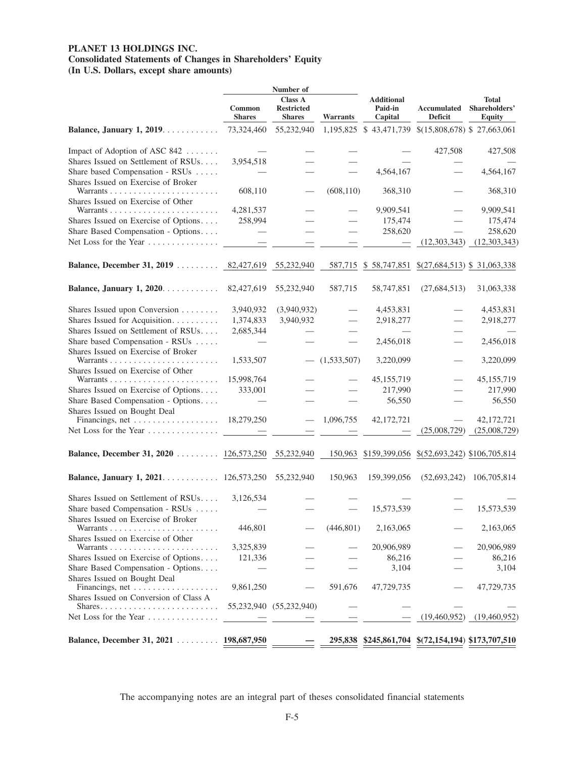# **PLANET 13 HOLDINGS INC. Consolidated Statements of Changes in Shareholders' Equity (In U.S. Dollars, except share amounts)**

|                                                                        | Number of               |                                                      |                 |                                                    |                               |                                         |
|------------------------------------------------------------------------|-------------------------|------------------------------------------------------|-----------------|----------------------------------------------------|-------------------------------|-----------------------------------------|
|                                                                        | Common<br><b>Shares</b> | <b>Class A</b><br><b>Restricted</b><br><b>Shares</b> | <b>Warrants</b> | <b>Additional</b><br><b>Paid-in</b><br>Capital     | <b>Accumulated</b><br>Deficit | Total<br>Shareholders'<br><b>Equity</b> |
| Balance, January 1, 2019.                                              | 73,324,460              | 55,232,940                                           |                 | 1,195,825 \$43,471,739 \$(15,808,678) \$27,663,061 |                               |                                         |
| Impact of Adoption of ASC 842                                          |                         |                                                      |                 |                                                    | 427,508                       | 427,508                                 |
| Shares Issued on Settlement of RSUs                                    | 3,954,518               |                                                      |                 |                                                    |                               |                                         |
| Share based Compensation - RSUs<br>Shares Issued on Exercise of Broker |                         |                                                      |                 | 4,564,167                                          |                               | 4,564,167                               |
| Shares Issued on Exercise of Other                                     | 608,110                 |                                                      | (608, 110)      | 368,310                                            |                               | 368,310                                 |
|                                                                        | 4,281,537               |                                                      |                 | 9,909,541                                          |                               | 9,909,541                               |
| Shares Issued on Exercise of Options                                   | 258,994                 |                                                      |                 | 175,474                                            |                               | 175,474                                 |
| Share Based Compensation - Options                                     |                         |                                                      |                 | 258,620                                            |                               | 258,620                                 |
| Net Loss for the Year                                                  |                         |                                                      |                 |                                                    | (12,303,343)                  | (12,303,343)                            |
| <b>Balance, December 31, 2019</b> 82,427,619                           |                         | 55,232,940                                           |                 | 587,715 \$ 58,747,851                              | $$(27,684,513)$ \; 31,063,338 |                                         |
| Balance, January 1, 2020.                                              | 82,427,619              | 55,232,940                                           | 587,715         | 58,747,851                                         | (27, 684, 513)                | 31,063,338                              |
| Shares Issued upon Conversion                                          | 3,940,932               | (3,940,932)                                          |                 | 4,453,831                                          |                               | 4,453,831                               |
| Shares Issued for Acquisition                                          | 1,374,833               | 3,940,932                                            |                 | 2,918,277                                          |                               | 2,918,277                               |
| Shares Issued on Settlement of RSUs                                    | 2,685,344               |                                                      |                 |                                                    |                               |                                         |
| Share based Compensation - RSUs                                        |                         |                                                      |                 | 2,456,018                                          |                               | 2,456,018                               |
| Shares Issued on Exercise of Broker                                    | 1,533,507               |                                                      | (1,533,507)     | 3,220,099                                          |                               | 3,220,099                               |
| Shares Issued on Exercise of Other                                     |                         |                                                      |                 |                                                    |                               |                                         |
| Warrants                                                               | 15,998,764              |                                                      |                 | 45, 155, 719                                       |                               | 45,155,719                              |
| Shares Issued on Exercise of Options                                   | 333,001                 |                                                      |                 | 217,990                                            |                               | 217,990                                 |
| Share Based Compensation - Options<br>Shares Issued on Bought Deal     |                         |                                                      |                 | 56,550                                             |                               | 56,550                                  |
|                                                                        | 18,279,250              |                                                      | 1,096,755       | 42,172,721                                         |                               | 42,172,721                              |
| Net Loss for the Year $\dots\dots\dots\dots\dots$                      |                         |                                                      |                 |                                                    | (25,008,729)                  | (25,008,729)                            |
| Balance, December 31, 2020 126,573,250                                 |                         | 55,232,940                                           | 150,963         | \$159,399,056                                      | \$(52,693,242) \$106,705,814  |                                         |
| Balance, January 1, 2021. 126,573,250                                  |                         | 55,232,940                                           | 150,963         | 159,399,056                                        | (52, 693, 242)                | 106,705,814                             |
| Shares Issued on Settlement of RSUs                                    | 3,126,534               |                                                      |                 |                                                    |                               |                                         |
| Share based Compensation - RSUs                                        |                         |                                                      |                 | 15,573,539                                         |                               | 15,573,539                              |
| Shares Issued on Exercise of Broker                                    | 446,801                 |                                                      | (446, 801)      | 2,163,065                                          |                               | 2,163,065                               |
| Shares Issued on Exercise of Other                                     | 3,325,839               |                                                      |                 | 20,906,989                                         |                               | 20,906,989                              |
| Shares Issued on Exercise of Options                                   | 121,336                 |                                                      |                 | 86,216                                             |                               | 86,216                                  |
| Share Based Compensation - Options                                     |                         |                                                      |                 | 3,104                                              |                               | 3,104                                   |
| Shares Issued on Bought Deal<br>Financings, net                        | 9,861,250               |                                                      | 591,676         | 47,729,735                                         |                               | 47,729,735                              |
| Shares Issued on Conversion of Class A                                 |                         |                                                      |                 |                                                    |                               |                                         |
|                                                                        |                         | 55,232,940 (55,232,940)                              |                 |                                                    |                               |                                         |
| Net Loss for the Year                                                  |                         |                                                      |                 |                                                    | (19,460,952)                  | (19,460,952)                            |
| Balance, December 31, 2021 198,687,950                                 |                         |                                                      |                 | 295,838 \$245,861,704 \$(72,154,194) \$173,707,510 |                               |                                         |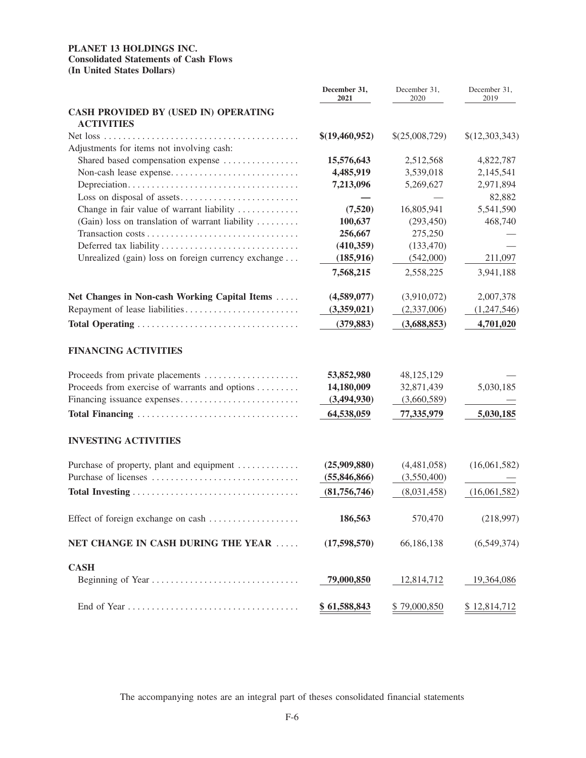# **PLANET 13 HOLDINGS INC. Consolidated Statements of Cash Flows (In United States Dollars)**

|                                                           | December 31,<br>2021 | December 31,<br>2020 | December 31,<br>2019 |
|-----------------------------------------------------------|----------------------|----------------------|----------------------|
| CASH PROVIDED BY (USED IN) OPERATING<br><b>ACTIVITIES</b> |                      |                      |                      |
| Adjustments for items not involving cash:                 | \$(19,460,952)       | \$(25,008,729)       | \$(12,303,343)       |
| Shared based compensation expense                         | 15,576,643           | 2,512,568            | 4,822,787            |
|                                                           | 4,485,919            | 3,539,018            | 2,145,541            |
|                                                           | 7,213,096            | 5,269,627            | 2,971,894            |
|                                                           |                      |                      | 82,882               |
| Change in fair value of warrant liability                 | (7,520)              | 16,805,941           | 5,541,590            |
| (Gain) loss on translation of warrant liability           | 100,637              | (293, 450)           | 468,740              |
|                                                           | 256,667              | 275,250              |                      |
|                                                           | (410,359)            | (133, 470)           |                      |
| Unrealized (gain) loss on foreign currency exchange       | (185, 916)           | (542,000)            | 211,097              |
|                                                           | 7,568,215            | 2,558,225            | 3,941,188            |
| Net Changes in Non-cash Working Capital Items             | (4,589,077)          | (3,910,072)          | 2,007,378            |
| Repayment of lease liabilities                            | (3,359,021)          | (2,337,006)          | (1,247,546)          |
|                                                           | (379, 883)           | (3,688,853)          | 4,701,020            |
| <b>FINANCING ACTIVITIES</b>                               |                      |                      |                      |
| Proceeds from private placements                          | 53,852,980           | 48,125,129           |                      |
| Proceeds from exercise of warrants and options            | 14,180,009           | 32,871,439           | 5,030,185            |
| Financing issuance expenses                               | (3,494,930)          | (3,660,589)          |                      |
| Total Financing                                           | 64,538,059           | 77,335,979           | 5,030,185            |
| <b>INVESTING ACTIVITIES</b>                               |                      |                      |                      |
| Purchase of property, plant and equipment                 | (25,909,880)         | (4,481,058)          | (16,061,582)         |
|                                                           | (55,846,866)         | (3,550,400)          |                      |
|                                                           | (81,756,746)         | (8,031,458)          | (16,061,582)         |
| Effect of foreign exchange on cash                        | 186,563              | 570,470              | (218,997)            |
| NET CHANGE IN CASH DURING THE YEAR                        | (17,598,570)         | 66,186,138           | (6,549,374)          |
| <b>CASH</b>                                               |                      |                      |                      |
| Beginning of Year                                         | 79,000,850           | 12,814,712           | 19,364,086           |
|                                                           | \$61,588,843         | \$79,000,850         | \$12,814,712         |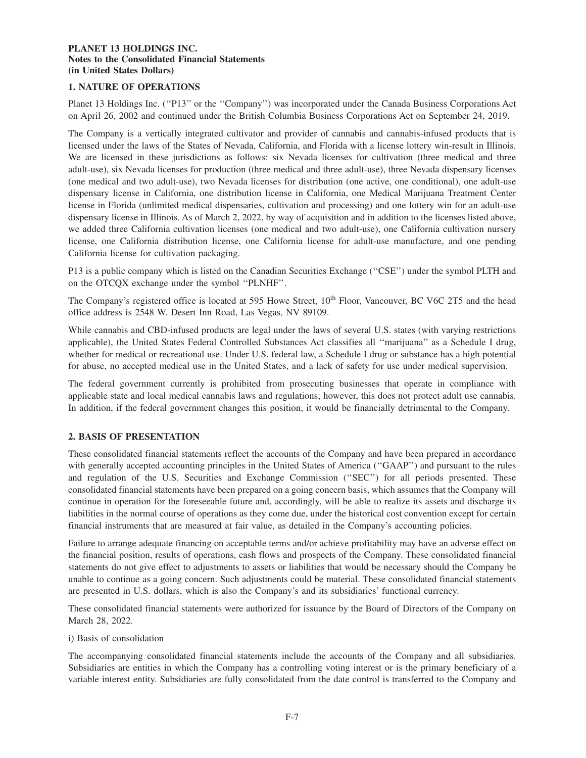# **1. NATURE OF OPERATIONS**

Planet 13 Holdings Inc. ("P13" or the "Company") was incorporated under the Canada Business Corporations Act on April 26, 2002 and continued under the British Columbia Business Corporations Act on September 24, 2019.

The Company is a vertically integrated cultivator and provider of cannabis and cannabis-infused products that is licensed under the laws of the States of Nevada, California, and Florida with a license lottery win-result in Illinois. We are licensed in these jurisdictions as follows: six Nevada licenses for cultivation (three medical and three adult-use), six Nevada licenses for production (three medical and three adult-use), three Nevada dispensary licenses (one medical and two adult-use), two Nevada licenses for distribution (one active, one conditional), one adult-use dispensary license in California, one distribution license in California, one Medical Marijuana Treatment Center license in Florida (unlimited medical dispensaries, cultivation and processing) and one lottery win for an adult-use dispensary license in Illinois. As of March 2, 2022, by way of acquisition and in addition to the licenses listed above, we added three California cultivation licenses (one medical and two adult-use), one California cultivation nursery license, one California distribution license, one California license for adult-use manufacture, and one pending California license for cultivation packaging.

P13 is a public company which is listed on the Canadian Securities Exchange ("CSE") under the symbol PLTH and on the OTCQX exchange under the symbol ''PLNHF''.

The Company's registered office is located at 595 Howe Street, 10<sup>th</sup> Floor, Vancouver, BC V6C 2T5 and the head office address is 2548 W. Desert Inn Road, Las Vegas, NV 89109.

While cannabis and CBD-infused products are legal under the laws of several U.S. states (with varying restrictions applicable), the United States Federal Controlled Substances Act classifies all ''marijuana'' as a Schedule I drug, whether for medical or recreational use. Under U.S. federal law, a Schedule I drug or substance has a high potential for abuse, no accepted medical use in the United States, and a lack of safety for use under medical supervision.

The federal government currently is prohibited from prosecuting businesses that operate in compliance with applicable state and local medical cannabis laws and regulations; however, this does not protect adult use cannabis. In addition, if the federal government changes this position, it would be financially detrimental to the Company.

# **2. BASIS OF PRESENTATION**

These consolidated financial statements reflect the accounts of the Company and have been prepared in accordance with generally accepted accounting principles in the United States of America ("GAAP") and pursuant to the rules and regulation of the U.S. Securities and Exchange Commission (''SEC'') for all periods presented. These consolidated financial statements have been prepared on a going concern basis, which assumes that the Company will continue in operation for the foreseeable future and, accordingly, will be able to realize its assets and discharge its liabilities in the normal course of operations as they come due, under the historical cost convention except for certain financial instruments that are measured at fair value, as detailed in the Company's accounting policies.

Failure to arrange adequate financing on acceptable terms and/or achieve profitability may have an adverse effect on the financial position, results of operations, cash flows and prospects of the Company. These consolidated financial statements do not give effect to adjustments to assets or liabilities that would be necessary should the Company be unable to continue as a going concern. Such adjustments could be material. These consolidated financial statements are presented in U.S. dollars, which is also the Company's and its subsidiaries' functional currency.

These consolidated financial statements were authorized for issuance by the Board of Directors of the Company on March 28, 2022.

i) Basis of consolidation

The accompanying consolidated financial statements include the accounts of the Company and all subsidiaries. Subsidiaries are entities in which the Company has a controlling voting interest or is the primary beneficiary of a variable interest entity. Subsidiaries are fully consolidated from the date control is transferred to the Company and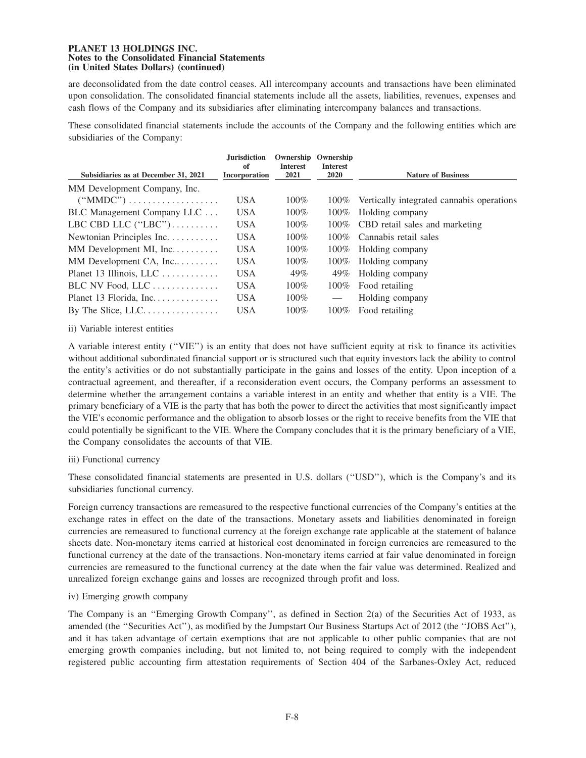are deconsolidated from the date control ceases. All intercompany accounts and transactions have been eliminated upon consolidation. The consolidated financial statements include all the assets, liabilities, revenues, expenses and cash flows of the Company and its subsidiaries after eliminating intercompany balances and transactions.

These consolidated financial statements include the accounts of the Company and the following entities which are subsidiaries of the Company:

| Subsidiaries as at December 31, 2021                 | <b>Jurisdiction</b><br>of<br>Incorporation | Ownership<br><b>Interest</b><br>2021 | Ownership<br><b>Interest</b><br><b>2020</b> | <b>Nature of Business</b>                 |
|------------------------------------------------------|--------------------------------------------|--------------------------------------|---------------------------------------------|-------------------------------------------|
| MM Development Company, Inc.                         |                                            |                                      |                                             |                                           |
| $("MMDC") \ldots \ldots \ldots \ldots \ldots \ldots$ | <b>USA</b>                                 | $100\%$                              | $100\%$                                     | Vertically integrated cannabis operations |
| BLC Management Company LLC                           | <b>USA</b>                                 | $100\%$                              | $100\%$                                     | Holding company                           |
| LBC CBD LLC $("LBC")$                                | <b>USA</b>                                 | $100\%$                              | $100\%$                                     | CBD retail sales and marketing            |
| Newtonian Principles Inc.                            | <b>USA</b>                                 | $100\%$                              | $100\%$                                     | Cannabis retail sales                     |
| MM Development MI, Inc.                              | <b>USA</b>                                 | $100\%$                              | $100\%$                                     | Holding company                           |
| MM Development CA, Inc                               | <b>USA</b>                                 | $100\%$                              | $100\%$                                     | Holding company                           |
| Planet 13 Illinois, LLC                              | <b>USA</b>                                 | 49%                                  | 49%                                         | Holding company                           |
| BLC NV Food, LLC                                     | <b>USA</b>                                 | $100\%$                              | $100\%$                                     | Food retailing                            |
| Planet 13 Florida, Inc.                              | <b>USA</b>                                 | $100\%$                              | $\hspace{0.05cm}$                           | Holding company                           |
|                                                      | <b>USA</b>                                 | $100\%$                              | $100\%$                                     | Food retailing                            |

ii) Variable interest entities

A variable interest entity (''VIE'') is an entity that does not have sufficient equity at risk to finance its activities without additional subordinated financial support or is structured such that equity investors lack the ability to control the entity's activities or do not substantially participate in the gains and losses of the entity. Upon inception of a contractual agreement, and thereafter, if a reconsideration event occurs, the Company performs an assessment to determine whether the arrangement contains a variable interest in an entity and whether that entity is a VIE. The primary beneficiary of a VIE is the party that has both the power to direct the activities that most significantly impact the VIE's economic performance and the obligation to absorb losses or the right to receive benefits from the VIE that could potentially be significant to the VIE. Where the Company concludes that it is the primary beneficiary of a VIE, the Company consolidates the accounts of that VIE.

iii) Functional currency

These consolidated financial statements are presented in U.S. dollars (''USD''), which is the Company's and its subsidiaries functional currency.

Foreign currency transactions are remeasured to the respective functional currencies of the Company's entities at the exchange rates in effect on the date of the transactions. Monetary assets and liabilities denominated in foreign currencies are remeasured to functional currency at the foreign exchange rate applicable at the statement of balance sheets date. Non-monetary items carried at historical cost denominated in foreign currencies are remeasured to the functional currency at the date of the transactions. Non-monetary items carried at fair value denominated in foreign currencies are remeasured to the functional currency at the date when the fair value was determined. Realized and unrealized foreign exchange gains and losses are recognized through profit and loss.

iv) Emerging growth company

The Company is an ''Emerging Growth Company'', as defined in Section 2(a) of the Securities Act of 1933, as amended (the ''Securities Act''), as modified by the Jumpstart Our Business Startups Act of 2012 (the ''JOBS Act''), and it has taken advantage of certain exemptions that are not applicable to other public companies that are not emerging growth companies including, but not limited to, not being required to comply with the independent registered public accounting firm attestation requirements of Section 404 of the Sarbanes-Oxley Act, reduced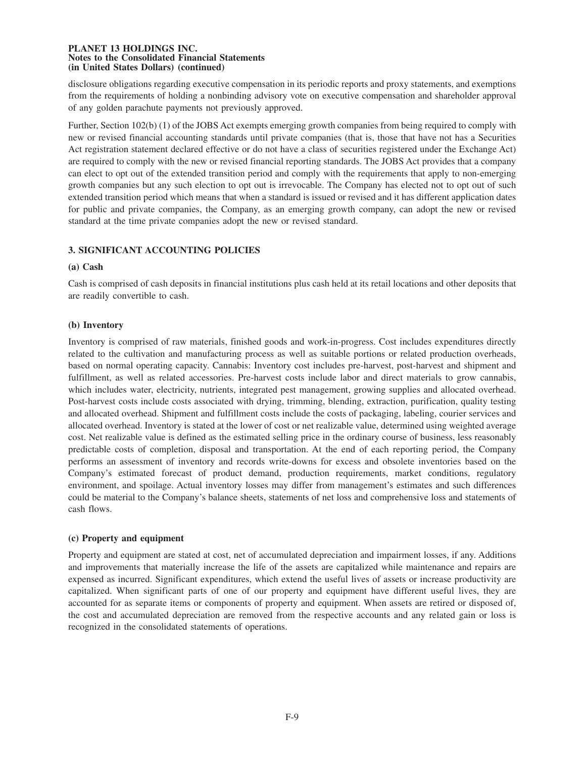disclosure obligations regarding executive compensation in its periodic reports and proxy statements, and exemptions from the requirements of holding a nonbinding advisory vote on executive compensation and shareholder approval of any golden parachute payments not previously approved.

Further, Section 102(b) (1) of the JOBS Act exempts emerging growth companies from being required to comply with new or revised financial accounting standards until private companies (that is, those that have not has a Securities Act registration statement declared effective or do not have a class of securities registered under the Exchange Act) are required to comply with the new or revised financial reporting standards. The JOBS Act provides that a company can elect to opt out of the extended transition period and comply with the requirements that apply to non-emerging growth companies but any such election to opt out is irrevocable. The Company has elected not to opt out of such extended transition period which means that when a standard is issued or revised and it has different application dates for public and private companies, the Company, as an emerging growth company, can adopt the new or revised standard at the time private companies adopt the new or revised standard.

# **3. SIGNIFICANT ACCOUNTING POLICIES**

## **(a) Cash**

Cash is comprised of cash deposits in financial institutions plus cash held at its retail locations and other deposits that are readily convertible to cash.

## **(b) Inventory**

Inventory is comprised of raw materials, finished goods and work-in-progress. Cost includes expenditures directly related to the cultivation and manufacturing process as well as suitable portions or related production overheads, based on normal operating capacity. Cannabis: Inventory cost includes pre-harvest, post-harvest and shipment and fulfillment, as well as related accessories. Pre-harvest costs include labor and direct materials to grow cannabis, which includes water, electricity, nutrients, integrated pest management, growing supplies and allocated overhead. Post-harvest costs include costs associated with drying, trimming, blending, extraction, purification, quality testing and allocated overhead. Shipment and fulfillment costs include the costs of packaging, labeling, courier services and allocated overhead. Inventory is stated at the lower of cost or net realizable value, determined using weighted average cost. Net realizable value is defined as the estimated selling price in the ordinary course of business, less reasonably predictable costs of completion, disposal and transportation. At the end of each reporting period, the Company performs an assessment of inventory and records write-downs for excess and obsolete inventories based on the Company's estimated forecast of product demand, production requirements, market conditions, regulatory environment, and spoilage. Actual inventory losses may differ from management's estimates and such differences could be material to the Company's balance sheets, statements of net loss and comprehensive loss and statements of cash flows.

# **(c) Property and equipment**

Property and equipment are stated at cost, net of accumulated depreciation and impairment losses, if any. Additions and improvements that materially increase the life of the assets are capitalized while maintenance and repairs are expensed as incurred. Significant expenditures, which extend the useful lives of assets or increase productivity are capitalized. When significant parts of one of our property and equipment have different useful lives, they are accounted for as separate items or components of property and equipment. When assets are retired or disposed of, the cost and accumulated depreciation are removed from the respective accounts and any related gain or loss is recognized in the consolidated statements of operations.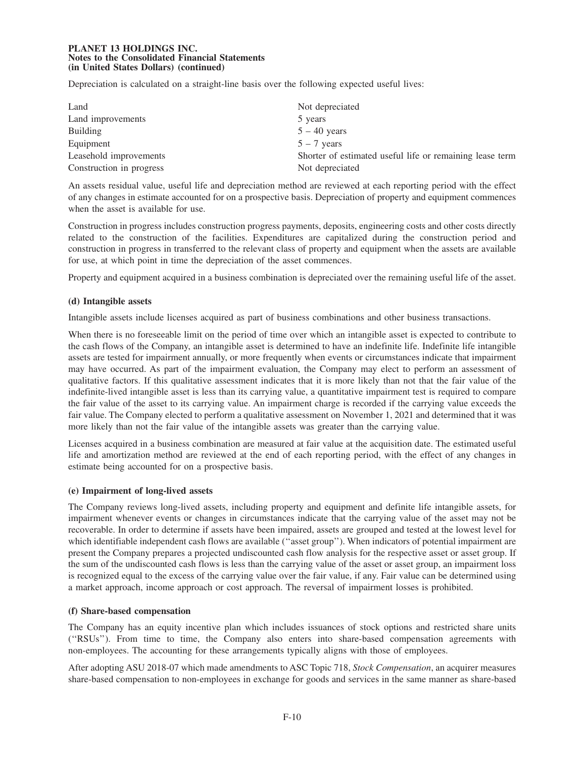Depreciation is calculated on a straight-line basis over the following expected useful lives:

| Land                     | Not depreciated                                          |
|--------------------------|----------------------------------------------------------|
| Land improvements        | 5 years                                                  |
| <b>Building</b>          | $5 - 40$ years                                           |
| Equipment                | $5 - 7$ years                                            |
| Leasehold improvements   | Shorter of estimated useful life or remaining lease term |
| Construction in progress | Not depreciated                                          |

An assets residual value, useful life and depreciation method are reviewed at each reporting period with the effect of any changes in estimate accounted for on a prospective basis. Depreciation of property and equipment commences when the asset is available for use.

Construction in progress includes construction progress payments, deposits, engineering costs and other costs directly related to the construction of the facilities. Expenditures are capitalized during the construction period and construction in progress in transferred to the relevant class of property and equipment when the assets are available for use, at which point in time the depreciation of the asset commences.

Property and equipment acquired in a business combination is depreciated over the remaining useful life of the asset.

## **(d) Intangible assets**

Intangible assets include licenses acquired as part of business combinations and other business transactions.

When there is no foreseeable limit on the period of time over which an intangible asset is expected to contribute to the cash flows of the Company, an intangible asset is determined to have an indefinite life. Indefinite life intangible assets are tested for impairment annually, or more frequently when events or circumstances indicate that impairment may have occurred. As part of the impairment evaluation, the Company may elect to perform an assessment of qualitative factors. If this qualitative assessment indicates that it is more likely than not that the fair value of the indefinite-lived intangible asset is less than its carrying value, a quantitative impairment test is required to compare the fair value of the asset to its carrying value. An impairment charge is recorded if the carrying value exceeds the fair value. The Company elected to perform a qualitative assessment on November 1, 2021 and determined that it was more likely than not the fair value of the intangible assets was greater than the carrying value.

Licenses acquired in a business combination are measured at fair value at the acquisition date. The estimated useful life and amortization method are reviewed at the end of each reporting period, with the effect of any changes in estimate being accounted for on a prospective basis.

#### **(e) Impairment of long-lived assets**

The Company reviews long-lived assets, including property and equipment and definite life intangible assets, for impairment whenever events or changes in circumstances indicate that the carrying value of the asset may not be recoverable. In order to determine if assets have been impaired, assets are grouped and tested at the lowest level for which identifiable independent cash flows are available ("asset group"). When indicators of potential impairment are present the Company prepares a projected undiscounted cash flow analysis for the respective asset or asset group. If the sum of the undiscounted cash flows is less than the carrying value of the asset or asset group, an impairment loss is recognized equal to the excess of the carrying value over the fair value, if any. Fair value can be determined using a market approach, income approach or cost approach. The reversal of impairment losses is prohibited.

#### **(f) Share-based compensation**

The Company has an equity incentive plan which includes issuances of stock options and restricted share units (''RSUs''). From time to time, the Company also enters into share-based compensation agreements with non-employees. The accounting for these arrangements typically aligns with those of employees.

After adopting ASU 2018-07 which made amendments to ASC Topic 718, *Stock Compensation*, an acquirer measures share-based compensation to non-employees in exchange for goods and services in the same manner as share-based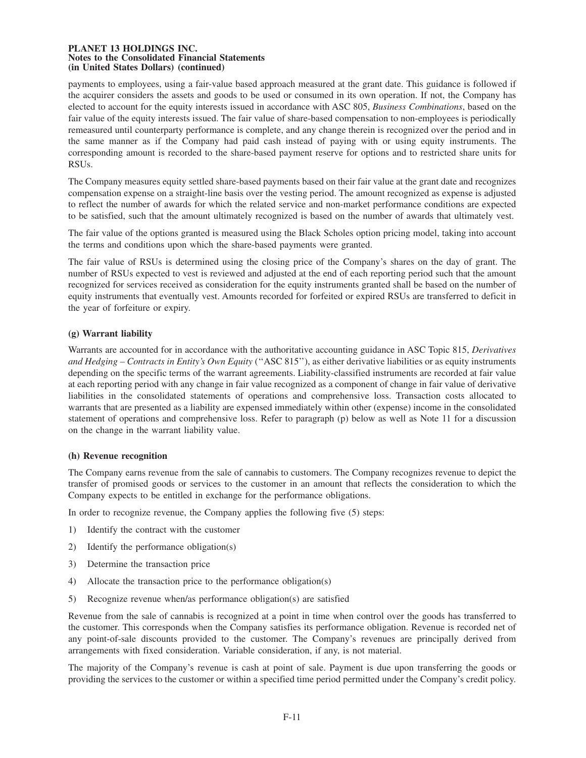payments to employees, using a fair-value based approach measured at the grant date. This guidance is followed if the acquirer considers the assets and goods to be used or consumed in its own operation. If not, the Company has elected to account for the equity interests issued in accordance with ASC 805, *Business Combinations*, based on the fair value of the equity interests issued. The fair value of share-based compensation to non-employees is periodically remeasured until counterparty performance is complete, and any change therein is recognized over the period and in the same manner as if the Company had paid cash instead of paying with or using equity instruments. The corresponding amount is recorded to the share-based payment reserve for options and to restricted share units for RSUs.

The Company measures equity settled share-based payments based on their fair value at the grant date and recognizes compensation expense on a straight-line basis over the vesting period. The amount recognized as expense is adjusted to reflect the number of awards for which the related service and non-market performance conditions are expected to be satisfied, such that the amount ultimately recognized is based on the number of awards that ultimately vest.

The fair value of the options granted is measured using the Black Scholes option pricing model, taking into account the terms and conditions upon which the share-based payments were granted.

The fair value of RSUs is determined using the closing price of the Company's shares on the day of grant. The number of RSUs expected to vest is reviewed and adjusted at the end of each reporting period such that the amount recognized for services received as consideration for the equity instruments granted shall be based on the number of equity instruments that eventually vest. Amounts recorded for forfeited or expired RSUs are transferred to deficit in the year of forfeiture or expiry.

# **(g) Warrant liability**

Warrants are accounted for in accordance with the authoritative accounting guidance in ASC Topic 815, *Derivatives and Hedging – Contracts in Entity's Own Equity* (''ASC 815''), as either derivative liabilities or as equity instruments depending on the specific terms of the warrant agreements. Liability-classified instruments are recorded at fair value at each reporting period with any change in fair value recognized as a component of change in fair value of derivative liabilities in the consolidated statements of operations and comprehensive loss. Transaction costs allocated to warrants that are presented as a liability are expensed immediately within other (expense) income in the consolidated statement of operations and comprehensive loss. Refer to paragraph (p) below as well as Note 11 for a discussion on the change in the warrant liability value.

#### **(h) Revenue recognition**

The Company earns revenue from the sale of cannabis to customers. The Company recognizes revenue to depict the transfer of promised goods or services to the customer in an amount that reflects the consideration to which the Company expects to be entitled in exchange for the performance obligations.

In order to recognize revenue, the Company applies the following five (5) steps:

- 1) Identify the contract with the customer
- 2) Identify the performance obligation(s)
- 3) Determine the transaction price
- 4) Allocate the transaction price to the performance obligation(s)
- 5) Recognize revenue when/as performance obligation(s) are satisfied

Revenue from the sale of cannabis is recognized at a point in time when control over the goods has transferred to the customer. This corresponds when the Company satisfies its performance obligation. Revenue is recorded net of any point-of-sale discounts provided to the customer. The Company's revenues are principally derived from arrangements with fixed consideration. Variable consideration, if any, is not material.

The majority of the Company's revenue is cash at point of sale. Payment is due upon transferring the goods or providing the services to the customer or within a specified time period permitted under the Company's credit policy.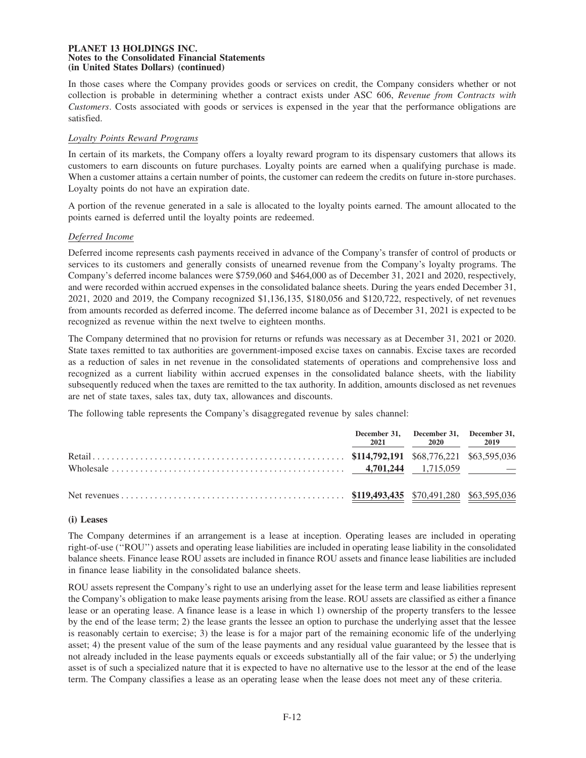In those cases where the Company provides goods or services on credit, the Company considers whether or not collection is probable in determining whether a contract exists under ASC 606, *Revenue from Contracts with Customers*. Costs associated with goods or services is expensed in the year that the performance obligations are satisfied.

## *Loyalty Points Reward Programs*

In certain of its markets, the Company offers a loyalty reward program to its dispensary customers that allows its customers to earn discounts on future purchases. Loyalty points are earned when a qualifying purchase is made. When a customer attains a certain number of points, the customer can redeem the credits on future in-store purchases. Loyalty points do not have an expiration date.

A portion of the revenue generated in a sale is allocated to the loyalty points earned. The amount allocated to the points earned is deferred until the loyalty points are redeemed.

## *Deferred Income*

Deferred income represents cash payments received in advance of the Company's transfer of control of products or services to its customers and generally consists of unearned revenue from the Company's loyalty programs. The Company's deferred income balances were \$759,060 and \$464,000 as of December 31, 2021 and 2020, respectively, and were recorded within accrued expenses in the consolidated balance sheets. During the years ended December 31, 2021, 2020 and 2019, the Company recognized \$1,136,135, \$180,056 and \$120,722, respectively, of net revenues from amounts recorded as deferred income. The deferred income balance as of December 31, 2021 is expected to be recognized as revenue within the next twelve to eighteen months.

The Company determined that no provision for returns or refunds was necessary as at December 31, 2021 or 2020. State taxes remitted to tax authorities are government-imposed excise taxes on cannabis. Excise taxes are recorded as a reduction of sales in net revenue in the consolidated statements of operations and comprehensive loss and recognized as a current liability within accrued expenses in the consolidated balance sheets, with the liability subsequently reduced when the taxes are remitted to the tax authority. In addition, amounts disclosed as net revenues are net of state taxes, sales tax, duty tax, allowances and discounts.

The following table represents the Company's disaggregated revenue by sales channel:

|  | December 31, December 31, December 31,<br>2021 2020 2019 |  |
|--|----------------------------------------------------------|--|
|  |                                                          |  |
|  |                                                          |  |

#### **(i) Leases**

The Company determines if an arrangement is a lease at inception. Operating leases are included in operating right-of-use (''ROU'') assets and operating lease liabilities are included in operating lease liability in the consolidated balance sheets. Finance lease ROU assets are included in finance ROU assets and finance lease liabilities are included in finance lease liability in the consolidated balance sheets.

ROU assets represent the Company's right to use an underlying asset for the lease term and lease liabilities represent the Company's obligation to make lease payments arising from the lease. ROU assets are classified as either a finance lease or an operating lease. A finance lease is a lease in which 1) ownership of the property transfers to the lessee by the end of the lease term; 2) the lease grants the lessee an option to purchase the underlying asset that the lessee is reasonably certain to exercise; 3) the lease is for a major part of the remaining economic life of the underlying asset; 4) the present value of the sum of the lease payments and any residual value guaranteed by the lessee that is not already included in the lease payments equals or exceeds substantially all of the fair value; or 5) the underlying asset is of such a specialized nature that it is expected to have no alternative use to the lessor at the end of the lease term. The Company classifies a lease as an operating lease when the lease does not meet any of these criteria.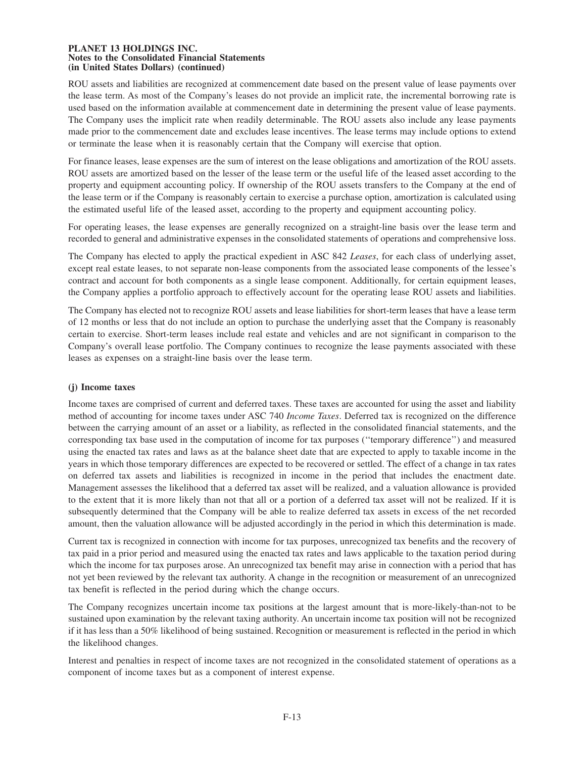ROU assets and liabilities are recognized at commencement date based on the present value of lease payments over the lease term. As most of the Company's leases do not provide an implicit rate, the incremental borrowing rate is used based on the information available at commencement date in determining the present value of lease payments. The Company uses the implicit rate when readily determinable. The ROU assets also include any lease payments made prior to the commencement date and excludes lease incentives. The lease terms may include options to extend or terminate the lease when it is reasonably certain that the Company will exercise that option.

For finance leases, lease expenses are the sum of interest on the lease obligations and amortization of the ROU assets. ROU assets are amortized based on the lesser of the lease term or the useful life of the leased asset according to the property and equipment accounting policy. If ownership of the ROU assets transfers to the Company at the end of the lease term or if the Company is reasonably certain to exercise a purchase option, amortization is calculated using the estimated useful life of the leased asset, according to the property and equipment accounting policy.

For operating leases, the lease expenses are generally recognized on a straight-line basis over the lease term and recorded to general and administrative expenses in the consolidated statements of operations and comprehensive loss.

The Company has elected to apply the practical expedient in ASC 842 *Leases*, for each class of underlying asset, except real estate leases, to not separate non-lease components from the associated lease components of the lessee's contract and account for both components as a single lease component. Additionally, for certain equipment leases, the Company applies a portfolio approach to effectively account for the operating lease ROU assets and liabilities.

The Company has elected not to recognize ROU assets and lease liabilities for short-term leases that have a lease term of 12 months or less that do not include an option to purchase the underlying asset that the Company is reasonably certain to exercise. Short-term leases include real estate and vehicles and are not significant in comparison to the Company's overall lease portfolio. The Company continues to recognize the lease payments associated with these leases as expenses on a straight-line basis over the lease term.

# **(j) Income taxes**

Income taxes are comprised of current and deferred taxes. These taxes are accounted for using the asset and liability method of accounting for income taxes under ASC 740 *Income Taxes*. Deferred tax is recognized on the difference between the carrying amount of an asset or a liability, as reflected in the consolidated financial statements, and the corresponding tax base used in the computation of income for tax purposes (''temporary difference'') and measured using the enacted tax rates and laws as at the balance sheet date that are expected to apply to taxable income in the years in which those temporary differences are expected to be recovered or settled. The effect of a change in tax rates on deferred tax assets and liabilities is recognized in income in the period that includes the enactment date. Management assesses the likelihood that a deferred tax asset will be realized, and a valuation allowance is provided to the extent that it is more likely than not that all or a portion of a deferred tax asset will not be realized. If it is subsequently determined that the Company will be able to realize deferred tax assets in excess of the net recorded amount, then the valuation allowance will be adjusted accordingly in the period in which this determination is made.

Current tax is recognized in connection with income for tax purposes, unrecognized tax benefits and the recovery of tax paid in a prior period and measured using the enacted tax rates and laws applicable to the taxation period during which the income for tax purposes arose. An unrecognized tax benefit may arise in connection with a period that has not yet been reviewed by the relevant tax authority. A change in the recognition or measurement of an unrecognized tax benefit is reflected in the period during which the change occurs.

The Company recognizes uncertain income tax positions at the largest amount that is more-likely-than-not to be sustained upon examination by the relevant taxing authority. An uncertain income tax position will not be recognized if it has less than a 50% likelihood of being sustained. Recognition or measurement is reflected in the period in which the likelihood changes.

Interest and penalties in respect of income taxes are not recognized in the consolidated statement of operations as a component of income taxes but as a component of interest expense.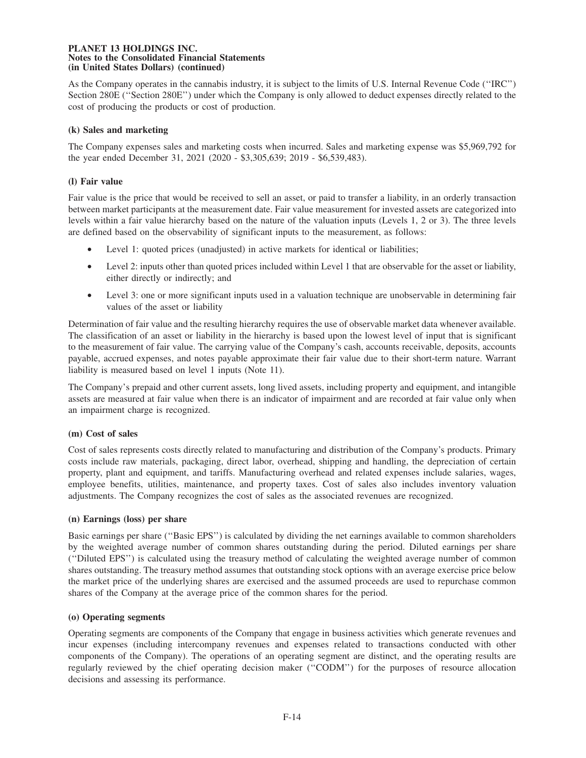As the Company operates in the cannabis industry, it is subject to the limits of U.S. Internal Revenue Code (''IRC'') Section 280E (''Section 280E'') under which the Company is only allowed to deduct expenses directly related to the cost of producing the products or cost of production.

## **(k) Sales and marketing**

The Company expenses sales and marketing costs when incurred. Sales and marketing expense was \$5,969,792 for the year ended December 31, 2021 (2020 - \$3,305,639; 2019 - \$6,539,483).

## **(l) Fair value**

Fair value is the price that would be received to sell an asset, or paid to transfer a liability, in an orderly transaction between market participants at the measurement date. Fair value measurement for invested assets are categorized into levels within a fair value hierarchy based on the nature of the valuation inputs (Levels 1, 2 or 3). The three levels are defined based on the observability of significant inputs to the measurement, as follows:

- Level 1: quoted prices (unadjusted) in active markets for identical or liabilities;
- Level 2: inputs other than quoted prices included within Level 1 that are observable for the asset or liability, either directly or indirectly; and
- Level 3: one or more significant inputs used in a valuation technique are unobservable in determining fair values of the asset or liability

Determination of fair value and the resulting hierarchy requires the use of observable market data whenever available. The classification of an asset or liability in the hierarchy is based upon the lowest level of input that is significant to the measurement of fair value. The carrying value of the Company's cash, accounts receivable, deposits, accounts payable, accrued expenses, and notes payable approximate their fair value due to their short-term nature. Warrant liability is measured based on level 1 inputs (Note 11).

The Company's prepaid and other current assets, long lived assets, including property and equipment, and intangible assets are measured at fair value when there is an indicator of impairment and are recorded at fair value only when an impairment charge is recognized.

# **(m) Cost of sales**

Cost of sales represents costs directly related to manufacturing and distribution of the Company's products. Primary costs include raw materials, packaging, direct labor, overhead, shipping and handling, the depreciation of certain property, plant and equipment, and tariffs. Manufacturing overhead and related expenses include salaries, wages, employee benefits, utilities, maintenance, and property taxes. Cost of sales also includes inventory valuation adjustments. The Company recognizes the cost of sales as the associated revenues are recognized.

#### **(n) Earnings (loss) per share**

Basic earnings per share (''Basic EPS'') is calculated by dividing the net earnings available to common shareholders by the weighted average number of common shares outstanding during the period. Diluted earnings per share (''Diluted EPS'') is calculated using the treasury method of calculating the weighted average number of common shares outstanding. The treasury method assumes that outstanding stock options with an average exercise price below the market price of the underlying shares are exercised and the assumed proceeds are used to repurchase common shares of the Company at the average price of the common shares for the period.

### **(o) Operating segments**

Operating segments are components of the Company that engage in business activities which generate revenues and incur expenses (including intercompany revenues and expenses related to transactions conducted with other components of the Company). The operations of an operating segment are distinct, and the operating results are regularly reviewed by the chief operating decision maker (''CODM'') for the purposes of resource allocation decisions and assessing its performance.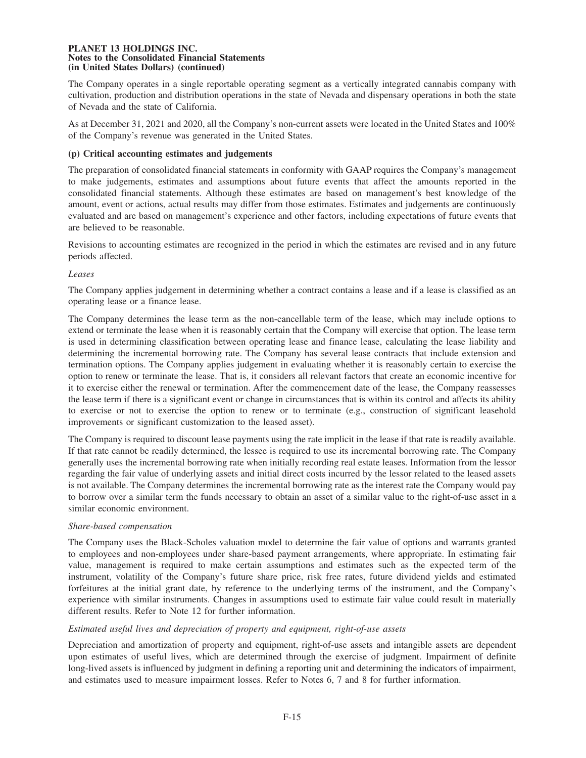The Company operates in a single reportable operating segment as a vertically integrated cannabis company with cultivation, production and distribution operations in the state of Nevada and dispensary operations in both the state of Nevada and the state of California.

As at December 31, 2021 and 2020, all the Company's non-current assets were located in the United States and 100% of the Company's revenue was generated in the United States.

## **(p) Critical accounting estimates and judgements**

The preparation of consolidated financial statements in conformity with GAAP requires the Company's management to make judgements, estimates and assumptions about future events that affect the amounts reported in the consolidated financial statements. Although these estimates are based on management's best knowledge of the amount, event or actions, actual results may differ from those estimates. Estimates and judgements are continuously evaluated and are based on management's experience and other factors, including expectations of future events that are believed to be reasonable.

Revisions to accounting estimates are recognized in the period in which the estimates are revised and in any future periods affected.

## *Leases*

The Company applies judgement in determining whether a contract contains a lease and if a lease is classified as an operating lease or a finance lease.

The Company determines the lease term as the non-cancellable term of the lease, which may include options to extend or terminate the lease when it is reasonably certain that the Company will exercise that option. The lease term is used in determining classification between operating lease and finance lease, calculating the lease liability and determining the incremental borrowing rate. The Company has several lease contracts that include extension and termination options. The Company applies judgement in evaluating whether it is reasonably certain to exercise the option to renew or terminate the lease. That is, it considers all relevant factors that create an economic incentive for it to exercise either the renewal or termination. After the commencement date of the lease, the Company reassesses the lease term if there is a significant event or change in circumstances that is within its control and affects its ability to exercise or not to exercise the option to renew or to terminate (e.g., construction of significant leasehold improvements or significant customization to the leased asset).

The Company is required to discount lease payments using the rate implicit in the lease if that rate is readily available. If that rate cannot be readily determined, the lessee is required to use its incremental borrowing rate. The Company generally uses the incremental borrowing rate when initially recording real estate leases. Information from the lessor regarding the fair value of underlying assets and initial direct costs incurred by the lessor related to the leased assets is not available. The Company determines the incremental borrowing rate as the interest rate the Company would pay to borrow over a similar term the funds necessary to obtain an asset of a similar value to the right-of-use asset in a similar economic environment.

### *Share-based compensation*

The Company uses the Black-Scholes valuation model to determine the fair value of options and warrants granted to employees and non-employees under share-based payment arrangements, where appropriate. In estimating fair value, management is required to make certain assumptions and estimates such as the expected term of the instrument, volatility of the Company's future share price, risk free rates, future dividend yields and estimated forfeitures at the initial grant date, by reference to the underlying terms of the instrument, and the Company's experience with similar instruments. Changes in assumptions used to estimate fair value could result in materially different results. Refer to Note 12 for further information.

# *Estimated useful lives and depreciation of property and equipment, right-of-use assets*

Depreciation and amortization of property and equipment, right-of-use assets and intangible assets are dependent upon estimates of useful lives, which are determined through the exercise of judgment. Impairment of definite long-lived assets is influenced by judgment in defining a reporting unit and determining the indicators of impairment, and estimates used to measure impairment losses. Refer to Notes 6, 7 and 8 for further information.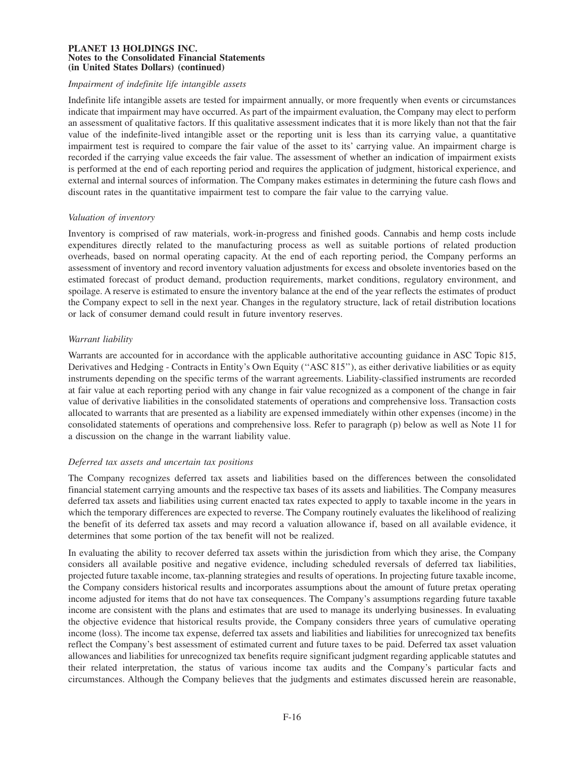## *Impairment of indefinite life intangible assets*

Indefinite life intangible assets are tested for impairment annually, or more frequently when events or circumstances indicate that impairment may have occurred. As part of the impairment evaluation, the Company may elect to perform an assessment of qualitative factors. If this qualitative assessment indicates that it is more likely than not that the fair value of the indefinite-lived intangible asset or the reporting unit is less than its carrying value, a quantitative impairment test is required to compare the fair value of the asset to its' carrying value. An impairment charge is recorded if the carrying value exceeds the fair value. The assessment of whether an indication of impairment exists is performed at the end of each reporting period and requires the application of judgment, historical experience, and external and internal sources of information. The Company makes estimates in determining the future cash flows and discount rates in the quantitative impairment test to compare the fair value to the carrying value.

### *Valuation of inventory*

Inventory is comprised of raw materials, work-in-progress and finished goods. Cannabis and hemp costs include expenditures directly related to the manufacturing process as well as suitable portions of related production overheads, based on normal operating capacity. At the end of each reporting period, the Company performs an assessment of inventory and record inventory valuation adjustments for excess and obsolete inventories based on the estimated forecast of product demand, production requirements, market conditions, regulatory environment, and spoilage. A reserve is estimated to ensure the inventory balance at the end of the year reflects the estimates of product the Company expect to sell in the next year. Changes in the regulatory structure, lack of retail distribution locations or lack of consumer demand could result in future inventory reserves.

## *Warrant liability*

Warrants are accounted for in accordance with the applicable authoritative accounting guidance in ASC Topic 815, Derivatives and Hedging - Contracts in Entity's Own Equity (''ASC 815''), as either derivative liabilities or as equity instruments depending on the specific terms of the warrant agreements. Liability-classified instruments are recorded at fair value at each reporting period with any change in fair value recognized as a component of the change in fair value of derivative liabilities in the consolidated statements of operations and comprehensive loss. Transaction costs allocated to warrants that are presented as a liability are expensed immediately within other expenses (income) in the consolidated statements of operations and comprehensive loss. Refer to paragraph (p) below as well as Note 11 for a discussion on the change in the warrant liability value.

# *Deferred tax assets and uncertain tax positions*

The Company recognizes deferred tax assets and liabilities based on the differences between the consolidated financial statement carrying amounts and the respective tax bases of its assets and liabilities. The Company measures deferred tax assets and liabilities using current enacted tax rates expected to apply to taxable income in the years in which the temporary differences are expected to reverse. The Company routinely evaluates the likelihood of realizing the benefit of its deferred tax assets and may record a valuation allowance if, based on all available evidence, it determines that some portion of the tax benefit will not be realized.

In evaluating the ability to recover deferred tax assets within the jurisdiction from which they arise, the Company considers all available positive and negative evidence, including scheduled reversals of deferred tax liabilities, projected future taxable income, tax-planning strategies and results of operations. In projecting future taxable income, the Company considers historical results and incorporates assumptions about the amount of future pretax operating income adjusted for items that do not have tax consequences. The Company's assumptions regarding future taxable income are consistent with the plans and estimates that are used to manage its underlying businesses. In evaluating the objective evidence that historical results provide, the Company considers three years of cumulative operating income (loss). The income tax expense, deferred tax assets and liabilities and liabilities for unrecognized tax benefits reflect the Company's best assessment of estimated current and future taxes to be paid. Deferred tax asset valuation allowances and liabilities for unrecognized tax benefits require significant judgment regarding applicable statutes and their related interpretation, the status of various income tax audits and the Company's particular facts and circumstances. Although the Company believes that the judgments and estimates discussed herein are reasonable,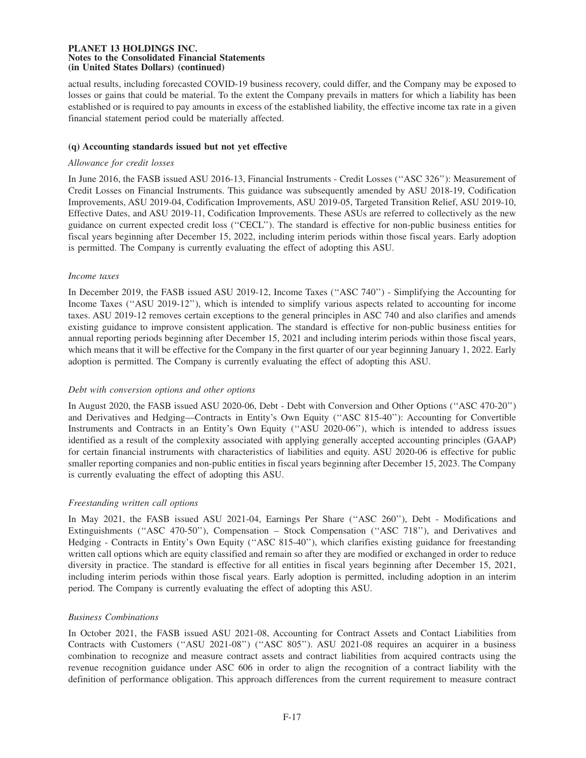actual results, including forecasted COVID-19 business recovery, could differ, and the Company may be exposed to losses or gains that could be material. To the extent the Company prevails in matters for which a liability has been established or is required to pay amounts in excess of the established liability, the effective income tax rate in a given financial statement period could be materially affected.

## **(q) Accounting standards issued but not yet effective**

## *Allowance for credit losses*

In June 2016, the FASB issued ASU 2016-13, Financial Instruments - Credit Losses (''ASC 326''): Measurement of Credit Losses on Financial Instruments. This guidance was subsequently amended by ASU 2018-19, Codification Improvements, ASU 2019-04, Codification Improvements, ASU 2019-05, Targeted Transition Relief, ASU 2019-10, Effective Dates, and ASU 2019-11, Codification Improvements. These ASUs are referred to collectively as the new guidance on current expected credit loss (''CECL''). The standard is effective for non-public business entities for fiscal years beginning after December 15, 2022, including interim periods within those fiscal years. Early adoption is permitted. The Company is currently evaluating the effect of adopting this ASU.

## *Income taxes*

In December 2019, the FASB issued ASU 2019-12, Income Taxes (''ASC 740'') - Simplifying the Accounting for Income Taxes (''ASU 2019-12''), which is intended to simplify various aspects related to accounting for income taxes. ASU 2019-12 removes certain exceptions to the general principles in ASC 740 and also clarifies and amends existing guidance to improve consistent application. The standard is effective for non-public business entities for annual reporting periods beginning after December 15, 2021 and including interim periods within those fiscal years, which means that it will be effective for the Company in the first quarter of our year beginning January 1, 2022. Early adoption is permitted. The Company is currently evaluating the effect of adopting this ASU.

# *Debt with conversion options and other options*

In August 2020, the FASB issued ASU 2020-06, Debt - Debt with Conversion and Other Options (''ASC 470-20'') and Derivatives and Hedging—Contracts in Entity's Own Equity (''ASC 815-40''): Accounting for Convertible Instruments and Contracts in an Entity's Own Equity (''ASU 2020-06''), which is intended to address issues identified as a result of the complexity associated with applying generally accepted accounting principles (GAAP) for certain financial instruments with characteristics of liabilities and equity. ASU 2020-06 is effective for public smaller reporting companies and non-public entities in fiscal years beginning after December 15, 2023. The Company is currently evaluating the effect of adopting this ASU.

# *Freestanding written call options*

In May 2021, the FASB issued ASU 2021-04, Earnings Per Share ("ASC 260"), Debt - Modifications and Extinguishments (''ASC 470-50''), Compensation – Stock Compensation (''ASC 718''), and Derivatives and Hedging - Contracts in Entity's Own Equity (''ASC 815-40''), which clarifies existing guidance for freestanding written call options which are equity classified and remain so after they are modified or exchanged in order to reduce diversity in practice. The standard is effective for all entities in fiscal years beginning after December 15, 2021, including interim periods within those fiscal years. Early adoption is permitted, including adoption in an interim period. The Company is currently evaluating the effect of adopting this ASU.

# *Business Combinations*

In October 2021, the FASB issued ASU 2021-08, Accounting for Contract Assets and Contact Liabilities from Contracts with Customers (''ASU 2021-08'') (''ASC 805''). ASU 2021-08 requires an acquirer in a business combination to recognize and measure contract assets and contract liabilities from acquired contracts using the revenue recognition guidance under ASC 606 in order to align the recognition of a contract liability with the definition of performance obligation. This approach differences from the current requirement to measure contract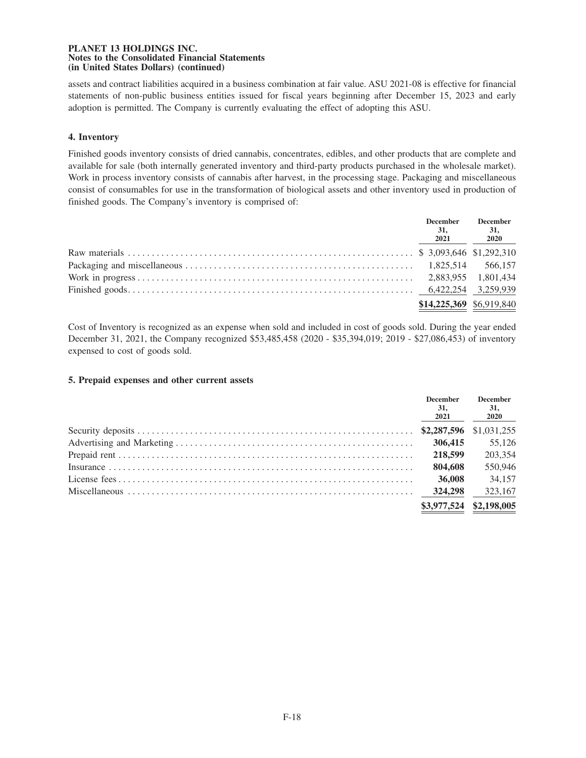assets and contract liabilities acquired in a business combination at fair value. ASU 2021-08 is effective for financial statements of non-public business entities issued for fiscal years beginning after December 15, 2023 and early adoption is permitted. The Company is currently evaluating the effect of adopting this ASU.

# **4. Inventory**

Finished goods inventory consists of dried cannabis, concentrates, edibles, and other products that are complete and available for sale (both internally generated inventory and third-party products purchased in the wholesale market). Work in process inventory consists of cannabis after harvest, in the processing stage. Packaging and miscellaneous consist of consumables for use in the transformation of biological assets and other inventory used in production of finished goods. The Company's inventory is comprised of:

| <b>December</b><br><b>31,</b><br>2021 | <b>December</b><br>31,<br>2020 |
|---------------------------------------|--------------------------------|
|                                       |                                |
|                                       |                                |
|                                       |                                |
|                                       |                                |
| \$14,225,369 \$6,919,840              |                                |

Cost of Inventory is recognized as an expense when sold and included in cost of goods sold. During the year ended December 31, 2021, the Company recognized \$53,485,458 (2020 - \$35,394,019; 2019 - \$27,086,453) of inventory expensed to cost of goods sold.

# **5. Prepaid expenses and other current assets**

| <b>December</b><br>31.<br>2021 | <b>December</b><br>31,<br><b>2020</b> |
|--------------------------------|---------------------------------------|
|                                |                                       |
| 306,415                        | 55,126                                |
| 218,599                        | 203,354                               |
| 804,608                        | 550,946                               |
| 36,008                         | 34,157                                |
| 324,298                        | 323,167                               |
| \$3,977,524                    | \$2,198,005                           |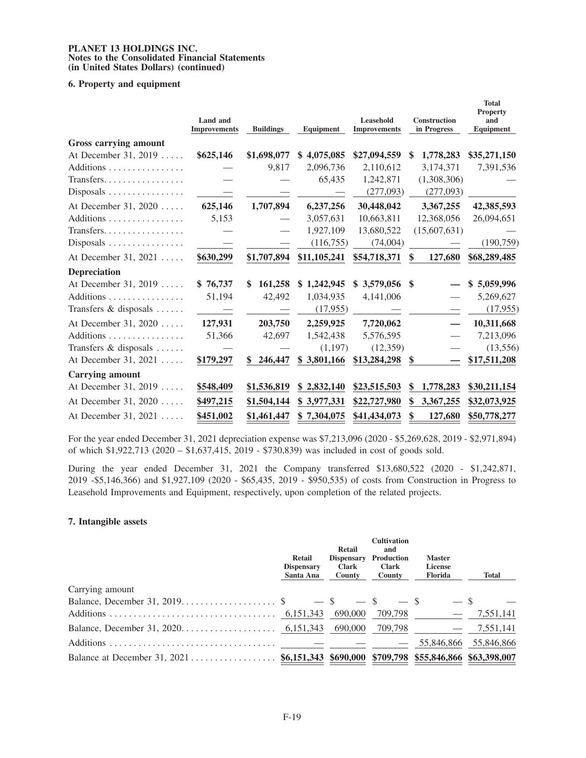## **6. Property and equipment**

|                        | <b>Land</b> and<br><b>Improvements</b> | <b>Buildings</b> | Equipment    | Leasehold<br><b>Improvements</b> | <b>Construction</b><br>in Progress | <b>Total</b><br><b>Property</b><br>and<br>Equipment |
|------------------------|----------------------------------------|------------------|--------------|----------------------------------|------------------------------------|-----------------------------------------------------|
| Gross carrying amount  |                                        |                  |              |                                  |                                    |                                                     |
| At December 31, 2019   | \$625,146                              | \$1,698,077      | \$4,075,085  | \$27,094,559                     | 1,778,283<br>S                     | \$35,271,150                                        |
| Additions              |                                        | 9,817            | 2,096,736    | 2,110,612                        | 3,174,371                          | 7,391,536                                           |
| Transfers              |                                        |                  | 65,435       | 1,242,871                        | (1,308,306)                        |                                                     |
|                        |                                        |                  |              | (277,093)                        | (277,093)                          |                                                     |
| At December 31, 2020   | 625,146                                | 1,707,894        | 6,237,256    | 30,448,042                       | 3,367,255                          | 42,385,593                                          |
| Additions              | 5,153                                  |                  | 3,057,631    | 10,663,811                       | 12,368,056                         | 26,094,651                                          |
| Transfers              |                                        |                  | 1,927,109    | 13,680,522                       | (15,607,631)                       |                                                     |
| $Disposals$            |                                        |                  | (116, 755)   | (74,004)                         |                                    | (190, 759)                                          |
| At December 31, 2021   | \$630,299                              | \$1,707,894      | \$11,105,241 | \$54,718,371                     | 127,680<br>\$                      | \$68,289,485                                        |
| <b>Depreciation</b>    |                                        |                  |              |                                  |                                    |                                                     |
| At December 31, 2019   | \$76,737                               | 161,258<br>\$    | \$1,242,945  | \$3,579,056                      | \$                                 | \$5,059,996                                         |
| Additions              | 51,194                                 | 42,492           | 1,034,935    | 4,141,006                        |                                    | 5,269,627                                           |
| Transfers & disposals  |                                        |                  | (17,955)     |                                  |                                    | (17, 955)                                           |
| At December 31, 2020   | 127,931                                | 203,750          | 2,259,925    | 7,720,062                        |                                    | 10,311,668                                          |
| Additions              | 51,366                                 | 42,697           | 1,542,438    | 5,576,595                        |                                    | 7,213,096                                           |
| Transfers & disposals  |                                        |                  | (1,197)      | (12,359)                         |                                    | (13,556)                                            |
| At December 31, 2021   | \$179,297                              | \$<br>246,447    | \$3,801,166  | \$13,284,298                     | \$                                 | \$17,511,208                                        |
| <b>Carrying amount</b> |                                        |                  |              |                                  |                                    |                                                     |
| At December 31, 2019   | \$548,409                              | \$1,536,819      | \$2,832,140  | \$23,515,503                     | 1,778,283<br>\$                    | \$30,211,154                                        |
| At December 31, 2020   | \$497,215                              | \$1,504,144      | \$3,977,331  | \$22,727,980                     | 3,367,255<br>\$                    | \$32,073,925                                        |
| At December 31, 2021   | \$451,002                              | \$1,461,447      | \$7,304,075  | \$41,434,073                     | 127,680                            | \$50,778,277                                        |

For the year ended December 31, 2021 depreciation expense was \$7,213,096 (2020 - \$5,269,628, 2019 - \$2,971,894) of which \$1,922,713 (2020 – \$1,637,415, 2019 - \$730,839) was included in cost of goods sold.

During the year ended December 31, 2021 the Company transferred \$13,680,522 (2020 - \$1,242,871, 2019 -\$5,146,366) and \$1,927,109 (2020 - \$65,435, 2019 - \$950,535) of costs from Construction in Progress to Leasehold Improvements and Equipment, respectively, upon completion of the related projects.

# **7. Intangible assets**

|                 | <b>Retail</b><br><b>Dispensary</b><br>Santa Ana | Retail<br><b>Dispensary</b><br><b>Clark</b><br>County | <b>Cultivation</b><br>and<br><b>Production</b><br><b>Clark</b><br>County | <b>Master</b><br>License<br>Florida | <b>Total</b> |
|-----------------|-------------------------------------------------|-------------------------------------------------------|--------------------------------------------------------------------------|-------------------------------------|--------------|
| Carrying amount |                                                 |                                                       |                                                                          |                                     |              |
|                 |                                                 |                                                       | $-$ \$                                                                   |                                     |              |
|                 |                                                 | 690,000                                               | 709,798                                                                  |                                     | 7,551,141    |
|                 |                                                 | 690.000                                               | 709.798                                                                  |                                     | 7,551,141    |
|                 |                                                 |                                                       |                                                                          | 55,846,866                          | 55,846,866   |
|                 |                                                 |                                                       |                                                                          |                                     |              |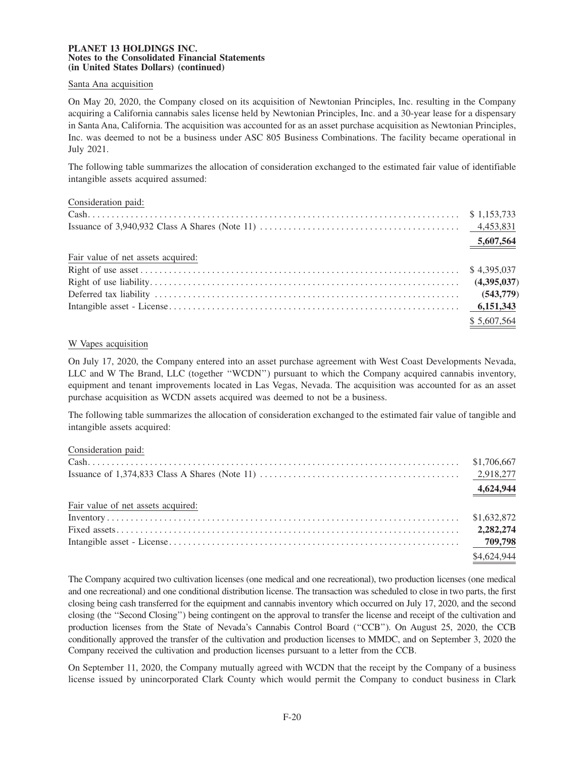## Santa Ana acquisition

On May 20, 2020, the Company closed on its acquisition of Newtonian Principles, Inc. resulting in the Company acquiring a California cannabis sales license held by Newtonian Principles, Inc. and a 30-year lease for a dispensary in Santa Ana, California. The acquisition was accounted for as an asset purchase acquisition as Newtonian Principles, Inc. was deemed to not be a business under ASC 805 Business Combinations. The facility became operational in July 2021.

The following table summarizes the allocation of consideration exchanged to the estimated fair value of identifiable intangible assets acquired assumed:

| Consideration paid: |  |
|---------------------|--|
|                     |  |

|                                    | 5,607,564   |
|------------------------------------|-------------|
| Fair value of net assets acquired: |             |
|                                    |             |
|                                    |             |
|                                    |             |
|                                    |             |
|                                    | \$5,607,564 |

# W Vapes acquisition

On July 17, 2020, the Company entered into an asset purchase agreement with West Coast Developments Nevada, LLC and W The Brand, LLC (together ''WCDN'') pursuant to which the Company acquired cannabis inventory, equipment and tenant improvements located in Las Vegas, Nevada. The acquisition was accounted for as an asset purchase acquisition as WCDN assets acquired was deemed to not be a business.

The following table summarizes the allocation of consideration exchanged to the estimated fair value of tangible and intangible assets acquired:

Consideration paid:

|                                    | 4,624,944   |
|------------------------------------|-------------|
| Fair value of net assets acquired: |             |
|                                    |             |
|                                    |             |
|                                    |             |
|                                    | \$4,624.944 |

The Company acquired two cultivation licenses (one medical and one recreational), two production licenses (one medical and one recreational) and one conditional distribution license. The transaction was scheduled to close in two parts, the first closing being cash transferred for the equipment and cannabis inventory which occurred on July 17, 2020, and the second closing (the ''Second Closing'') being contingent on the approval to transfer the license and receipt of the cultivation and production licenses from the State of Nevada's Cannabis Control Board (''CCB''). On August 25, 2020, the CCB conditionally approved the transfer of the cultivation and production licenses to MMDC, and on September 3, 2020 the Company received the cultivation and production licenses pursuant to a letter from the CCB.

On September 11, 2020, the Company mutually agreed with WCDN that the receipt by the Company of a business license issued by unincorporated Clark County which would permit the Company to conduct business in Clark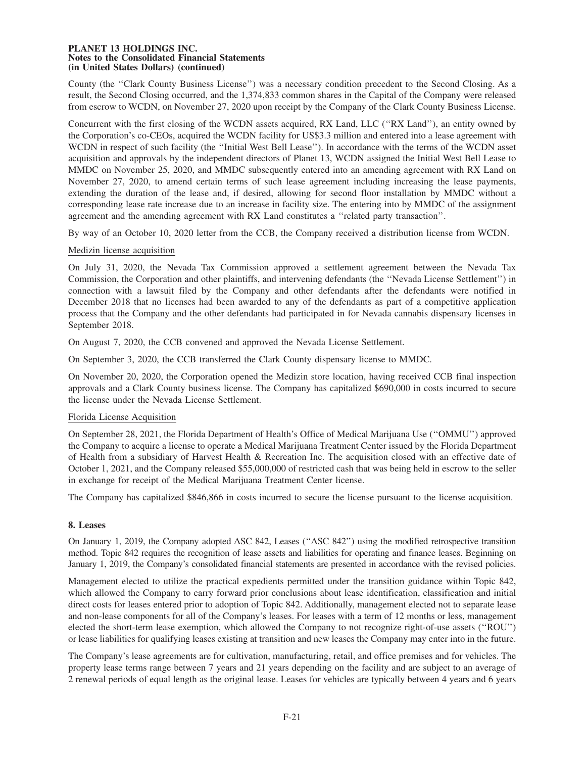County (the ''Clark County Business License'') was a necessary condition precedent to the Second Closing. As a result, the Second Closing occurred, and the 1,374,833 common shares in the Capital of the Company were released from escrow to WCDN, on November 27, 2020 upon receipt by the Company of the Clark County Business License.

Concurrent with the first closing of the WCDN assets acquired, RX Land, LLC (''RX Land''), an entity owned by the Corporation's co-CEOs, acquired the WCDN facility for US\$3.3 million and entered into a lease agreement with WCDN in respect of such facility (the ''Initial West Bell Lease''). In accordance with the terms of the WCDN asset acquisition and approvals by the independent directors of Planet 13, WCDN assigned the Initial West Bell Lease to MMDC on November 25, 2020, and MMDC subsequently entered into an amending agreement with RX Land on November 27, 2020, to amend certain terms of such lease agreement including increasing the lease payments, extending the duration of the lease and, if desired, allowing for second floor installation by MMDC without a corresponding lease rate increase due to an increase in facility size. The entering into by MMDC of the assignment agreement and the amending agreement with RX Land constitutes a ''related party transaction''.

By way of an October 10, 2020 letter from the CCB, the Company received a distribution license from WCDN.

# Medizin license acquisition

On July 31, 2020, the Nevada Tax Commission approved a settlement agreement between the Nevada Tax Commission, the Corporation and other plaintiffs, and intervening defendants (the ''Nevada License Settlement'') in connection with a lawsuit filed by the Company and other defendants after the defendants were notified in December 2018 that no licenses had been awarded to any of the defendants as part of a competitive application process that the Company and the other defendants had participated in for Nevada cannabis dispensary licenses in September 2018.

On August 7, 2020, the CCB convened and approved the Nevada License Settlement.

On September 3, 2020, the CCB transferred the Clark County dispensary license to MMDC.

On November 20, 2020, the Corporation opened the Medizin store location, having received CCB final inspection approvals and a Clark County business license. The Company has capitalized \$690,000 in costs incurred to secure the license under the Nevada License Settlement.

### Florida License Acquisition

On September 28, 2021, the Florida Department of Health's Office of Medical Marijuana Use (''OMMU'') approved the Company to acquire a license to operate a Medical Marijuana Treatment Center issued by the Florida Department of Health from a subsidiary of Harvest Health & Recreation Inc. The acquisition closed with an effective date of October 1, 2021, and the Company released \$55,000,000 of restricted cash that was being held in escrow to the seller in exchange for receipt of the Medical Marijuana Treatment Center license.

The Company has capitalized \$846,866 in costs incurred to secure the license pursuant to the license acquisition.

### **8. Leases**

On January 1, 2019, the Company adopted ASC 842, Leases ("ASC 842") using the modified retrospective transition method. Topic 842 requires the recognition of lease assets and liabilities for operating and finance leases. Beginning on January 1, 2019, the Company's consolidated financial statements are presented in accordance with the revised policies.

Management elected to utilize the practical expedients permitted under the transition guidance within Topic 842, which allowed the Company to carry forward prior conclusions about lease identification, classification and initial direct costs for leases entered prior to adoption of Topic 842. Additionally, management elected not to separate lease and non-lease components for all of the Company's leases. For leases with a term of 12 months or less, management elected the short-term lease exemption, which allowed the Company to not recognize right-of-use assets (''ROU'') or lease liabilities for qualifying leases existing at transition and new leases the Company may enter into in the future.

The Company's lease agreements are for cultivation, manufacturing, retail, and office premises and for vehicles. The property lease terms range between 7 years and 21 years depending on the facility and are subject to an average of 2 renewal periods of equal length as the original lease. Leases for vehicles are typically between 4 years and 6 years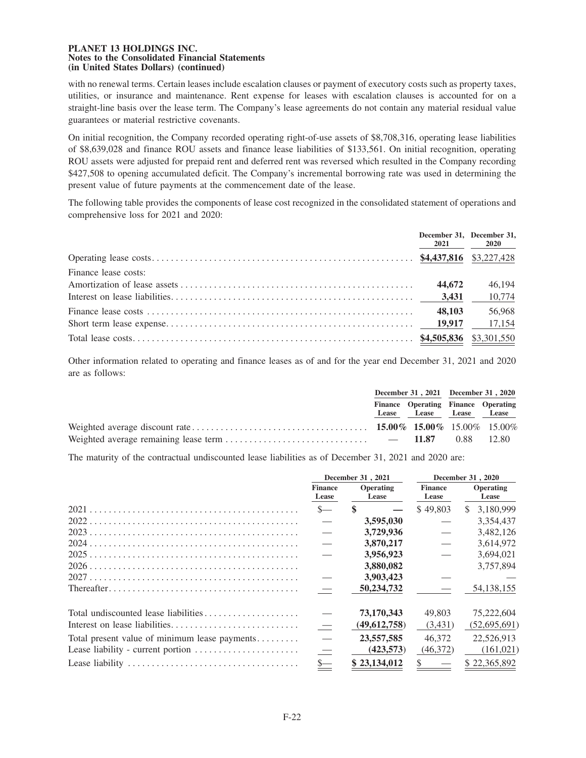with no renewal terms. Certain leases include escalation clauses or payment of executory costs such as property taxes, utilities, or insurance and maintenance. Rent expense for leases with escalation clauses is accounted for on a straight-line basis over the lease term. The Company's lease agreements do not contain any material residual value guarantees or material restrictive covenants.

On initial recognition, the Company recorded operating right-of-use assets of \$8,708,316, operating lease liabilities of \$8,639,028 and finance ROU assets and finance lease liabilities of \$133,561. On initial recognition, operating ROU assets were adjusted for prepaid rent and deferred rent was reversed which resulted in the Company recording \$427,508 to opening accumulated deficit. The Company's incremental borrowing rate was used in determining the present value of future payments at the commencement date of the lease.

The following table provides the components of lease cost recognized in the consolidated statement of operations and comprehensive loss for 2021 and 2020:

|                      | December 31, December 31, | 2021 2020 |
|----------------------|---------------------------|-----------|
|                      |                           |           |
| Finance lease costs: |                           |           |
|                      | 44,672                    | 46,194    |
|                      |                           | 10,774    |
|                      | 48,103                    | 56,968    |
|                      |                           | 17,154    |
|                      |                           |           |

Other information related to operating and finance leases as of and for the year end December 31, 2021 and 2020 are as follows:

|                                                                                                                                                                                                                                                                                                                           | December 31, 2021 December 31, 2020 |                                                                |  |  |
|---------------------------------------------------------------------------------------------------------------------------------------------------------------------------------------------------------------------------------------------------------------------------------------------------------------------------|-------------------------------------|----------------------------------------------------------------|--|--|
|                                                                                                                                                                                                                                                                                                                           |                                     | Finance Operating Finance Operating<br>Lease Lease Lease Lease |  |  |
|                                                                                                                                                                                                                                                                                                                           |                                     |                                                                |  |  |
| Weighted average remaining lease term $\ldots$ $\ldots$ $\ldots$ $\ldots$ $\ldots$ $\ldots$ $\ldots$ $\ldots$ $\ldots$ $\ldots$ $\ldots$ $\ldots$ $\ldots$ $\ldots$ $\ldots$ $\ldots$ $\ldots$ $\ldots$ $\ldots$ $\ldots$ $\ldots$ $\ldots$ $\ldots$ $\ldots$ $\ldots$ $\ldots$ $\ldots$ $\ldots$ $\ldots$ $\ldots$ $\ld$ |                                     |                                                                |  |  |

The maturity of the contractual undiscounted lease liabilities as of December 31, 2021 and 2020 are:

|                                               | December 31, 2021        |                    |                             | December 31, 2020         |
|-----------------------------------------------|--------------------------|--------------------|-----------------------------|---------------------------|
|                                               | <b>Finance</b><br>Lease  | Operating<br>Lease | <b>Finance</b><br>Lease     | <b>Operating</b><br>Lease |
|                                               | $S-$                     | <sup>\$</sup>      | \$49,803                    | 3,180,999<br>SS.          |
|                                               |                          | 3,595,030          |                             | 3,354,437                 |
|                                               |                          | 3,729,936          |                             | 3,482,126                 |
|                                               |                          | 3,870,217          |                             | 3.614.972                 |
|                                               |                          | 3,956,923          |                             | 3,694,021                 |
|                                               |                          | 3,880,082          |                             | 3,757,894                 |
|                                               |                          | 3,903,423          |                             |                           |
|                                               |                          | 50,234,732         |                             | 54, 138, 155              |
| Total undiscounted lease liabilities          |                          | 73,170,343         | 49,803                      | 75,222,604                |
|                                               | $\overline{\phantom{m}}$ | (49,612,758)       | (3,431)                     | (52,695,691)              |
| Total present value of minimum lease payments | $\overline{\phantom{m}}$ | 23,557,585         | 46,372                      | 22,526,913                |
| Lease liability - current portion             | $\hspace{0.1mm}$         | (423,573)          | (46,372)                    | (161, 021)                |
|                                               | $S-$                     | \$23,134,012       | $\frac{1}{2}$ $\frac{1}{2}$ | \$22,365,892              |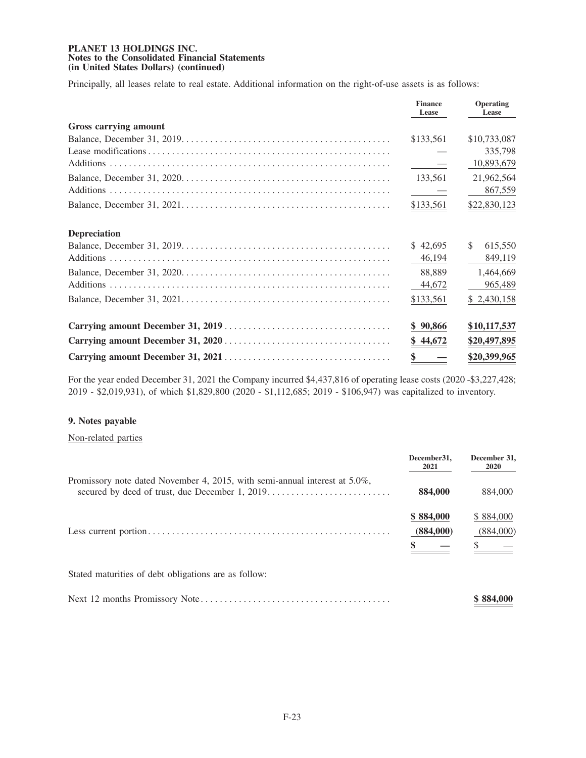Principally, all leases relate to real estate. Additional information on the right-of-use assets is as follows:

|                       | <b>Finance</b><br>Lease | Operating<br>Lease |
|-----------------------|-------------------------|--------------------|
| Gross carrying amount |                         |                    |
|                       | \$133,561               | \$10,733,087       |
|                       |                         | 335,798            |
|                       | $\sim$ $-$              | 10,893,679         |
|                       | 133,561                 | 21,962,564         |
|                       |                         | 867,559            |
|                       | \$133,561               | \$22,830,123       |
| <b>Depreciation</b>   |                         |                    |
|                       | \$42,695                | S.<br>615,550      |
|                       | 46,194                  | 849,119            |
|                       | 88,889                  | 1,464,669          |
|                       | 44,672                  | 965,489            |
|                       | \$133,561               | \$2,430,158        |
|                       | \$90,866                | \$10,117,537       |
|                       | \$44,672                | \$20,497,895       |
|                       | \$                      | \$20,399,965       |

For the year ended December 31, 2021 the Company incurred \$4,437,816 of operating lease costs (2020 -\$3,227,428; 2019 - \$2,019,931), of which \$1,829,800 (2020 - \$1,112,685; 2019 - \$106,947) was capitalized to inventory.

# **9. Notes payable**

Non-related parties

|                                                                                                                                  | December 31.<br>2021   | December 31,<br><b>2020</b> |
|----------------------------------------------------------------------------------------------------------------------------------|------------------------|-----------------------------|
| Promissory note dated November 4, 2015, with semi-annual interest at $5.0\%$ ,<br>secured by deed of trust, due December 1, 2019 | 884,000                | 884,000                     |
|                                                                                                                                  | \$884,000<br>(884,000) | \$884,000<br>(884,000)      |
| Stated maturities of debt obligations are as follow:                                                                             |                        |                             |
|                                                                                                                                  |                        | \$884,000                   |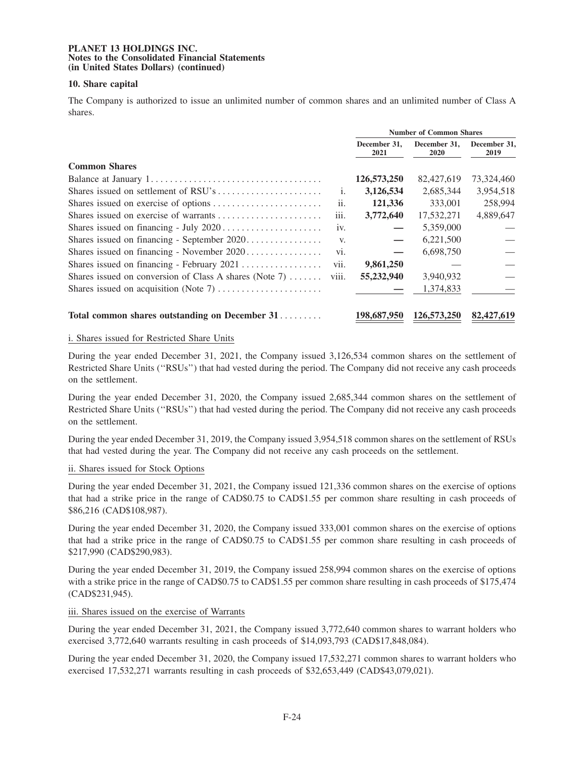## **10. Share capital**

The Company is authorized to issue an unlimited number of common shares and an unlimited number of Class A shares.

|                                                        |                   | <b>Number of Common Shares</b> |                             |                      |  |
|--------------------------------------------------------|-------------------|--------------------------------|-----------------------------|----------------------|--|
|                                                        |                   | December 31,<br>2021           | December 31,<br><b>2020</b> | December 31,<br>2019 |  |
| <b>Common Shares</b>                                   |                   |                                |                             |                      |  |
|                                                        |                   | 126,573,250                    | 82,427,619                  | 73,324,460           |  |
|                                                        | 1.                | 3,126,534                      | 2,685,344                   | 3,954,518            |  |
|                                                        | $\overline{11}$ . | 121,336                        | 333,001                     | 258,994              |  |
|                                                        | iii.              | 3,772,640                      | 17,532,271                  | 4,889,647            |  |
|                                                        | 1V <sub>1</sub>   |                                | 5,359,000                   |                      |  |
|                                                        | V.                |                                | 6,221,500                   |                      |  |
| Shares issued on financing - November $2020$           | V1.               |                                | 6,698,750                   |                      |  |
|                                                        | V11.              | 9,861,250                      |                             |                      |  |
| Shares issued on conversion of Class A shares (Note 7) | V111.             | 55,232,940                     | 3,940,932                   |                      |  |
|                                                        |                   |                                | 1,374,833                   |                      |  |
| Total common shares outstanding on December 31         |                   | 198,687,950                    | 126,573,250                 | 82,427,619           |  |

## i. Shares issued for Restricted Share Units

During the year ended December 31, 2021, the Company issued 3,126,534 common shares on the settlement of Restricted Share Units (''RSUs'') that had vested during the period. The Company did not receive any cash proceeds on the settlement.

During the year ended December 31, 2020, the Company issued 2,685,344 common shares on the settlement of Restricted Share Units (''RSUs'') that had vested during the period. The Company did not receive any cash proceeds on the settlement.

During the year ended December 31, 2019, the Company issued 3,954,518 common shares on the settlement of RSUs that had vested during the year. The Company did not receive any cash proceeds on the settlement.

### ii. Shares issued for Stock Options

During the year ended December 31, 2021, the Company issued 121,336 common shares on the exercise of options that had a strike price in the range of CAD\$0.75 to CAD\$1.55 per common share resulting in cash proceeds of \$86,216 (CAD\$108,987).

During the year ended December 31, 2020, the Company issued 333,001 common shares on the exercise of options that had a strike price in the range of CAD\$0.75 to CAD\$1.55 per common share resulting in cash proceeds of \$217,990 (CAD\$290,983).

During the year ended December 31, 2019, the Company issued 258,994 common shares on the exercise of options with a strike price in the range of CAD\$0.75 to CAD\$1.55 per common share resulting in cash proceeds of \$175,474 (CAD\$231,945).

### iii. Shares issued on the exercise of Warrants

During the year ended December 31, 2021, the Company issued 3,772,640 common shares to warrant holders who exercised 3,772,640 warrants resulting in cash proceeds of \$14,093,793 (CAD\$17,848,084).

During the year ended December 31, 2020, the Company issued 17,532,271 common shares to warrant holders who exercised 17,532,271 warrants resulting in cash proceeds of \$32,653,449 (CAD\$43,079,021).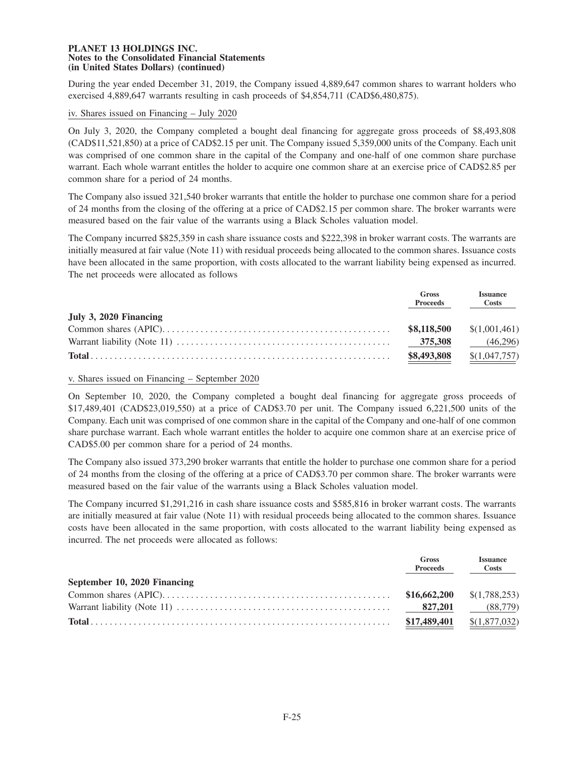During the year ended December 31, 2019, the Company issued 4,889,647 common shares to warrant holders who exercised 4,889,647 warrants resulting in cash proceeds of \$4,854,711 (CAD\$6,480,875).

## iv. Shares issued on Financing – July 2020

On July 3, 2020, the Company completed a bought deal financing for aggregate gross proceeds of \$8,493,808 (CAD\$11,521,850) at a price of CAD\$2.15 per unit. The Company issued 5,359,000 units of the Company. Each unit was comprised of one common share in the capital of the Company and one-half of one common share purchase warrant. Each whole warrant entitles the holder to acquire one common share at an exercise price of CAD\$2.85 per common share for a period of 24 months.

The Company also issued 321,540 broker warrants that entitle the holder to purchase one common share for a period of 24 months from the closing of the offering at a price of CAD\$2.15 per common share. The broker warrants were measured based on the fair value of the warrants using a Black Scholes valuation model.

The Company incurred \$825,359 in cash share issuance costs and \$222,398 in broker warrant costs. The warrants are initially measured at fair value (Note 11) with residual proceeds being allocated to the common shares. Issuance costs have been allocated in the same proportion, with costs allocated to the warrant liability being expensed as incurred. The net proceeds were allocated as follows

|                        | Gross<br><b>Proceeds</b> | <b>Issuance</b><br>Costs    |
|------------------------|--------------------------|-----------------------------|
| July 3, 2020 Financing |                          |                             |
|                        |                          | $$8,118,500$ $$(1,001,461)$ |
|                        | 375,308                  | (46,296)                    |
|                        | \$8,493,808              | \$(1,047,757)               |

### v. Shares issued on Financing – September 2020

On September 10, 2020, the Company completed a bought deal financing for aggregate gross proceeds of \$17,489,401 (CAD\$23,019,550) at a price of CAD\$3.70 per unit. The Company issued 6,221,500 units of the Company. Each unit was comprised of one common share in the capital of the Company and one-half of one common share purchase warrant. Each whole warrant entitles the holder to acquire one common share at an exercise price of CAD\$5.00 per common share for a period of 24 months.

The Company also issued 373,290 broker warrants that entitle the holder to purchase one common share for a period of 24 months from the closing of the offering at a price of CAD\$3.70 per common share. The broker warrants were measured based on the fair value of the warrants using a Black Scholes valuation model.

The Company incurred \$1,291,216 in cash share issuance costs and \$585,816 in broker warrant costs. The warrants are initially measured at fair value (Note 11) with residual proceeds being allocated to the common shares. Issuance costs have been allocated in the same proportion, with costs allocated to the warrant liability being expensed as incurred. The net proceeds were allocated as follows:

|                              | <b>Gross</b><br><b>Proceeds</b> | <b>Issuance</b><br>Costs |
|------------------------------|---------------------------------|--------------------------|
| September 10, 2020 Financing |                                 |                          |
|                              |                                 |                          |
|                              | 827.201                         | (88,779)                 |
|                              | \$17,489,401                    | \$(1,877,032)            |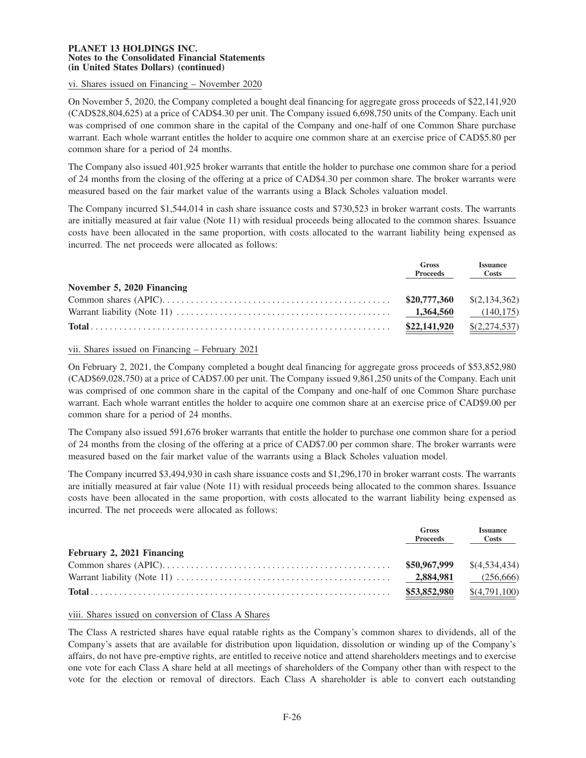# vi. Shares issued on Financing – November 2020

On November 5, 2020, the Company completed a bought deal financing for aggregate gross proceeds of \$22,141,920 (CAD\$28,804,625) at a price of CAD\$4.30 per unit. The Company issued 6,698,750 units of the Company. Each unit was comprised of one common share in the capital of the Company and one-half of one Common Share purchase warrant. Each whole warrant entitles the holder to acquire one common share at an exercise price of CAD\$5.80 per common share for a period of 24 months.

The Company also issued 401,925 broker warrants that entitle the holder to purchase one common share for a period of 24 months from the closing of the offering at a price of CAD\$4.30 per common share. The broker warrants were measured based on the fair market value of the warrants using a Black Scholes valuation model.

The Company incurred \$1,544,014 in cash share issuance costs and \$730,523 in broker warrant costs. The warrants are initially measured at fair value (Note 11) with residual proceeds being allocated to the common shares. Issuance costs have been allocated in the same proportion, with costs allocated to the warrant liability being expensed as incurred. The net proceeds were allocated as follows:

|                            | Gross<br><b>Proceeds</b>     | <b>Issuance</b><br>Costs |
|----------------------------|------------------------------|--------------------------|
| November 5, 2020 Financing |                              |                          |
|                            | $$20,777,360$ $$(2,134,362)$ |                          |
|                            |                              | (140, 175)               |
|                            | \$22,141,920                 | \$(2,274,537)            |

### vii. Shares issued on Financing – February 2021

On February 2, 2021, the Company completed a bought deal financing for aggregate gross proceeds of \$53,852,980 (CAD\$69,028,750) at a price of CAD\$7.00 per unit. The Company issued 9,861,250 units of the Company. Each unit was comprised of one common share in the capital of the Company and one-half of one Common Share purchase warrant. Each whole warrant entitles the holder to acquire one common share at an exercise price of CAD\$9.00 per common share for a period of 24 months.

The Company also issued 591,676 broker warrants that entitle the holder to purchase one common share for a period of 24 months from the closing of the offering at a price of CAD\$7.00 per common share. The broker warrants were measured based on the fair market value of the warrants using a Black Scholes valuation model.

The Company incurred \$3,494,930 in cash share issuance costs and \$1,296,170 in broker warrant costs. The warrants are initially measured at fair value (Note 11) with residual proceeds being allocated to the common shares. Issuance costs have been allocated in the same proportion, with costs allocated to the warrant liability being expensed as incurred. The net proceeds were allocated as follows:

|                            | <b>Gross</b><br><b>Proceeds</b> | <b>Issuance</b><br><b>Costs</b> |
|----------------------------|---------------------------------|---------------------------------|
| February 2, 2021 Financing |                                 |                                 |
|                            |                                 | $$50,967,999$ $$(4,534,434)$    |
|                            | 2,884,981                       | (256,666)                       |
|                            | \$53,852,980                    | \$(4,791,100)                   |

### viii. Shares issued on conversion of Class A Shares

The Class A restricted shares have equal ratable rights as the Company's common shares to dividends, all of the Company's assets that are available for distribution upon liquidation, dissolution or winding up of the Company's affairs, do not have pre-emptive rights, are entitled to receive notice and attend shareholders meetings and to exercise one vote for each Class A share held at all meetings of shareholders of the Company other than with respect to the vote for the election or removal of directors. Each Class A shareholder is able to convert each outstanding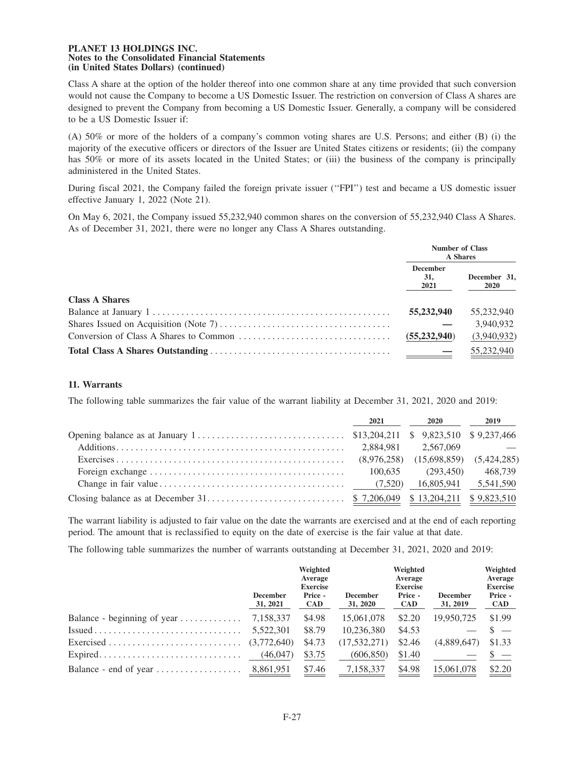Class A share at the option of the holder thereof into one common share at any time provided that such conversion would not cause the Company to become a US Domestic Issuer. The restriction on conversion of Class A shares are designed to prevent the Company from becoming a US Domestic Issuer. Generally, a company will be considered to be a US Domestic Issuer if:

(A) 50% or more of the holders of a company's common voting shares are U.S. Persons; and either (B) (i) the majority of the executive officers or directors of the Issuer are United States citizens or residents; (ii) the company has 50% or more of its assets located in the United States; or (iii) the business of the company is principally administered in the United States.

During fiscal 2021, the Company failed the foreign private issuer (''FPI'') test and became a US domestic issuer effective January 1, 2022 (Note 21).

On May 6, 2021, the Company issued 55,232,940 common shares on the conversion of 55,232,940 Class A Shares. As of December 31, 2021, there were no longer any Class A Shares outstanding.

|                       | <b>Number of Class</b><br><b>A</b> Shares |                             |  |
|-----------------------|-------------------------------------------|-----------------------------|--|
|                       | <b>December</b><br>31.<br>2021            | December 31,<br><b>2020</b> |  |
| <b>Class A Shares</b> |                                           |                             |  |
|                       | 55,232,940                                | 55,232,940                  |  |
|                       |                                           | 3.940.932                   |  |
|                       | (55, 232, 940)                            | (3,940,932)                 |  |
|                       |                                           | 55,232,940                  |  |

## **11. Warrants**

The following table summarizes the fair value of the warrant liability at December 31, 2021, 2020 and 2019:

|                                                                                                  | 2021    | 2020                 | 2019    |
|--------------------------------------------------------------------------------------------------|---------|----------------------|---------|
|                                                                                                  |         |                      |         |
|                                                                                                  |         |                      |         |
|                                                                                                  |         |                      |         |
|                                                                                                  | 100.635 | (293.450)            | 468.739 |
| Change in fair value $\dots \dots \dots \dots \dots \dots \dots \dots \dots \dots \dots$ (7,520) |         | 16,805,941 5,541,590 |         |
|                                                                                                  |         |                      |         |

The warrant liability is adjusted to fair value on the date the warrants are exercised and at the end of each reporting period. The amount that is reclassified to equity on the date of exercise is the fair value at that date.

The following table summarizes the number of warrants outstanding at December 31, 2021, 2020 and 2019:

|                             | <b>December</b><br>31, 2021 | Weighted<br>Average<br><b>Exercise</b><br>Price -<br><b>CAD</b> | <b>December</b><br>31, 2020 | Weighted<br>Average<br><b>Exercise</b><br>Price -<br>CAD | <b>December</b><br>31, 2019 | Weighted<br>Average<br><b>Exercise</b><br>Price -<br><b>CAD</b> |
|-----------------------------|-----------------------------|-----------------------------------------------------------------|-----------------------------|----------------------------------------------------------|-----------------------------|-----------------------------------------------------------------|
| Balance - beginning of year | 7,158,337                   | \$4.98                                                          | 15,061,078                  | \$2.20                                                   | 19.950.725                  | \$1.99                                                          |
|                             | 5,522,301                   | \$8.79                                                          | 10,236,380                  | \$4.53                                                   |                             |                                                                 |
|                             |                             | \$4.73                                                          | (17, 532, 271)              | \$2.46                                                   | (4,889,647)                 | \$1.33                                                          |
|                             |                             | \$3.75                                                          | (606, 850)                  | \$1.40                                                   |                             |                                                                 |
|                             |                             | \$7.46                                                          | 7,158,337                   | \$4.98                                                   | 15,061,078                  | \$2.20                                                          |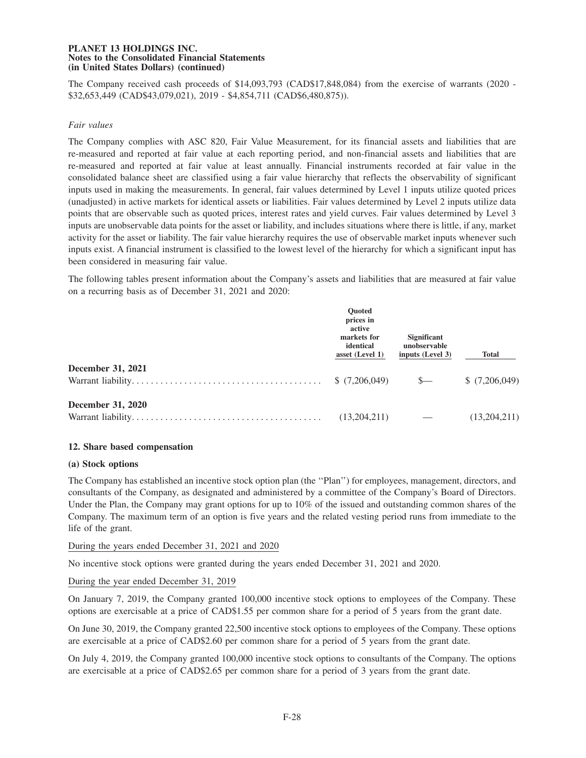The Company received cash proceeds of \$14,093,793 (CAD\$17,848,084) from the exercise of warrants (2020 - \$32,653,449 (CAD\$43,079,021), 2019 - \$4,854,711 (CAD\$6,480,875)).

## *Fair values*

The Company complies with ASC 820, Fair Value Measurement, for its financial assets and liabilities that are re-measured and reported at fair value at each reporting period, and non-financial assets and liabilities that are re-measured and reported at fair value at least annually. Financial instruments recorded at fair value in the consolidated balance sheet are classified using a fair value hierarchy that reflects the observability of significant inputs used in making the measurements. In general, fair values determined by Level 1 inputs utilize quoted prices (unadjusted) in active markets for identical assets or liabilities. Fair values determined by Level 2 inputs utilize data points that are observable such as quoted prices, interest rates and yield curves. Fair values determined by Level 3 inputs are unobservable data points for the asset or liability, and includes situations where there is little, if any, market activity for the asset or liability. The fair value hierarchy requires the use of observable market inputs whenever such inputs exist. A financial instrument is classified to the lowest level of the hierarchy for which a significant input has been considered in measuring fair value.

The following tables present information about the Company's assets and liabilities that are measured at fair value on a recurring basis as of December 31, 2021 and 2020:

|                          | <b>Ouoted</b><br>prices in<br>active<br>markets for<br>identical<br>asset (Level 1) | <b>Significant</b><br>unobservable<br>inputs (Level 3) | <b>Total</b>  |
|--------------------------|-------------------------------------------------------------------------------------|--------------------------------------------------------|---------------|
| <b>December 31, 2021</b> | \$(7,206,049)                                                                       | $S-$                                                   | \$(7,206,049) |
| <b>December 31, 2020</b> | (13,204,211)                                                                        |                                                        | (13,204,211)  |

### **12. Share based compensation**

### **(a) Stock options**

The Company has established an incentive stock option plan (the ''Plan'') for employees, management, directors, and consultants of the Company, as designated and administered by a committee of the Company's Board of Directors. Under the Plan, the Company may grant options for up to 10% of the issued and outstanding common shares of the Company. The maximum term of an option is five years and the related vesting period runs from immediate to the life of the grant.

### During the years ended December 31, 2021 and 2020

No incentive stock options were granted during the years ended December 31, 2021 and 2020.

### During the year ended December 31, 2019

On January 7, 2019, the Company granted 100,000 incentive stock options to employees of the Company. These options are exercisable at a price of CAD\$1.55 per common share for a period of 5 years from the grant date.

On June 30, 2019, the Company granted 22,500 incentive stock options to employees of the Company. These options are exercisable at a price of CAD\$2.60 per common share for a period of 5 years from the grant date.

On July 4, 2019, the Company granted 100,000 incentive stock options to consultants of the Company. The options are exercisable at a price of CAD\$2.65 per common share for a period of 3 years from the grant date.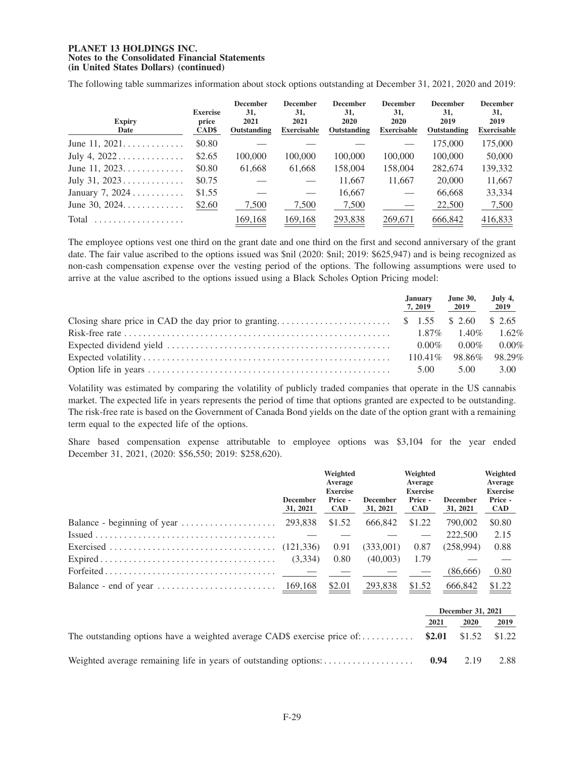The following table summarizes information about stock options outstanding at December 31, 2021, 2020 and 2019:

| <b>Expiry</b><br>Date | <b>Exercise</b><br>price<br>CAD\$ | <b>December</b><br>31,<br>2021<br>Outstanding | <b>December</b><br>31,<br>2021<br><b>Exercisable</b> | <b>December</b><br>31,<br>2020<br>Outstanding | <b>December</b><br>31,<br>2020<br><b>Exercisable</b> | <b>December</b><br>31,<br>2019<br>Outstanding | <b>December</b><br><b>31,</b><br>2019<br><b>Exercisable</b> |
|-----------------------|-----------------------------------|-----------------------------------------------|------------------------------------------------------|-----------------------------------------------|------------------------------------------------------|-----------------------------------------------|-------------------------------------------------------------|
| June 11, $2021$       | \$0.80                            |                                               |                                                      |                                               |                                                      | 175,000                                       | 175,000                                                     |
| July 4, $2022$        | \$2.65                            | 100,000                                       | 100,000                                              | 100,000                                       | 100,000                                              | 100,000                                       | 50,000                                                      |
| June 11, $2023$       | \$0.80                            | 61,668                                        | 61,668                                               | 158,004                                       | 158,004                                              | 282,674                                       | 139,332                                                     |
| July 31, $2023$       | \$0.75                            |                                               |                                                      | 11,667                                        | 11,667                                               | 20,000                                        | 11,667                                                      |
| January 7, $2024$     | \$1.55                            |                                               |                                                      | 16,667                                        |                                                      | 66,668                                        | 33,334                                                      |
| June 30, $2024$       | \$2.60                            | 7,500                                         | 7,500                                                | 7,500                                         |                                                      | 22,500                                        | 7,500                                                       |
| Total<br>.            |                                   | 169,168                                       | 169,168                                              | 293,838                                       | 269,671                                              | 666,842                                       | 416,833                                                     |

The employee options vest one third on the grant date and one third on the first and second anniversary of the grant date. The fair value ascribed to the options issued was  $\frac{1}{2020}$ :  $\frac{1}{2019}$ :  $\frac{1}{2019}$ :  $\frac{1}{205}$ ,  $\frac{1}{204}$  and is being recognized as non-cash compensation expense over the vesting period of the options. The following assumptions were used to arrive at the value ascribed to the options issued using a Black Scholes Option Pricing model:

|  | January<br>7, 2019 | June 30, July 4,<br>2019   | 2019 |
|--|--------------------|----------------------------|------|
|  |                    |                            |      |
|  |                    |                            |      |
|  |                    | $0.00\%$ $0.00\%$ $0.00\%$ |      |
|  |                    | 110.41\% 98.86\% 98.29\%   |      |
|  | 5.00               | 5.00                       | 3.00 |

Volatility was estimated by comparing the volatility of publicly traded companies that operate in the US cannabis market. The expected life in years represents the period of time that options granted are expected to be outstanding. The risk-free rate is based on the Government of Canada Bond yields on the date of the option grant with a remaining term equal to the expected life of the options.

Share based compensation expense attributable to employee options was \$3,104 for the year ended December 31, 2021, (2020: \$56,550; 2019: \$258,620).

|                                                                                              | <b>December</b><br>31, 2021 | Weighted<br>Average<br><b>Exercise</b><br>Price -<br><b>CAD</b> | <b>December</b><br>31, 2021 | Weighted<br>Average<br><b>Exercise</b><br>Price -<br><b>CAD</b> | <b>December</b><br>31, 2021 | Weighted<br>Average<br><b>Exercise</b><br>Price -<br><b>CAD</b> |
|----------------------------------------------------------------------------------------------|-----------------------------|-----------------------------------------------------------------|-----------------------------|-----------------------------------------------------------------|-----------------------------|-----------------------------------------------------------------|
|                                                                                              |                             | \$1.52                                                          | 666,842                     | \$1.22                                                          | 790,002                     | \$0.80                                                          |
| $Issued \ldots \ldots \ldots \ldots \ldots \ldots \ldots \ldots \ldots \ldots \ldots \ldots$ |                             |                                                                 |                             |                                                                 | 222,500                     | 2.15                                                            |
|                                                                                              |                             | 0.91                                                            | (333,001)                   | 0.87                                                            | (258.994)                   | 0.88                                                            |
|                                                                                              |                             | 0.80                                                            | (40,003)                    | 1.79                                                            |                             |                                                                 |
| $Forfeited \dots \dots \dots \dots \dots \dots \dots \dots \dots \dots \dots$                |                             |                                                                 |                             |                                                                 | (86,666)                    | 0.80                                                            |
|                                                                                              |                             | \$2.01                                                          | 293,838                     | \$1.52                                                          | 666,842                     | \$1.22                                                          |

|                                                                                               | December 31, 2021 |             |      |
|-----------------------------------------------------------------------------------------------|-------------------|-------------|------|
|                                                                                               | 2021              | <b>2020</b> | 2019 |
| The outstanding options have a weighted average CAD\$ exercise price of: \$2.01 \$1.52 \$1.22 |                   |             |      |
|                                                                                               | 0.94              | 2.19        | 2.88 |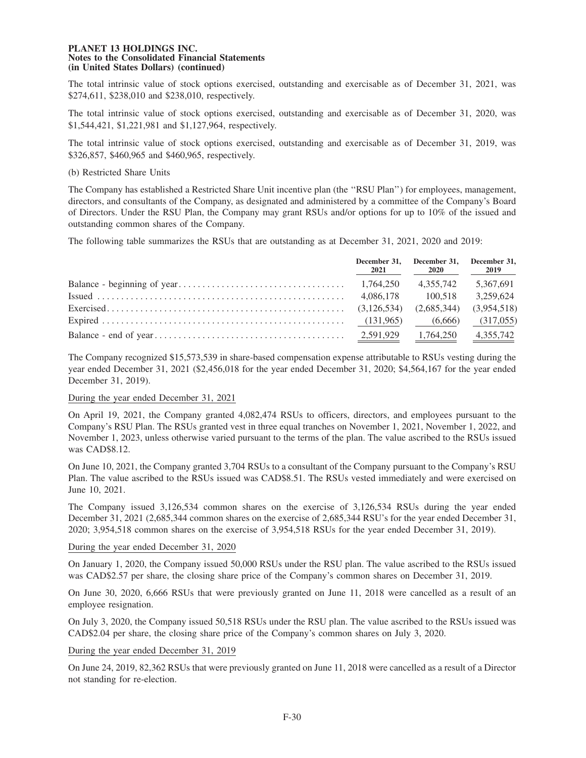The total intrinsic value of stock options exercised, outstanding and exercisable as of December 31, 2021, was \$274,611, \$238,010 and \$238,010, respectively.

The total intrinsic value of stock options exercised, outstanding and exercisable as of December 31, 2020, was \$1,544,421, \$1,221,981 and \$1,127,964, respectively.

The total intrinsic value of stock options exercised, outstanding and exercisable as of December 31, 2019, was \$326,857, \$460,965 and \$460,965, respectively.

## (b) Restricted Share Units

The Company has established a Restricted Share Unit incentive plan (the ''RSU Plan'') for employees, management, directors, and consultants of the Company, as designated and administered by a committee of the Company's Board of Directors. Under the RSU Plan, the Company may grant RSUs and/or options for up to 10% of the issued and outstanding common shares of the Company.

The following table summarizes the RSUs that are outstanding as at December 31, 2021, 2020 and 2019:

| 2021 | December 31, December 31, December 31, | 2020 2019 |
|------|----------------------------------------|-----------|
|      | 4.355.742                              | 5.367.691 |
|      |                                        | 3,259,624 |
|      |                                        |           |
|      |                                        | (317,055) |
|      |                                        |           |

The Company recognized \$15,573,539 in share-based compensation expense attributable to RSUs vesting during the year ended December 31, 2021 (\$2,456,018 for the year ended December 31, 2020; \$4,564,167 for the year ended December 31, 2019).

## During the year ended December 31, 2021

On April 19, 2021, the Company granted 4,082,474 RSUs to officers, directors, and employees pursuant to the Company's RSU Plan. The RSUs granted vest in three equal tranches on November 1, 2021, November 1, 2022, and November 1, 2023, unless otherwise varied pursuant to the terms of the plan. The value ascribed to the RSUs issued was CAD\$8.12.

On June 10, 2021, the Company granted 3,704 RSUs to a consultant of the Company pursuant to the Company's RSU Plan. The value ascribed to the RSUs issued was CAD\$8.51. The RSUs vested immediately and were exercised on June 10, 2021.

The Company issued 3,126,534 common shares on the exercise of 3,126,534 RSUs during the year ended December 31, 2021 (2,685,344 common shares on the exercise of 2,685,344 RSU's for the year ended December 31, 2020; 3,954,518 common shares on the exercise of 3,954,518 RSUs for the year ended December 31, 2019).

#### During the year ended December 31, 2020

On January 1, 2020, the Company issued 50,000 RSUs under the RSU plan. The value ascribed to the RSUs issued was CAD\$2.57 per share, the closing share price of the Company's common shares on December 31, 2019.

On June 30, 2020, 6,666 RSUs that were previously granted on June 11, 2018 were cancelled as a result of an employee resignation.

On July 3, 2020, the Company issued 50,518 RSUs under the RSU plan. The value ascribed to the RSUs issued was CAD\$2.04 per share, the closing share price of the Company's common shares on July 3, 2020.

## During the year ended December 31, 2019

On June 24, 2019, 82,362 RSUs that were previously granted on June 11, 2018 were cancelled as a result of a Director not standing for re-election.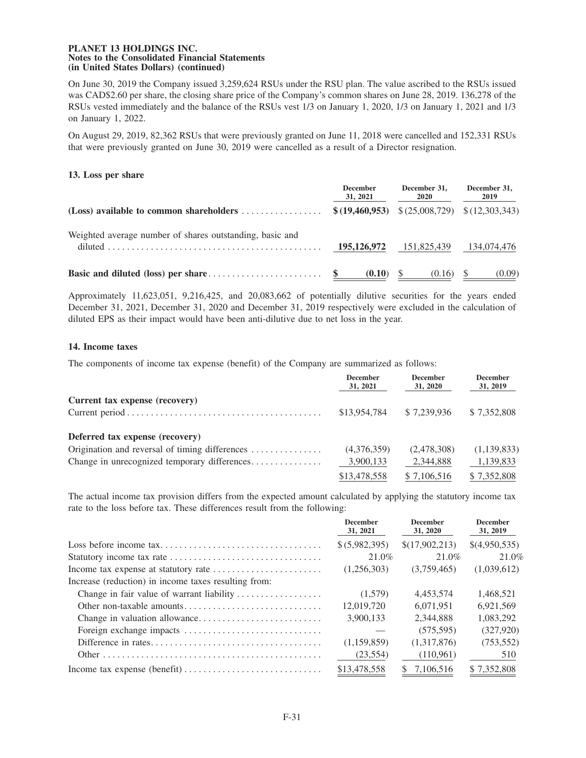On June 30, 2019 the Company issued 3,259,624 RSUs under the RSU plan. The value ascribed to the RSUs issued was CAD\$2.60 per share, the closing share price of the Company's common shares on June 28, 2019. 136,278 of the RSUs vested immediately and the balance of the RSUs vest 1/3 on January 1, 2020, 1/3 on January 1, 2021 and 1/3 on January 1, 2022.

On August 29, 2019, 82,362 RSUs that were previously granted on June 11, 2018 were cancelled and 152,331 RSUs that were previously granted on June 30, 2019 were cancelled as a result of a Director resignation.

## **13. Loss per share**

|                                                                     | <b>December</b><br>31, 2021 | December 31,<br><b>2020</b>                      | December 31.<br>2019 |
|---------------------------------------------------------------------|-----------------------------|--------------------------------------------------|----------------------|
| (Loss) available to common shareholders $\dots\dots\dots\dots\dots$ |                             | $$ (19,460,953) \$ (25,008,729) \$ (12,303,343)$ |                      |
| Weighted average number of shares outstanding, basic and            | 195,126,972                 | 151,825,439                                      | 134,074,476          |
|                                                                     | (0.10)                      | (0.16)                                           | (0.09)               |

Approximately 11,623,051, 9,216,425, and 20,083,662 of potentially dilutive securities for the years ended December 31, 2021, December 31, 2020 and December 31, 2019 respectively were excluded in the calculation of diluted EPS as their impact would have been anti-dilutive due to net loss in the year.

## **14. Income taxes**

The components of income tax expense (benefit) of the Company are summarized as follows:

|                                                | <b>December</b><br>31, 2021 | <b>December</b><br>31, 2020 | <b>December</b><br>31, 2019 |
|------------------------------------------------|-----------------------------|-----------------------------|-----------------------------|
| Current tax expense (recovery)                 |                             |                             |                             |
|                                                | \$13,954,784                | \$7,239,936                 | \$7,352,808                 |
| Deferred tax expense (recovery)                |                             |                             |                             |
| Origination and reversal of timing differences | (4,376,359)                 | (2,478,308)                 | (1,139,833)                 |
| Change in unrecognized temporary differences   | 3,900,133                   | 2,344,888                   | 1,139,833                   |
|                                                | \$13,478,558                | \$7,106,516                 | \$7,352,808                 |

The actual income tax provision differs from the expected amount calculated by applying the statutory income tax rate to the loss before tax. These differences result from the following:

|                                                      | <b>December</b><br>31, 2021 | <b>December</b><br>31, 2020 | <b>December</b><br>31, 2019 |
|------------------------------------------------------|-----------------------------|-----------------------------|-----------------------------|
|                                                      | \$ (5,982,395)              | \$(17,902,213)              | \$(4,950,535)               |
|                                                      | 21.0%                       | 21.0%                       | 21.0%                       |
|                                                      | (1,256,303)                 | (3,759,465)                 | (1,039,612)                 |
| Increase (reduction) in income taxes resulting from: |                             |                             |                             |
| Change in fair value of warrant liability            | (1,579)                     | 4.453.574                   | 1,468,521                   |
|                                                      | 12,019,720                  | 6.071.951                   | 6,921,569                   |
|                                                      | 3.900.133                   | 2.344.888                   | 1.083.292                   |
|                                                      |                             | (575, 595)                  | (327,920)                   |
|                                                      | (1,159,859)                 | (1.317.876)                 | (753, 552)                  |
|                                                      | (23, 554)                   | (110,961)                   | 510                         |
|                                                      | \$13,478,558                | 7.106.516<br>SS.            | \$7.352,808                 |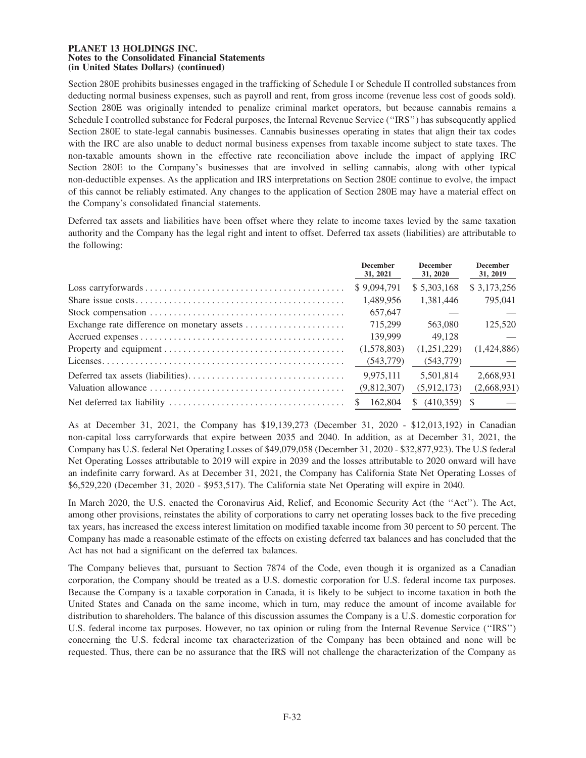Section 280E prohibits businesses engaged in the trafficking of Schedule I or Schedule II controlled substances from deducting normal business expenses, such as payroll and rent, from gross income (revenue less cost of goods sold). Section 280E was originally intended to penalize criminal market operators, but because cannabis remains a Schedule I controlled substance for Federal purposes, the Internal Revenue Service (''IRS'') has subsequently applied Section 280E to state-legal cannabis businesses. Cannabis businesses operating in states that align their tax codes with the IRC are also unable to deduct normal business expenses from taxable income subject to state taxes. The non-taxable amounts shown in the effective rate reconciliation above include the impact of applying IRC Section 280E to the Company's businesses that are involved in selling cannabis, along with other typical non-deductible expenses. As the application and IRS interpretations on Section 280E continue to evolve, the impact of this cannot be reliably estimated. Any changes to the application of Section 280E may have a material effect on the Company's consolidated financial statements.

Deferred tax assets and liabilities have been offset where they relate to income taxes levied by the same taxation authority and the Company has the legal right and intent to offset. Deferred tax assets (liabilities) are attributable to the following:

| <b>December</b><br>31, 2021 | <b>December</b><br>31, 2020 | <b>December</b><br>31, 2019 |
|-----------------------------|-----------------------------|-----------------------------|
| \$9,094,791                 | \$5,303,168                 | \$3,173,256                 |
| 1,489,956                   | 1.381.446                   | 795,041                     |
| 657,647                     |                             |                             |
| 715.299                     | 563,080                     | 125,520                     |
| 139,999                     | 49.128                      |                             |
| (1,578,803)                 | (1.251.229)                 | (1.424.886)                 |
| (543,779)                   | (543,779)                   |                             |
| 9.975.111                   | 5.501.814                   | 2.668.931                   |
| (9,812,307)                 | (5,912,173)                 | (2,668,931)                 |
| 162,804<br><sup>S</sup>     | (410.359)<br>S.             | S                           |

As at December 31, 2021, the Company has \$19,139,273 (December 31, 2020 - \$12,013,192) in Canadian non-capital loss carryforwards that expire between 2035 and 2040. In addition, as at December 31, 2021, the Company has U.S. federal Net Operating Losses of \$49,079,058 (December 31, 2020 - \$32,877,923). The U.S federal Net Operating Losses attributable to 2019 will expire in 2039 and the losses attributable to 2020 onward will have an indefinite carry forward. As at December 31, 2021, the Company has California State Net Operating Losses of \$6,529,220 (December 31, 2020 - \$953,517). The California state Net Operating will expire in 2040.

In March 2020, the U.S. enacted the Coronavirus Aid, Relief, and Economic Security Act (the "Act"). The Act, among other provisions, reinstates the ability of corporations to carry net operating losses back to the five preceding tax years, has increased the excess interest limitation on modified taxable income from 30 percent to 50 percent. The Company has made a reasonable estimate of the effects on existing deferred tax balances and has concluded that the Act has not had a significant on the deferred tax balances.

The Company believes that, pursuant to Section 7874 of the Code, even though it is organized as a Canadian corporation, the Company should be treated as a U.S. domestic corporation for U.S. federal income tax purposes. Because the Company is a taxable corporation in Canada, it is likely to be subject to income taxation in both the United States and Canada on the same income, which in turn, may reduce the amount of income available for distribution to shareholders. The balance of this discussion assumes the Company is a U.S. domestic corporation for U.S. federal income tax purposes. However, no tax opinion or ruling from the Internal Revenue Service (''IRS'') concerning the U.S. federal income tax characterization of the Company has been obtained and none will be requested. Thus, there can be no assurance that the IRS will not challenge the characterization of the Company as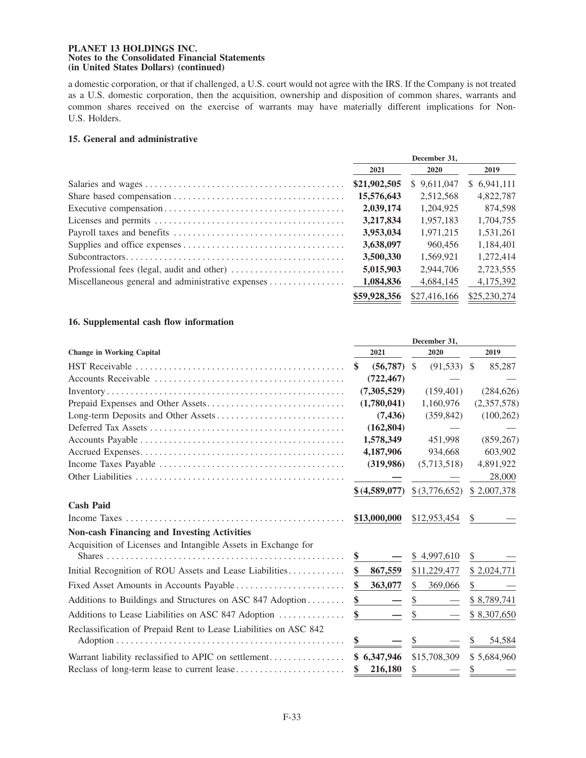a domestic corporation, or that if challenged, a U.S. court would not agree with the IRS. If the Company is not treated as a U.S. domestic corporation, then the acquisition, ownership and disposition of common shares, warrants and common shares received on the exercise of warrants may have materially different implications for Non-U.S. Holders.

## **15. General and administrative**

|                                                                                  | December 31. |              |              |
|----------------------------------------------------------------------------------|--------------|--------------|--------------|
|                                                                                  | 2021         | <b>2020</b>  | 2019         |
|                                                                                  | \$21,902,505 | \$9,611,047  | \$6,941,111  |
|                                                                                  | 15,576,643   | 2,512,568    | 4,822,787    |
|                                                                                  | 2,039,174    | 1,204,925    | 874,598      |
|                                                                                  | 3,217,834    | 1.957.183    | 1,704,755    |
|                                                                                  | 3,953,034    | 1.971.215    | 1.531.261    |
|                                                                                  | 3,638,097    | 960,456      | 1.184.401    |
|                                                                                  | 3,500,330    | 1.569.921    | 1.272.414    |
| Professional fees (legal, audit and other) $\dots \dots \dots \dots \dots \dots$ | 5,015,903    | 2.944.706    | 2,723,555    |
| Miscellaneous general and administrative expenses                                | 1,084,836    | 4.684.145    | 4,175,392    |
|                                                                                  | \$59,928,356 | \$27,416,166 | \$25,230,274 |

## **16. Supplemental cash flow information**

|                                                                                                                      |                 | December 31,                   |              |
|----------------------------------------------------------------------------------------------------------------------|-----------------|--------------------------------|--------------|
| <b>Change in Working Capital</b>                                                                                     | 2021            | 2020                           | 2019         |
| $\text{HST}\ \text{Receivable}\ \dots \dots \dots \dots \dots \dots \dots \dots \dots \dots \dots \dots \dots \dots$ | (56, 787)<br>\$ | $(91,533)$ \$<br><sup>S</sup>  | 85,287       |
|                                                                                                                      | (722, 467)      |                                |              |
|                                                                                                                      | (7,305,529)     | (159, 401)                     | (284, 626)   |
|                                                                                                                      | (1,780,041)     | 1,160,976                      | (2,357,578)  |
|                                                                                                                      | (7, 436)        | (359, 842)                     | (100, 262)   |
|                                                                                                                      | (162, 804)      |                                |              |
|                                                                                                                      | 1,578,349       | 451,998                        | (859, 267)   |
|                                                                                                                      | 4,187,906       | 934,668                        | 603,902      |
|                                                                                                                      | (319,986)       | (5,713,518)                    | 4,891,922    |
|                                                                                                                      |                 |                                | 28,000       |
|                                                                                                                      | \$(4,589,077)   | \$(3,776,652)                  | \$2,007,378  |
| <b>Cash Paid</b>                                                                                                     |                 |                                |              |
|                                                                                                                      | \$13,000,000    | \$12,953,454                   | \$           |
| <b>Non-cash Financing and Investing Activities</b>                                                                   |                 |                                |              |
| Acquisition of Licenses and Intangible Assets in Exchange for                                                        |                 |                                |              |
|                                                                                                                      | \$              | \$4,997,610                    | \$           |
| Initial Recognition of ROU Assets and Lease Liabilities                                                              | \$<br>867,559   | \$11,229,477                   | \$2,024,771  |
|                                                                                                                      | \$<br>363,077   | \$<br>369,066                  | \$           |
| Additions to Buildings and Structures on ASC 847 Adoption                                                            | \$              | \$<br>$\overline{\phantom{m}}$ | \$8,789,741  |
| Additions to Lease Liabilities on ASC 847 Adoption                                                                   | \$              | \$                             | \$8,307,650  |
| Reclassification of Prepaid Rent to Lease Liabilities on ASC 842                                                     |                 |                                |              |
|                                                                                                                      | \$              |                                | 54,584<br>S. |
| Warrant liability reclassified to APIC on settlement                                                                 | \$6,347,946     | \$15,708,309                   | \$5,684,960  |
|                                                                                                                      | \$<br>216,180   | \$                             | \$           |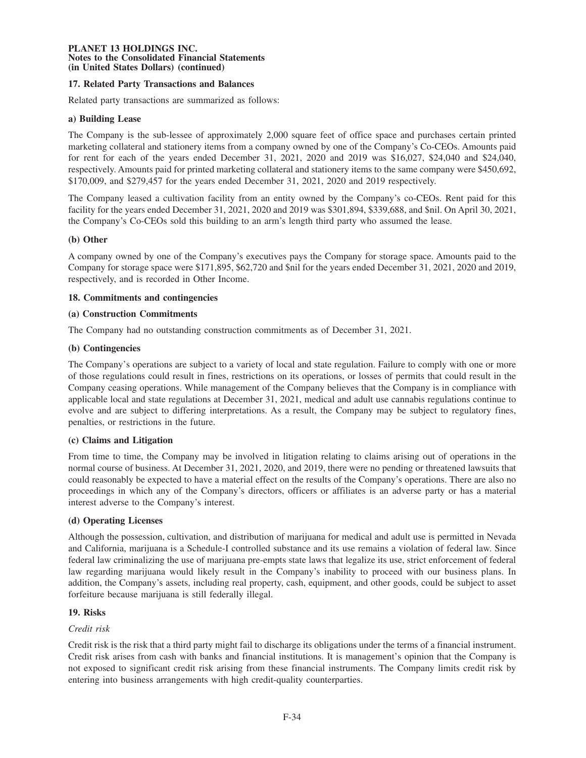# **17. Related Party Transactions and Balances**

Related party transactions are summarized as follows:

## **a) Building Lease**

The Company is the sub-lessee of approximately 2,000 square feet of office space and purchases certain printed marketing collateral and stationery items from a company owned by one of the Company's Co-CEOs. Amounts paid for rent for each of the years ended December 31, 2021, 2020 and 2019 was \$16,027, \$24,040 and \$24,040, respectively. Amounts paid for printed marketing collateral and stationery items to the same company were \$450,692, \$170,009, and \$279,457 for the years ended December 31, 2021, 2020 and 2019 respectively.

The Company leased a cultivation facility from an entity owned by the Company's co-CEOs. Rent paid for this facility for the years ended December 31, 2021, 2020 and 2019 was \$301,894, \$339,688, and \$nil. On April 30, 2021, the Company's Co-CEOs sold this building to an arm's length third party who assumed the lease.

## **(b) Other**

A company owned by one of the Company's executives pays the Company for storage space. Amounts paid to the Company for storage space were \$171,895, \$62,720 and \$nil for the years ended December 31, 2021, 2020 and 2019, respectively, and is recorded in Other Income.

## **18. Commitments and contingencies**

### **(a) Construction Commitments**

The Company had no outstanding construction commitments as of December 31, 2021.

### **(b) Contingencies**

The Company's operations are subject to a variety of local and state regulation. Failure to comply with one or more of those regulations could result in fines, restrictions on its operations, or losses of permits that could result in the Company ceasing operations. While management of the Company believes that the Company is in compliance with applicable local and state regulations at December 31, 2021, medical and adult use cannabis regulations continue to evolve and are subject to differing interpretations. As a result, the Company may be subject to regulatory fines, penalties, or restrictions in the future.

### **(c) Claims and Litigation**

From time to time, the Company may be involved in litigation relating to claims arising out of operations in the normal course of business. At December 31, 2021, 2020, and 2019, there were no pending or threatened lawsuits that could reasonably be expected to have a material effect on the results of the Company's operations. There are also no proceedings in which any of the Company's directors, officers or affiliates is an adverse party or has a material interest adverse to the Company's interest.

# **(d) Operating Licenses**

Although the possession, cultivation, and distribution of marijuana for medical and adult use is permitted in Nevada and California, marijuana is a Schedule-I controlled substance and its use remains a violation of federal law. Since federal law criminalizing the use of marijuana pre-empts state laws that legalize its use, strict enforcement of federal law regarding marijuana would likely result in the Company's inability to proceed with our business plans. In addition, the Company's assets, including real property, cash, equipment, and other goods, could be subject to asset forfeiture because marijuana is still federally illegal.

## **19. Risks**

### *Credit risk*

Credit risk is the risk that a third party might fail to discharge its obligations under the terms of a financial instrument. Credit risk arises from cash with banks and financial institutions. It is management's opinion that the Company is not exposed to significant credit risk arising from these financial instruments. The Company limits credit risk by entering into business arrangements with high credit-quality counterparties.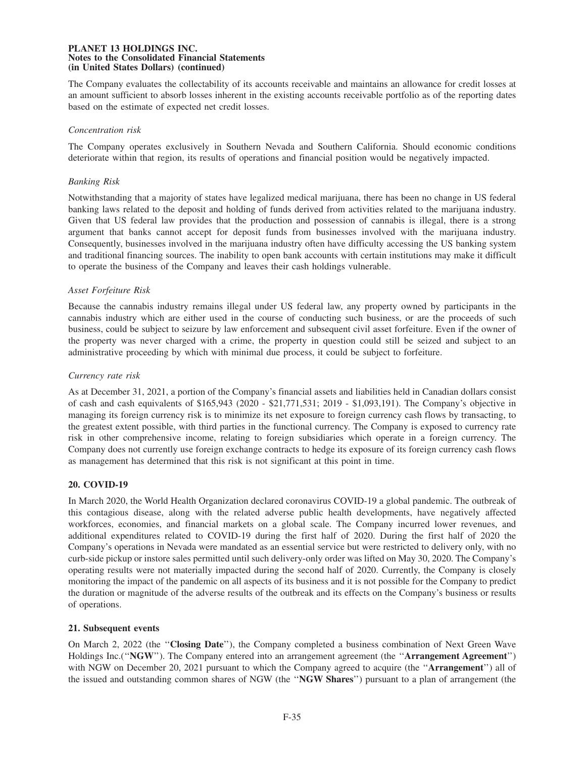The Company evaluates the collectability of its accounts receivable and maintains an allowance for credit losses at an amount sufficient to absorb losses inherent in the existing accounts receivable portfolio as of the reporting dates based on the estimate of expected net credit losses.

## *Concentration risk*

The Company operates exclusively in Southern Nevada and Southern California. Should economic conditions deteriorate within that region, its results of operations and financial position would be negatively impacted.

## *Banking Risk*

Notwithstanding that a majority of states have legalized medical marijuana, there has been no change in US federal banking laws related to the deposit and holding of funds derived from activities related to the marijuana industry. Given that US federal law provides that the production and possession of cannabis is illegal, there is a strong argument that banks cannot accept for deposit funds from businesses involved with the marijuana industry. Consequently, businesses involved in the marijuana industry often have difficulty accessing the US banking system and traditional financing sources. The inability to open bank accounts with certain institutions may make it difficult to operate the business of the Company and leaves their cash holdings vulnerable.

## *Asset Forfeiture Risk*

Because the cannabis industry remains illegal under US federal law, any property owned by participants in the cannabis industry which are either used in the course of conducting such business, or are the proceeds of such business, could be subject to seizure by law enforcement and subsequent civil asset forfeiture. Even if the owner of the property was never charged with a crime, the property in question could still be seized and subject to an administrative proceeding by which with minimal due process, it could be subject to forfeiture.

# *Currency rate risk*

As at December 31, 2021, a portion of the Company's financial assets and liabilities held in Canadian dollars consist of cash and cash equivalents of \$165,943 (2020 - \$21,771,531; 2019 - \$1,093,191). The Company's objective in managing its foreign currency risk is to minimize its net exposure to foreign currency cash flows by transacting, to the greatest extent possible, with third parties in the functional currency. The Company is exposed to currency rate risk in other comprehensive income, relating to foreign subsidiaries which operate in a foreign currency. The Company does not currently use foreign exchange contracts to hedge its exposure of its foreign currency cash flows as management has determined that this risk is not significant at this point in time.

# **20. COVID-19**

In March 2020, the World Health Organization declared coronavirus COVID-19 a global pandemic. The outbreak of this contagious disease, along with the related adverse public health developments, have negatively affected workforces, economies, and financial markets on a global scale. The Company incurred lower revenues, and additional expenditures related to COVID-19 during the first half of 2020. During the first half of 2020 the Company's operations in Nevada were mandated as an essential service but were restricted to delivery only, with no curb-side pickup or instore sales permitted until such delivery-only order was lifted on May 30, 2020. The Company's operating results were not materially impacted during the second half of 2020. Currently, the Company is closely monitoring the impact of the pandemic on all aspects of its business and it is not possible for the Company to predict the duration or magnitude of the adverse results of the outbreak and its effects on the Company's business or results of operations.

# **21. Subsequent events**

On March 2, 2022 (the ''**Closing Date**''), the Company completed a business combination of Next Green Wave Holdings Inc.(''**NGW**''). The Company entered into an arrangement agreement (the ''**Arrangement Agreement**'') with NGW on December 20, 2021 pursuant to which the Company agreed to acquire (the ''**Arrangement**'') all of the issued and outstanding common shares of NGW (the ''**NGW Shares**'') pursuant to a plan of arrangement (the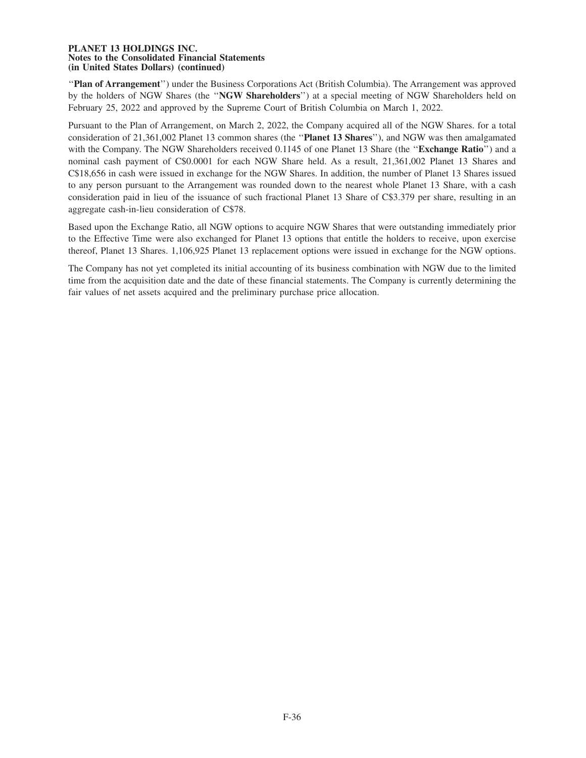''**Plan of Arrangement**'') under the Business Corporations Act (British Columbia). The Arrangement was approved by the holders of NGW Shares (the ''**NGW Shareholders**'') at a special meeting of NGW Shareholders held on February 25, 2022 and approved by the Supreme Court of British Columbia on March 1, 2022.

Pursuant to the Plan of Arrangement, on March 2, 2022, the Company acquired all of the NGW Shares. for a total consideration of 21,361,002 Planet 13 common shares (the ''**Planet 13 Shares**''), and NGW was then amalgamated with the Company. The NGW Shareholders received 0.1145 of one Planet 13 Share (the "**Exchange Ratio**") and a nominal cash payment of C\$0.0001 for each NGW Share held. As a result, 21,361,002 Planet 13 Shares and C\$18,656 in cash were issued in exchange for the NGW Shares. In addition, the number of Planet 13 Shares issued to any person pursuant to the Arrangement was rounded down to the nearest whole Planet 13 Share, with a cash consideration paid in lieu of the issuance of such fractional Planet 13 Share of C\$3.379 per share, resulting in an aggregate cash-in-lieu consideration of C\$78.

Based upon the Exchange Ratio, all NGW options to acquire NGW Shares that were outstanding immediately prior to the Effective Time were also exchanged for Planet 13 options that entitle the holders to receive, upon exercise thereof, Planet 13 Shares. 1,106,925 Planet 13 replacement options were issued in exchange for the NGW options.

The Company has not yet completed its initial accounting of its business combination with NGW due to the limited time from the acquisition date and the date of these financial statements. The Company is currently determining the fair values of net assets acquired and the preliminary purchase price allocation.